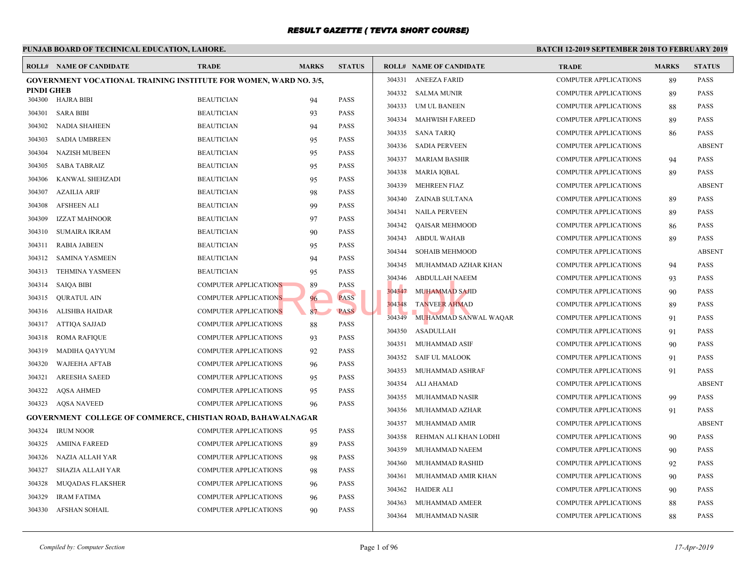#### **PUNJAB BOARD OF TECHNICAL EDUCATION, LAHORE. BATCH 12-ROLL# NAME OF CANDIDATE TRADE MARKS STATUS ROLL# NAME OF CANDIDATE TRADE MARKS STATUS GOVERNMENT VOCATIONAL TRAINING INSTITUTE FOR WOMEN, WARD NO. 3/5, PINDI GHEB** 304300 HAJRA BIBI BEAUTICIAN 94 PASS 304301 SARA BIBI BEAUTICIAN 93 PASS 304302 NADIA SHAHEEN BEAUTICIAN 94 PASS 304303 SADIA UMBREEN BEAUTICIAN 95 PASS 304304 NAZISH MUBEEN BEAUTICIAN 95 PASS 304305 SABA TABRAIZ BEAUTICIAN 95 PASS 304306 KANWAL SHEHZADI BEAUTICIAN 95 PASS 304307 AZAILIA ARIF BEAUTICIAN 98 PASS 304308 AFSHEEN ALI BEAUTICIAN 99 PASS 304309 IZZAT MAHNOOR BEAUTICIAN 97 PASS 304310 SUMAIRA IKRAM BEAUTICIAN 90 PASS 304311 RABIA JABEEN BEAUTICIAN 95 PASS 304312 SAMINA YASMEEN BEAUTICIAN 94 PASS 304313 TEHMINA YASMEEN BEAUTICIAN 95 PASS 304314 SAIQA BIBI COMPUTER APPLICATIONS 89 PASS 304315 QURATUL AIN COMPUTER APPLICATIONS 96 PASS 304316 ALISHBA HAIDAR COMPUTER APPLICATIONS 87 PASS 304317 ATTIQA SAJJAD COMPUTER APPLICATIONS 88 PASS 304318 ROMA RAFIQUE COMPUTER APPLICATIONS 93 PASS 304319 MADIHA QAYYUM COMPUTER APPLICATIONS 92 PASS 304320 WAJEEHA AFTAB COMPUTER APPLICATIONS 96 PASS 304321 AREESHA SAEED COMPUTER APPLICATIONS 95 PASS 304322 AQSA AHMED COMPUTER APPLICATIONS 95 PASS 304323 AQSA NAVEED COMPUTER APPLICATIONS 96 PASS **GOVERNMENT COLLEGE OF COMMERCE, CHISTIAN ROAD, BAHAWALNAGAR** 304324 IRUM NOOR COMPUTER APPLICATIONS 95 PASS 304325 AMIINA FAREED COMPUTER APPLICATIONS 89 PASS 304326 NAZIA ALLAH YAR COMPUTER APPLICATIONS 98 PASS 304327 SHAZIA ALLAH YAR COMPUTER APPLICATIONS 98 PASS 304328 MUQADAS FLAKSHER COMPUTER APPLICATIONS 96 PASS 304329 IRAM FATIMA COMPUTER APPLICATIONS 96 PASS 304330 AFSHAN SOHAIL COMPUTER APPLICATIONS 90 PASS 304331 ANEEZA FARID COMP 304332 SALMA MUNIR COMP 304333 UM UL BANEEN COMP 304334 MAHWISH FAREED COMP 304335 SANA TARIQ COMP 304336 SADIA PERVEEN COMP 304337 MARIAM BASHIR COMP 304338 MARIA IQBAL COMP 304339 MEHREEN FIAZ COMP 304340 ZAINAB SULTANA COMP 304341 NAILA PERVEEN COMP 304342 QAISAR MEHMOOD COMP 304343 ABDUL WAHAB COMP 304344 SOHAIB MEHMOOD COMP 304345 MUHAMMAD AZHAR KHAN COMP 304346 ABDULLAH NAEEM COMP 304347 MUHAMMAD SAJID COMP 304348 TANVEER AHMAD COMP 304349 MUHAMMAD SANWAL WAQAR COMP 304350 ASADULLAH COMP 304351 MUHAMMAD ASIF COMP 304352 SAIF UL MALOOK COMP 304353 MUHAMMAD ASHRAF COMP 304354 ALI AHAMAD COMP 304355 MUHAMMAD NASIR COMP 304356 MUHAMMAD AZHAR COMP 304357 MUHAMMAD AMIR COMP 304358 REHMAN ALI KHAN LODHI COMP 304359 MUHAMMAD NAEEM COMP 304360 MUHAMMAD RASHID COMP 304361 MUHAMMAD AMIR KHAN COMP 304362 HAIDER ALI COMP 304363 MUHAMMAD AMEER COMP 304364 MUHAMMAD NASIR COMP NS
89 PASS
20013448 ABDULLAH NAEE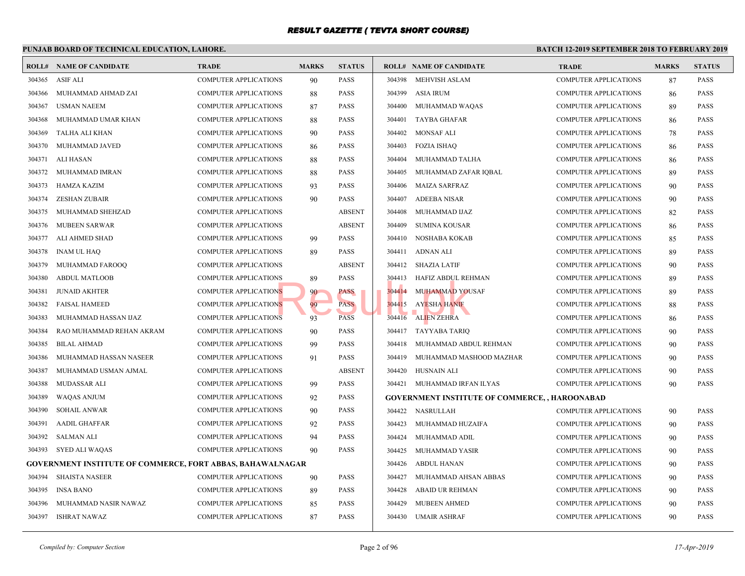|        | PUNJAB BOARD OF TECHNICAL EDUCATION, LAHORE.                      |                              |              |               |        |                                                  | <b>BATCH 12-</b> |
|--------|-------------------------------------------------------------------|------------------------------|--------------|---------------|--------|--------------------------------------------------|------------------|
|        | <b>ROLL# NAME OF CANDIDATE</b>                                    | <b>TRADE</b>                 | <b>MARKS</b> | <b>STATUS</b> |        | <b>ROLL# NAME OF CANDIDATE</b>                   | <b>TRAL</b>      |
| 304365 | <b>ASIF ALI</b>                                                   | <b>COMPUTER APPLICATIONS</b> | 90           | <b>PASS</b>   | 304398 | MEHVISH ASLAM                                    | <b>COMP</b>      |
| 304366 | MUHAMMAD AHMAD ZAI                                                | <b>COMPUTER APPLICATIONS</b> | 88           | <b>PASS</b>   | 304399 | ASIA IRUM                                        | <b>COMP</b>      |
| 304367 | <b>USMAN NAEEM</b>                                                | <b>COMPUTER APPLICATIONS</b> | 87           | <b>PASS</b>   | 304400 | MUHAMMAD WAQAS                                   | <b>COMP</b>      |
| 304368 | MUHAMMAD UMAR KHAN                                                | <b>COMPUTER APPLICATIONS</b> | 88           | <b>PASS</b>   | 304401 | TAYBA GHAFAR                                     | <b>COMP</b>      |
| 304369 | TALHA ALI KHAN                                                    | <b>COMPUTER APPLICATIONS</b> | 90           | <b>PASS</b>   | 304402 | <b>MONSAF ALI</b>                                | <b>COMP</b>      |
| 304370 | MUHAMMAD JAVED                                                    | <b>COMPUTER APPLICATIONS</b> | 86           | <b>PASS</b>   | 304403 | <b>FOZIA ISHAQ</b>                               | <b>COMP</b>      |
| 304371 | ALI HASAN                                                         | <b>COMPUTER APPLICATIONS</b> | 88           | <b>PASS</b>   | 304404 | MUHAMMAD TALHA                                   | <b>COMP</b>      |
| 304372 | MUHAMMAD IMRAN                                                    | <b>COMPUTER APPLICATIONS</b> | 88           | <b>PASS</b>   | 304405 | MUHAMMAD ZAFAR IQBAL                             | <b>COMP</b>      |
| 304373 | <b>HAMZA KAZIM</b>                                                | <b>COMPUTER APPLICATIONS</b> | 93           | <b>PASS</b>   | 304406 | <b>MAIZA SARFRAZ</b>                             | <b>COMP</b>      |
| 304374 | <b>ZESHAN ZUBAIR</b>                                              | <b>COMPUTER APPLICATIONS</b> | 90           | <b>PASS</b>   | 304407 | <b>ADEEBA NISAR</b>                              | <b>COMP</b>      |
| 304375 | MUHAMMAD SHEHZAD                                                  | <b>COMPUTER APPLICATIONS</b> |              | <b>ABSENT</b> | 304408 | MUHAMMAD IJAZ                                    | <b>COMP</b>      |
| 304376 | MUBEEN SARWAR                                                     | COMPUTER APPLICATIONS        |              | <b>ABSENT</b> | 304409 | <b>SUMINA KOUSAR</b>                             | <b>COMP</b>      |
| 304377 | ALI AHMED SHAD                                                    | <b>COMPUTER APPLICATIONS</b> | 99           | <b>PASS</b>   | 304410 | NOSHABA KOKAB                                    | <b>COMP</b>      |
| 304378 | <b>INAM UL HAQ</b>                                                | <b>COMPUTER APPLICATIONS</b> | 89           | <b>PASS</b>   | 304411 | ADNAN ALI                                        | <b>COMP</b>      |
| 304379 | MUHAMMAD FAROOO                                                   | <b>COMPUTER APPLICATIONS</b> |              | <b>ABSENT</b> | 304412 | SHAZIA LATIF                                     | <b>COMP</b>      |
| 304380 | <b>ABDUL MATLOOB</b>                                              | <b>COMPUTER APPLICATIONS</b> | 89           | <b>PASS</b>   | 304413 | HAFIZ ABDUL REHMAN                               | <b>COMP</b>      |
| 304381 | <b>JUNAID AKHTER</b>                                              | <b>COMPUTER APPLICATIONS</b> | 90           | <b>PASS</b>   | 304414 | <b>MUHAMMAD YOUSAF</b>                           | <b>COMP</b>      |
| 304382 | <b>FAISAL HAMEED</b>                                              | <b>COMPUTER APPLICATIONS</b> | 99           | <b>PASS</b>   | 304415 | <b>AYESHA HANIF</b>                              | <b>COMP</b>      |
| 304383 | MUHAMMAD HASSAN IJAZ                                              | <b>COMPUTER APPLICATIONS</b> | 93           | <b>PASS</b>   | 304416 | <b>ALIEN ZEHRA</b>                               | <b>COMP</b>      |
| 304384 | RAO MUHAMMAD REHAN AKRAM                                          | <b>COMPUTER APPLICATIONS</b> | 90           | <b>PASS</b>   | 304417 | TAYYABA TARIQ                                    | <b>COMP</b>      |
| 304385 | <b>BILAL AHMAD</b>                                                | <b>COMPUTER APPLICATIONS</b> | 99           | <b>PASS</b>   | 304418 | MUHAMMAD ABDUL REHMAN                            | <b>COMP</b>      |
| 304386 | MUHAMMAD HASSAN NASEER                                            | <b>COMPUTER APPLICATIONS</b> | 91           | <b>PASS</b>   | 304419 | MUHAMMAD MASHOOD MAZHAR                          | <b>COMP</b>      |
| 304387 | MUHAMMAD USMAN AJMAL                                              | <b>COMPUTER APPLICATIONS</b> |              | <b>ABSENT</b> | 304420 | HUSNAIN ALI                                      | <b>COMP</b>      |
| 304388 | <b>MUDASSAR ALI</b>                                               | <b>COMPUTER APPLICATIONS</b> | 99           | <b>PASS</b>   |        | 304421 MUHAMMAD IRFAN ILYAS                      | <b>COMP</b>      |
| 304389 | WAQAS ANJUM                                                       | <b>COMPUTER APPLICATIONS</b> | 92           | <b>PASS</b>   |        | <b>GOVERNMENT INSTITUTE OF COMMERCE, , HAROC</b> |                  |
| 304390 | <b>SOHAIL ANWAR</b>                                               | <b>COMPUTER APPLICATIONS</b> | 90           | <b>PASS</b>   | 304422 | NASRULLAH                                        | <b>COMP</b>      |
| 304391 | <b>AADIL GHAFFAR</b>                                              | <b>COMPUTER APPLICATIONS</b> | 92           | <b>PASS</b>   | 304423 | MUHAMMAD HUZAIFA                                 | <b>COMP</b>      |
| 304392 | <b>SALMAN ALI</b>                                                 | <b>COMPUTER APPLICATIONS</b> | 94           | <b>PASS</b>   | 304424 | MUHAMMAD ADIL                                    | <b>COMP</b>      |
| 304393 | <b>SYED ALI WAQAS</b>                                             | <b>COMPUTER APPLICATIONS</b> | 90           | <b>PASS</b>   | 304425 | MUHAMMAD YASIR                                   | <b>COMP</b>      |
|        | <b>GOVERNMENT INSTITUTE OF COMMERCE, FORT ABBAS, BAHAWALNAGAR</b> |                              |              |               | 304426 | ABDUL HANAN                                      | <b>COMP</b>      |
| 304394 | <b>SHAISTA NASEER</b>                                             | <b>COMPUTER APPLICATIONS</b> | 90           | <b>PASS</b>   | 304427 | MUHAMMAD AHSAN ABBAS                             | <b>COMP</b>      |
| 304395 | <b>INSA BANO</b>                                                  | <b>COMPUTER APPLICATIONS</b> | 89           | <b>PASS</b>   | 304428 | <b>ABAID UR REHMAN</b>                           | <b>COMP</b>      |
| 304396 | MUHAMMAD NASIR NAWAZ                                              | <b>COMPUTER APPLICATIONS</b> | 85           | <b>PASS</b>   | 304429 | <b>MUBEEN AHMED</b>                              | <b>COMP</b>      |
| 304397 | <b>ISHRAT NAWAZ</b>                                               | <b>COMPUTER APPLICATIONS</b> | 87           | <b>PASS</b>   | 304430 | UMAIR ASHRAF                                     | <b>COMP</b>      |
|        |                                                                   |                              |              |               |        |                                                  |                  |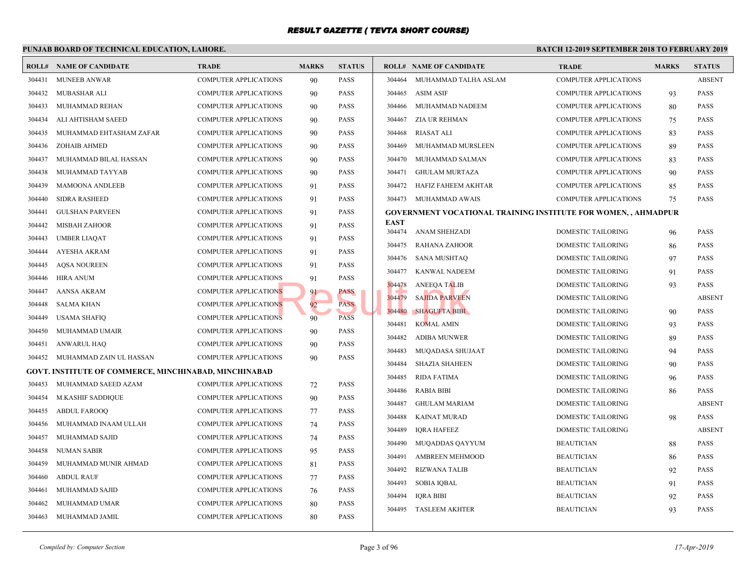|        | PUNJAB BOARD OF TECHNICAL EDUCATION, LAHORE.                 |                              |              |               |                       |                                                 | <b>BATCH 12-2</b> |
|--------|--------------------------------------------------------------|------------------------------|--------------|---------------|-----------------------|-------------------------------------------------|-------------------|
|        | <b>ROLL# NAME OF CANDIDATE</b>                               | <b>TRADE</b>                 | <b>MARKS</b> | <b>STATUS</b> |                       | <b>ROLL# NAME OF CANDIDATE</b>                  | <b>TRAL</b>       |
| 304431 | <b>MUNEEB ANWAR</b>                                          | <b>COMPUTER APPLICATIONS</b> | 90           | <b>PASS</b>   | 304464                | MUHAMMAD TALHA ASLAM                            | <b>COMP</b>       |
| 304432 | MUBASHAR ALI                                                 | <b>COMPUTER APPLICATIONS</b> | 90           | <b>PASS</b>   | 304465                | <b>ASIM ASIF</b>                                | <b>COMP</b>       |
| 304433 | MUHAMMAD REHAN                                               | <b>COMPUTER APPLICATIONS</b> | 90           | <b>PASS</b>   | 304466                | MUHAMMAD NADEEM                                 | <b>COMP</b>       |
| 304434 | ALI AHTISHAM SAEED                                           | COMPUTER APPLICATIONS        | 90           | <b>PASS</b>   | 304467                | ZIA UR REHMAN                                   | <b>COMP</b>       |
| 304435 | MUHAMMAD EHTASHAM ZAFAR                                      | COMPUTER APPLICATIONS        | 90           | <b>PASS</b>   | 304468                | <b>RIASAT ALI</b>                               | <b>COMP</b>       |
| 304436 | ZOHAIB AHMED                                                 | <b>COMPUTER APPLICATIONS</b> | 90           | PASS          | 304469                | MUHAMMAD MURSLEEN                               | <b>COMP</b>       |
| 304437 | MUHAMMAD BILAL HASSAN                                        | COMPUTER APPLICATIONS        | 90           | <b>PASS</b>   | 304470                | MUHAMMAD SALMAN                                 | <b>COMP</b>       |
| 304438 | MUHAMMAD TAYYAB                                              | COMPUTER APPLICATIONS        | 90           | <b>PASS</b>   | 304471                | <b>GHULAM MURTAZA</b>                           | <b>COMP</b>       |
| 304439 | <b>MAMOONA ANDLEEB</b>                                       | <b>COMPUTER APPLICATIONS</b> | 91           | <b>PASS</b>   | 304472                | HAFIZ FAHEEM AKHTAR                             | <b>COMP</b>       |
| 304440 | <b>SIDRA RASHEED</b>                                         | <b>COMPUTER APPLICATIONS</b> | 91           | PASS          |                       | 304473 MUHAMMAD AWAIS                           | <b>COMP</b>       |
| 304441 | <b>GULSHAN PARVEEN</b>                                       | COMPUTER APPLICATIONS        | 91           | <b>PASS</b>   |                       | <b>GOVERNMENT VOCATIONAL TRAINING INSTITUTE</b> |                   |
| 304442 | MISBAH ZAHOOR                                                | <b>COMPUTER APPLICATIONS</b> | 91           | <b>PASS</b>   | <b>EAST</b><br>304474 |                                                 |                   |
| 304443 | <b>UMBER LIAQAT</b>                                          | <b>COMPUTER APPLICATIONS</b> | 91           | <b>PASS</b>   |                       | ANAM SHEHZADI                                   | <b>DOME</b>       |
| 304444 | AYESHA AKRAM                                                 | COMPUTER APPLICATIONS        | 91           | <b>PASS</b>   | 304475                | RAHANA ZAHOOR                                   | <b>DOME</b>       |
| 304445 | <b>AQSA NOUREEN</b>                                          | <b>COMPUTER APPLICATIONS</b> | 91           | <b>PASS</b>   | 304476                | <b>SANA MUSHTAQ</b>                             | <b>DOME</b>       |
| 304446 | <b>HIRA ANUM</b>                                             | <b>COMPUTER APPLICATIONS</b> | 91           | <b>PASS</b>   | 304477                | <b>KANWAL NADEEM</b>                            | <b>DOME</b>       |
| 304447 | <b>AANSA AKRAM</b>                                           | COMPUTER APPLICATIONS        | 91           | PASS          | 304478<br>304479      | <b>ANEEQA TALIB</b><br><b>SAJIDA PARVEEN</b>    | <b>DOME</b>       |
| 304448 | <b>SALMA KHAN</b>                                            | <b>COMPUTER APPLICATIONS</b> | 92           | <b>PASS</b>   |                       |                                                 | <b>DOME</b>       |
| 304449 | <b>USAMA SHAFIQ</b>                                          | COMPUTER APPLICATIONS        | 90           | <b>PASS</b>   | 304480<br>304481      | <b>SHAGUFTA BIBI</b>                            | <b>DOME</b>       |
| 304450 | MUHAMMAD UMAIR                                               | <b>COMPUTER APPLICATIONS</b> | 90           | PASS          |                       | <b>KOMAL AMIN</b>                               | <b>DOME</b>       |
| 304451 | <b>ANWARUL HAQ</b>                                           | <b>COMPUTER APPLICATIONS</b> | 90           | <b>PASS</b>   | 304482                | <b>ADIBA MUNWER</b>                             | <b>DOME</b>       |
| 304452 | MUHAMMAD ZAIN UL HASSAN                                      | <b>COMPUTER APPLICATIONS</b> | 90           | <b>PASS</b>   | 304483                | MUQADASA SHUJAAT                                | <b>DOME</b>       |
|        | <b>GOVT. INSTITUTE OF COMMERCE, MINCHINABAD, MINCHINABAD</b> |                              |              |               | 304484                | <b>SHAZIA SHAHEEN</b>                           | <b>DOME</b>       |
| 304453 | MUHAMMAD SAEED AZAM                                          | <b>COMPUTER APPLICATIONS</b> | 72           | <b>PASS</b>   | 304485                | <b>RIDA FATIMA</b>                              | <b>DOME</b>       |
| 304454 | M.KASHIF SADDIQUE                                            | COMPUTER APPLICATIONS        | 90           | <b>PASS</b>   | 304486                | <b>RABIA BIBI</b>                               | <b>DOME</b>       |
| 304455 | <b>ABDUL FAROOQ</b>                                          | COMPUTER APPLICATIONS        | 77           | <b>PASS</b>   | 304487                | <b>GHULAM MARIAM</b>                            | <b>DOME</b>       |
| 304456 | MUHAMMAD INAAM ULLAH                                         | COMPUTER APPLICATIONS        | 74           | <b>PASS</b>   | 304488                | <b>KAINAT MURAD</b>                             | <b>DOME</b>       |
| 304457 | MUHAMMAD SAJID                                               | COMPUTER APPLICATIONS        | 74           | <b>PASS</b>   | 304489                | <b>IORA HAFEEZ</b>                              | <b>DOME</b>       |
| 304458 | NUMAN SABIR                                                  | <b>COMPUTER APPLICATIONS</b> | 95           | <b>PASS</b>   | 304490                | MUQADDAS QAYYUM                                 | <b>BEAU</b>       |
| 304459 | MUHAMMAD MUNIR AHMAD                                         | <b>COMPUTER APPLICATIONS</b> | 81           | PASS          | 304491                | <b>AMBREEN MEHMOOD</b>                          | <b>BEAU</b>       |
| 304460 | <b>ABDUL RAUF</b>                                            | <b>COMPUTER APPLICATIONS</b> | 77           | <b>PASS</b>   | 304492                | <b>RIZWANA TALIB</b>                            | <b>BEAU</b>       |
| 304461 | MUHAMMAD SAJID                                               | <b>COMPUTER APPLICATIONS</b> | 76           | <b>PASS</b>   | 304493                | <b>SOBIA IQBAL</b>                              | <b>BEAU</b>       |
| 304462 | MUHAMMAD UMAR                                                | <b>COMPUTER APPLICATIONS</b> | 80           | <b>PASS</b>   | 304494                | <b>IQRA BIBI</b>                                | <b>BEAU</b>       |
| 304463 | MUHAMMAD JAMIL                                               | <b>COMPUTER APPLICATIONS</b> | 80           | <b>PASS</b>   | 304495                | <b>TASLEEM AKHTER</b>                           | <b>BEAU</b>       |
|        |                                                              |                              |              |               |                       |                                                 |                   |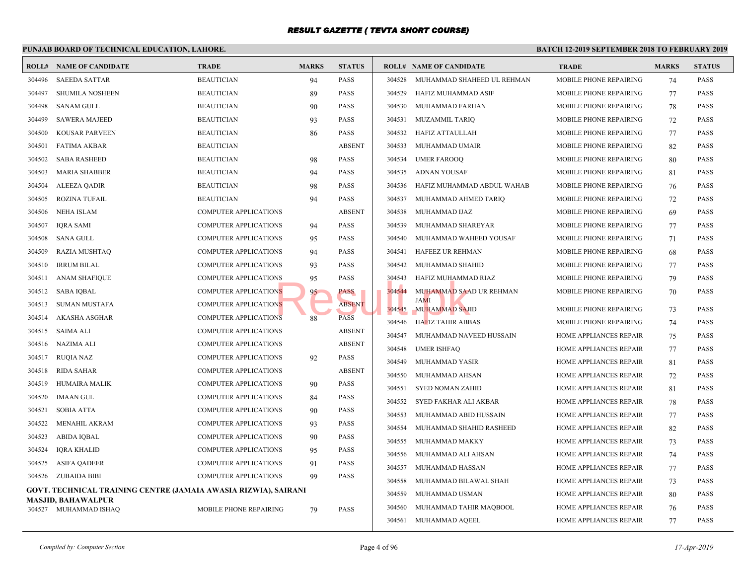#### **PUNJAB BOARD OF TECHNICAL EDUCATION, LAHORE. BATCH 12-ROLL# NAME OF CANDIDATE TRADE MARKS STATUS ROLL# NAME OF CANDIDATE TRADE MARKS STATUS** 304496 SAEEDA SATTAR BEAUTICIAN 94 PASS 304497 SHUMILA NOSHEEN BEAUTICIAN 89 PASS 304498 SANAM GULL BEAUTICIAN 90 PASS 304499 SAWERA MAJEED BEAUTICIAN 93 PASS 304500 KOUSAR PARVEEN BEAUTICIAN 86 PASS 304501 FATIMA AKBAR BEAUTICIAN ABSENT 304502 SABA RASHEED BEAUTICIAN 98 PASS 304503 MARIA SHABBER BEAUTICIAN 94 PASS 304504 ALEEZA QADIR BEAUTICIAN 98 PASS 304505 ROZINA TUFAIL BEAUTICIAN 94 PASS 304506 NEHA ISLAM COMPUTER APPLICATIONS ABSENT 304507 IQRA SAMI COMPUTER APPLICATIONS 94 PASS 304508 SANA GULL COMPUTER APPLICATIONS 95 PASS 304509 RAZIA MUSHTAQ COMPUTER APPLICATIONS 94 PASS 304510 IRRUM BILAL COMPUTER APPLICATIONS 93 PASS 304511 ANAM SHAFIQUE COMPUTER APPLICATIONS 95 PASS 304512 SABA IQBAL COMPUTER APPLICATIONS 95 PASS 304513 SUMAN MUSTAFA COMPUTER APPLICATIONS ABSENT 304514 AKASHA ASGHAR COMPUTER APPLICATIONS 88 PASS 304515 SAIMA ALI COMPUTER APPLICATIONS ABSENT 304516 NAZIMA ALI COMPUTER APPLICATIONS ABSENT 304517 RUQIA NAZ COMPUTER APPLICATIONS 92 PASS 304518 RIDA SAHAR COMPUTER APPLICATIONS ABSENT 304519 HUMAIRA MALIK COMPUTER APPLICATIONS 90 PASS 304520 IMAAN GUL COMPUTER APPLICATIONS 84 PASS 304521 SOBIA ATTA COMPUTER APPLICATIONS 90 PASS 304522 MENAHIL AKRAM COMPUTER APPLICATIONS 93 PASS 304523 ABIDA IQBAL COMPUTER APPLICATIONS 90 PASS 304524 IQRA KHALID COMPUTER APPLICATIONS 95 PASS 304525 ASIFA QADEER COMPUTER APPLICATIONS 91 PASS 304526 ZUBAIDA BIBI COMPUTER APPLICATIONS 99 PASS **GOVT. TECHNICAL TRAINING CENTRE (JAMAIA AWASIA RIZWIA), SAIRANI MASJID, BAHAWALPUR** 304527 MUHAMMAD ISHAQ MOBILE PHONE REPAIRING 79 PASS 304528 MUHAMMAD SHAHEED UL REHMAN MOBIL 304529 HAFIZ MUHAMMAD ASIF MOBIL 304530 MUHAMMAD FARHAN MOBIL 304531 MUZAMMIL TARIO MOBIL 304532 HAFIZ ATTAULLAH MOBIL 304533 MUHAMMAD UMAIR MOBIL 304534 UMER FAROOO MOBIL 304535 ADNAN YOUSAF MOBIL 304536 HAFIZ MUHAMMAD ABDUL WAHAB MOBIL 304537 MUHAMMAD AHMED TARIQ MOBIL 304538 MUHAMMAD IJAZ MOBIL 304539 MUHAMMAD SHAREYAR MOBIL 304540 MUHAMMAD WAHEED YOUSAF MOBIL 304541 HAFEEZ UR REHMAN MOBIL 304542 MUHAMMAD SHAHID MOBIL 304543 HAFIZ MUHAMMAD RIAZ MOBIL MUHAMMAD SAAD UR REHMAN MOBIL JAMI 304544 304545 MUHAMMAD SAJID MOBIL 304546 HAFIZ TAHIR ABBAS MOBIL 304547 MUHAMMAD NAVEED HUSSAIN HOME 304548 UMER ISHFAQ HOME 304549 MUHAMMAD YASIR FIOME 304550 MUHAMMAD AHSAN HOME 304551 SYED NOMAN ZAHID HOME 304552 SYED FAKHAR ALI AKBAR HOME 304553 MUHAMMAD ABID HUSSAIN HOME 304554 MUHAMMAD SHAHID RASHEED HOME 304555 MUHAMMAD MAKKY HOME 304556 MUHAMMAD ALI AHSAN HOME 304557 MUHAMMAD HASSAN HOME 304558 MUHAMMAD BILAWAL SHAH HOME 304559 MUHAMMAD USMAN HOME 304560 MUHAMMAD TAHIR MAQBOOL HOME 304561 MUHAMMAD AQEEL HOME NS 95 PASS 304543 HAFIZ MUHAMMAD SAA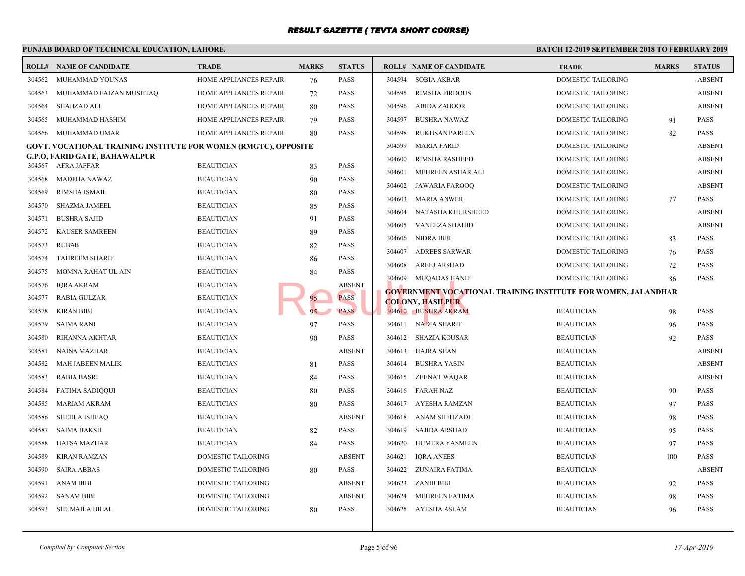#### **PUNJAB BOARD OF TECHNICAL EDUCATION, LAHORE. BATCH 12-ROLL# NAME OF CANDIDATE TRADE MARKS STATUS ROLL# NAME OF CANDIDATE TRADE MARKS STATUS** 304562 MUHAMMAD YOUNAS HOME APPLIANCES REPAIR 76 PASS 304563 MUHAMMAD FAIZAN MUSHTAQ HOME APPLIANCES REPAIR 72 PASS 304564 SHAHZAD ALI HOME APPLIANCES REPAIR 80 PASS 304565 MUHAMMAD HASHIM HOME APPLIANCES REPAIR 79 PASS 304566 MUHAMMAD UMAR HOME APPLIANCES REPAIR 80 PASS **GOVT. VOCATIONAL TRAINING INSTITUTE FOR WOMEN (RMGTC), OPPOSITE G.P.O, FARID GATE, BAHAWALPUR** 304567 AFRA JAFFAR BEAUTICIAN 83 PASS 304568 MADEHA NAWAZ BEAUTICIAN 90 PASS 304569 RIMSHA ISMAIL BEAUTICIAN 80 PASS 304570 SHAZMA JAMEEL BEAUTICIAN BEAUTICIAN 85 PASS 304571 BUSHRA SAJID BEAUTICIAN 91 PASS 304572 KAUSER SAMREEN BEAUTICIAN 89 PASS 304573 RUBAB BEAUTICIAN 82 PASS 304574 TAHREEM SHARIF BEAUTICIAN BEAUTICIAN 86 PASS 304575 MOMNA RAHAT UL AIN BEAUTICIAN 84 PASS 304576 IQRA AKRAM BEAUTICIAN ABSENT 304577 RABIA GULZAR BEAUTICIAN 95 PASS 304578 KIRAN BIBI BEAUTICIAN 85 PASS 304579 SAIMA RANI BEAUTICIAN 97 PASS 304580 RIHANNA AKHTAR BEAUTICIAN 90 PASS 304581 NAINA MAZHAR BEAUTICIAN ABSENT 304582 MAH JABEEN MALIK BEAUTICIAN 81 PASS 304583 RABIA BASRI BEAUTICIAN 84 PASS 304584 FATIMA SADIQQUI BEAUTICIAN 80 PASS 304585 MARIAM AKRAM BEAUTICIAN 80 PASS 304586 SHEHLA ISHFAQ BEAUTICIAN ABSENT 304587 SAIMA BAKSH BEAUTICIAN 82 PASS 304588 HAFSA MAZHAR BEAUTICIAN 84 PASS 304589 KIRAN RAMZAN DOMESTIC TAILORING ABSENT 304590 SAIRA ABBAS DOMESTIC TAILORING 80 PASS 304591 ANAM BIBI DOMESTIC TAILORING ABSENT 304592 SANAM BIBI DOMESTIC TAILORING ABSENT 304593 SHUMAILA BILAL DOMESTIC TAILORING 80 PASS 304594 SOBIA AKBAR DOME 304595 RIMSHA FIRDOUS DOME 304596 ABIDA ZAHOOR DOME 304597 BUSHRA NAWAZ DOME 304598 RUKHSAN PAREEN DOME 304599 MARIA FARID DOME 304600 RIMSHA RASHEED DOME 304601 MEHREEN ASHAR ALI DOME 304602 JAWARIA FAROOQ DOME 304603 MARIA ANWER DOME 304604 NATASHA KHURSHEED DOME 304605 VANEEZA SHAHID DOME 304606 NIDRA BIBI DOME 304607 ADREES SARWAR DOME 304608 AREEJ ARSHAD DOME 304609 MUQADAS HANIF DOME **GOVERNMENT VOCATIONAL TRAINING INSTITUTE FOR WOMEN, JALANDHAR COLONY, HASILPUR** 304610 BUSHRA AKRAM BEAUTICIAN BEAUTICIAN BEAUTICIAN BEAUTICIAN BEAUTICIAN BEAUTICIAN BEAUTICIAN BEAUTICIAN BEAU 304611 NADIA SHARIF BEAUTICIAN 96 304612 SHAZIA KOUSAR BEAUT 304613 HAJRA SHAN BEAUTICIAN BEAUTICIAN ABSENT 304614 BUSHRA YASIN BEAUTICIAN ABSENT 304615 ZEENAT WAQAR BEAUTICIAN BEAUTICIAN ABSENT 304616 FARAH NAZ BEAUT 304617 AYESHA RAMZAN BEAUT 304618 ANAM SHEHZADI BEAUT 304619 SAJIDA ARSHAD BEAUT 304620 HUMERA YASMEEN BEAUT 304621 IQRA ANEES BEAUT 304622 ZUNAIRA FATIMA BEAUT 304623 ZANIB BIBI BEAUTICIAN 92 BEAUTICIAN 92 BEAUTICIAN BEAUTICIAN 92 BEAUTICIAN 92 PASSAGE 304624 MEHREEN FATIMA BEAUT 304625 AYESHA ASLAM BEAUT ABSENT COLONY, HASILPUR<br>
95 PASS PASS PASS 304610 BUSHRA AKRAM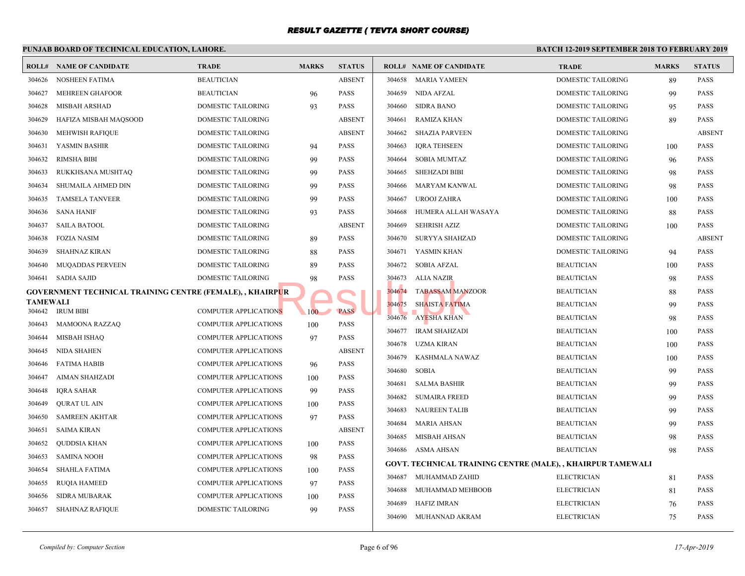#### **PUNJAB BOARD OF TECHNICAL EDUCATION, LAHORE. BATCH 12-ROLL# NAME OF CANDIDATE TRADE MARKS STATUS ROLL# NAME OF CANDIDATE TRADE MARKS STATUS** 304626 NOSHEEN FATIMA BEAUTICIAN ABSENT 304627 MEHREEN GHAFOOR BEAUTICIAN 96 PASS 304628 MISBAH ARSHAD DOMESTIC TAILORING 93 PASS 304629 HAFIZA MISBAH MAQSOOD DOMESTIC TAILORING ABSENT 304630 MEHWISH RAFIQUE DOMESTIC TAILORING ABSENT 304631 YASMIN BASHIR DOMESTIC TAILORING 94 PASS 304632 RIMSHA BIBI DOMESTIC TAILORING 99 PASS 304633 RUKKHSANA MUSHTAQ DOMESTIC TAILORING 99 PASS 304634 SHUMAILA AHMED DIN DOMESTIC TAILORING 99 PASS 304635 TAMSELA TANVEER DOMESTIC TAILORING 99 PASS 304636 SANA HANIF DOMESTIC TAILORING 93 PASS 304637 SAILA BATOOL DOMESTIC TAILORING ABSENT 304638 FOZIA NASIM DOMESTIC TAILORING 89 PASS 304639 SHAHNAZ KIRAN DOMESTIC TAILORING 88 PASS 304640 MUQADDAS PERVEEN DOMESTIC TAILORING 89 PASS 304641 SADIA SAJID DOMESTIC TAILORING 98 PASS **GOVERNMENT TECHNICAL TRAINING CENTRE (FEMALE), , KHAIRPUR TAMEWALI** 304642 IRUM BIBI COMPUTER APPLICATIONS 100 PASS 304643 MAMOONA RAZZAQ COMPUTER APPLICATIONS 100 PASS 304644 MISBAH ISHAQ COMPUTER APPLICATIONS 97 PASS 304645 NIDA SHAHEN COMPUTER APPLICATIONS ABSENT 304646 FATIMA HABIB COMPUTER APPLICATIONS 96 PASS 304647 AIMAN SHAHZADI COMPUTER APPLICATIONS 100 PASS 304648 IQRA SAHAR COMPUTER APPLICATIONS 99 PASS 304649 QURAT UL AIN COMPUTER APPLICATIONS 100 PASS 304650 SAMREEN AKHTAR COMPUTER APPLICATIONS 97 PASS 304651 SAIMA KIRAN COMPUTER APPLICATIONS ABSENT 304652 QUDDSIA KHAN COMPUTER APPLICATIONS 100 PASS 304653 SAMINA NOOH COMPUTER APPLICATIONS 98 PASS 304654 SHAHLA FATIMA COMPUTER APPLICATIONS 100 PASS 304655 RUQIA HAMEED COMPUTER APPLICATIONS 97 PASS 304656 SIDRA MUBARAK COMPUTER APPLICATIONS 100 PASS 304657 SHAHNAZ RAFIQUE DOMESTIC TAILORING 99 PASS 304658 MARIA YAMEEN DOME 304659 NIDA AFZAL DOME 304660 SIDRA BANO DOME 304661 RAMIZA KHAN DOME 304662 SHAZIA PARVEEN DOME 304663 IQRA TEHSEEN DOME 304664 SOBIA MUMTAZ DOME 304665 SHEHZADI BIBI DOME 304666 MARYAM KANWAL DOME 304667 UROOJ ZAHRA DOME 304668 HUMERA ALLAH WASAYA DOME 304669 SEHRISH AZIZ DOME 304670 SURYYA SHAHZAD DOME 304671 YASMIN KHAN DOME 304672 SOBIA AFZAL BEAUTICIAN 100 BEAUTICIAN 100 BEAUTICIAN 100 BEAUTICIAN 100 BEAUTICIAN 100 BEAUTICIAN 100 BEAU 304673 ALIA NAZIR BEAUT 304674 TABASSAM MANZOOR BEAUT 304675 SHAISTA FATIMA BEAUTICIAN BEAUTICIAN BEAUTICIAN BEAUTICIAN BEAUTICIAN BEAUTICIAN BEAUTICIAN BEAUTICIAN BEAU 304676 AYESHA KHAN BEAUTICIAN BEAUTICIAN BEAUTICIAN BEAUTICIAN BEAUTICIAN BEAUTICIAN BEAUTICIAN BEAUTICIAN BEAU 304677 IRAM SHAHZADI BEAUT 304678 UZMA KIRAN BEAUT 304679 KASHMALA NAWAZ BEAUT 304680 SOBIA BEAUT 304681 SALMA BASHIR BEAUT 304682 SUMAIRA FREED BEAUT 304683 NAUREEN TALIB BEAUT 304684 MARIA AHSAN BEAUTICIAN BEAUTICIAN BEAUTICIAN BEAUTICIAN BEAUTICIAN BEAUTICIAN BEAUTICIAN BEAU 304685 MISBAH AHSAN BEAUTICIAN BEAUTICIAN BEAUTICIAN BEAUTICIAN BEAUTICIAN BEAUTICIAN BEAUTICIAN BEAUTICIAN BEAU 304686 ASMA AHSAN BEAUTICIAN BEAUTICIAN BEAUTICIAN BEAUTICIAN BEAUTICIAN BEAUTICIAN BEAUTICIAN BEAUTICIAN BEAU **GOVT. TECHNICAL TRAINING CENTRE (MALE), , KH** 304687 MUHAMMAD ZAHID ELECT 304688 MUHAMMAD MEHBOOB ELECT 304689 HAFIZ IMRAN ELECT 304690 MUHANNAD AKRAM ELECT PUR<br>NS 100 PASS 304674 TABASSAM MANZ<br>304675 SHAISTA FATIMA<br>304675 AYESHA KHAN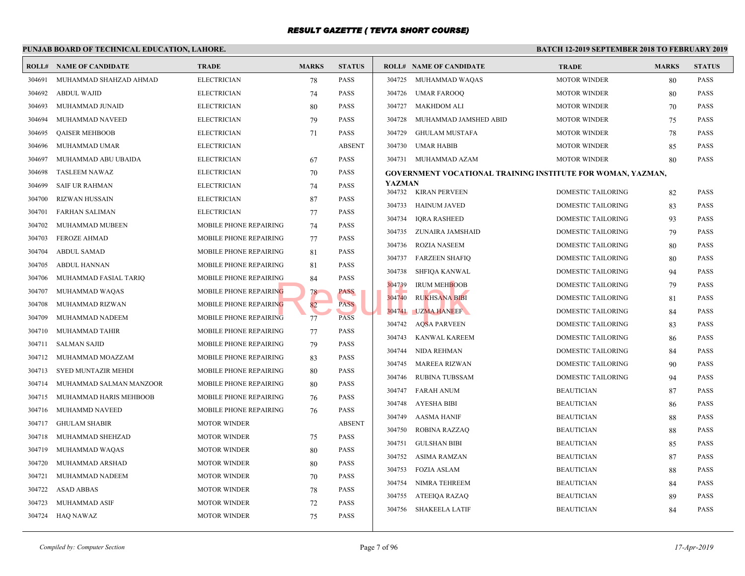#### **PUNJAB BOARD OF TECHNICAL EDUCATION, LAHORE. BATCH 12-ROLL# NAME OF CANDIDATE TRADE MARKS STATUS ROLL# NAME OF CANDIDATE TRADE MARKS STATUS** 304691 MUHAMMAD SHAHZAD AHMAD ELECTRICIAN 78 PASS 304692 ABDUL WAJID ELECTRICIAN 74 PASS 304693 MUHAMMAD JUNAID ELECTRICIAN 80 PASS 304694 MUHAMMAD NAVEED ELECTRICIAN 79 PASS 304695 QAISER MEHBOOB ELECTRICIAN 71 PASS 304696 MUHAMMAD UMAR ELECTRICIAN ABSENT 304697 MUHAMMAD ABU UBAIDA ELECTRICIAN 67 PASS 304698 TASLEEM NAWAZ ELECTRICIAN 70 PASS 304699 SAIF UR RAHMAN ELECTRICIAN 74 PASS 304700 RIZWAN HUSSAIN ELECTRICIAN 87 PASS 304701 FARHAN SALIMAN ELECTRICIAN 77 PASS 304702 MUHAMMAD MUBEEN MOBILE PHONE REPAIRING 74 PASS 304703 FEROZE AHMAD MOBILE PHONE REPAIRING 77 PASS 304704 ABDUL SAMAD MOBILE PHONE REPAIRING 81 PASS 304705 ABDUL HANNAN MOBILE PHONE REPAIRING 81 PASS 304706 MUHAMMAD FASIAL TARIQ MOBILE PHONE REPAIRING 84 PASS 304707 MUHAMMAD WAQAS MOBILE PHONE REPAIRING 78 PASS 304708 MUHAMMAD RIZWAN MOBILE PHONE REPAIRING 82 PASS 304709 MUHAMMAD NADEEM MOBILE PHONE REPAIRING 77 PASS 304710 MUHAMMAD TAHIR MOBILE PHONE REPAIRING 77 PASS 304711 SALMAN SAJID MOBILE PHONE REPAIRING 79 PASS 304712 MUHAMMAD MOAZZAM MOBILE PHONE REPAIRING 83 PASS 304713 SYED MUNTAZIR MEHDI MOBILE PHONE REPAIRING 80 PASS 304714 MUHAMMAD SALMAN MANZOOR MOBILE PHONE REPAIRING 80 PASS 304715 MUHAMMAD HARIS MEHBOOB MOBILE PHONE REPAIRING 76 PASS 304716 MUHAMMD NAVEED MOBILE PHONE REPAIRING 76 PASS 304717 GHULAM SHABIR MOTOR WINDER ABSENT 304718 MUHAMMAD SHEHZAD MOTOR WINDER 75 PASS 304719 MUHAMMAD WAQAS MOTOR WINDER 80 PASS 304720 MUHAMMAD ARSHAD MOTOR WINDER 80 PASS 304721 MUHAMMAD NADEEM MOTOR WINDER 70 PASS 304722 ASAD ABBAS MOTOR WINDER 78 PASS 304723 MUHAMMAD ASIF MOTOR WINDER 72 PASS 304724 HAQ NAWAZ MOTOR WINDER 75 PASS 304725 MUHAMMAD WAQAS MOTO 304726 UMAR FAROOQ MOTO 304727 MAKHDOM ALI MOTO 304728 MUHAMMAD JAMSHED ABID MOTO 304729 GHULAM MUSTAFA MOTO 304730 UMAR HABIB MOTO 304731 MUHAMMAD AZAM MOTO **GOVERNMENT VOCATIONAL TRAINING INSTITUTE YAZMAN** 304732 KIRAN PERVEEN DOME 304733 HAINUM JAVED DOME 304734 IQRA RASHEED DOME 304735 ZUNAIRA JAMSHAID DOME 304736 ROZIA NASEEM DOME 304737 FARZEEN SHAFIQ DOME 304738 SHFIQA KANWAL DOME 304739 IRUM MEHBOOB DOME 304740 RUKHSANA BIBI DOME 304741 UZMA HANEEF DOME 304742 AQSA PARVEEN DOME 304743 KANWAL KAREEM DOME 304744 NIDA REHMAN DOME 304745 MAREEA RIZWAN DOME 304746 RUBINA TUBSSAM DOME 304747 FARAH ANUM BEAUT 304748 AYESHA BIBI BEAUTICIAN BEAUTICIAN BEAUTICIAN BEAUTICIAN BEAUTICIAN BEAUTICIAN BEAUTICIAN BEAU 304749 AASMA HANIF BEAUT 304750 ROBINA RAZZAQ BEAUT 304751 GULSHAN BIBI BEAU 304752 ASIMA RAMZAN BEAUT 304753 FOZIA ASLAM BEAUTICIAN BEAUTICIAN BEAUTICIAN BEAUTICIAN BEAUTICIAN BEAUTICIAN BEAUTICIAN BEAU 304754 NIMRA TEHREEM BEAUT 304755 ATEEIQA RAZAQ BEAUT 304756 SHAKEELA LATIF BEAUT NG 84 PASS<br>
NG 78 PASS<br>
PASS PASS 304740 RUKHSANA BIBI<br>
304741 UZMA HANEEF<br>
204741 UZMA HANEEF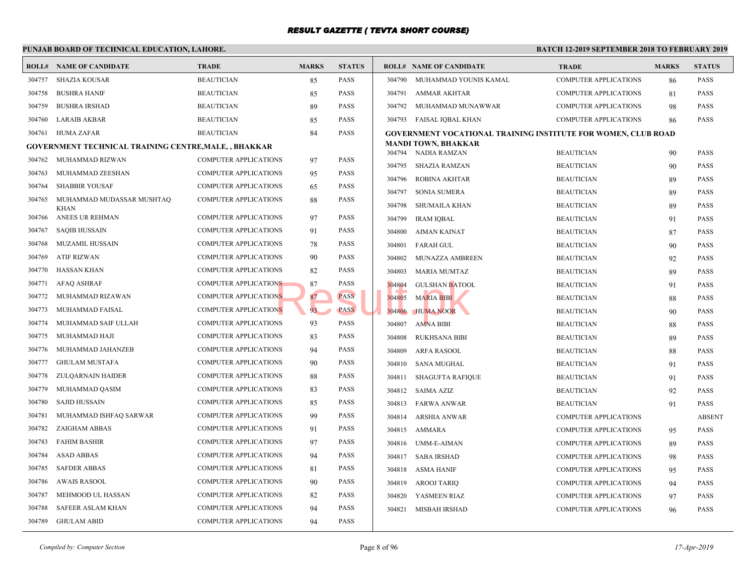#### **PUNJAB BOARD OF TECHNICAL EDUCATION, LAHORE. BATCH 12-ROLL# NAME OF CANDIDATE TRADE MARKS STATUS ROLL# NAME OF CANDIDATE TRADE MARKS STATUS** 304757 SHAZIA KOUSAR BEAUTICIAN 85 PASS 304758 BUSHRA HANIF BEAUTICIAN 85 PASS 304759 BUSHRA IRSHAD BEAUTICIAN 89 PASS 304760 LARAIB AKBAR BEAUTICIAN 85 PASS 304761 HUMA ZAFAR BEAUTICIAN 84 PASS **GOVERNMENT TECHNICAL TRAINING CENTRE,MALE, , BHAKKAR** 304762 MUHAMMAD RIZWAN COMPUTER APPLICATIONS 97 PASS 304763 MUHAMMAD ZEESHAN COMPUTER APPLICATIONS 95 PASS 304764 SHABBIR YOUSAF COMPUTER APPLICATIONS 65 PASS MUHAMMAD MUDASSAR MUSHTAQ COMPUTER APPLICATIONS 88 PASS KHAN 304765 304766 ANEES UR REHMAN COMPUTER APPLICATIONS 97 PASS 304767 SAQIB HUSSAIN COMPUTER APPLICATIONS 91 PASS 304768 MUZAMIL HUSSAIN COMPUTER APPLICATIONS 78 PASS 304769 ATIF RIZWAN COMPUTER APPLICATIONS 90 PASS 304770 HASSAN KHAN COMPUTER APPLICATIONS 82 PASS 304771 AFAQ ASHRAF COMPUTER APPLICATIONS 87 PASS 304772 MUHAMMAD RIZAWAN COMPUTER APPLICATIONS 87 PASS 304773 MUHAMMAD FAISAL COMPUTER APPLICATIONS 93 PASS 304774 MUHAMMAD SAIF ULLAH COMPUTER APPLICATIONS 93 PASS 304775 MUHAMMAD HAJI COMPUTER APPLICATIONS 83 PASS 304776 MUHAMMAD JAHANZEB COMPUTER APPLICATIONS 94 PASS 304777 GHULAM MUSTAFA COMPUTER APPLICATIONS 90 PASS 304778 ZULQARNAIN HAIDER COMPUTER APPLICATIONS 88 PASS 304779 MUHAMMAD QASIM COMPUTER APPLICATIONS 83 PASS 304780 SAJID HUSSAIN COMPUTER APPLICATIONS 85 PASS 304781 MUHAMMAD ISHFAQ SARWAR COMPUTER APPLICATIONS 99 PASS 304782 ZAIGHAM ABBAS COMPUTER APPLICATIONS 91 PASS 304783 FAHIM BASHIR COMPUTER APPLICATIONS 97 PASS 304784 ASAD ABBAS COMPUTER APPLICATIONS 94 PASS 304785 SAFDER ABBAS COMPUTER APPLICATIONS 81 PASS 304786 AWAIS RASOOL COMPUTER APPLICATIONS 90 PASS 304787 MEHMOOD UL HASSAN COMPUTER APPLICATIONS 82 PASS 304788 SAFEER ASLAM KHAN COMPUTER APPLICATIONS 94 PASS 304789 GHULAM ABID COMPUTER APPLICATIONS 94 PASS 304790 MUHAMMAD YOUNIS KAMAL COMP 304791 AMMAR AKHTAR COMP 304792 MUHAMMAD MUNAWWAR COMP 304793 FAISAL IOBAL KHAN COMP **[GOVERNMENT VOCATI](http://www.result.pk/)ONAL TRAINING INSTITUTE MANDI TOWN, BHAKKAR** 304794 NADIA RAMZAN BEAUT 304795 SHAZIA RAMZAN BEAUT 304796 ROBINA AKHTAR BEAUT 304797 SONIA SUMERA BEAUT 304798 SHUMAILA KHAN BEAU 304799 IRAM IQBAL BEAUTICIAN 91 BEAUTICIAN 91 BEAUTICIAN BEAUTICIAN BEAUTICIAN BEAUTICIAN BEAUTICIAN BEAUTICIAN BEAUTICIAN BEAUTICIAN BEAUTICIAN BEAUTICIAN BEAUTICIAN BEAUTICIAN BEAUTICIAN BEAUTICIAN BEAUTICIAN BEAUTICIAN 304800 AIMAN KAINAT BEAUT 304801 FARAH GUL BEAUTICIAN 90 BEAUTICIAN 90 BEAUTICIAN 90 BEAUTICIAN 90 BEAUTICIAN 90 BEAUTICIAN 9 304802 MUNAZZA AMBREEN BEAUT 304803 MARIA MUMTAZ BEAUT 304804 GULSHAN BATOOL BEAUTICIAN 91 BEAUTICIAN 91 PASSES BEAUTICIAN BEAUTICIAN 91 PASSES BEAUTICIAN BEAUTICIAN SE 304805 MARIA BIBI BEAUTICIAN BEAUTICIAN BEAUTICIAN BEAUTICIAN BEAUTICIAN BEAUTICIAN BEAUTICIAN BEAUTICIAN BEAU 304806 HUMA NOOR BEAUTICIAN 91 304807 AMNA BIBI BEAUT 304808 RUKHSANA BIBI BEAUT 304809 ARFA RASOOL BEAU 304810 SANA MUGHAL BEAUTICIAN 91 304811 SHAGUFTA RAFIQUE BEAU 304812 SAIMA AZIZ BEAUT 304813 FARWA ANWAR BEAUT 304814 ARSHIA ANWAR COMP 304815 AMMARA COMP 304816 UMM-E-AIMAN COMP 304817 SABA IRSHAD COMP 304818 ASMA HANIF COMP 304819 AROOJ TARIQ COMP 304820 YASMEEN RIAZ COMP 304821 MISBAH IRSHAD COMP NS
RESULTER NATION NEWS
SPACE CONSULTER NATION NATION NATION NATION NATION NATION NATION NATION NATION NATION NATION NATION NATION NATION NATION NATION NATION NATION NATION NATION NATION NATION NATION NATION NATION NATION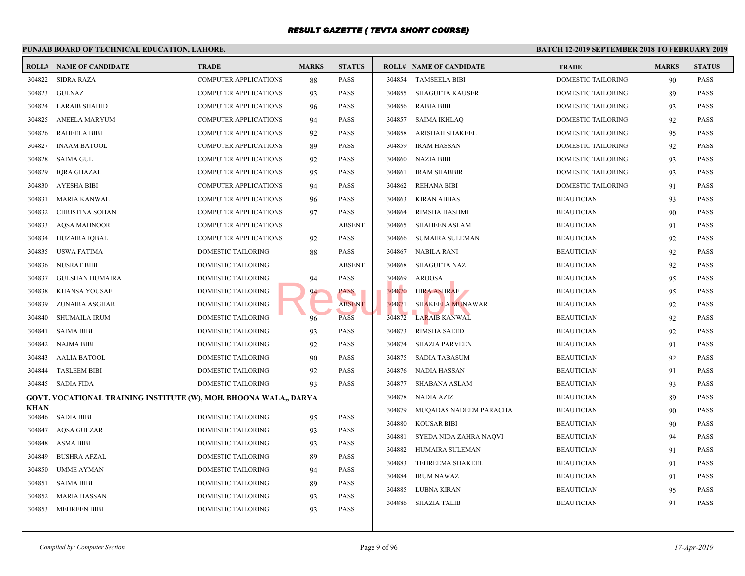|                |                                                                   |                              | PUNJAB BOARD OF TECHNICAL EDUCATION, LAHORE. |               |        |                                |             |  |  |  |  |
|----------------|-------------------------------------------------------------------|------------------------------|----------------------------------------------|---------------|--------|--------------------------------|-------------|--|--|--|--|
|                | <b>ROLL# NAME OF CANDIDATE</b>                                    | <b>TRADE</b>                 | <b>MARKS</b>                                 | <b>STATUS</b> |        | <b>ROLL# NAME OF CANDIDATE</b> | <b>TRAL</b> |  |  |  |  |
| 304822         | <b>SIDRA RAZA</b>                                                 | <b>COMPUTER APPLICATIONS</b> | 88                                           | <b>PASS</b>   | 304854 | <b>TAMSEELA BIBI</b>           | <b>DOME</b> |  |  |  |  |
| 304823         | GULNAZ                                                            | <b>COMPUTER APPLICATIONS</b> | 93                                           | <b>PASS</b>   | 304855 | SHAGUFTA KAUSER                | <b>DOME</b> |  |  |  |  |
| 304824         | <b>LARAIB SHAHID</b>                                              | <b>COMPUTER APPLICATIONS</b> | 96                                           | <b>PASS</b>   | 304856 | <b>RABIA BIBI</b>              | <b>DOME</b> |  |  |  |  |
| 304825         | ANEELA MARYUM                                                     | <b>COMPUTER APPLICATIONS</b> | 94                                           | <b>PASS</b>   | 304857 | SAIMA IKHLAQ                   | <b>DOME</b> |  |  |  |  |
| 304826         | <b>RAHEELA BIBI</b>                                               | <b>COMPUTER APPLICATIONS</b> | 92                                           | <b>PASS</b>   | 304858 | ARISHAH SHAKEEL                | <b>DOME</b> |  |  |  |  |
| 304827         | <b>INAAM BATOOL</b>                                               | <b>COMPUTER APPLICATIONS</b> | 89                                           | <b>PASS</b>   | 304859 | <b>IRAM HASSAN</b>             | <b>DOME</b> |  |  |  |  |
| 304828         | SAIMA GUL                                                         | <b>COMPUTER APPLICATIONS</b> | 92                                           | PASS          | 304860 | <b>NAZIA BIBI</b>              | <b>DOME</b> |  |  |  |  |
| 304829         | IQRA GHAZAL                                                       | <b>COMPUTER APPLICATIONS</b> | 95                                           | PASS          | 304861 | <b>IRAM SHABBIR</b>            | <b>DOME</b> |  |  |  |  |
| 304830         | <b>AYESHA BIBI</b>                                                | <b>COMPUTER APPLICATIONS</b> | 94                                           | <b>PASS</b>   | 304862 | <b>REHANA BIBI</b>             | <b>DOME</b> |  |  |  |  |
| 304831         | <b>MARIA KANWAL</b>                                               | <b>COMPUTER APPLICATIONS</b> | 96                                           | <b>PASS</b>   | 304863 | <b>KIRAN ABBAS</b>             | <b>BEAU</b> |  |  |  |  |
| 304832         | <b>CHRISTINA SOHAN</b>                                            | COMPUTER APPLICATIONS        | 97                                           | <b>PASS</b>   | 304864 | RIMSHA HASHMI                  | <b>BEAU</b> |  |  |  |  |
| 304833         | <b>AQSA MAHNOOR</b>                                               | <b>COMPUTER APPLICATIONS</b> |                                              | <b>ABSENT</b> | 304865 | <b>SHAHEEN ASLAM</b>           | <b>BEAU</b> |  |  |  |  |
| 304834         | HUZAIRA IQBAL                                                     | <b>COMPUTER APPLICATIONS</b> | 92                                           | <b>PASS</b>   | 304866 | <b>SUMAIRA SULEMAN</b>         | <b>BEAU</b> |  |  |  |  |
| 304835         | USWA FATIMA                                                       | DOMESTIC TAILORING           | 88                                           | PASS          | 304867 | NABILA RANI                    | <b>BEAU</b> |  |  |  |  |
| 304836         | <b>NUSRAT BIBI</b>                                                | DOMESTIC TAILORING           |                                              | <b>ABSENT</b> | 304868 | SHAGUFTA NAZ                   | <b>BEAU</b> |  |  |  |  |
| 304837         | <b>GULSHAN HUMAIRA</b>                                            | DOMESTIC TAILORING           | 94                                           | <b>PASS</b>   | 304869 | <b>AROOSA</b>                  | <b>BEAU</b> |  |  |  |  |
| 304838         | <b>KHANSA YOUSAF</b>                                              | DOMESTIC TAILORING           | 94                                           | PASS          | 304870 | <b>HIRA ASHRAF</b>             | <b>BEAU</b> |  |  |  |  |
| 304839         | ZUNAIRA ASGHAR                                                    | DOMESTIC TAILORING           |                                              | <b>ABSENT</b> | 304871 | <b>SHAKEELA MUNAWAR</b>        | <b>BEAU</b> |  |  |  |  |
| 304840         | <b>SHUMAILA IRUM</b>                                              | DOMESTIC TAILORING           | 96                                           | <b>PASS</b>   | 304872 | LARAIB KANWAL                  | <b>BEAU</b> |  |  |  |  |
| 304841         | <b>SAIMA BIBI</b>                                                 | DOMESTIC TAILORING           | 93                                           | <b>PASS</b>   | 304873 | <b>RIMSHA SAEED</b>            | <b>BEAU</b> |  |  |  |  |
| 304842         | NAJMA BIBI                                                        | DOMESTIC TAILORING           | 92                                           | PASS          | 304874 | SHAZIA PARVEEN                 | <b>BEAU</b> |  |  |  |  |
| 304843         | <b>AALIA BATOOL</b>                                               | DOMESTIC TAILORING           | 90                                           | <b>PASS</b>   | 304875 | SADIA TABASUM                  | <b>BEAU</b> |  |  |  |  |
| 304844         | <b>TASLEEM BIBI</b>                                               | DOMESTIC TAILORING           | 92                                           | <b>PASS</b>   | 304876 | NADIA HASSAN                   | <b>BEAU</b> |  |  |  |  |
| 304845         | SADIA FIDA                                                        | DOMESTIC TAILORING           | 93                                           | <b>PASS</b>   | 304877 | SHABANA ASLAM                  | <b>BEAU</b> |  |  |  |  |
|                | GOVT. VOCATIONAL TRAINING INSTITUTE (W), MOH. BHOONA WALA,, DARYA |                              |                                              |               | 304878 | NADIA AZIZ                     | <b>BEAU</b> |  |  |  |  |
| KHAN<br>304846 | <b>SADIA BIBI</b>                                                 | DOMESTIC TAILORING           | 95                                           | <b>PASS</b>   | 304879 | MUQADAS NADEEM PARACHA         | <b>BEAU</b> |  |  |  |  |
| 304847         | AQSA GULZAR                                                       | DOMESTIC TAILORING           | 93                                           | <b>PASS</b>   | 304880 | <b>KOUSAR BIBI</b>             | <b>BEAU</b> |  |  |  |  |
| 304848         | <b>ASMA BIBI</b>                                                  | DOMESTIC TAILORING           | 93                                           | <b>PASS</b>   | 304881 | SYEDA NIDA ZAHRA NAQVI         | <b>BEAU</b> |  |  |  |  |
| 304849         | <b>BUSHRA AFZAL</b>                                               | DOMESTIC TAILORING           | 89                                           | <b>PASS</b>   | 304882 | HUMAIRA SULEMAN                | <b>BEAU</b> |  |  |  |  |
| 304850         | <b>UMME AYMAN</b>                                                 | DOMESTIC TAILORING           | 94                                           | <b>PASS</b>   | 304883 | TEHREEMA SHAKEEL               | <b>BEAU</b> |  |  |  |  |
| 304851         | SAIMA BIBI                                                        | DOMESTIC TAILORING           | 89                                           | PASS          | 304884 | <b>IRUM NAWAZ</b>              | <b>BEAU</b> |  |  |  |  |
| 304852         | MARIA HASSAN                                                      | DOMESTIC TAILORING           | 93                                           | PASS          | 304885 | LUBNA KIRAN                    | <b>BEAU</b> |  |  |  |  |
|                | 304853 MEHREEN BIBI                                               | DOMESTIC TAILORING           | 93                                           | <b>PASS</b>   | 304886 | <b>SHAZIA TALIB</b>            | <b>BEAU</b> |  |  |  |  |
|                |                                                                   |                              |                                              |               |        |                                |             |  |  |  |  |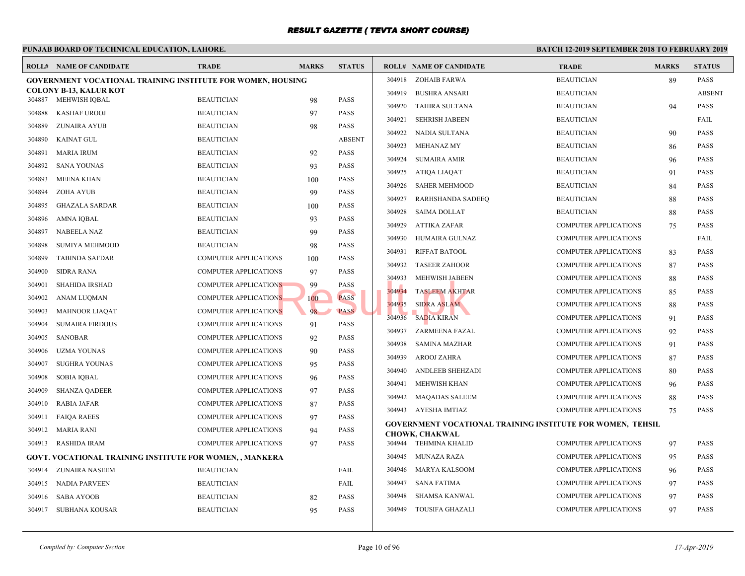#### **PUNJAB BOARD OF TECHNICAL EDUCATION, LAHORE. BATCH 12-ROLL# NAME OF CANDIDATE TRADE MARKS STATUS ROLL# NAME OF CANDIDATE TRADE MARKS STATUS GOVERNMENT VOCATIONAL TRAINING INSTITUTE FOR WOMEN, HOUSING COLONY B-13, KALUR KOT** 304887 MEHWISH IQBAL BEAUTICIAN 98 PASS 304888 KASHAF UROOJ BEAUTICIAN 97 PASS 304889 ZUNAIRA AYUB BEAUTICIAN 98 PASS 304890 KAINAT GUL BEAUTICIAN ABSENT 304891 MARIA IRUM BEAUTICIAN 92 PASS 304892 SANA YOUNAS BEAUTICIAN 93 PASS 304893 MEENA KHAN BEAUTICIAN 100 PASS 304894 ZOHA AYUB BEAUTICIAN 99 PASS 304895 GHAZALA SARDAR BEAUTICIAN 100 PASS 304896 AMNA IQBAL BEAUTICIAN 93 PASS 304897 NABEELA NAZ BEAUTICIAN 99 PASS 304898 SUMIYA MEHMOOD BEAUTICIAN 98 PASS 304899 TABINDA SAFDAR COMPUTER APPLICATIONS 100 PASS 304900 SIDRA RANA COMPUTER APPLICATIONS 97 PASS 304901 SHAHIDA IRSHAD COMPUTER APPLICATIONS 99 PASS 304902 ANAM LUQMAN COMPUTER APPLICATIONS 100 PASS 304903 MAHNOOR LIAQAT COMPUTER APPLICATIONS 98 PASS 304904 SUMAIRA FIRDOUS COMPUTER APPLICATIONS 91 PASS 304905 SANOBAR COMPUTER APPLICATIONS 92 PASS 304906 UZMA YOUNAS COMPUTER APPLICATIONS 90 PASS 304907 SUGHRA YOUNAS COMPUTER APPLICATIONS 95 PASS 304908 SOBIA IQBAL COMPUTER APPLICATIONS 96 PASS 304909 SHANZA QADEER COMPUTER APPLICATIONS 97 PASS 304910 RABIA JAFAR COMPUTER APPLICATIONS 87 PASS 304911 FAIQA RAEES COMPUTER APPLICATIONS 97 PASS 304912 MARIA RANI COMPUTER APPLICATIONS 94 PASS 304913 RASHIDA IRAM COMPUTER APPLICATIONS 97 PASS **GOVT. VOCATIONAL TRAINING INSTITUTE FOR WOMEN, , MANKERA** 304914 ZUNAIRA NASEEM BEAUTICIAN FAIL 304915 NADIA PARVEEN BEAUTICIAN FAIL 304916 SABA AYOOB BEAUTICIAN 82 PASS 304917 SUBHANA KOUSAR BEAUTICIAN 95 PASS 304918 ZOHAIB FARWA BEAUT 304919 BUSHRA ANSARI BEAUT 304920 TAHIRA SULTANA BEAUT 304921 SEHRISH JABEEN BEAUT 304922 NADIA SULTANA BEAUT 304923 MEHANAZ MY BEAUT 304924 SUMAIRA AMIR BEAUT 304925 ATIQA LIAQAT BEAU 304926 SAHER MEHMOOD BEAUT 304927 RARHSHANDA SADEEQ BEAUT 304928 SAIMA DOLLAT BEAUT 304929 ATTIKA ZAFAR COMP 304930 HUMAIRA GULNAZ COMP 304931 RIFFAT BATOOL COMP 304932 TASEER ZAHOOR COMP 304933 MEHWISH JABEEN COMP 304934 TASLEEM AKHTAR COMP 304935 SIDRA ASLAM COMP 304936 SADIA KIRAN COMP 304937 ZARMEENA FAZAL COMP 304938 SAMINA MAZHAR COMP 304939 AROOJ ZAHRA COMP 304940 ANDLEEB SHEHZADI COMP 304941 MEHWISH KHAN COMP 304942 MAQADAS SALEEM COMP 304943 AYESHA IMTIAZ COMP **GOVERNMENT VOCATIONAL TRAINING INSTITUTE CHOWK, CHAKWAL** 304944 TEHMINA KHALID COMP 304945 MUNAZA RAZA COMP 304946 MARYA KALSOOM COMP 304947 SANA FATIMA COMP 304948 SHAMSA KANWAL COMP 304949 TOUSIFA GHAZALI COMP NS
99
PASS
2019934
PASS
2019934
PASS
2019934
PASS
2019935
PASS
2019936
SADIA KIRAN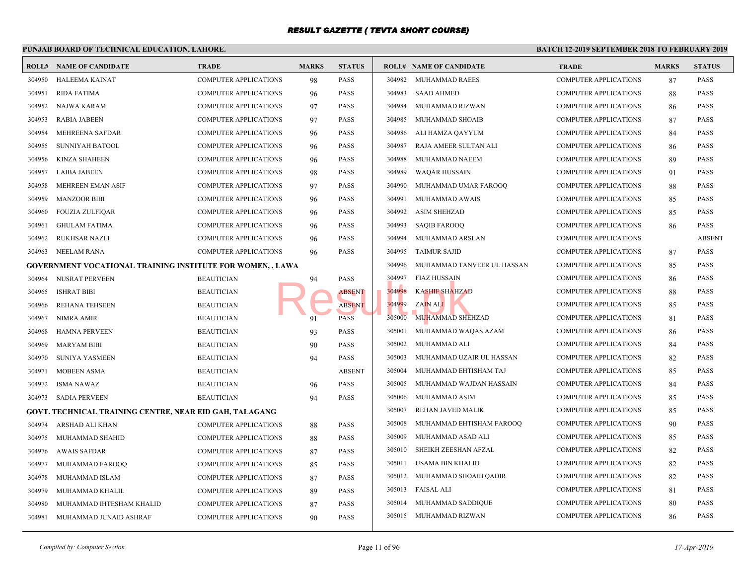|        |                                                                   |                              | PUNJAB BOARD OF TECHNICAL EDUCATION, LAHORE. |               |        |                                |             |  |  |  |  |  |
|--------|-------------------------------------------------------------------|------------------------------|----------------------------------------------|---------------|--------|--------------------------------|-------------|--|--|--|--|--|
|        | <b>ROLL# NAME OF CANDIDATE</b>                                    | <b>TRADE</b>                 | <b>MARKS</b>                                 | <b>STATUS</b> |        | <b>ROLL# NAME OF CANDIDATE</b> | <b>TRAL</b> |  |  |  |  |  |
| 304950 | HALEEMA KAINAT                                                    | <b>COMPUTER APPLICATIONS</b> | 98                                           | <b>PASS</b>   |        | 304982 MUHAMMAD RAEES          | <b>COMP</b> |  |  |  |  |  |
| 304951 | <b>RIDA FATIMA</b>                                                | <b>COMPUTER APPLICATIONS</b> | 96                                           | <b>PASS</b>   | 304983 | <b>SAAD AHMED</b>              | <b>COMP</b> |  |  |  |  |  |
| 304952 | NAJWA KARAM                                                       | <b>COMPUTER APPLICATIONS</b> | 97                                           | <b>PASS</b>   | 304984 | MUHAMMAD RIZWAN                | <b>COMP</b> |  |  |  |  |  |
| 304953 | <b>RABIA JABEEN</b>                                               | COMPUTER APPLICATIONS        | 97                                           | <b>PASS</b>   | 304985 | MUHAMMAD SHOAIB                | <b>COMP</b> |  |  |  |  |  |
| 304954 | <b>MEHREENA SAFDAR</b>                                            | <b>COMPUTER APPLICATIONS</b> | 96                                           | <b>PASS</b>   | 304986 | ALI HAMZA QAYYUM               | <b>COMP</b> |  |  |  |  |  |
| 304955 | SUNNIYAH BATOOL                                                   | <b>COMPUTER APPLICATIONS</b> | 96                                           | <b>PASS</b>   | 304987 | RAJA AMEER SULTAN ALI          | <b>COMP</b> |  |  |  |  |  |
| 304956 | <b>KINZA SHAHEEN</b>                                              | <b>COMPUTER APPLICATIONS</b> | 96                                           | PASS          | 304988 | MUHAMMAD NAEEM                 | <b>COMP</b> |  |  |  |  |  |
| 304957 | <b>LAIBA JABEEN</b>                                               | <b>COMPUTER APPLICATIONS</b> | 98                                           | <b>PASS</b>   | 304989 | <b>WAQAR HUSSAIN</b>           | <b>COMP</b> |  |  |  |  |  |
| 304958 | MEHREEN EMAN ASIF                                                 | <b>COMPUTER APPLICATIONS</b> | 97                                           | <b>PASS</b>   | 304990 | MUHAMMAD UMAR FAROOQ           | <b>COMP</b> |  |  |  |  |  |
| 304959 | <b>MANZOOR BIBI</b>                                               | <b>COMPUTER APPLICATIONS</b> | 96                                           | <b>PASS</b>   | 304991 | MUHAMMAD AWAIS                 | <b>COMP</b> |  |  |  |  |  |
| 304960 | <b>FOUZIA ZULFIQAR</b>                                            | COMPUTER APPLICATIONS        | 96                                           | <b>PASS</b>   | 304992 | <b>ASIM SHEHZAD</b>            | <b>COMP</b> |  |  |  |  |  |
| 304961 | <b>GHULAM FATIMA</b>                                              | <b>COMPUTER APPLICATIONS</b> | 96                                           | PASS          | 304993 | <b>SAQIB FAROOQ</b>            | <b>COMP</b> |  |  |  |  |  |
| 304962 | <b>RUKHSAR NAZLI</b>                                              | <b>COMPUTER APPLICATIONS</b> | 96                                           | <b>PASS</b>   | 304994 | MUHAMMAD ARSLAN                | <b>COMP</b> |  |  |  |  |  |
| 304963 | NEELAM RANA                                                       | <b>COMPUTER APPLICATIONS</b> | 96                                           | PASS          | 304995 | <b>TAIMUR SAJID</b>            | <b>COMP</b> |  |  |  |  |  |
|        | <b>GOVERNMENT VOCATIONAL TRAINING INSTITUTE FOR WOMEN, , LAWA</b> |                              |                                              |               | 304996 | MUHAMMAD TANVEER UL HASSAN     | <b>COMP</b> |  |  |  |  |  |
| 304964 | NUSRAT PERVEEN                                                    | <b>BEAUTICIAN</b>            | 94                                           | <b>PASS</b>   | 304997 | FIAZ HUSSAIN                   | <b>COMP</b> |  |  |  |  |  |
| 304965 | <b>ISHRAT BIBI</b>                                                | <b>BEAUTICIAN</b>            |                                              | <b>ABSENT</b> | 304998 | <b>KASHIF SHAHZAD</b>          | <b>COMP</b> |  |  |  |  |  |
| 304966 | REHANA TEHSEEN                                                    | <b>BEAUTICIAN</b>            |                                              | <b>ABSENT</b> | 304999 | ZAIN ALI                       | <b>COMP</b> |  |  |  |  |  |
| 304967 | NIMRA AMIR                                                        | <b>BEAUTICIAN</b>            | 91                                           | PASS          | 305000 | MUHAMMAD SHEHZAD               | <b>COMP</b> |  |  |  |  |  |
| 304968 | <b>HAMNA PERVEEN</b>                                              | <b>BEAUTICIAN</b>            | 93                                           | <b>PASS</b>   | 305001 | MUHAMMAD WAQAS AZAM            | <b>COMP</b> |  |  |  |  |  |
| 304969 | <b>MARYAM BIBI</b>                                                | <b>BEAUTICIAN</b>            | 90                                           | <b>PASS</b>   | 305002 | MUHAMMAD ALI                   | <b>COMP</b> |  |  |  |  |  |
| 304970 | <b>SUNIYA YASMEEN</b>                                             | <b>BEAUTICIAN</b>            | 94                                           | <b>PASS</b>   | 305003 | MUHAMMAD UZAIR UL HASSAN       | <b>COMP</b> |  |  |  |  |  |
| 304971 | MOBEEN ASMA                                                       | <b>BEAUTICIAN</b>            |                                              | <b>ABSENT</b> | 305004 | MUHAMMAD EHTISHAM TAJ          | <b>COMP</b> |  |  |  |  |  |
| 304972 | <b>ISMA NAWAZ</b>                                                 | <b>BEAUTICIAN</b>            | 96                                           | <b>PASS</b>   | 305005 | MUHAMMAD WAJDAN HASSAIN        | <b>COMP</b> |  |  |  |  |  |
| 304973 | <b>SADIA PERVEEN</b>                                              | <b>BEAUTICIAN</b>            | 94                                           | <b>PASS</b>   | 305006 | MUHAMMAD ASIM                  | <b>COMP</b> |  |  |  |  |  |
|        | GOVT. TECHNICAL TRAINING CENTRE, NEAR EID GAH, TALAGANG           |                              |                                              |               | 305007 | REHAN JAVED MALIK              | <b>COMP</b> |  |  |  |  |  |
| 304974 | ARSHAD ALI KHAN                                                   | <b>COMPUTER APPLICATIONS</b> | 88                                           | <b>PASS</b>   | 305008 | MUHAMMAD EHTISHAM FAROOQ       | <b>COMP</b> |  |  |  |  |  |
| 304975 | MUHAMMAD SHAHID                                                   | <b>COMPUTER APPLICATIONS</b> | 88                                           | <b>PASS</b>   | 305009 | MUHAMMAD ASAD ALI              | <b>COMP</b> |  |  |  |  |  |
| 304976 | <b>AWAIS SAFDAR</b>                                               | <b>COMPUTER APPLICATIONS</b> | 87                                           | <b>PASS</b>   | 305010 | SHEIKH ZEESHAN AFZAL           | <b>COMP</b> |  |  |  |  |  |
| 304977 | MUHAMMAD FAROOQ                                                   | <b>COMPUTER APPLICATIONS</b> | 85                                           | <b>PASS</b>   | 305011 | USAMA BIN KHALID               | <b>COMP</b> |  |  |  |  |  |
| 304978 | MUHAMMAD ISLAM                                                    | <b>COMPUTER APPLICATIONS</b> | 87                                           | <b>PASS</b>   | 305012 | MUHAMMAD SHOAIB QADIR          | <b>COMP</b> |  |  |  |  |  |
| 304979 | MUHAMMAD KHALIL                                                   | <b>COMPUTER APPLICATIONS</b> | 89                                           | <b>PASS</b>   | 305013 | FAISAL ALI                     | <b>COMP</b> |  |  |  |  |  |
| 304980 | MUHAMMAD IHTESHAM KHALID                                          | <b>COMPUTER APPLICATIONS</b> | 87                                           | <b>PASS</b>   | 305014 | MUHAMMAD SADDIQUE              | <b>COMP</b> |  |  |  |  |  |
| 304981 | MUHAMMAD JUNAID ASHRAF                                            | <b>COMPUTER APPLICATIONS</b> | 90                                           | <b>PASS</b>   |        | 305015 MUHAMMAD RIZWAN         | <b>COMP</b> |  |  |  |  |  |
|        |                                                                   |                              |                                              |               |        |                                |             |  |  |  |  |  |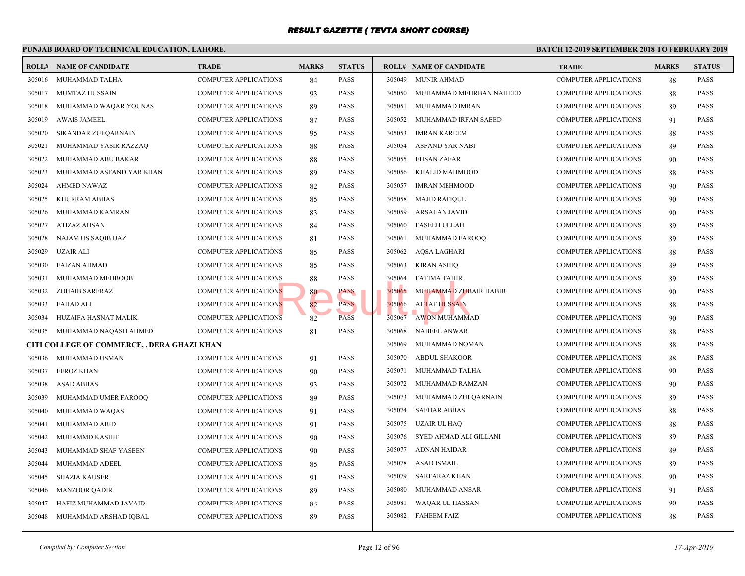|        | <b>BATCH 12-1</b><br>PUNJAB BOARD OF TECHNICAL EDUCATION, LAHORE. |                              |              |               |        |                                |             |  |  |  |  |
|--------|-------------------------------------------------------------------|------------------------------|--------------|---------------|--------|--------------------------------|-------------|--|--|--|--|
|        | <b>ROLL# NAME OF CANDIDATE</b>                                    | <b>TRADE</b>                 | <b>MARKS</b> | <b>STATUS</b> |        | <b>ROLL# NAME OF CANDIDATE</b> | <b>TRAL</b> |  |  |  |  |
| 305016 | MUHAMMAD TALHA                                                    | <b>COMPUTER APPLICATIONS</b> | 84           | PASS          | 305049 | <b>MUNIR AHMAD</b>             | <b>COMP</b> |  |  |  |  |
| 305017 | MUMTAZ HUSSAIN                                                    | <b>COMPUTER APPLICATIONS</b> | 93           | <b>PASS</b>   | 305050 | MUHAMMAD MEHRBAN NAHEED        | <b>COMP</b> |  |  |  |  |
| 305018 | MUHAMMAD WAQAR YOUNAS                                             | <b>COMPUTER APPLICATIONS</b> | 89           | <b>PASS</b>   | 305051 | MUHAMMAD IMRAN                 | <b>COMP</b> |  |  |  |  |
| 305019 | <b>AWAIS JAMEEL</b>                                               | <b>COMPUTER APPLICATIONS</b> | 87           | <b>PASS</b>   | 305052 | MUHAMMAD IRFAN SAEED           | <b>COMP</b> |  |  |  |  |
| 305020 | SIKANDAR ZULQARNAIN                                               | <b>COMPUTER APPLICATIONS</b> | 95           | <b>PASS</b>   | 305053 | IMRAN KAREEM                   | <b>COMP</b> |  |  |  |  |
| 305021 | MUHAMMAD YASIR RAZZAQ                                             | <b>COMPUTER APPLICATIONS</b> | 88           | <b>PASS</b>   | 305054 | <b>ASFAND YAR NABI</b>         | <b>COMP</b> |  |  |  |  |
| 305022 | MUHAMMAD ABU BAKAR                                                | <b>COMPUTER APPLICATIONS</b> | 88           | PASS          | 305055 | <b>EHSAN ZAFAR</b>             | <b>COMP</b> |  |  |  |  |
| 305023 | MUHAMMAD ASFAND YAR KHAN                                          | COMPUTER APPLICATIONS        | 89           | PASS          | 305056 | KHALID MAHMOOD                 | <b>COMP</b> |  |  |  |  |
| 305024 | <b>AHMED NAWAZ</b>                                                | COMPUTER APPLICATIONS        | 82           | <b>PASS</b>   | 305057 | <b>IMRAN MEHMOOD</b>           | <b>COMP</b> |  |  |  |  |
| 305025 | KHURRAM ABBAS                                                     | <b>COMPUTER APPLICATIONS</b> | 85           | <b>PASS</b>   | 305058 | <b>MAJID RAFIQUE</b>           | <b>COMP</b> |  |  |  |  |
| 305026 | MUHAMMAD KAMRAN                                                   | <b>COMPUTER APPLICATIONS</b> | 83           | <b>PASS</b>   | 305059 | <b>ARSALAN JAVID</b>           | <b>COMP</b> |  |  |  |  |
| 305027 | <b>ATIZAZ AHSAN</b>                                               | <b>COMPUTER APPLICATIONS</b> | 84           | <b>PASS</b>   | 305060 | <b>FASEEH ULLAH</b>            | <b>COMP</b> |  |  |  |  |
| 305028 | NAJAM US SAQIB IJAZ                                               | <b>COMPUTER APPLICATIONS</b> | 81           | <b>PASS</b>   | 305061 | MUHAMMAD FAROOQ                | <b>COMP</b> |  |  |  |  |
| 305029 | <b>UZAIR ALI</b>                                                  | <b>COMPUTER APPLICATIONS</b> | 85           | <b>PASS</b>   | 305062 | AQSA LAGHARI                   | <b>COMP</b> |  |  |  |  |
| 305030 | <b>FAIZAN AHMAD</b>                                               | <b>COMPUTER APPLICATIONS</b> | 85           | <b>PASS</b>   | 305063 | <b>KIRAN ASHIQ</b>             | <b>COMP</b> |  |  |  |  |
| 305031 | MUHAMMAD MEHBOOB                                                  | <b>COMPUTER APPLICATIONS</b> | 88           | <b>PASS</b>   | 305064 | <b>FATIMA TAHIR</b>            | <b>COMP</b> |  |  |  |  |
| 305032 | ZOHAIB SARFRAZ                                                    | <b>COMPUTER APPLICATIONS</b> | 80           | PASS          | 305065 | MUHAMMAD ZUBAIR HABIB          | <b>COMP</b> |  |  |  |  |
| 305033 | <b>FAHAD ALI</b>                                                  | <b>COMPUTER APPLICATIONS</b> | 82           | <b>PASS</b>   | 305066 | <b>ALTAF HUSSAIN</b>           | <b>COMP</b> |  |  |  |  |
| 305034 | HUZAIFA HASNAT MALIK                                              | <b>COMPUTER APPLICATIONS</b> | 82           | <b>PASS</b>   | 305067 | <b>AWON MUHAMMAD</b>           | <b>COMP</b> |  |  |  |  |
| 305035 | MUHAMMAD NAQASH AHMED                                             | <b>COMPUTER APPLICATIONS</b> | 81           | <b>PASS</b>   | 305068 | NABEEL ANWAR                   | <b>COMP</b> |  |  |  |  |
|        | CITI COLLEGE OF COMMERCE, , DERA GHAZI KHAN                       |                              |              |               | 305069 | MUHAMMAD NOMAN                 | <b>COMP</b> |  |  |  |  |
| 305036 | MUHAMMAD USMAN                                                    | <b>COMPUTER APPLICATIONS</b> | 91           | <b>PASS</b>   | 305070 | <b>ABDUL SHAKOOR</b>           | <b>COMP</b> |  |  |  |  |
| 305037 | <b>FEROZ KHAN</b>                                                 | <b>COMPUTER APPLICATIONS</b> | 90           | <b>PASS</b>   | 305071 | MUHAMMAD TALHA                 | <b>COMP</b> |  |  |  |  |
| 305038 | <b>ASAD ABBAS</b>                                                 | <b>COMPUTER APPLICATIONS</b> | 93           | <b>PASS</b>   | 305072 | MUHAMMAD RAMZAN                | <b>COMP</b> |  |  |  |  |
| 305039 | MUHAMMAD UMER FAROOQ                                              | <b>COMPUTER APPLICATIONS</b> | 89           | PASS          | 305073 | MUHAMMAD ZULQARNAIN            | <b>COMP</b> |  |  |  |  |
| 305040 | MUHAMMAD WAQAS                                                    | <b>COMPUTER APPLICATIONS</b> | 91           | PASS          | 305074 | <b>SAFDAR ABBAS</b>            | <b>COMP</b> |  |  |  |  |
| 305041 | MUHAMMAD ABID                                                     | <b>COMPUTER APPLICATIONS</b> | 91           | <b>PASS</b>   | 305075 | <b>UZAIR UL HAQ</b>            | <b>COMP</b> |  |  |  |  |
| 305042 | MUHAMMD KASHIF                                                    | <b>COMPUTER APPLICATIONS</b> | 90           | <b>PASS</b>   | 305076 | SYED AHMAD ALI GILLANI         | <b>COMP</b> |  |  |  |  |
| 305043 | MUHAMMAD SHAF YASEEN                                              | <b>COMPUTER APPLICATIONS</b> | 90           | <b>PASS</b>   | 305077 | ADNAN HAIDAR                   | <b>COMP</b> |  |  |  |  |
| 305044 | MUHAMMAD ADEEL                                                    | <b>COMPUTER APPLICATIONS</b> | 85           | <b>PASS</b>   | 305078 | ASAD ISMAIL                    | <b>COMP</b> |  |  |  |  |
| 305045 | <b>SHAZIA KAUSER</b>                                              | <b>COMPUTER APPLICATIONS</b> | 91           | <b>PASS</b>   | 305079 | <b>SARFARAZ KHAN</b>           | <b>COMP</b> |  |  |  |  |
| 305046 | <b>MANZOOR QADIR</b>                                              | <b>COMPUTER APPLICATIONS</b> | 89           | <b>PASS</b>   | 305080 | MUHAMMAD ANSAR                 | <b>COMP</b> |  |  |  |  |
| 305047 | HAFIZ MUHAMMAD JAVAID                                             | COMPUTER APPLICATIONS        | 83           | <b>PASS</b>   | 305081 | WAQAR UL HASSAN                | <b>COMP</b> |  |  |  |  |
| 305048 | MUHAMMAD ARSHAD IQBAL                                             | <b>COMPUTER APPLICATIONS</b> | 89           | <b>PASS</b>   |        | 305082 FAHEEM FAIZ             | <b>COMP</b> |  |  |  |  |
|        |                                                                   |                              |              |               |        |                                |             |  |  |  |  |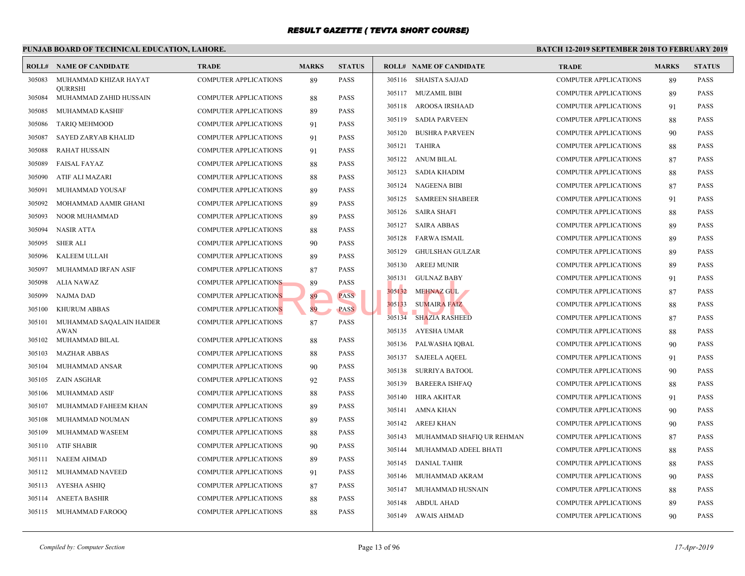|        | PUNJAB BOARD OF TECHNICAL EDUCATION, LAHORE. |                              |              |               |        |                                | <b>BATCH 12-1</b> |
|--------|----------------------------------------------|------------------------------|--------------|---------------|--------|--------------------------------|-------------------|
|        | <b>ROLL# NAME OF CANDIDATE</b>               | <b>TRADE</b>                 | <b>MARKS</b> | <b>STATUS</b> |        | <b>ROLL# NAME OF CANDIDATE</b> | <b>TRAL</b>       |
| 305083 | MUHAMMAD KHIZAR HAYAT                        | <b>COMPUTER APPLICATIONS</b> | 89           | <b>PASS</b>   |        | 305116 SHAISTA SAJJAD          | <b>COMP</b>       |
| 305084 | <b>OURRSHI</b><br>MUHAMMAD ZAHID HUSSAIN     | <b>COMPUTER APPLICATIONS</b> | 88           | <b>PASS</b>   |        | 305117 MUZAMIL BIBI            | <b>COMP</b>       |
| 305085 | MUHAMMAD KASHIF                              | <b>COMPUTER APPLICATIONS</b> | 89           | <b>PASS</b>   |        | 305118 AROOSA IRSHAAD          | <b>COMP</b>       |
| 305086 | <b>TARIQ MEHMOOD</b>                         | <b>COMPUTER APPLICATIONS</b> | 91           | <b>PASS</b>   |        | 305119 SADIA PARVEEN           | <b>COMP</b>       |
| 305087 | SAYED ZARYAB KHALID                          | <b>COMPUTER APPLICATIONS</b> | 91           | PASS          | 305120 | <b>BUSHRA PARVEEN</b>          | <b>COMP</b>       |
| 305088 | <b>RAHAT HUSSAIN</b>                         | <b>COMPUTER APPLICATIONS</b> | 91           | <b>PASS</b>   | 305121 | TAHIRA                         | <b>COMP</b>       |
| 305089 | <b>FAISAL FAYAZ</b>                          | <b>COMPUTER APPLICATIONS</b> | 88           | <b>PASS</b>   | 305122 | ANUM BILAL                     | <b>COMP</b>       |
| 305090 | ATIF ALI MAZARI                              | COMPUTER APPLICATIONS        | 88           | <b>PASS</b>   | 305123 | SADIA KHADIM                   | <b>COMP</b>       |
| 305091 | MUHAMMAD YOUSAF                              | <b>COMPUTER APPLICATIONS</b> | 89           | <b>PASS</b>   | 305124 | <b>NAGEENA BIBI</b>            | <b>COMP</b>       |
| 305092 | MOHAMMAD AAMIR GHANI                         | <b>COMPUTER APPLICATIONS</b> | 89           | <b>PASS</b>   | 305125 | <b>SAMREEN SHABEER</b>         | <b>COMP</b>       |
| 305093 | NOOR MUHAMMAD                                | <b>COMPUTER APPLICATIONS</b> | 89           | PASS          | 305126 | SAIRA SHAFI                    | <b>COMP</b>       |
| 305094 | <b>NASIR ATTA</b>                            | COMPUTER APPLICATIONS        | 88           | <b>PASS</b>   | 305127 | <b>SAIRA ABBAS</b>             | <b>COMP</b>       |
| 305095 | <b>SHER ALI</b>                              | <b>COMPUTER APPLICATIONS</b> | 90           | <b>PASS</b>   | 305128 | FARWA ISMAIL                   | <b>COMP</b>       |
| 305096 | KALEEM ULLAH                                 | <b>COMPUTER APPLICATIONS</b> | 89           | <b>PASS</b>   | 305129 | <b>GHULSHAN GULZAR</b>         | <b>COMP</b>       |
| 305097 | MUHAMMAD IRFAN ASIF                          | COMPUTER APPLICATIONS        | 87           | PASS          | 305130 | <b>AREEJ MUNIR</b>             | <b>COMP</b>       |
| 305098 | <b>ALIA NAWAZ</b>                            | <b>COMPUTER APPLICATIONS</b> | 89           | PASS          | 305131 | GULNAZ BABY                    | <b>COMP</b>       |
| 305099 | <b>NAJMA DAD</b>                             | <b>COMPUTER APPLICATIONS</b> | 89           | <b>PASS</b>   | 305132 | MEHNAZ GUL                     | <b>COMP</b>       |
| 305100 | <b>KHURUM ABBAS</b>                          | <b>COMPUTER APPLICATIONS</b> | 89           | <b>PASS</b>   | 305133 | <b>SUMAIRA FAIZ</b>            | <b>COMP</b>       |
| 305101 | MUHAMMAD SAQALAIN HAIDER                     | <b>COMPUTER APPLICATIONS</b> | 87           | <b>PASS</b>   | 305134 | <b>SHAZIA RASHEED</b>          | <b>COMP</b>       |
|        | AWAN                                         |                              |              |               | 305135 | AYESHA UMAR                    | <b>COMP</b>       |
| 305102 | MUHAMMAD BILAL                               | <b>COMPUTER APPLICATIONS</b> | 88           | PASS          | 305136 | PALWASHA IQBAL                 | <b>COMP</b>       |
| 305103 | <b>MAZHAR ABBAS</b>                          | <b>COMPUTER APPLICATIONS</b> | 88           | <b>PASS</b>   | 305137 | <b>SAJEELA AQEEL</b>           | <b>COMP</b>       |
| 305104 | MUHAMMAD ANSAR                               | <b>COMPUTER APPLICATIONS</b> | 90           | PASS          | 305138 | SURRIYA BATOOL                 | <b>COMP</b>       |
| 305105 | ZAIN ASGHAR                                  | <b>COMPUTER APPLICATIONS</b> | 92           | PASS          | 305139 | <b>BAREERA ISHFAQ</b>          | <b>COMP</b>       |
| 305106 | MUHAMMAD ASIF                                | <b>COMPUTER APPLICATIONS</b> | 88           | PASS          | 305140 | HIRA AKHTAR                    | <b>COMP</b>       |
| 305107 | MUHAMMAD FAHEEM KHAN                         | <b>COMPUTER APPLICATIONS</b> | 89           | <b>PASS</b>   | 305141 | AMNA KHAN                      | <b>COMP</b>       |
| 305108 | MUHAMMAD NOUMAN                              | <b>COMPUTER APPLICATIONS</b> | 89           | PASS          | 305142 | AREEJ KHAN                     | <b>COMP</b>       |
| 305109 | MUHAMMAD WASEEM                              | <b>COMPUTER APPLICATIONS</b> | 88           | PASS          | 305143 | MUHAMMAD SHAFIQ UR REHMAN      | <b>COMP</b>       |
| 305110 | <b>ATIF SHABIR</b>                           | <b>COMPUTER APPLICATIONS</b> | 90           | <b>PASS</b>   | 305144 | MUHAMMAD ADEEL BHATI           | <b>COMP</b>       |
| 305111 | <b>NAEEM AHMAD</b>                           | <b>COMPUTER APPLICATIONS</b> | 89           | <b>PASS</b>   | 305145 | <b>DANIAL TAHIR</b>            | <b>COMP</b>       |
| 305112 | MUHAMMAD NAVEED                              | <b>COMPUTER APPLICATIONS</b> | 91           | <b>PASS</b>   | 305146 | MUHAMMAD AKRAM                 | <b>COMP</b>       |
| 305113 | AYESHA ASHIQ                                 | <b>COMPUTER APPLICATIONS</b> | 87           | <b>PASS</b>   | 305147 | MUHAMMAD HUSNAIN               | <b>COMP</b>       |
| 305114 | <b>ANEETA BASHIR</b>                         | <b>COMPUTER APPLICATIONS</b> | 88           | <b>PASS</b>   | 305148 | <b>ABDUL AHAD</b>              | <b>COMP</b>       |
| 305115 | MUHAMMAD FAROOQ                              | <b>COMPUTER APPLICATIONS</b> | 88           | PASS          |        | 305149 AWAIS AHMAD             | <b>COMP</b>       |
|        |                                              |                              |              |               |        |                                |                   |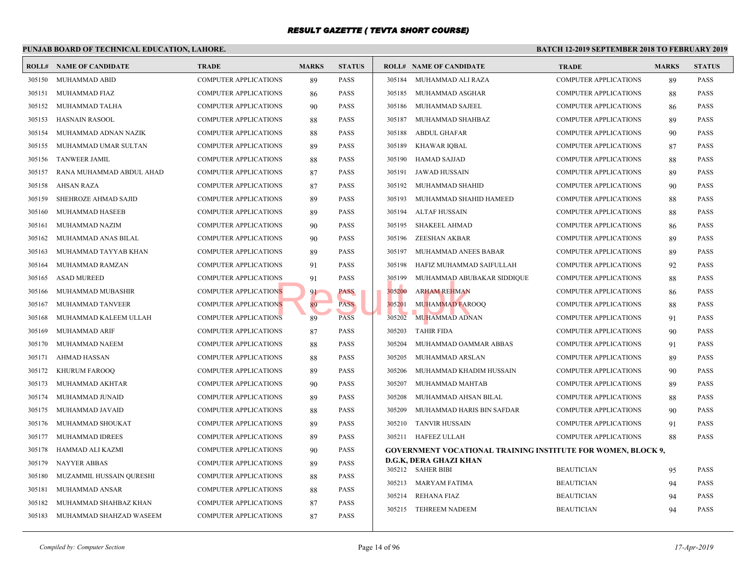|        | PUNJAB BOARD OF TECHNICAL EDUCATION, LAHORE. |                              | <b>BATCH 12-1</b> |               |        |                                                 |             |
|--------|----------------------------------------------|------------------------------|-------------------|---------------|--------|-------------------------------------------------|-------------|
|        | <b>ROLL# NAME OF CANDIDATE</b>               | <b>TRADE</b>                 | <b>MARKS</b>      | <b>STATUS</b> |        | <b>ROLL# NAME OF CANDIDATE</b>                  | <b>TRAL</b> |
| 305150 | MUHAMMAD ABID                                | <b>COMPUTER APPLICATIONS</b> | 89                | <b>PASS</b>   | 305184 | MUHAMMAD ALI RAZA                               | <b>COMP</b> |
| 305151 | MUHAMMAD FIAZ                                | <b>COMPUTER APPLICATIONS</b> | 86                | <b>PASS</b>   | 305185 | MUHAMMAD ASGHAR                                 | <b>COMP</b> |
| 305152 | MUHAMMAD TALHA                               | <b>COMPUTER APPLICATIONS</b> | 90                | <b>PASS</b>   | 305186 | MUHAMMAD SAJEEL                                 | <b>COMP</b> |
| 305153 | <b>HASNAIN RASOOL</b>                        | <b>COMPUTER APPLICATIONS</b> | 88                | <b>PASS</b>   | 305187 | MUHAMMAD SHAHBAZ                                | <b>COMP</b> |
| 305154 | MUHAMMAD ADNAN NAZIK                         | <b>COMPUTER APPLICATIONS</b> | 88                | <b>PASS</b>   | 305188 | ABDUL GHAFAR                                    | <b>COMP</b> |
| 305155 | MUHAMMAD UMAR SULTAN                         | <b>COMPUTER APPLICATIONS</b> | 89                | <b>PASS</b>   | 305189 | <b>KHAWAR IQBAL</b>                             | <b>COMP</b> |
| 305156 | <b>TANWEER JAMIL</b>                         | <b>COMPUTER APPLICATIONS</b> | 88                | <b>PASS</b>   | 305190 | HAMAD SAJJAD                                    | <b>COMP</b> |
| 305157 | RANA MUHAMMAD ABDUL AHAD                     | <b>COMPUTER APPLICATIONS</b> | 87                | <b>PASS</b>   | 305191 | JAWAD HUSSAIN                                   | <b>COMP</b> |
| 305158 | <b>AHSAN RAZA</b>                            | <b>COMPUTER APPLICATIONS</b> | 87                | <b>PASS</b>   | 305192 | MUHAMMAD SHAHID                                 | <b>COMP</b> |
| 305159 | SHEHROZE AHMAD SAJID                         | <b>COMPUTER APPLICATIONS</b> | 89                | <b>PASS</b>   | 305193 | MUHAMMAD SHAHID HAMEED                          | <b>COMP</b> |
| 305160 | MUHAMMAD HASEEB                              | <b>COMPUTER APPLICATIONS</b> | 89                | <b>PASS</b>   | 305194 | ALTAF HUSSAIN                                   | <b>COMP</b> |
| 305161 | MUHAMMAD NAZIM                               | <b>COMPUTER APPLICATIONS</b> | 90                | <b>PASS</b>   | 305195 | <b>SHAKEEL AHMAD</b>                            | <b>COMP</b> |
| 305162 | MUHAMMAD ANAS BILAL                          | <b>COMPUTER APPLICATIONS</b> | 90                | <b>PASS</b>   | 305196 | ZEESHAN AKBAR                                   | <b>COMP</b> |
| 305163 | MUHAMMAD TAYYAB KHAN                         | <b>COMPUTER APPLICATIONS</b> | 89                | <b>PASS</b>   | 305197 | MUHAMMAD ANEES BABAR                            | <b>COMP</b> |
| 305164 | MUHAMMAD RAMZAN                              | <b>COMPUTER APPLICATIONS</b> | 91                | <b>PASS</b>   | 305198 | HAFIZ MUHAMMAD SAIFULLAH                        | <b>COMP</b> |
| 305165 | <b>ASAD MUREED</b>                           | <b>COMPUTER APPLICATIONS</b> | 91                | <b>PASS</b>   | 305199 | MUHAMMAD ABUBAKAR SIDDIQUE                      | <b>COMP</b> |
| 305166 | MUHAMMAD MUBASHIR                            | <b>COMPUTER APPLICATIONS</b> | 91                | <b>PASS</b>   | 305200 | <b>ARHAM REHMAN</b>                             | <b>COMP</b> |
| 305167 | MUHAMMAD TANVEER                             | <b>COMPUTER APPLICATIONS</b> | 89                | <b>PASS</b>   | 305201 | <b>MUHAMMAD FAROOQ</b>                          | <b>COMP</b> |
| 305168 | MUHAMMAD KALEEM ULLAH                        | <b>COMPUTER APPLICATIONS</b> | 89                | <b>PASS</b>   | 305202 | MUHAMMAD ADNAN                                  | <b>COMP</b> |
| 305169 | MUHAMMAD ARIF                                | <b>COMPUTER APPLICATIONS</b> | 87                | <b>PASS</b>   | 305203 | <b>TAHIR FIDA</b>                               | <b>COMP</b> |
| 305170 | MUHAMMAD NAEEM                               | <b>COMPUTER APPLICATIONS</b> | 88                | <b>PASS</b>   | 305204 | MUHAMMAD OAMMAR ABBAS                           | <b>COMP</b> |
| 305171 | <b>AHMAD HASSAN</b>                          | <b>COMPUTER APPLICATIONS</b> | 88                | <b>PASS</b>   | 305205 | MUHAMMAD ARSLAN                                 | <b>COMP</b> |
| 305172 | <b>KHURUM FAROOQ</b>                         | <b>COMPUTER APPLICATIONS</b> | 89                | <b>PASS</b>   | 305206 | MUHAMMAD KHADIM HUSSAIN                         | <b>COMP</b> |
| 305173 | MUHAMMAD AKHTAR                              | <b>COMPUTER APPLICATIONS</b> | 90                | <b>PASS</b>   | 305207 | MUHAMMAD MAHTAB                                 | <b>COMP</b> |
| 305174 | MUHAMMAD JUNAID                              | <b>COMPUTER APPLICATIONS</b> | 89                | <b>PASS</b>   | 305208 | MUHAMMAD AHSAN BILAL                            | <b>COMP</b> |
| 305175 | MUHAMMAD JAVAID                              | <b>COMPUTER APPLICATIONS</b> | 88                | <b>PASS</b>   | 305209 | MUHAMMAD HARIS BIN SAFDAR                       | <b>COMP</b> |
| 305176 | MUHAMMAD SHOUKAT                             | <b>COMPUTER APPLICATIONS</b> | 89                | <b>PASS</b>   | 305210 | TANVIR HUSSAIN                                  | <b>COMP</b> |
| 305177 | MUHAMMAD IDREES                              | <b>COMPUTER APPLICATIONS</b> | 89                | <b>PASS</b>   |        | 305211 HAFEEZ ULLAH                             | <b>COMP</b> |
| 305178 | HAMMAD ALI KAZMI                             | <b>COMPUTER APPLICATIONS</b> | 90                | <b>PASS</b>   |        | <b>GOVERNMENT VOCATIONAL TRAINING INSTITUTE</b> |             |
| 305179 | <b>NAYYER ABBAS</b>                          | <b>COMPUTER APPLICATIONS</b> | 89                | <b>PASS</b>   |        | D.G.K, DERA GHAZI KHAN                          |             |
| 305180 | MUZAMMIL HUSSAIN QURESHI                     | <b>COMPUTER APPLICATIONS</b> | 88                | <b>PASS</b>   |        | 305212 SAHER BIBI                               | <b>BEAU</b> |
| 305181 | MUHAMMAD ANSAR                               | <b>COMPUTER APPLICATIONS</b> | 88                | <b>PASS</b>   |        | 305213 MARYAM FATIMA                            | <b>BEAU</b> |
| 305182 | MUHAMMAD SHAHBAZ KHAN                        | <b>COMPUTER APPLICATIONS</b> | 87                | <b>PASS</b>   |        | 305214 REHANA FIAZ                              | <b>BEAU</b> |
| 305183 | MUHAMMAD SHAHZAD WASEEM                      | <b>COMPUTER APPLICATIONS</b> | 87                | <b>PASS</b>   |        | 305215 TEHREEM NADEEM                           | <b>BEAU</b> |
|        |                                              |                              |                   |               |        |                                                 |             |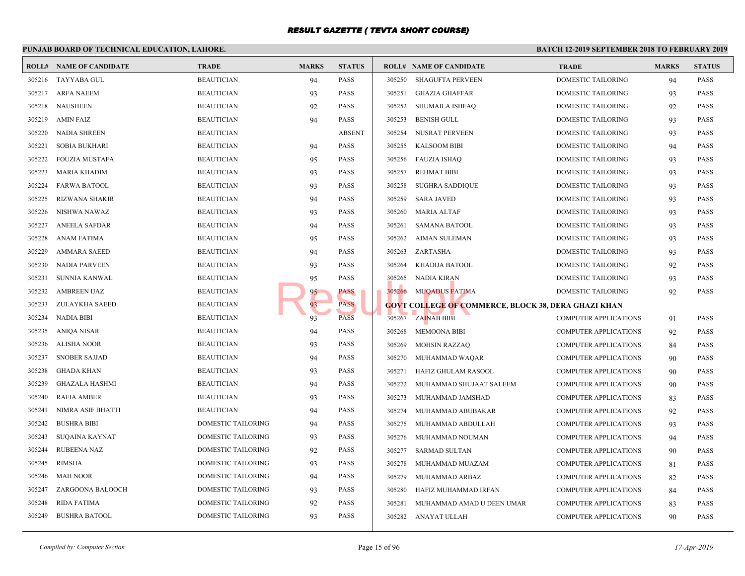#### **PUNJAB BOARD OF TECHNICAL EDUCATION, LAHORE. BATCH 12-ROLL# NAME OF CANDIDATE TRADE MARKS STATUS ROLL# NAME OF CANDIDATE TRADE MARKS STATUS** 305216 TAYYABA GUL BEAUTICIAN 94 PASS 305217 ARFA NAEEM BEAUTICIAN 93 PASS 305218 NAUSHEEN BEAUTICIAN 92 PASS 305219 AMIN FAIZ BEAUTICIAN 94 PASS 305220 NADIA SHREEN BEAUTICIAN ABSENT 305221 SOBIA BUKHARI BEAUTICIAN 94 PASS 305222 FOUZIA MUSTAFA BEAUTICIAN 95 PASS 305223 MARIA KHADIM BEAUTICIAN 93 PASS 305224 FARWA BATOOL BEAUTICIAN 93 PASS 305225 RIZWANA SHAKIR BEAUTICIAN 94 PASS 305226 NISHWA NAWAZ BEAUTICIAN 93 PASS 305227 ANEELA SAFDAR BEAUTICIAN 94 PASS 305228 ANAM FATIMA BEAUTICIAN 95 PASS 305229 AMMARA SAEED BEAUTICIAN 94 PASS 305230 NADIA PARVEEN BEAUTICIAN 93 PASS 305231 SUNNIA KANWAL BEAUTICIAN 95 PASS 305232 AMBREEN IJAZ BEAUTICIAN BEAUTICIAN 95 PASS 305233 ZULAYKHA SAEED BEAUTICIAN 93 PASS 305234 NADIA BIBI BEAUTICIAN 93 PASS 305235 ANIQA NISAR BEAUTICIAN 94 PASS 305236 ALISHA NOOR BEAUTICIAN 93 PASS 305237 SNOBER SAJJAD BEAUTICIAN 94 PASS 305238 GHADA KHAN BEAUTICIAN 93 PASS 305239 GHAZALA HASHMI BEAUTICIAN 94 PASS 305240 RAFIA AMBER BEAUTICIAN 93 PASS 305241 NIMRA ASIF BHATTI BEAUTICIAN 94 PASS 305242 BUSHRA BIBI DOMESTIC TAILORING 94 PASS 305243 SUQAINA KAYNAT DOMESTIC TAILORING 93 PASS 305244 RUBEENA NAZ DOMESTIC TAILORING 92 PASS 305245 RIMSHA DOMESTIC TAILORING 93 PASS 305246 MAH NOOR DOMESTIC TAILORING 94 PASS 305247 ZARGOONA BALOOCH DOMESTIC TAILORING 93 PASS 305248 RIDA FATIMA DOMESTIC TAILORING 92 PASS 305249 BUSHRA BATOOL DOMESTIC TAILORING 93 PASS 305250 SHAGUFTA PERVEEN DOME 305251 GHAZIA GHAFFAR DOME 305252 SHUMAILA ISHFAQ DOME 305253 BENISH GULL DOME 305254 NUSRAT PERVEEN DOME 305255 KALSOOM BIBI DOME 305256 FAUZIA ISHAQ DOME 305257 REHMAT BIBI DOME 305258 SUGHRA SADDIQUE DOME 305259 SARA JAVED DOME 305260 MARIA ALTAF DOME 305261 SAMANA BATOOL DOME 305262 AIMAN SULEMAN DOME 305263 ZARTASHA DOME 305264 KHADIJA BATOOL DOME 305265 NADIA KIRAN DOME 305266 MUQADUS FATIMA DOME **GOVT COLLEGE OF COMMERCE, BLOCK 38, DERA GHAZI KHAN** 305267 ZAINAB BIBI COMP 305268 MEMOONA BIBI COMP 305269 MOHSIN RAZZAQ COMP 305270 MUHAMMAD WAQAR COMP 305271 HAFIZ GHULAM RASOOL COMP 305272 MUHAMMAD SHUJAAT SALEEM COMP 305273 MUHAMMAD JAMSHAD COMP 305274 MUHAMMAD ABUBAKAR COMP 305275 MUHAMMAD ABDULLAH COMP 305276 MUHAMMAD NOUMAN COMP 305277 SARMAD SULTAN COMP 305278 MUHAMMAD MUAZAM COMP 305279 MUHAMMAD ARBAZ COMP 305280 HAFIZ MUHAMMAD IRFAN COMP 305281 MUHAMMAD AMAD U DEEN UMAR COMP 305282 ANAYAT ULLAH COMP 95 PASS<br>
93 PASS<br>
93 PASS<br>
PASS<br>
PASS<br>
800VT COLLEGE OF CO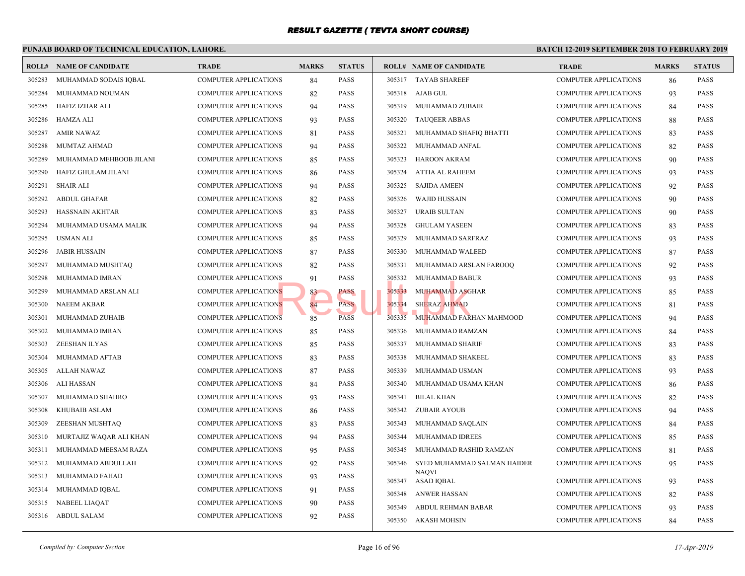|        | PUNJAB BOARD OF TECHNICAL EDUCATION, LAHORE. |                              |              |               |        |                                |             |  |  |  |  |
|--------|----------------------------------------------|------------------------------|--------------|---------------|--------|--------------------------------|-------------|--|--|--|--|
|        | <b>ROLL# NAME OF CANDIDATE</b>               | <b>TRADE</b>                 | <b>MARKS</b> | <b>STATUS</b> |        | <b>ROLL# NAME OF CANDIDATE</b> | <b>TRAL</b> |  |  |  |  |
| 305283 | MUHAMMAD SODAIS IQBAL                        | <b>COMPUTER APPLICATIONS</b> | 84           | <b>PASS</b>   |        | 305317 TAYAB SHAREEF           | <b>COMP</b> |  |  |  |  |
| 305284 | MUHAMMAD NOUMAN                              | <b>COMPUTER APPLICATIONS</b> | 82           | PASS          |        | 305318 AJAB GUL                | <b>COMP</b> |  |  |  |  |
| 305285 | HAFIZ IZHAR ALI                              | <b>COMPUTER APPLICATIONS</b> | 94           | PASS          | 305319 | MUHAMMAD ZUBAIR                | <b>COMP</b> |  |  |  |  |
| 305286 | HAMZA ALI                                    | <b>COMPUTER APPLICATIONS</b> | 93           | PASS          | 305320 | <b>TAUQEER ABBAS</b>           | <b>COMP</b> |  |  |  |  |
| 305287 | <b>AMIR NAWAZ</b>                            | COMPUTER APPLICATIONS        | 81           | PASS          | 305321 | MUHAMMAD SHAFIQ BHATTI         | <b>COMP</b> |  |  |  |  |
| 305288 | MUMTAZ AHMAD                                 | COMPUTER APPLICATIONS        | 94           | PASS          | 305322 | MUHAMMAD ANFAL                 | <b>COMP</b> |  |  |  |  |
| 305289 | MUHAMMAD MEHBOOB JILANI                      | COMPUTER APPLICATIONS        | 85           | PASS          | 305323 | HAROON AKRAM                   | <b>COMP</b> |  |  |  |  |
| 305290 | HAFIZ GHULAM JILANI                          | <b>COMPUTER APPLICATIONS</b> | 86           | PASS          | 305324 | ATTIA AL RAHEEM                | <b>COMP</b> |  |  |  |  |
| 305291 | SHAIR ALI                                    | <b>COMPUTER APPLICATIONS</b> | 94           | PASS          | 305325 | <b>SAJIDA AMEEN</b>            | <b>COMP</b> |  |  |  |  |
| 305292 | ABDUL GHAFAR                                 | <b>COMPUTER APPLICATIONS</b> | 82           | PASS          | 305326 | <b>WAJID HUSSAIN</b>           | <b>COMP</b> |  |  |  |  |
| 305293 | HASSNAIN AKHTAR                              | <b>COMPUTER APPLICATIONS</b> | 83           | PASS          | 305327 | <b>URAIB SULTAN</b>            | <b>COMP</b> |  |  |  |  |
| 305294 | MUHAMMAD USAMA MALIK                         | COMPUTER APPLICATIONS        | 94           | PASS          | 305328 | <b>GHULAM YASEEN</b>           | <b>COMP</b> |  |  |  |  |
| 305295 | <b>USMAN ALI</b>                             | COMPUTER APPLICATIONS        | 85           | <b>PASS</b>   | 305329 | MUHAMMAD SARFRAZ               | <b>COMP</b> |  |  |  |  |
| 305296 | <b>JABIR HUSSAIN</b>                         | <b>COMPUTER APPLICATIONS</b> | 87           | <b>PASS</b>   | 305330 | MUHAMMAD WALEED                | <b>COMP</b> |  |  |  |  |
| 305297 | MUHAMMAD MUSHTAQ                             | <b>COMPUTER APPLICATIONS</b> | 82           | PASS          | 305331 | MUHAMMAD ARSLAN FAROOQ         | <b>COMP</b> |  |  |  |  |
| 305298 | MUHAMMAD IMRAN                               | <b>COMPUTER APPLICATIONS</b> | 91           | PASS          | 305332 | MUHAMMAD BABUR                 | <b>COMP</b> |  |  |  |  |
| 305299 | MUHAMMAD ARSLAN ALI                          | <b>COMPUTER APPLICATIONS</b> | 83           | PASS          | 305333 | <b>MUHAMMAD ASGHAR</b>         | <b>COMP</b> |  |  |  |  |
| 305300 | <b>NAEEM AKBAR</b>                           | <b>COMPUTER APPLICATIONS</b> | 84           | <b>PASS</b>   | 305334 | <b>SHERAZ AHMAD</b>            | <b>COMP</b> |  |  |  |  |
| 305301 | MUHAMMAD ZUHAIB                              | COMPUTER APPLICATIONS        | 85           | <b>PASS</b>   | 305335 | MUHAMMAD FARHAN MAHMOOD        | <b>COMP</b> |  |  |  |  |
| 305302 | MUHAMMAD IMRAN                               | <b>COMPUTER APPLICATIONS</b> | 85           | PASS          | 305336 | MUHAMMAD RAMZAN                | <b>COMP</b> |  |  |  |  |
| 305303 | ZEESHAN ILYAS                                | COMPUTER APPLICATIONS        | 85           | PASS          | 305337 | MUHAMMAD SHARIF                | <b>COMP</b> |  |  |  |  |
| 305304 | MUHAMMAD AFTAB                               | <b>COMPUTER APPLICATIONS</b> | 83           | <b>PASS</b>   | 305338 | MUHAMMAD SHAKEEL               | <b>COMP</b> |  |  |  |  |
| 305305 | ALLAH NAWAZ                                  | <b>COMPUTER APPLICATIONS</b> | 87           | <b>PASS</b>   | 305339 | MUHAMMAD USMAN                 | <b>COMP</b> |  |  |  |  |
| 305306 | ALI HASSAN                                   | <b>COMPUTER APPLICATIONS</b> | 84           | PASS          | 305340 | MUHAMMAD USAMA KHAN            | <b>COMP</b> |  |  |  |  |
| 305307 | MUHAMMAD SHAHRO                              | <b>COMPUTER APPLICATIONS</b> | 93           | <b>PASS</b>   | 305341 | <b>BILAL KHAN</b>              | <b>COMP</b> |  |  |  |  |
| 305308 | <b>KHUBAIB ASLAM</b>                         | <b>COMPUTER APPLICATIONS</b> | 86           | <b>PASS</b>   | 305342 | <b>ZUBAIR AYOUB</b>            | <b>COMP</b> |  |  |  |  |
| 305309 | ZEESHAN MUSHTAQ                              | COMPUTER APPLICATIONS        | 83           | PASS          | 305343 | MUHAMMAD SAQLAIN               | <b>COMP</b> |  |  |  |  |
| 305310 | MURTAJIZ WAQAR ALI KHAN                      | COMPUTER APPLICATIONS        | 94           | PASS          | 305344 | MUHAMMAD IDREES                | <b>COMP</b> |  |  |  |  |
| 305311 | MUHAMMAD MEESAM RAZA                         | <b>COMPUTER APPLICATIONS</b> | 95           | PASS          | 305345 | MUHAMMAD RASHID RAMZAN         | <b>COMP</b> |  |  |  |  |
| 305312 | MUHAMMAD ABDULLAH                            | <b>COMPUTER APPLICATIONS</b> | 92           | PASS          | 305346 | SYED MUHAMMAD SALMAN HAIDER    | <b>COMP</b> |  |  |  |  |
| 305313 | MUHAMMAD FAHAD                               | <b>COMPUTER APPLICATIONS</b> | 93           | PASS          | 305347 | <b>NAQVI</b><br>ASAD IQBAL     | <b>COMP</b> |  |  |  |  |
| 305314 | MUHAMMAD IQBAL                               | COMPUTER APPLICATIONS        | 91           | PASS          | 305348 | ANWER HASSAN                   | <b>COMP</b> |  |  |  |  |
| 305315 | NABEEL LIAQAT                                | COMPUTER APPLICATIONS        | 90           | PASS          | 305349 | ABDUL REHMAN BABAR             | <b>COMP</b> |  |  |  |  |
| 305316 | <b>ABDUL SALAM</b>                           | <b>COMPUTER APPLICATIONS</b> | 92           | PASS          | 305350 | AKASH MOHSIN                   | <b>COMP</b> |  |  |  |  |
|        |                                              |                              |              |               |        |                                |             |  |  |  |  |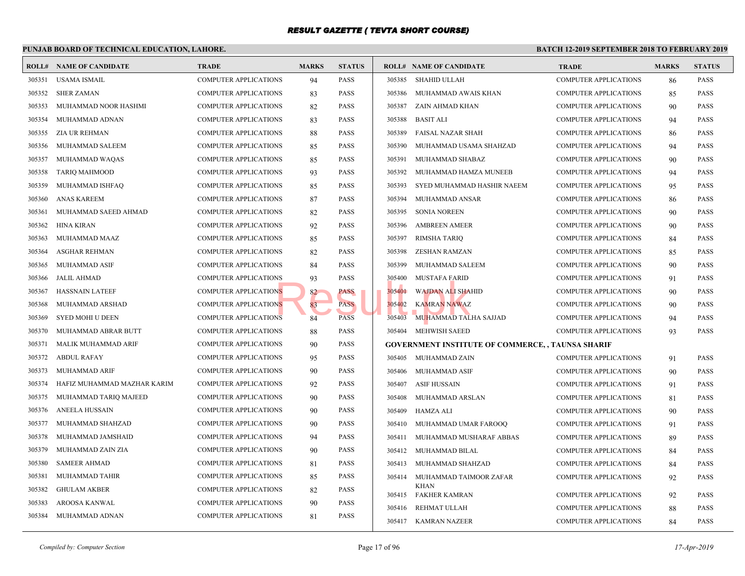|        | <b>BATCH 12-1</b><br>PUNJAB BOARD OF TECHNICAL EDUCATION, LAHORE. |                              |              |               |                                     |                                                 |  |  |  |  |  |
|--------|-------------------------------------------------------------------|------------------------------|--------------|---------------|-------------------------------------|-------------------------------------------------|--|--|--|--|--|
|        | <b>ROLL# NAME OF CANDIDATE</b>                                    | <b>TRADE</b>                 | <b>MARKS</b> | <b>STATUS</b> | <b>ROLL# NAME OF CANDIDATE</b>      | <b>TRAL</b>                                     |  |  |  |  |  |
| 305351 | <b>USAMA ISMAIL</b>                                               | <b>COMPUTER APPLICATIONS</b> | 94           | <b>PASS</b>   | 305385<br>SHAHID ULLAH              | <b>COMP</b>                                     |  |  |  |  |  |
| 305352 | <b>SHER ZAMAN</b>                                                 | <b>COMPUTER APPLICATIONS</b> | 83           | <b>PASS</b>   | 305386<br>MUHAMMAD AWAIS KHAN       | <b>COMP</b>                                     |  |  |  |  |  |
| 305353 | MUHAMMAD NOOR HASHMI                                              | <b>COMPUTER APPLICATIONS</b> | 82           | <b>PASS</b>   | 305387<br>ZAIN AHMAD KHAN           | <b>COMP</b>                                     |  |  |  |  |  |
| 305354 | MUHAMMAD ADNAN                                                    | <b>COMPUTER APPLICATIONS</b> | 83           | <b>PASS</b>   | 305388<br><b>BASIT ALI</b>          | <b>COMP</b>                                     |  |  |  |  |  |
| 305355 | ZIA UR REHMAN                                                     | <b>COMPUTER APPLICATIONS</b> | 88           | <b>PASS</b>   | 305389<br>FAISAL NAZAR SHAH         | <b>COMP</b>                                     |  |  |  |  |  |
| 305356 | MUHAMMAD SALEEM                                                   | <b>COMPUTER APPLICATIONS</b> | 85           | <b>PASS</b>   | 305390<br>MUHAMMAD USAMA SHAHZAD    | <b>COMP</b>                                     |  |  |  |  |  |
| 305357 | MUHAMMAD WAQAS                                                    | <b>COMPUTER APPLICATIONS</b> | 85           | <b>PASS</b>   | 305391<br>MUHAMMAD SHABAZ           | <b>COMP</b>                                     |  |  |  |  |  |
| 305358 | <b>TARIQ MAHMOOD</b>                                              | COMPUTER APPLICATIONS        | 93           | <b>PASS</b>   | 305392<br>MUHAMMAD HAMZA MUNEEB     | <b>COMP</b>                                     |  |  |  |  |  |
| 305359 | MUHAMMAD ISHFAQ                                                   | <b>COMPUTER APPLICATIONS</b> | 85           | <b>PASS</b>   | 305393                              | SYED MUHAMMAD HASHIR NAEEM<br><b>COMP</b>       |  |  |  |  |  |
| 305360 | ANAS KAREEM                                                       | <b>COMPUTER APPLICATIONS</b> | 87           | <b>PASS</b>   | 305394<br>MUHAMMAD ANSAR            | <b>COMP</b>                                     |  |  |  |  |  |
| 305361 | MUHAMMAD SAEED AHMAD                                              | <b>COMPUTER APPLICATIONS</b> | 82           | <b>PASS</b>   | 305395<br><b>SONIA NOREEN</b>       | <b>COMP</b>                                     |  |  |  |  |  |
| 305362 | HINA KIRAN                                                        | <b>COMPUTER APPLICATIONS</b> | 92           | <b>PASS</b>   | 305396<br><b>AMBREEN AMEER</b>      | <b>COMP</b>                                     |  |  |  |  |  |
| 305363 | MUHAMMAD MAAZ                                                     | <b>COMPUTER APPLICATIONS</b> | 85           | <b>PASS</b>   | <b>RIMSHA TARIQ</b><br>305397       | <b>COMP</b>                                     |  |  |  |  |  |
| 305364 | ASGHAR REHMAN                                                     | COMPUTER APPLICATIONS        | 82           | <b>PASS</b>   | 305398<br>ZESHAN RAMZAN             | <b>COMP</b>                                     |  |  |  |  |  |
| 305365 | MUHAMMAD ASIF                                                     | <b>COMPUTER APPLICATIONS</b> | 84           | <b>PASS</b>   | 305399<br>MUHAMMAD SALEEM           | <b>COMP</b>                                     |  |  |  |  |  |
| 305366 | <b>JALIL AHMAD</b>                                                | <b>COMPUTER APPLICATIONS</b> | 93           | <b>PASS</b>   | 305400<br><b>MUSTAFA FARID</b>      | <b>COMP</b>                                     |  |  |  |  |  |
| 305367 | <b>HASSNAIN LATEEF</b>                                            | <b>COMPUTER APPLICATIONS</b> | 82           | PASS          | 305401<br><b>WAJDAN ALI SHAHID</b>  | <b>COMP</b>                                     |  |  |  |  |  |
| 305368 | MUHAMMAD ARSHAD                                                   | <b>COMPUTER APPLICATIONS</b> | 83           | <b>PASS</b>   | 305402<br><b>KAMRAN NAWAZ</b>       | <b>COMP</b>                                     |  |  |  |  |  |
| 305369 | <b>SYED MOHI U DEEN</b>                                           | <b>COMPUTER APPLICATIONS</b> | 84           | <b>PASS</b>   | 305403<br>MUHAMMAD TALHA SAJJAD     | <b>COMP</b>                                     |  |  |  |  |  |
| 305370 | MUHAMMAD ABRAR BUTT                                               | <b>COMPUTER APPLICATIONS</b> | 88           | <b>PASS</b>   | 305404<br>MEHWISH SAEED             | <b>COMP</b>                                     |  |  |  |  |  |
| 305371 | MALIK MUHAMMAD ARIF                                               | <b>COMPUTER APPLICATIONS</b> | 90           | <b>PASS</b>   |                                     | <b>GOVERNMENT INSTITUTE OF COMMERCE,, TAUNS</b> |  |  |  |  |  |
| 305372 | <b>ABDUL RAFAY</b>                                                | <b>COMPUTER APPLICATIONS</b> | 95           | <b>PASS</b>   | 305405 MUHAMMAD ZAIN                | <b>COMP</b>                                     |  |  |  |  |  |
| 305373 | MUHAMMAD ARIF                                                     | <b>COMPUTER APPLICATIONS</b> | 90           | <b>PASS</b>   | 305406<br>MUHAMMAD ASIF             | <b>COMP</b>                                     |  |  |  |  |  |
| 305374 | HAFIZ MUHAMMAD MAZHAR KARIM                                       | <b>COMPUTER APPLICATIONS</b> | 92           | <b>PASS</b>   | <b>ASIF HUSSAIN</b><br>305407       | <b>COMP</b>                                     |  |  |  |  |  |
| 305375 | MUHAMMAD TARIQ MAJEED                                             | <b>COMPUTER APPLICATIONS</b> | 90           | <b>PASS</b>   | 305408<br>MUHAMMAD ARSLAN           | <b>COMP</b>                                     |  |  |  |  |  |
| 305376 | ANEELA HUSSAIN                                                    | <b>COMPUTER APPLICATIONS</b> | 90           | <b>PASS</b>   | 305409<br>HAMZA ALI                 | <b>COMP</b>                                     |  |  |  |  |  |
| 305377 | MUHAMMAD SHAHZAD                                                  | <b>COMPUTER APPLICATIONS</b> | 90           | <b>PASS</b>   | 305410<br>MUHAMMAD UMAR FAROOQ      | <b>COMP</b>                                     |  |  |  |  |  |
| 305378 | MUHAMMAD JAMSHAID                                                 | <b>COMPUTER APPLICATIONS</b> | 94           | <b>PASS</b>   | 305411                              | MUHAMMAD MUSHARAF ABBAS<br><b>COMP</b>          |  |  |  |  |  |
| 305379 | MUHAMMAD ZAIN ZIA                                                 | <b>COMPUTER APPLICATIONS</b> | 90           | <b>PASS</b>   | 305412<br>MUHAMMAD BILAL            | <b>COMP</b>                                     |  |  |  |  |  |
| 305380 | <b>SAMEER AHMAD</b>                                               | <b>COMPUTER APPLICATIONS</b> | 81           | <b>PASS</b>   | 305413<br>MUHAMMAD SHAHZAD          | <b>COMP</b>                                     |  |  |  |  |  |
| 305381 | MUHAMMAD TAHIR                                                    | <b>COMPUTER APPLICATIONS</b> | 85           | <b>PASS</b>   | 305414<br>MUHAMMAD TAIMOOR ZAFAR    | <b>COMP</b>                                     |  |  |  |  |  |
| 305382 | <b>GHULAM AKBER</b>                                               | <b>COMPUTER APPLICATIONS</b> | 82           | <b>PASS</b>   | <b>KHAN</b><br>305415 FAKHER KAMRAN | <b>COMP</b>                                     |  |  |  |  |  |
| 305383 | AROOSA KANWAL                                                     | <b>COMPUTER APPLICATIONS</b> | 90           | <b>PASS</b>   | REHMAT ULLAH<br>305416              | <b>COMP</b>                                     |  |  |  |  |  |
| 305384 | MUHAMMAD ADNAN                                                    | <b>COMPUTER APPLICATIONS</b> | 81           | <b>PASS</b>   | 305417 KAMRAN NAZEER                | <b>COMP</b>                                     |  |  |  |  |  |
|        |                                                                   |                              |              |               |                                     |                                                 |  |  |  |  |  |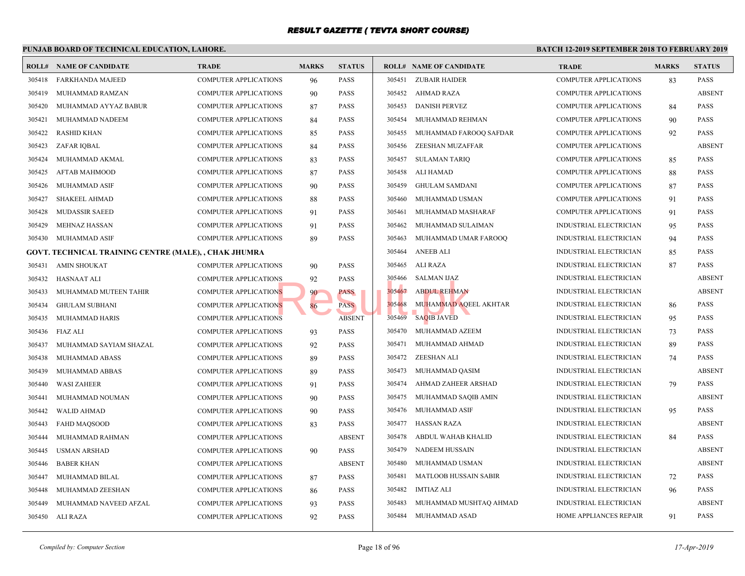|        | <b>BATCH 12-2</b><br>PUNJAB BOARD OF TECHNICAL EDUCATION, LAHORE. |                              |              |               |  |        |                                |              |  |  |  |  |
|--------|-------------------------------------------------------------------|------------------------------|--------------|---------------|--|--------|--------------------------------|--------------|--|--|--|--|
|        | <b>ROLL# NAME OF CANDIDATE</b>                                    | <b>TRADE</b>                 | <b>MARKS</b> | <b>STATUS</b> |  |        | <b>ROLL# NAME OF CANDIDATE</b> | <b>TRAL</b>  |  |  |  |  |
| 305418 | FARKHANDA MAJEED                                                  | <b>COMPUTER APPLICATIONS</b> | 96           | <b>PASS</b>   |  | 305451 | <b>ZUBAIR HAIDER</b>           | COMP         |  |  |  |  |
| 305419 | MUHAMMAD RAMZAN                                                   | COMPUTER APPLICATIONS        | 90           | <b>PASS</b>   |  | 305452 | AHMAD RAZA                     | <b>COMP</b>  |  |  |  |  |
| 305420 | MUHAMMAD AYYAZ BABUR                                              | COMPUTER APPLICATIONS        | 87           | <b>PASS</b>   |  | 305453 | <b>DANISH PERVEZ</b>           | <b>COMP</b>  |  |  |  |  |
| 305421 | MUHAMMAD NADEEM                                                   | COMPUTER APPLICATIONS        | 84           | <b>PASS</b>   |  | 305454 | MUHAMMAD REHMAN                | <b>COMP</b>  |  |  |  |  |
| 305422 | <b>RASHID KHAN</b>                                                | COMPUTER APPLICATIONS        | 85           | <b>PASS</b>   |  | 305455 | MUHAMMAD FAROOQ SAFDAR         | <b>COMP</b>  |  |  |  |  |
| 305423 | ZAFAR IQBAL                                                       | COMPUTER APPLICATIONS        | 84           | <b>PASS</b>   |  | 305456 | ZEESHAN MUZAFFAR               | <b>COMP</b>  |  |  |  |  |
| 305424 | MUHAMMAD AKMAL                                                    | COMPUTER APPLICATIONS        | 83           | <b>PASS</b>   |  | 305457 | <b>SULAMAN TARIQ</b>           | COMP         |  |  |  |  |
| 305425 | AFTAB MAHMOOD                                                     | COMPUTER APPLICATIONS        | 87           | <b>PASS</b>   |  | 305458 | ALI HAMAD                      | <b>COMP</b>  |  |  |  |  |
| 305426 | MUHAMMAD ASIF                                                     | <b>COMPUTER APPLICATIONS</b> | 90           | <b>PASS</b>   |  | 305459 | <b>GHULAM SAMDANI</b>          | <b>COMP</b>  |  |  |  |  |
| 305427 | <b>SHAKEEL AHMAD</b>                                              | COMPUTER APPLICATIONS        | 88           | <b>PASS</b>   |  | 305460 | MUHAMMAD USMAN                 | <b>COMP</b>  |  |  |  |  |
| 305428 | MUDASSIR SAEED                                                    | <b>COMPUTER APPLICATIONS</b> | 91           | <b>PASS</b>   |  | 305461 | MUHAMMAD MASHARAF              | <b>COMP</b>  |  |  |  |  |
| 305429 | MEHNAZ HASSAN                                                     | COMPUTER APPLICATIONS        | 91           | <b>PASS</b>   |  | 305462 | MUHAMMAD SULAIMAN              | <b>INDUS</b> |  |  |  |  |
| 305430 | MUHAMMAD ASIF                                                     | COMPUTER APPLICATIONS        | 89           | <b>PASS</b>   |  | 305463 | MUHAMMAD UMAR FAROOQ           | <b>INDUS</b> |  |  |  |  |
|        | GOVT. TECHNICAL TRAINING CENTRE (MALE), , CHAK JHUMRA             |                              |              |               |  | 305464 | <b>ANEEB ALI</b>               | <b>INDUS</b> |  |  |  |  |
| 305431 | <b>AMIN SHOUKAT</b>                                               | <b>COMPUTER APPLICATIONS</b> | 90           | <b>PASS</b>   |  | 305465 | ALI RAZA                       | <b>INDUS</b> |  |  |  |  |
| 305432 | <b>HASNAAT ALI</b>                                                | <b>COMPUTER APPLICATIONS</b> | 92           | <b>PASS</b>   |  | 305466 | SALMAN IJAZ                    | <b>INDUS</b> |  |  |  |  |
| 305433 | MUHAMMAD MUTEEN TAHIR                                             | COMPUTER APPLICATIONS        | 90           | PASS          |  | 305467 | <b>ABDUL REHMAN</b>            | <b>INDUS</b> |  |  |  |  |
| 305434 | <b>GHULAM SUBHANI</b>                                             | <b>COMPUTER APPLICATIONS</b> | 86           | <b>PASS</b>   |  | 305468 | MUHAMMAD AQEEL AKHTAR          | <b>INDUS</b> |  |  |  |  |
| 305435 | MUHAMMAD HARIS                                                    | COMPUTER APPLICATIONS        |              | <b>ABSENT</b> |  | 305469 | <b>SAQIB JAVED</b>             | <b>INDUS</b> |  |  |  |  |
| 305436 | <b>FIAZ ALI</b>                                                   | COMPUTER APPLICATIONS        | 93           | <b>PASS</b>   |  | 305470 | MUHAMMAD AZEEM                 | <b>INDUS</b> |  |  |  |  |
| 305437 | MUHAMMAD SAYIAM SHAZAL                                            | COMPUTER APPLICATIONS        | 92           | <b>PASS</b>   |  | 305471 | MUHAMMAD AHMAD                 | <b>INDUS</b> |  |  |  |  |
| 305438 | MUHAMMAD ABASS                                                    | COMPUTER APPLICATIONS        | 89           | <b>PASS</b>   |  | 305472 | ZEESHAN ALI                    | <b>INDUS</b> |  |  |  |  |
| 305439 | MUHAMMAD ABBAS                                                    | <b>COMPUTER APPLICATIONS</b> | 89           | <b>PASS</b>   |  | 305473 | MUHAMMAD QASIM                 | <b>INDUS</b> |  |  |  |  |
| 305440 | <b>WASI ZAHEER</b>                                                | COMPUTER APPLICATIONS        | 91           | <b>PASS</b>   |  | 305474 | AHMAD ZAHEER ARSHAD            | <b>INDUS</b> |  |  |  |  |
| 305441 | MUHAMMAD NOUMAN                                                   | <b>COMPUTER APPLICATIONS</b> | 90           | <b>PASS</b>   |  | 305475 | MUHAMMAD SAQIB AMIN            | <b>INDUS</b> |  |  |  |  |
| 305442 | <b>WALID AHMAD</b>                                                | COMPUTER APPLICATIONS        | 90           | <b>PASS</b>   |  | 305476 | MUHAMMAD ASIF                  | <b>INDUS</b> |  |  |  |  |
| 305443 | FAHD MAQSOOD                                                      | <b>COMPUTER APPLICATIONS</b> | 83           | <b>PASS</b>   |  | 305477 | HASSAN RAZA                    | <b>INDUS</b> |  |  |  |  |
| 305444 | MUHAMMAD RAHMAN                                                   | <b>COMPUTER APPLICATIONS</b> |              | <b>ABSENT</b> |  | 305478 | ABDUL WAHAB KHALID             | <b>INDUS</b> |  |  |  |  |
| 305445 | <b>USMAN ARSHAD</b>                                               | <b>COMPUTER APPLICATIONS</b> | 90           | <b>PASS</b>   |  | 305479 | <b>NADEEM HUSSAIN</b>          | <b>INDUS</b> |  |  |  |  |
| 305446 | <b>BABER KHAN</b>                                                 | <b>COMPUTER APPLICATIONS</b> |              | <b>ABSENT</b> |  | 305480 | MUHAMMAD USMAN                 | <b>INDUS</b> |  |  |  |  |
| 305447 | MUHAMMAD BILAL                                                    | <b>COMPUTER APPLICATIONS</b> | 87           | <b>PASS</b>   |  | 305481 | <b>MATLOOB HUSSAIN SABIR</b>   | <b>INDUS</b> |  |  |  |  |
| 305448 | MUHAMMAD ZEESHAN                                                  | COMPUTER APPLICATIONS        | 86           | <b>PASS</b>   |  | 305482 | IMTIAZ ALI                     | <b>INDUS</b> |  |  |  |  |
| 305449 | MUHAMMAD NAVEED AFZAL                                             | COMPUTER APPLICATIONS        | 93           | <b>PASS</b>   |  | 305483 | MUHAMMAD MUSHTAQ AHMAD         | <b>INDUS</b> |  |  |  |  |
| 305450 | ALI RAZA                                                          | COMPUTER APPLICATIONS        | 92           | <b>PASS</b>   |  | 305484 | MUHAMMAD ASAD                  | <b>HOME</b>  |  |  |  |  |
|        |                                                                   |                              |              |               |  |        |                                |              |  |  |  |  |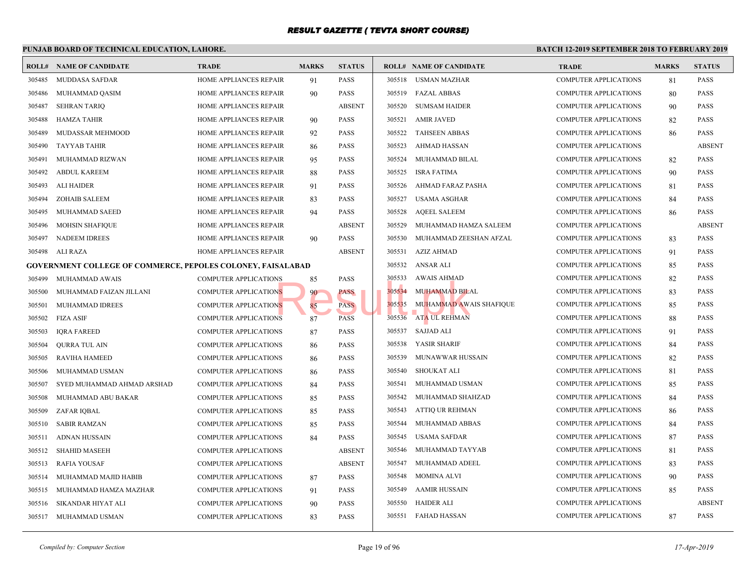#### **PUNJAB BOARD OF TECHNICAL EDUCATION, LAHORE. BATCH 12-ROLL# NAME OF CANDIDATE TRADE MARKS STATUS ROLL# NAME OF CANDIDATE TRADE MARKS STATUS** 305485 MUDDASA SAFDAR HOME APPLIANCES REPAIR 91 PASS 305486 MUHAMMAD QASIM HOME APPLIANCES REPAIR 90 PASS 305487 SEHRAN TARIQ HOME APPLIANCES REPAIR ABSENT 305488 HAMZA TAHIR HOME APPLIANCES REPAIR 90 PASS 305489 MUDASSAR MEHMOOD HOME APPLIANCES REPAIR 92 PASS 305490 TAYYAB TAHIR HOME APPLIANCES REPAIR 86 PASS 305491 MUHAMMAD RIZWAN HOME APPLIANCES REPAIR 95 PASS 305492 ABDUL KAREEM HOME APPLIANCES REPAIR 88 PASS 305493 ALI HAIDER HOME APPLIANCES REPAIR 91 PASS 305494 ZOHAIB SALEEM HOME APPLIANCES REPAIR 83 PASS 305495 MUHAMMAD SAEED HOME APPLIANCES REPAIR 94 PASS 305496 MOHSIN SHAFIQUE HOME APPLIANCES REPAIR ABSENT 305497 NADEEM IDREES HOME APPLIANCES REPAIR 90 PASS 305498 ALI RAZA HOME APPLIANCES REPAIR ABSENT **GOVERNMENT COLLEGE OF COMMERCE, PEPOLES COLONEY, FAISALABAD** 305499 MUHAMMAD AWAIS COMPUTER APPLICATIONS 85 PASS 305500 MUHAMMAD FAIZAN JILLANI COMPUTER APPLICATIONS 90 PASS 305501 MUHAMMAD IDREES COMPUTER APPLICATIONS 85 PASS 305502 FIZA ASIF COMPUTER APPLICATIONS 87 PASS 305503 IQRA FAREED COMPUTER APPLICATIONS 87 PASS 305504 QURRA TUL AIN COMPUTER APPLICATIONS 86 PASS 305505 RAVIHA HAMEED COMPUTER APPLICATIONS 86 PASS 305506 MUHAMMAD USMAN COMPUTER APPLICATIONS 86 PASS 305507 SYED MUHAMMAD AHMAD ARSHAD COMPUTER APPLICATIONS 84 PASS 305508 MUHAMMAD ABU BAKAR COMPUTER APPLICATIONS 85 PASS 305509 ZAFAR IQBAL COMPUTER APPLICATIONS 85 PASS 305510 SABIR RAMZAN COMPUTER APPLICATIONS 85 PASS 305511 ADNAN HUSSAIN COMPUTER APPLICATIONS 84 PASS 305512 SHAHID MASEEH COMPUTER APPLICATIONS ABSENT 305513 RAFIA YOUSAF COMPUTER APPLICATIONS ABSENT 305514 MUHAMMAD MAJID HABIB COMPUTER APPLICATIONS 87 PASS 305515 MUHAMMAD HAMZA MAZHAR COMPUTER APPLICATIONS 91 PASS 305516 SIKANDAR HIYAT ALI COMPUTER APPLICATIONS 90 PASS 305517 MUHAMMAD USMAN COMPUTER APPLICATIONS 83 PASS 305518 USMAN MAZHAR COMP 305519 FAZAL ABBAS COMP 305520 SUMSAM HAIDER COMP 305521 AMIR JAVED COMP 305522 TAHSEEN ABBAS COMP 305523 AHMAD HASSAN COMP 305524 MUHAMMAD BILAL COMP 305525 ISRA FATIMA COMP 305526 AHMAD FARAZ PASHA COMP 305527 USAMA ASGHAR COMP 305528 AQEEL SALEEM COMP 305529 MUHAMMAD HAMZA SALEEM COMP 305530 MUHAMMAD ZEESHAN AFZAL COMP 305531 AZIZ AHMAD COMP 305532 ANSAR ALI COMP 305533 AWAIS AHMAD COMP 305534 MUHAMMAD BILAL COMP 305535 MUHAMMAD AWAIS SHAFIQUE COMP 305536 ATA UL REHMAN COMP 305537 SAJJAD ALI COMP 305538 YASIR SHARIF COMP 305539 MUNAWWAR HUSSAIN COMP 305540 SHOUKAT ALI COMP 305541 MUHAMMAD USMAN COMP 305542 MUHAMMAD SHAHZAD COMP 305543 ATTIQ UR REHMAN COMP 305544 MUHAMMAD ABBAS COMP 305545 USAMA SAFDAR COMP 305546 MUHAMMAD TAYYAB COMP 305547 MUHAMMAD ADEEL COMP 305548 MOMINA ALVI COMP 305549 AAMIR HUSSAIN COMP 305550 HAIDER ALI COMP 305551 FAHAD HASSAN COMP NS 85 PASS<br>NS 85 PASS 305534 MUHAMMAD BIL.<br>RNS 87 PASS 305535 MUHAMMAD AW.<br>205536 ATA UL REHMAN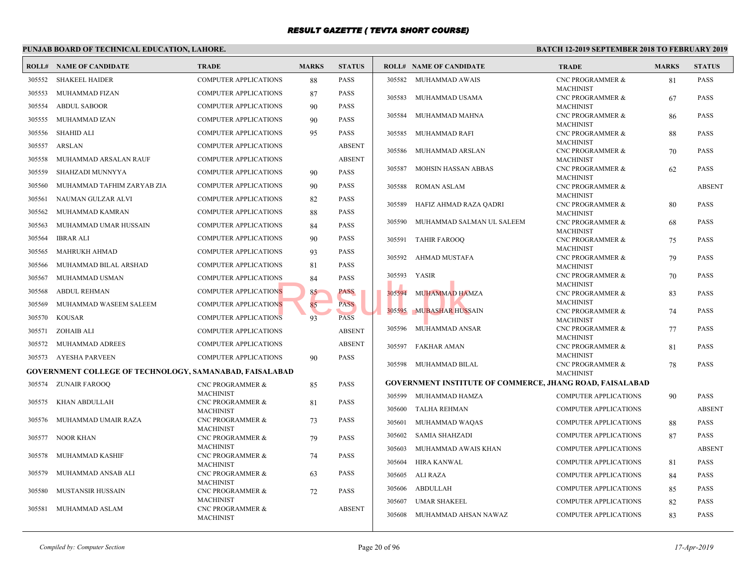|        | PUNJAB BOARD OF TECHNICAL EDUCATION, LAHORE.<br><b>BATCH 12-</b> |                                                 |              |               |        |                                                |                                 |  |  |  |  |  |
|--------|------------------------------------------------------------------|-------------------------------------------------|--------------|---------------|--------|------------------------------------------------|---------------------------------|--|--|--|--|--|
|        | <b>ROLL# NAME OF CANDIDATE</b>                                   | <b>TRADE</b>                                    | <b>MARKS</b> | <b>STATUS</b> |        | <b>ROLL# NAME OF CANDIDATE</b>                 | <b>TRAI</b>                     |  |  |  |  |  |
| 305552 | <b>SHAKEEL HAIDER</b>                                            | <b>COMPUTER APPLICATIONS</b>                    | 88           | <b>PASS</b>   | 305582 | MUHAMMAD AWAIS                                 | <b>CNCP</b>                     |  |  |  |  |  |
| 305553 | MUHAMMAD FIZAN                                                   | <b>COMPUTER APPLICATIONS</b>                    | 87           | <b>PASS</b>   | 305583 | MUHAMMAD USAMA                                 | <b>MACH</b><br>CNC <sub>P</sub> |  |  |  |  |  |
| 305554 | <b>ABDUL SABOOR</b>                                              | <b>COMPUTER APPLICATIONS</b>                    | 90           | <b>PASS</b>   |        |                                                | <b>MACF</b>                     |  |  |  |  |  |
| 305555 | MUHAMMAD IZAN                                                    | COMPUTER APPLICATIONS                           | 90           | <b>PASS</b>   | 305584 | MUHAMMAD MAHNA                                 | <b>CNCP</b>                     |  |  |  |  |  |
| 305556 | <b>SHAHID ALI</b>                                                | COMPUTER APPLICATIONS                           | 95           | <b>PASS</b>   | 305585 | MUHAMMAD RAFI                                  | <b>MACH</b><br>CNC P            |  |  |  |  |  |
|        |                                                                  |                                                 |              | <b>ABSENT</b> |        |                                                | <b>MACH</b>                     |  |  |  |  |  |
| 305557 | ARSLAN                                                           | <b>COMPUTER APPLICATIONS</b>                    |              |               | 305586 | MUHAMMAD ARSLAN                                | CNC <sub>P</sub>                |  |  |  |  |  |
| 305558 | MUHAMMAD ARSALAN RAUF                                            | <b>COMPUTER APPLICATIONS</b>                    |              | <b>ABSENT</b> | 305587 | MOHSIN HASSAN ABBAS                            | <b>MACH</b><br>CNC <sub>P</sub> |  |  |  |  |  |
| 305559 | SHAHZADI MUNNYYA                                                 | <b>COMPUTER APPLICATIONS</b>                    | 90           | <b>PASS</b>   |        |                                                | <b>MACF</b>                     |  |  |  |  |  |
| 305560 | MUHAMMAD TAFHIM ZARYAB ZIA                                       | <b>COMPUTER APPLICATIONS</b>                    | 90           | <b>PASS</b>   | 305588 | <b>ROMAN ASLAM</b>                             | CNC <sub>P</sub>                |  |  |  |  |  |
| 305561 | NAUMAN GULZAR ALVI                                               | COMPUTER APPLICATIONS                           | 82           | PASS          | 305589 | HAFIZ AHMAD RAZA QADRI                         | <b>MACH</b><br>CNC <sub>P</sub> |  |  |  |  |  |
| 305562 | MUHAMMAD KAMRAN                                                  | COMPUTER APPLICATIONS                           | 88           | <b>PASS</b>   |        |                                                | <b>MACH</b>                     |  |  |  |  |  |
| 305563 | MUHAMMAD UMAR HUSSAIN                                            | COMPUTER APPLICATIONS                           | 84           | <b>PASS</b>   | 305590 | MUHAMMAD SALMAN UL SALEEM                      | CNC <sub>P</sub>                |  |  |  |  |  |
| 305564 | <b>IBRAR ALI</b>                                                 | COMPUTER APPLICATIONS                           | 90           | <b>PASS</b>   | 305591 | TAHIR FAROOQ                                   | <b>MACF</b><br>CNC <sub>P</sub> |  |  |  |  |  |
| 305565 | MAHRUKH AHMAD                                                    | <b>COMPUTER APPLICATIONS</b>                    | 93           | PASS          |        |                                                | <b>MACH</b>                     |  |  |  |  |  |
| 305566 | MUHAMMAD BILAL ARSHAD                                            | <b>COMPUTER APPLICATIONS</b>                    | 81           | <b>PASS</b>   | 305592 | AHMAD MUSTAFA                                  | CNC P<br><b>MACH</b>            |  |  |  |  |  |
| 305567 | MUHAMMAD USMAN                                                   | <b>COMPUTER APPLICATIONS</b>                    | 84           | <b>PASS</b>   | 305593 | YASIR                                          | CNC <sub>P</sub>                |  |  |  |  |  |
| 305568 | <b>ABDUL REHMAN</b>                                              | <b>COMPUTER APPLICATIONS</b>                    | 85           | PASS          | 305594 |                                                | <b>MACH</b><br>CNC <sub>P</sub> |  |  |  |  |  |
| 305569 | MUHAMMAD WASEEM SALEEM                                           | <b>COMPUTER APPLICATIONS</b>                    | 85           | <b>PASS</b>   |        | <b>MUHAMMAD HAMZA</b>                          | <b>MACH</b>                     |  |  |  |  |  |
|        |                                                                  |                                                 |              |               | 305595 | <b>MUBASHAR HUSSAIN</b>                        | CNC <sub>P</sub>                |  |  |  |  |  |
| 305570 | <b>KOUSAR</b>                                                    | <b>COMPUTER APPLICATIONS</b>                    | 93           | <b>PASS</b>   | 305596 |                                                | MACH<br>CNC <sub>P</sub>        |  |  |  |  |  |
| 305571 | ZOHAIB ALI                                                       | <b>COMPUTER APPLICATIONS</b>                    |              | <b>ABSENT</b> |        | MUHAMMAD ANSAR                                 | <b>MACH</b>                     |  |  |  |  |  |
| 305572 | MUHAMMAD ADREES                                                  | <b>COMPUTER APPLICATIONS</b>                    |              | <b>ABSENT</b> | 305597 | FAKHAR AMAN                                    | CNC <sub>P</sub>                |  |  |  |  |  |
| 305573 | AYESHA PARVEEN                                                   | <b>COMPUTER APPLICATIONS</b>                    | 90           | <b>PASS</b>   | 305598 | MUHAMMAD BILAL                                 | <b>MACH</b><br>CNC P            |  |  |  |  |  |
|        | GOVERNMENT COLLEGE OF TECHNOLOGY, SAMANABAD, FAISALABAD          |                                                 |              |               |        |                                                | <b>MACH</b>                     |  |  |  |  |  |
|        | 305574 ZUNAIR FAROOQ                                             | <b>CNC PROGRAMMER &amp;</b>                     | 85           | <b>PASS</b>   |        | <b>GOVERNMENT INSTITUTE OF COMMERCE, JHANG</b> |                                 |  |  |  |  |  |
| 305575 | KHAN ABDULLAH                                                    | <b>MACHINIST</b><br><b>CNC PROGRAMMER &amp;</b> |              | <b>PASS</b>   | 305599 | MUHAMMAD HAMZA                                 | <b>COMP</b>                     |  |  |  |  |  |
|        |                                                                  | <b>MACHINIST</b>                                | 81           |               | 305600 | TALHA REHMAN                                   | <b>COMP</b>                     |  |  |  |  |  |
| 305576 | MUHAMMAD UMAIR RAZA                                              | CNC PROGRAMMER &                                | 73           | <b>PASS</b>   | 305601 | MUHAMMAD WAQAS                                 | <b>COMP</b>                     |  |  |  |  |  |
| 305577 | NOOR KHAN                                                        | <b>MACHINIST</b><br><b>CNC PROGRAMMER &amp;</b> | 79           | <b>PASS</b>   | 305602 | SAMIA SHAHZADI                                 | COMP                            |  |  |  |  |  |
|        |                                                                  | <b>MACHINIST</b>                                |              |               | 305603 | MUHAMMAD AWAIS KHAN                            | <b>COMP</b>                     |  |  |  |  |  |
| 305578 | MUHAMMAD KASHIF                                                  | CNC PROGRAMMER &<br><b>MACHINIST</b>            | 74           | <b>PASS</b>   | 305604 | <b>HIRA KANWAL</b>                             | <b>COMP</b>                     |  |  |  |  |  |
| 305579 | MUHAMMAD ANSAB ALI                                               | <b>CNC PROGRAMMER &amp;</b><br><b>MACHINIST</b> | 63           | <b>PASS</b>   | 305605 | ALI RAZA                                       | <b>COMP</b>                     |  |  |  |  |  |
| 305580 | <b>MUSTANSIR HUSSAIN</b>                                         | CNC PROGRAMMER &                                | 72           | <b>PASS</b>   | 305606 | ABDULLAH                                       | <b>COMP</b>                     |  |  |  |  |  |
|        |                                                                  | <b>MACHINIST</b>                                |              |               | 305607 | UMAR SHAKEEL                                   | COMP                            |  |  |  |  |  |
| 305581 | MUHAMMAD ASLAM                                                   | CNC PROGRAMMER &<br><b>MACHINIST</b>            |              | <b>ABSENT</b> | 305608 | MUHAMMAD AHSAN NAWAZ                           | <b>COMP</b>                     |  |  |  |  |  |
|        |                                                                  |                                                 |              |               |        |                                                |                                 |  |  |  |  |  |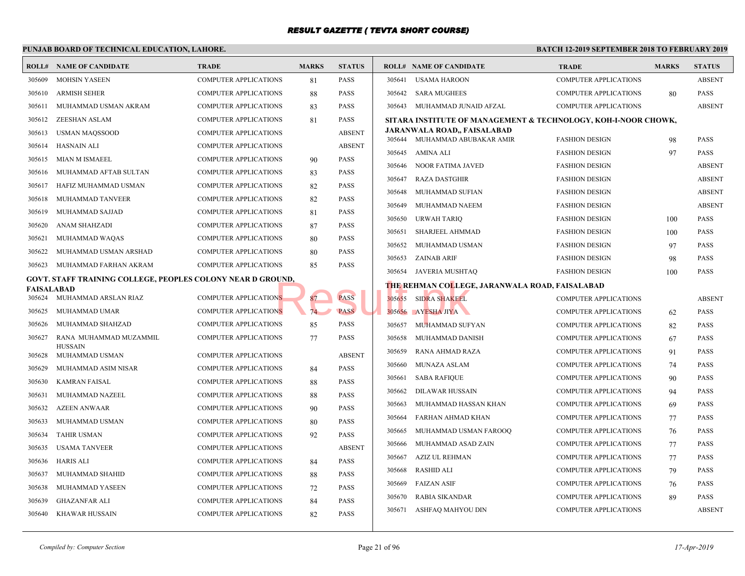|                   | PUNJAB BOARD OF TECHNICAL EDUCATION, LAHORE.                       |                              | <b>BATCH 12-</b> |               |        |                                                  |              |
|-------------------|--------------------------------------------------------------------|------------------------------|------------------|---------------|--------|--------------------------------------------------|--------------|
|                   | <b>ROLL# NAME OF CANDIDATE</b>                                     | <b>TRADE</b>                 | <b>MARKS</b>     | <b>STATUS</b> |        | <b>ROLL# NAME OF CANDIDATE</b>                   | <b>TRAL</b>  |
| 305609            | <b>MOHSIN YASEEN</b>                                               | <b>COMPUTER APPLICATIONS</b> | 81               | <b>PASS</b>   | 305641 | <b>USAMA HAROON</b>                              | COMP         |
| 305610            | <b>ARMISH SEHER</b>                                                | <b>COMPUTER APPLICATIONS</b> | 88               | <b>PASS</b>   | 305642 | <b>SARA MUGHEES</b>                              | <b>COMP</b>  |
| 305611            | MUHAMMAD USMAN AKRAM                                               | <b>COMPUTER APPLICATIONS</b> | 83               | <b>PASS</b>   | 305643 | MUHAMMAD JUNAID AFZAL                            | <b>COMP</b>  |
| 305612            | ZEESHAN ASLAM                                                      | COMPUTER APPLICATIONS        | 81               | <b>PASS</b>   |        | SITARA INSTITUTE OF MANAGEMENT & TECHNOLO        |              |
| 305613            | <b>USMAN MAQSSOOD</b>                                              | <b>COMPUTER APPLICATIONS</b> |                  | <b>ABSENT</b> |        | JARANWALA ROAD,, FAISALABAD                      |              |
| 305614            | HASNAIN ALI                                                        | <b>COMPUTER APPLICATIONS</b> |                  | <b>ABSENT</b> | 305645 | 305644 MUHAMMAD ABUBAKAR AMIR                    | <b>FASHI</b> |
| 305615            | MIAN M ISMAEEL                                                     | <b>COMPUTER APPLICATIONS</b> | 90               | <b>PASS</b>   |        | AMINA ALI                                        | <b>FASHI</b> |
| 305616            | MUHAMMAD AFTAB SULTAN                                              | COMPUTER APPLICATIONS        | 83               | <b>PASS</b>   | 305646 | NOOR FATIMA JAVED                                | <b>FASHI</b> |
| 305617            | HAFIZ MUHAMMAD USMAN                                               | <b>COMPUTER APPLICATIONS</b> | 82               | <b>PASS</b>   | 305647 | <b>RAZA DASTGHIR</b>                             | <b>FASHI</b> |
| 305618            | MUHAMMAD TANVEER                                                   | COMPUTER APPLICATIONS        | 82               | <b>PASS</b>   | 305648 | MUHAMMAD SUFIAN                                  | FASHI        |
| 305619            | MUHAMMAD SAJJAD                                                    | <b>COMPUTER APPLICATIONS</b> | 81               | <b>PASS</b>   | 305649 | MUHAMMAD NAEEM                                   | FASHI        |
| 305620            | ANAM SHAHZADI                                                      | <b>COMPUTER APPLICATIONS</b> | 87               | <b>PASS</b>   | 305650 | <b>URWAH TARIQ</b>                               | FASHI        |
| 305621            | MUHAMMAD WAQAS                                                     | <b>COMPUTER APPLICATIONS</b> | 80               | <b>PASS</b>   | 305651 | SHARJEEL AHMMAD                                  | FASHI        |
| 305622            | MUHAMMAD USMAN ARSHAD                                              | <b>COMPUTER APPLICATIONS</b> | 80               | <b>PASS</b>   | 305652 | MUHAMMAD USMAN                                   | FASH         |
| 305623            | MUHAMMAD FARHAN AKRAM                                              | <b>COMPUTER APPLICATIONS</b> | 85               | <b>PASS</b>   | 305653 | <b>ZAINAB ARIF</b>                               | FASH         |
|                   | <b>GOVT. STAFF TRAINING COLLEGE, PEOPLES COLONY NEAR D GROUND,</b> |                              |                  |               |        | 305654 JAVERIA MUSHTAQ                           | FASH         |
| <b>FAISALABAD</b> |                                                                    |                              |                  |               |        | <b>THE REHMAN COLLEGE, JARANWALA ROAD, FAISA</b> |              |
|                   | 305624 MUHAMMAD ARSLAN RIAZ                                        | <b>COMPUTER APPLICATIONS</b> | 87               | <b>PASS</b>   | 305655 | <b>SIDRA SHAKEEL</b>                             | COMP         |
| 305625            | MUHAMMAD UMAR                                                      | <b>COMPUTER APPLICATIONS</b> | 74               | <b>PASS</b>   | 305656 | AYESHA JIYA                                      | COMP         |
| 305626            | MUHAMMAD SHAHZAD                                                   | <b>COMPUTER APPLICATIONS</b> | 85               | <b>PASS</b>   | 305657 | MUHAMMAD SUFYAN                                  | <b>COMP</b>  |
| 305627            | RANA MUHAMMAD MUZAMMIL<br><b>HUSSAIN</b>                           | <b>COMPUTER APPLICATIONS</b> | 77               | <b>PASS</b>   | 305658 | MUHAMMAD DANISH                                  | <b>COMP</b>  |
| 305628            | MUHAMMAD USMAN                                                     | <b>COMPUTER APPLICATIONS</b> |                  | <b>ABSENT</b> | 305659 | RANA AHMAD RAZA                                  | <b>COMP</b>  |
| 305629            | MUHAMMAD ASIM NISAR                                                | <b>COMPUTER APPLICATIONS</b> | 84               | <b>PASS</b>   | 305660 | MUNAZA ASLAM                                     | <b>COMP</b>  |
| 305630            | <b>KAMRAN FAISAL</b>                                               | <b>COMPUTER APPLICATIONS</b> | 88               | <b>PASS</b>   | 305661 | <b>SABA RAFIQUE</b>                              | <b>COMP</b>  |
| 305631            | MUHAMMAD NAZEEL                                                    | <b>COMPUTER APPLICATIONS</b> | 88               | <b>PASS</b>   | 305662 | <b>DILAWAR HUSSAIN</b>                           | <b>COMP</b>  |
| 305632            | <b>AZEEN ANWAAR</b>                                                | <b>COMPUTER APPLICATIONS</b> | 90               | <b>PASS</b>   | 305663 | MUHAMMAD HASSAN KHAN                             | <b>COMP</b>  |
| 305633            | MUHAMMAD USMAN                                                     | <b>COMPUTER APPLICATIONS</b> | 80               | <b>PASS</b>   | 305664 | FARHAN AHMAD KHAN                                | <b>COMP</b>  |
| 305634            | <b>TAHIR USMAN</b>                                                 | <b>COMPUTER APPLICATIONS</b> | 92               | <b>PASS</b>   | 305665 | MUHAMMAD USMAN FAROOQ                            | <b>COMP</b>  |
| 305635            | <b>USAMA TANVEER</b>                                               | <b>COMPUTER APPLICATIONS</b> |                  | <b>ABSENT</b> | 305666 | MUHAMMAD ASAD ZAIN                               | <b>COMP</b>  |
| 305636            | <b>HARIS ALI</b>                                                   | <b>COMPUTER APPLICATIONS</b> | 84               | <b>PASS</b>   | 305667 | AZIZ UL REHMAN                                   | <b>COMP</b>  |
| 305637            | MUHAMMAD SHAHID                                                    | <b>COMPUTER APPLICATIONS</b> | 88               | <b>PASS</b>   | 305668 | <b>RASHID ALI</b>                                | <b>COMP</b>  |
| 305638            | MUHAMMAD YASEEN                                                    | <b>COMPUTER APPLICATIONS</b> | 72               | <b>PASS</b>   | 305669 | <b>FAIZAN ASIF</b>                               | <b>COMP</b>  |
| 305639            | <b>GHAZANFAR ALI</b>                                               | <b>COMPUTER APPLICATIONS</b> | 84               | <b>PASS</b>   | 305670 | RABIA SIKANDAR                                   | <b>COMP</b>  |
| 305640            | <b>KHAWAR HUSSAIN</b>                                              | <b>COMPUTER APPLICATIONS</b> | 82               | <b>PASS</b>   | 305671 | ASHFAQ MAHYOU DIN                                | COMP         |
|                   |                                                                    |                              |                  |               |        |                                                  |              |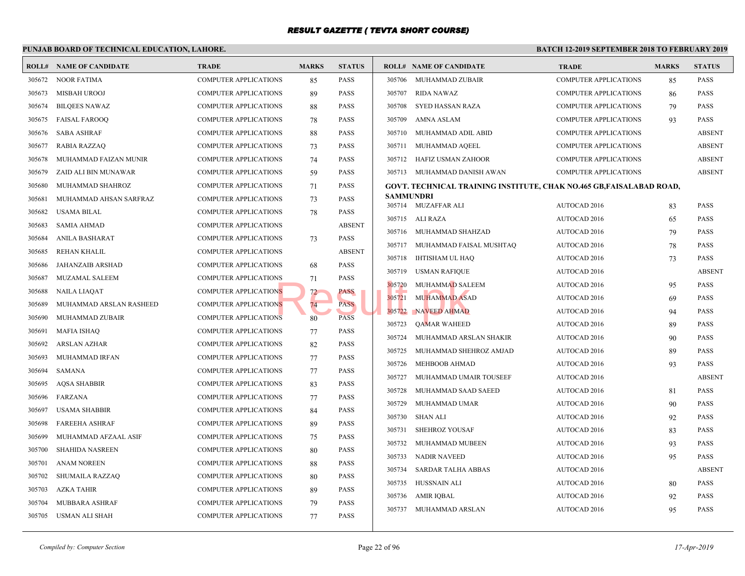|        | PUNJAB BOARD OF TECHNICAL EDUCATION, LAHORE. |                              |              |               |                  |                                             | <b>BATCH 12-</b> |
|--------|----------------------------------------------|------------------------------|--------------|---------------|------------------|---------------------------------------------|------------------|
|        | <b>ROLL# NAME OF CANDIDATE</b>               | <b>TRADE</b>                 | <b>MARKS</b> | <b>STATUS</b> |                  | <b>ROLL# NAME OF CANDIDATE</b>              | <b>TRAI</b>      |
| 305672 | <b>NOOR FATIMA</b>                           | COMPUTER APPLICATIONS        | 85           | <b>PASS</b>   | 305706           | MUHAMMAD ZUBAIR                             | COMP             |
| 305673 | MISBAH UROOJ                                 | <b>COMPUTER APPLICATIONS</b> | 89           | <b>PASS</b>   | 305707           | RIDA NAWAZ                                  | <b>COMP</b>      |
| 305674 | <b>BILQEES NAWAZ</b>                         | <b>COMPUTER APPLICATIONS</b> | 88           | <b>PASS</b>   | 305708           | SYED HASSAN RAZA                            | <b>COMP</b>      |
| 305675 | <b>FAISAL FAROOQ</b>                         | <b>COMPUTER APPLICATIONS</b> | 78           | <b>PASS</b>   | 305709           | AMNA ASLAM                                  | <b>COMP</b>      |
| 305676 | <b>SABA ASHRAF</b>                           | <b>COMPUTER APPLICATIONS</b> | 88           | <b>PASS</b>   | 305710           | MUHAMMAD ADIL ABID                          | <b>COMP</b>      |
| 305677 | <b>RABIA RAZZAQ</b>                          | <b>COMPUTER APPLICATIONS</b> | 73           | <b>PASS</b>   | 305711           | MUHAMMAD AQEEL                              | <b>COMP</b>      |
| 305678 | MUHAMMAD FAIZAN MUNIR                        | <b>COMPUTER APPLICATIONS</b> | 74           | <b>PASS</b>   | 305712           | HAFIZ USMAN ZAHOOR                          | <b>COMP</b>      |
| 305679 | ZAID ALI BIN MUNAWAR                         | <b>COMPUTER APPLICATIONS</b> | 59           | <b>PASS</b>   |                  | 305713 MUHAMMAD DANISH AWAN                 | <b>COMP</b>      |
| 305680 | MUHAMMAD SHAHROZ                             | <b>COMPUTER APPLICATIONS</b> | 71           | <b>PASS</b>   |                  | GOVT. TECHNICAL TRAINING INSTITUTE, CHAK NO |                  |
| 305681 | MUHAMMAD AHSAN SARFRAZ                       | <b>COMPUTER APPLICATIONS</b> | 73           | <b>PASS</b>   | <b>SAMMUNDRI</b> |                                             |                  |
| 305682 | <b>USAMA BILAL</b>                           | <b>COMPUTER APPLICATIONS</b> | 78           | <b>PASS</b>   |                  | 305714 MUZAFFAR ALI                         | <b>AUTO</b>      |
| 305683 | <b>SAMIA AHMAD</b>                           | COMPUTER APPLICATIONS        |              | <b>ABSENT</b> | 305715           | ALI RAZA                                    | <b>AUTO</b>      |
| 305684 | ANILA BASHARAT                               | COMPUTER APPLICATIONS        | 73           | <b>PASS</b>   | 305716           | MUHAMMAD SHAHZAD                            | <b>AUTO</b>      |
| 305685 | <b>REHAN KHALIL</b>                          | <b>COMPUTER APPLICATIONS</b> |              | <b>ABSENT</b> | 305717           | MUHAMMAD FAISAL MUSHTAQ                     | <b>AUTO</b>      |
| 305686 | JAHANZAIB ARSHAD                             | <b>COMPUTER APPLICATIONS</b> | 68           | <b>PASS</b>   | 305718           | IHTISHAM UL HAQ                             | <b>AUTO</b>      |
| 305687 | MUZAMAL SALEEM                               | <b>COMPUTER APPLICATIONS</b> | 71           | <b>PASS</b>   | 305719           | <b>USMAN RAFIQUE</b>                        | <b>AUTO</b>      |
| 305688 | <b>NAILA LIAQAT</b>                          | <b>COMPUTER APPLICATIONS</b> | 72           | PASS          | 305720           | MUHAMMAD SALEEM                             | <b>AUTO</b>      |
| 305689 | MUHAMMAD ARSLAN RASHEED                      | <b>COMPUTER APPLICATIONS</b> | 74           | <b>PASS</b>   | 305721           | <b>MUHAMMAD ASAD</b>                        | <b>AUTO</b>      |
| 305690 | MUHAMMAD ZUBAIR                              | <b>COMPUTER APPLICATIONS</b> | 80           | <b>PASS</b>   | 305722           | NAVEED AHMAD                                | <b>AUTO</b>      |
| 305691 | <b>MAFIA ISHAQ</b>                           | <b>COMPUTER APPLICATIONS</b> | 77           | <b>PASS</b>   | 305723           | <b>QAMAR WAHEED</b>                         | <b>AUTO</b>      |
| 305692 | ARSLAN AZHAR                                 | COMPUTER APPLICATIONS        | 82           | <b>PASS</b>   | 305724           | MUHAMMAD ARSLAN SHAKIR                      | <b>AUTO</b>      |
| 305693 | MUHAMMAD IRFAN                               | <b>COMPUTER APPLICATIONS</b> | 77           | <b>PASS</b>   | 305725           | MUHAMMAD SHEHROZ AMJAD                      | <b>AUTO</b>      |
| 305694 | <b>SAMANA</b>                                | <b>COMPUTER APPLICATIONS</b> | 77           | <b>PASS</b>   | 305726           | MEHBOOB AHMAD                               | <b>AUTO</b>      |
| 305695 | <b>AQSA SHABBIR</b>                          | <b>COMPUTER APPLICATIONS</b> | 83           | <b>PASS</b>   | 305727           | MUHAMMAD UMAIR TOUSEEF                      | <b>AUTO</b>      |
| 305696 | <b>FARZANA</b>                               | <b>COMPUTER APPLICATIONS</b> | 77           | <b>PASS</b>   | 305728           | MUHAMMAD SAAD SAEED                         | <b>AUTO</b>      |
| 305697 | <b>USAMA SHABBIR</b>                         | <b>COMPUTER APPLICATIONS</b> | 84           | <b>PASS</b>   | 305729           | MUHAMMAD UMAR                               | <b>AUTO</b>      |
| 305698 | <b>FAREEHA ASHRAF</b>                        | <b>COMPUTER APPLICATIONS</b> | 89           | <b>PASS</b>   | 305730           | SHAN ALI                                    | <b>AUTO</b>      |
| 305699 | MUHAMMAD AFZAAL ASIF                         | COMPUTER APPLICATIONS        | 75           | <b>PASS</b>   | 305731           | SHEHROZ YOUSAF                              | <b>AUTO</b>      |
| 305700 | <b>SHAHIDA NASREEN</b>                       | <b>COMPUTER APPLICATIONS</b> | 80           | <b>PASS</b>   | 305732           | MUHAMMAD MUBEEN                             | <b>AUTO</b>      |
| 305701 | <b>ANAM NOREEN</b>                           | <b>COMPUTER APPLICATIONS</b> | 88           | <b>PASS</b>   | 305733           | <b>NADIR NAVEED</b>                         | <b>AUTO</b>      |
| 305702 | SHUMAILA RAZZAQ                              | <b>COMPUTER APPLICATIONS</b> | 80           | <b>PASS</b>   | 305734           | <b>SARDAR TALHA ABBAS</b>                   | <b>AUTO</b>      |
| 305703 | AZKA TAHIR                                   | <b>COMPUTER APPLICATIONS</b> | 89           | <b>PASS</b>   | 305735           | HUSSNAIN ALI                                | <b>AUTO</b>      |
| 305704 | MUBBARA ASHRAF                               | <b>COMPUTER APPLICATIONS</b> | 79           | <b>PASS</b>   | 305736           | AMIR IQBAL                                  | <b>AUTO</b>      |
| 305705 | USMAN ALI SHAH                               | <b>COMPUTER APPLICATIONS</b> | 77           | <b>PASS</b>   | 305737           | MUHAMMAD ARSLAN                             | <b>AUTO</b>      |
|        |                                              |                              |              |               |                  |                                             |                  |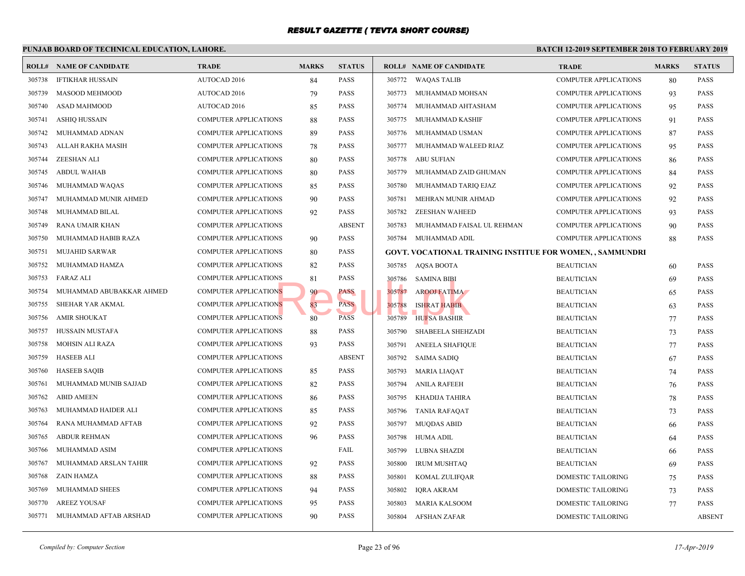|        | PUNJAB BOARD OF TECHNICAL EDUCATION, LAHORE. |                              |              |               |        |                                                   | <b>BATCH 12-</b> |
|--------|----------------------------------------------|------------------------------|--------------|---------------|--------|---------------------------------------------------|------------------|
|        | <b>ROLL# NAME OF CANDIDATE</b>               | <b>TRADE</b>                 | <b>MARKS</b> | <b>STATUS</b> |        | <b>ROLL# NAME OF CANDIDATE</b>                    | <b>TRAL</b>      |
| 305738 | <b>IFTIKHAR HUSSAIN</b>                      | AUTOCAD 2016                 | 84           | <b>PASS</b>   | 305772 | <b>WAQAS TALIB</b>                                | COMP             |
| 305739 | MASOOD MEHMOOD                               | <b>AUTOCAD 2016</b>          | 79           | <b>PASS</b>   | 305773 | MUHAMMAD MOHSAN                                   | <b>COMP</b>      |
| 305740 | ASAD MAHMOOD                                 | <b>AUTOCAD 2016</b>          | 85           | <b>PASS</b>   | 305774 | MUHAMMAD AHTASHAM                                 | <b>COMP</b>      |
| 305741 | ASHIQ HUSSAIN                                | COMPUTER APPLICATIONS        | 88           | <b>PASS</b>   | 305775 | MUHAMMAD KASHIF                                   | <b>COMP</b>      |
| 305742 | MUHAMMAD ADNAN                               | <b>COMPUTER APPLICATIONS</b> | 89           | <b>PASS</b>   | 305776 | MUHAMMAD USMAN                                    | <b>COMP</b>      |
| 305743 | ALLAH RAKHA MASIH                            | COMPUTER APPLICATIONS        | 78           | <b>PASS</b>   | 305777 | MUHAMMAD WALEED RIAZ                              | <b>COMP</b>      |
| 305744 | ZEESHAN ALI                                  | <b>COMPUTER APPLICATIONS</b> | 80           | PASS          | 305778 | <b>ABU SUFIAN</b>                                 | COMP             |
| 305745 | <b>ABDUL WAHAB</b>                           | COMPUTER APPLICATIONS        | 80           | <b>PASS</b>   | 305779 | MUHAMMAD ZAID GHUMAN                              | <b>COMP</b>      |
| 305746 | MUHAMMAD WAQAS                               | <b>COMPUTER APPLICATIONS</b> | 85           | <b>PASS</b>   | 305780 | MUHAMMAD TARIQ EJAZ                               | <b>COMP</b>      |
| 305747 | MUHAMMAD MUNIR AHMED                         | COMPUTER APPLICATIONS        | 90           | <b>PASS</b>   | 305781 | MEHRAN MUNIR AHMAD                                | <b>COMP</b>      |
| 305748 | MUHAMMAD BILAL                               | <b>COMPUTER APPLICATIONS</b> | 92           | <b>PASS</b>   | 305782 | <b>ZEESHAN WAHEED</b>                             | <b>COMP</b>      |
| 305749 | RANA UMAIR KHAN                              | <b>COMPUTER APPLICATIONS</b> |              | <b>ABSENT</b> | 305783 | MUHAMMAD FAISAL UL REHMAN                         | <b>COMP</b>      |
| 305750 | MUHAMMAD HABIB RAZA                          | <b>COMPUTER APPLICATIONS</b> | 90           | <b>PASS</b>   | 305784 | MUHAMMAD ADIL                                     | <b>COMP</b>      |
| 305751 | <b>MUJAHID SARWAR</b>                        | <b>COMPUTER APPLICATIONS</b> | 80           | <b>PASS</b>   |        | <b>GOVT. VOCATIONAL TRAINING INSTITUE FOR WON</b> |                  |
| 305752 | MUHAMMAD HAMZA                               | <b>COMPUTER APPLICATIONS</b> | 82           | <b>PASS</b>   | 305785 | AQSA BOOTA                                        | <b>BEAU</b>      |
| 305753 | <b>FARAZ ALI</b>                             | <b>COMPUTER APPLICATIONS</b> | 81           | <b>PASS</b>   | 305786 | <b>SAMINA BIBI</b>                                | <b>BEAU</b>      |
| 305754 | MUHAMMAD ABUBAKKAR AHMED                     | <b>COMPUTER APPLICATIONS</b> | 90           | PASS          | 305787 | <b>AROOJ FATIMA</b>                               | <b>BEAU</b>      |
| 305755 | SHEHAR YAR AKMAL                             | <b>COMPUTER APPLICATIONS</b> | 83           | <b>PASS</b>   | 305788 | <b>ISHRAT HABIB</b>                               | <b>BEAU</b>      |
| 305756 | <b>AMIR SHOUKAT</b>                          | COMPUTER APPLICATIONS        | 80           | <b>PASS</b>   | 305789 | HUFSA BASHIR                                      | <b>BEAU</b>      |
| 305757 | HUSSAIN MUSTAFA                              | <b>COMPUTER APPLICATIONS</b> | 88           | <b>PASS</b>   | 305790 | SHABEELA SHEHZADI                                 | <b>BEAU</b>      |
| 305758 | <b>MOHSIN ALI RAZA</b>                       | <b>COMPUTER APPLICATIONS</b> | 93           | <b>PASS</b>   | 305791 | <b>ANEELA SHAFIQUE</b>                            | <b>BEAU</b>      |
| 305759 | <b>HASEEB ALI</b>                            | <b>COMPUTER APPLICATIONS</b> |              | <b>ABSENT</b> | 305792 | <b>SAIMA SADIQ</b>                                | <b>BEAU</b>      |
| 305760 | <b>HASEEB SAQIB</b>                          | <b>COMPUTER APPLICATIONS</b> | 85           | <b>PASS</b>   | 305793 | <b>MARIA LIAQAT</b>                               | <b>BEAU</b>      |
| 305761 | MUHAMMAD MUNIB SAJJAD                        | <b>COMPUTER APPLICATIONS</b> | 82           | <b>PASS</b>   | 305794 | <b>ANILA RAFEEH</b>                               | <b>BEAU</b>      |
| 305762 | <b>ABID AMEEN</b>                            | <b>COMPUTER APPLICATIONS</b> | 86           | <b>PASS</b>   | 305795 | KHADIJA TAHIRA                                    | <b>BEAU</b>      |
| 305763 | MUHAMMAD HAIDER ALI                          | <b>COMPUTER APPLICATIONS</b> | 85           | <b>PASS</b>   | 305796 | <b>TANIA RAFAQAT</b>                              | <b>BEAU</b>      |
| 305764 | RANA MUHAMMAD AFTAB                          | <b>COMPUTER APPLICATIONS</b> | 92           | <b>PASS</b>   | 305797 | <b>MUQDAS ABID</b>                                | <b>BEAU</b>      |
| 305765 | <b>ABDUR REHMAN</b>                          | <b>COMPUTER APPLICATIONS</b> | 96           | <b>PASS</b>   | 305798 | HUMA ADIL                                         | <b>BEAU</b>      |
| 305766 | MUHAMMAD ASIM                                | <b>COMPUTER APPLICATIONS</b> |              | FAIL          | 305799 | LUBNA SHAZDI                                      | <b>BEAU</b>      |
| 305767 | MUHAMMAD ARSLAN TAHIR                        | COMPUTER APPLICATIONS        | 92           | <b>PASS</b>   | 305800 | <b>IRUM MUSHTAQ</b>                               | <b>BEAU</b>      |
| 305768 | ZAIN HAMZA                                   | COMPUTER APPLICATIONS        | 88           | <b>PASS</b>   | 305801 | KOMAL ZULIFQAR                                    | <b>DOME</b>      |
| 305769 | MUHAMMAD SHEES                               | COMPUTER APPLICATIONS        | 94           | <b>PASS</b>   | 305802 | <b>IQRA AKRAM</b>                                 | <b>DOME</b>      |
| 305770 | <b>AREEZ YOUSAF</b>                          | <b>COMPUTER APPLICATIONS</b> | 95           | <b>PASS</b>   | 305803 | <b>MARIA KALSOOM</b>                              | <b>DOME</b>      |
| 305771 | MUHAMMAD AFTAB ARSHAD                        | <b>COMPUTER APPLICATIONS</b> | 90           | <b>PASS</b>   | 305804 | <b>AFSHAN ZAFAR</b>                               | <b>DOME</b>      |
|        |                                              |                              |              |               |        |                                                   |                  |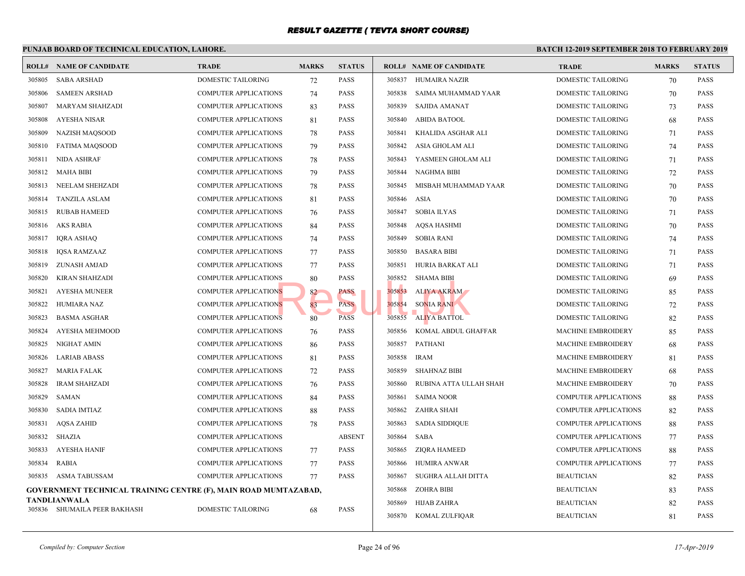|        | PUNJAB BOARD OF TECHNICAL EDUCATION, LAHORE.                    | <b>BATCH 12-2</b>            |              |               |             |                                |             |
|--------|-----------------------------------------------------------------|------------------------------|--------------|---------------|-------------|--------------------------------|-------------|
|        | <b>ROLL# NAME OF CANDIDATE</b>                                  | <b>TRADE</b>                 | <b>MARKS</b> | <b>STATUS</b> |             | <b>ROLL# NAME OF CANDIDATE</b> | <b>TRAL</b> |
| 305805 | <b>SABA ARSHAD</b>                                              | DOMESTIC TAILORING           | 72           | <b>PASS</b>   | 305837      | HUMAIRA NAZIR                  | <b>DOME</b> |
| 305806 | <b>SAMEEN ARSHAD</b>                                            | <b>COMPUTER APPLICATIONS</b> | 74           | <b>PASS</b>   | 305838      | SAIMA MUHAMMAD YAAR            | <b>DOME</b> |
| 305807 | <b>MARYAM SHAHZADI</b>                                          | <b>COMPUTER APPLICATIONS</b> | 83           | <b>PASS</b>   | 305839      | <b>SAJIDA AMANAT</b>           | <b>DOME</b> |
| 305808 | AYESHA NISAR                                                    | <b>COMPUTER APPLICATIONS</b> | 81           | <b>PASS</b>   |             | 305840 ABIDA BATOOL            | <b>DOME</b> |
| 305809 | NAZISH MAQSOOD                                                  | COMPUTER APPLICATIONS        | 78           | <b>PASS</b>   | 305841      | KHALIDA ASGHAR ALI             | <b>DOME</b> |
| 305810 | <b>FATIMA MAQSOOD</b>                                           | COMPUTER APPLICATIONS        | 79           | <b>PASS</b>   | 305842      | ASIA GHOLAM ALI                | <b>DOME</b> |
| 305811 | <b>NIDA ASHRAF</b>                                              | COMPUTER APPLICATIONS        | 78           | <b>PASS</b>   | 305843      | YASMEEN GHOLAM ALI             | <b>DOME</b> |
| 305812 | <b>MAHA BIBI</b>                                                | COMPUTER APPLICATIONS        | 79           | <b>PASS</b>   | 305844      | NAGHMA BIBI                    | <b>DOME</b> |
| 305813 | NEELAM SHEHZADI                                                 | COMPUTER APPLICATIONS        | 78           | <b>PASS</b>   | 305845      | MISBAH MUHAMMAD YAAR           | <b>DOME</b> |
| 305814 | <b>TANZILA ASLAM</b>                                            | COMPUTER APPLICATIONS        | 81           | <b>PASS</b>   | 305846 ASIA |                                | <b>DOME</b> |
| 305815 | <b>RUBAB HAMEED</b>                                             | COMPUTER APPLICATIONS        | 76           | <b>PASS</b>   | 305847      | <b>SOBIA ILYAS</b>             | <b>DOME</b> |
| 305816 | AKS RABIA                                                       | <b>COMPUTER APPLICATIONS</b> | 84           | <b>PASS</b>   | 305848      | AQSA HASHMI                    | <b>DOME</b> |
| 305817 | <b>IQRA ASHAQ</b>                                               | COMPUTER APPLICATIONS        | 74           | <b>PASS</b>   | 305849      | <b>SOBIA RANI</b>              | <b>DOME</b> |
| 305818 | <b>IQSA RAMZAAZ</b>                                             | COMPUTER APPLICATIONS        | 77           | <b>PASS</b>   | 305850      | <b>BASARA BIBI</b>             | <b>DOME</b> |
| 305819 | ZUNASH AMJAD                                                    | <b>COMPUTER APPLICATIONS</b> | 77           | <b>PASS</b>   | 305851      | HURIA BARKAT ALI               | <b>DOME</b> |
| 305820 | KIRAN SHAHZADI                                                  | COMPUTER APPLICATIONS        | 80           | <b>PASS</b>   | 305852      | <b>SHAMA BIBI</b>              | <b>DOME</b> |
| 305821 | <b>AYESHA MUNEER</b>                                            | <b>COMPUTER APPLICATIONS</b> | 82           | PASS          | 305853      | ALIYA AKRAM                    | <b>DOME</b> |
| 305822 | HUMIARA NAZ                                                     | <b>COMPUTER APPLICATIONS</b> | 83           | <b>PASS</b>   | 305854      | <b>SONIA RANI</b>              | <b>DOME</b> |
| 305823 | <b>BASMA ASGHAR</b>                                             | <b>COMPUTER APPLICATIONS</b> | 80           | <b>PASS</b>   | 305855      | <b>ALIYA BATTOL</b>            | <b>DOME</b> |
| 305824 | AYESHA MEHMOOD                                                  | <b>COMPUTER APPLICATIONS</b> | 76           | <b>PASS</b>   | 305856      | KOMAL ABDUL GHAFFAR            | <b>MACH</b> |
| 305825 | NIGHAT AMIN                                                     | <b>COMPUTER APPLICATIONS</b> | 86           | <b>PASS</b>   | 305857      | <b>PATHANI</b>                 | <b>MACH</b> |
| 305826 | <b>LARIAB ABASS</b>                                             | COMPUTER APPLICATIONS        | 81           | <b>PASS</b>   | 305858      | <b>IRAM</b>                    | <b>MACH</b> |
| 305827 | <b>MARIA FALAK</b>                                              | <b>COMPUTER APPLICATIONS</b> | 72           | <b>PASS</b>   | 305859      | <b>SHAHNAZ BIBI</b>            | <b>MACH</b> |
| 305828 | <b>IRAM SHAHZADI</b>                                            | <b>COMPUTER APPLICATIONS</b> | 76           | <b>PASS</b>   | 305860      | RUBINA ATTA ULLAH SHAH         | <b>MACH</b> |
| 305829 | SAMAN                                                           | <b>COMPUTER APPLICATIONS</b> | 84           | <b>PASS</b>   | 305861      | <b>SAIMA NOOR</b>              | <b>COMP</b> |
| 305830 | <b>SADIA IMTIAZ</b>                                             | <b>COMPUTER APPLICATIONS</b> | 88           | <b>PASS</b>   | 305862      | <b>ZAHRA SHAH</b>              | <b>COMP</b> |
| 305831 | AQSA ZAHID                                                      | <b>COMPUTER APPLICATIONS</b> | 78           | <b>PASS</b>   | 305863      | <b>SADIA SIDDIQUE</b>          | <b>COMP</b> |
| 305832 | SHAZIA                                                          | COMPUTER APPLICATIONS        |              | <b>ABSENT</b> | 305864      | <b>SABA</b>                    | <b>COMP</b> |
| 305833 | <b>AYESHA HANIF</b>                                             | <b>COMPUTER APPLICATIONS</b> | 77           | <b>PASS</b>   | 305865      | ZIQRA HAMEED                   | <b>COMP</b> |
| 305834 | <b>RABIA</b>                                                    | <b>COMPUTER APPLICATIONS</b> | 77           | <b>PASS</b>   | 305866      | <b>HUMIRA ANWAR</b>            | <b>COMP</b> |
|        | 305835 ASMA TABUSSAM                                            | <b>COMPUTER APPLICATIONS</b> | 77           | <b>PASS</b>   | 305867      | SUGHRA ALLAH DITTA             | <b>BEAU</b> |
|        | GOVERNMENT TECHNICAL TRAINING CENTRE (F), MAIN ROAD MUMTAZABAD, |                              |              |               | 305868      | ZOHRA BIBI                     | <b>BEAU</b> |
|        | TANDLIANWALA                                                    |                              |              |               | 305869      | HIJAB ZAHRA                    | <b>BEAU</b> |
|        | 305836 SHUMAILA PEER BAKHASH                                    | <b>DOMESTIC TAILORING</b>    | 68           | <b>PASS</b>   |             | 305870 KOMAL ZULFIQAR          | <b>BEAU</b> |
|        |                                                                 |                              |              |               |             |                                |             |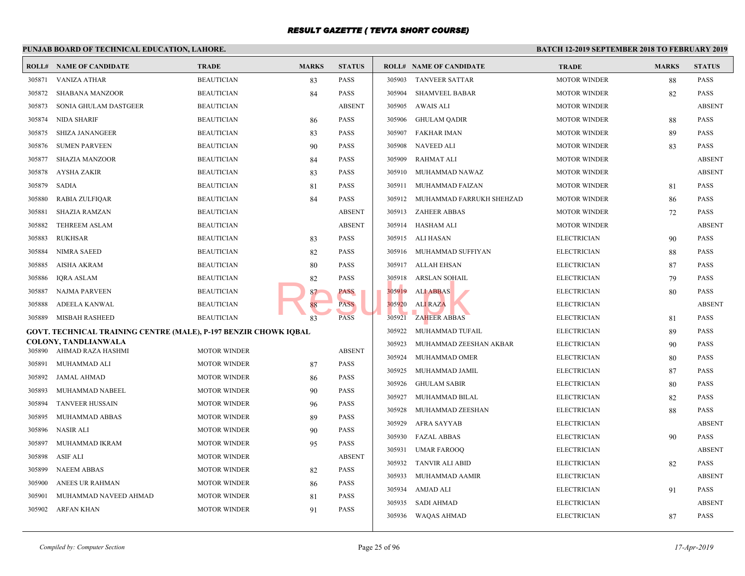|        | PUNJAB BOARD OF TECHNICAL EDUCATION, LAHORE.                     |                     |              |               |        |                                 | <b>BATCH 12-</b> |
|--------|------------------------------------------------------------------|---------------------|--------------|---------------|--------|---------------------------------|------------------|
|        | <b>ROLL# NAME OF CANDIDATE</b>                                   | <b>TRADE</b>        | <b>MARKS</b> | <b>STATUS</b> |        | <b>ROLL# NAME OF CANDIDATE</b>  | <b>TRAL</b>      |
| 305871 | <b>VANIZA ATHAR</b>                                              | <b>BEAUTICIAN</b>   | 83           | <b>PASS</b>   | 305903 | <b>TANVEER SATTAR</b>           | <b>MOTO</b>      |
| 305872 | SHABANA MANZOOR                                                  | <b>BEAUTICIAN</b>   | 84           | <b>PASS</b>   | 305904 | <b>SHAMVEEL BABAR</b>           | <b>MOTO</b>      |
| 305873 | SONIA GHULAM DASTGEER                                            | <b>BEAUTICIAN</b>   |              | <b>ABSENT</b> | 305905 | AWAIS ALI                       | <b>MOTO</b>      |
| 305874 | NIDA SHARIF                                                      | <b>BEAUTICIAN</b>   | 86           | PASS          | 305906 | <b>GHULAM QADIR</b>             | MOTO             |
| 305875 | <b>SHIZA JANANGEER</b>                                           | <b>BEAUTICIAN</b>   | 83           | <b>PASS</b>   | 305907 | FAKHAR IMAN                     | <b>MOTO</b>      |
| 305876 | <b>SUMEN PARVEEN</b>                                             | <b>BEAUTICIAN</b>   | 90           | <b>PASS</b>   | 305908 | <b>NAVEED ALI</b>               | <b>MOTO</b>      |
| 305877 | <b>SHAZIA MANZOOR</b>                                            | <b>BEAUTICIAN</b>   | 84           | <b>PASS</b>   | 305909 | RAHMAT ALI                      | <b>MOTO</b>      |
| 305878 | AYSHA ZAKIR                                                      | <b>BEAUTICIAN</b>   | 83           | <b>PASS</b>   | 305910 | MUHAMMAD NAWAZ                  | <b>MOTO</b>      |
| 305879 | <b>SADIA</b>                                                     | <b>BEAUTICIAN</b>   | 81           | <b>PASS</b>   | 305911 | MUHAMMAD FAIZAN                 | <b>MOTO</b>      |
| 305880 | <b>RABIA ZULFIQAR</b>                                            | <b>BEAUTICIAN</b>   | 84           | <b>PASS</b>   |        | 305912 MUHAMMAD FARRUKH SHEHZAD | <b>MOTO</b>      |
| 305881 | <b>SHAZIA RAMZAN</b>                                             | <b>BEAUTICIAN</b>   |              | <b>ABSENT</b> |        | 305913 ZAHEER ABBAS             | <b>MOTO</b>      |
| 305882 | <b>TEHREEM ASLAM</b>                                             | <b>BEAUTICIAN</b>   |              | <b>ABSENT</b> |        | 305914 HASHAM ALI               | <b>MOTO</b>      |
| 305883 | <b>RUKHSAR</b>                                                   | <b>BEAUTICIAN</b>   | 83           | <b>PASS</b>   |        | 305915 ALI HASAN                | <b>ELECT</b>     |
| 305884 | <b>NIMRA SAEED</b>                                               | <b>BEAUTICIAN</b>   | 82           | <b>PASS</b>   |        | 305916 MUHAMMAD SUFFIYAN        | <b>ELECT</b>     |
| 305885 | <b>AISHA AKRAM</b>                                               | <b>BEAUTICIAN</b>   | 80           | <b>PASS</b>   |        | 305917 ALLAH EHSAN              | <b>ELECT</b>     |
| 305886 | IQRA ASLAM                                                       | <b>BEAUTICIAN</b>   | 82           | <b>PASS</b>   | 305918 | ARSLAN SOHAIL                   | <b>ELECT</b>     |
| 305887 | NAJMA PARVEEN                                                    | <b>BEAUTICIAN</b>   | 87.          | PASS          | 305919 | <b>ALI ABBAS</b>                | <b>ELECT</b>     |
| 305888 | ADEELA KANWAL                                                    | <b>BEAUTICIAN</b>   | 88           | <b>PASS</b>   | 305920 | ALI RAZA                        | <b>ELECT</b>     |
| 305889 | MISBAH RASHEED                                                   | <b>BEAUTICIAN</b>   | 83           | <b>PASS</b>   | 305921 | <b>ZAHEER ABBAS</b>             | <b>ELECT</b>     |
|        | GOVT. TECHNICAL TRAINING CENTRE (MALE), P-197 BENZIR CHOWK IQBAL |                     |              |               | 305922 | MUHAMMAD TUFAIL                 | <b>ELECT</b>     |
|        | COLONY, TANDLIANWALA                                             |                     |              |               | 305923 | MUHAMMAD ZEESHAN AKBAR          | <b>ELECT</b>     |
|        | 305890 AHMAD RAZA HASHMI                                         | <b>MOTOR WINDER</b> |              | <b>ABSENT</b> | 305924 | MUHAMMAD OMER                   | <b>ELECT</b>     |
| 305891 | MUHAMMAD ALI                                                     | <b>MOTOR WINDER</b> | 87           | <b>PASS</b>   | 305925 | MUHAMMAD JAMIL                  | <b>ELECT</b>     |
| 305892 | <b>JAMAL AHMAD</b>                                               | <b>MOTOR WINDER</b> | 86           | <b>PASS</b>   | 305926 | <b>GHULAM SABIR</b>             | <b>ELECT</b>     |
| 305893 | MUHAMMAD NABEEL                                                  | <b>MOTOR WINDER</b> | 90           | <b>PASS</b>   | 305927 | MUHAMMAD BILAL                  | <b>ELECT</b>     |
| 305894 | <b>TANVEER HUSSAIN</b>                                           | <b>MOTOR WINDER</b> | 96           | <b>PASS</b>   | 305928 | MUHAMMAD ZEESHAN                | <b>ELECT</b>     |
| 305895 | MUHAMMAD ABBAS                                                   | <b>MOTOR WINDER</b> | 89           | <b>PASS</b>   | 305929 | AFRA SAYYAB                     | <b>ELECT</b>     |
| 305896 | NASIR ALI                                                        | <b>MOTOR WINDER</b> | 90           | <b>PASS</b>   | 305930 | FAZAL ABBAS                     | <b>ELECT</b>     |
| 305897 | MUHAMMAD IKRAM                                                   | <b>MOTOR WINDER</b> | 95           | <b>PASS</b>   | 305931 | <b>UMAR FAROOQ</b>              | <b>ELECT</b>     |
| 305898 | ASIF ALI                                                         | <b>MOTOR WINDER</b> |              | <b>ABSENT</b> | 305932 | <b>TANVIR ALI ABID</b>          | <b>ELECT</b>     |
| 305899 | <b>NAEEM ABBAS</b>                                               | <b>MOTOR WINDER</b> | 82           | <b>PASS</b>   | 305933 | MUHAMMAD AAMIR                  | <b>ELECT</b>     |
| 305900 | ANEES UR RAHMAN                                                  | <b>MOTOR WINDER</b> | 86           | <b>PASS</b>   | 305934 | AMJAD ALI                       | <b>ELECT</b>     |
| 305901 | MUHAMMAD NAVEED AHMAD                                            | <b>MOTOR WINDER</b> | 81           | <b>PASS</b>   | 305935 | SADI AHMAD                      | <b>ELECT</b>     |
|        | 305902 ARFAN KHAN                                                | <b>MOTOR WINDER</b> | 91           | <b>PASS</b>   |        | 305936 WAQAS AHMAD              | <b>ELECT</b>     |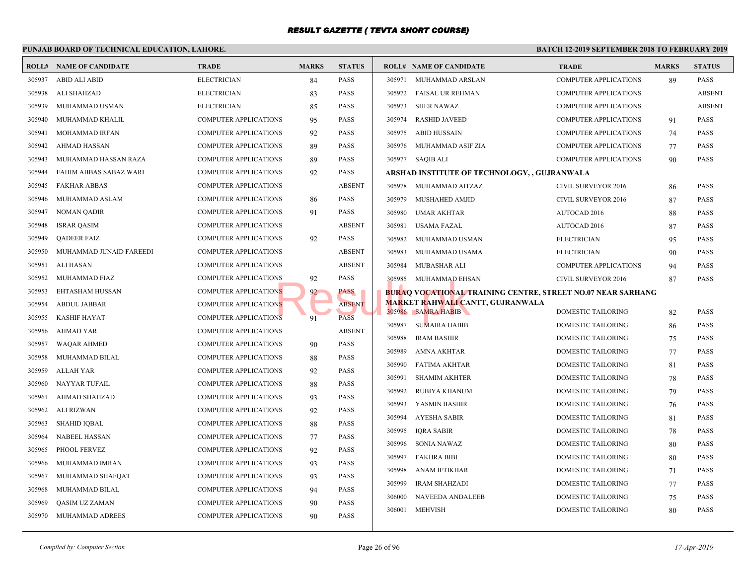|        | PUNJAB BOARD OF TECHNICAL EDUCATION, LAHORE. |                              |              |               |        |                                                   | <b>BATCH 12-</b> |
|--------|----------------------------------------------|------------------------------|--------------|---------------|--------|---------------------------------------------------|------------------|
|        | <b>ROLL# NAME OF CANDIDATE</b>               | <b>TRADE</b>                 | <b>MARKS</b> | <b>STATUS</b> |        | <b>ROLL# NAME OF CANDIDATE</b>                    | <b>TRAL</b>      |
| 305937 | ABID ALI ABID                                | <b>ELECTRICIAN</b>           | 84           | <b>PASS</b>   | 305971 | MUHAMMAD ARSLAN                                   | COMP             |
| 305938 | ALI SHAHZAD                                  | <b>ELECTRICIAN</b>           | 83           | <b>PASS</b>   | 305972 | FAISAL UR REHMAN                                  | <b>COMP</b>      |
| 305939 | MUHAMMAD USMAN                               | <b>ELECTRICIAN</b>           | 85           | <b>PASS</b>   | 305973 | SHER NAWAZ                                        | <b>COMP</b>      |
| 305940 | MUHAMMAD KHALIL                              | COMPUTER APPLICATIONS        | 95           | <b>PASS</b>   | 305974 | <b>RASHID JAVEED</b>                              | <b>COMP</b>      |
| 305941 | MOHAMMAD IRFAN                               | <b>COMPUTER APPLICATIONS</b> | 92           | <b>PASS</b>   | 305975 | <b>ABID HUSSAIN</b>                               | <b>COMP</b>      |
| 305942 | <b>AHMAD HASSAN</b>                          | <b>COMPUTER APPLICATIONS</b> | 89           | <b>PASS</b>   | 305976 | MUHAMMAD ASIF ZIA                                 | <b>COMP</b>      |
| 305943 | MUHAMMAD HASSAN RAZA                         | <b>COMPUTER APPLICATIONS</b> | 89           | <b>PASS</b>   |        | 305977 SAQIB ALI                                  | <b>COMP</b>      |
| 305944 | FAHIM ABBAS SABAZ WARI                       | <b>COMPUTER APPLICATIONS</b> | 92           | <b>PASS</b>   |        | ARSHAD INSTITUTE OF TECHNOLOGY, , GUJRANW.        |                  |
| 305945 | <b>FAKHAR ABBAS</b>                          | COMPUTER APPLICATIONS        |              | <b>ABSENT</b> | 305978 | MUHAMMAD AITZAZ                                   | <b>CIVIL</b>     |
| 305946 | MUHAMMAD ASLAM                               | <b>COMPUTER APPLICATIONS</b> | 86           | <b>PASS</b>   | 305979 | MUSHAHED AMJID                                    | <b>CIVIL</b>     |
| 305947 | <b>NOMAN QADIR</b>                           | <b>COMPUTER APPLICATIONS</b> | 91           | <b>PASS</b>   | 305980 | <b>UMAR AKHTAR</b>                                | <b>AUTO</b>      |
| 305948 | <b>ISRAR QASIM</b>                           | <b>COMPUTER APPLICATIONS</b> |              | <b>ABSENT</b> | 305981 | <b>USAMA FAZAL</b>                                | <b>AUTO</b>      |
| 305949 | <b>QADEER FAIZ</b>                           | COMPUTER APPLICATIONS        | 92           | <b>PASS</b>   | 305982 | MUHAMMAD USMAN                                    | <b>ELECT</b>     |
| 305950 | MUHAMMAD JUNAID FAREEDI                      | <b>COMPUTER APPLICATIONS</b> |              | <b>ABSENT</b> | 305983 | MUHAMMAD USAMA                                    | <b>ELECT</b>     |
| 305951 | <b>ALI HASAN</b>                             | <b>COMPUTER APPLICATIONS</b> |              | <b>ABSENT</b> | 305984 | MUBASHAR ALI                                      | COMP             |
| 305952 | MUHAMMAD FIAZ                                | <b>COMPUTER APPLICATIONS</b> | 92           | <b>PASS</b>   | 305985 | MUHAMMAD EHSAN                                    | <b>CIVIL</b>     |
| 305953 | EHTASHAM HUSSAN                              | <b>COMPUTER APPLICATIONS</b> | 92           | PASS          |        | <b>BURAQ VOCATIONAL TRAINING CENTRE, STREET I</b> |                  |
| 305954 | <b>ABDUL JABBAR</b>                          | <b>COMPUTER APPLICATIONS</b> |              | <b>ABSENT</b> |        | <b>MARKET RAHWALI CANTT, GUJRANWALA</b>           |                  |
| 305955 | <b>KASHIF HAYAT</b>                          | <b>COMPUTER APPLICATIONS</b> | 91           | <b>PASS</b>   |        | 305986 SAMRA HABIB                                | <b>DOME</b>      |
| 305956 | <b>AHMAD YAR</b>                             | <b>COMPUTER APPLICATIONS</b> |              | <b>ABSENT</b> | 305987 | <b>SUMAIRA HABIB</b>                              | <b>DOME</b>      |
| 305957 | <b>WAQAR AHMED</b>                           | <b>COMPUTER APPLICATIONS</b> | 90           | <b>PASS</b>   | 305988 | <b>IRAM BASHIR</b>                                | <b>DOME</b>      |
| 305958 | MUHAMMAD BILAL                               | <b>COMPUTER APPLICATIONS</b> | 88           | <b>PASS</b>   | 305989 | <b>AMNA AKHTAR</b>                                | <b>DOME</b>      |
| 305959 | <b>ALLAH YAR</b>                             | <b>COMPUTER APPLICATIONS</b> | 92           | <b>PASS</b>   | 305990 | <b>FATIMA AKHTAR</b>                              | <b>DOME</b>      |
| 305960 | NAYYAR TUFAIL                                | <b>COMPUTER APPLICATIONS</b> | 88           | <b>PASS</b>   | 305991 | <b>SHAMIM AKHTER</b>                              | <b>DOME</b>      |
| 305961 | <b>AHMAD SHAHZAD</b>                         | <b>COMPUTER APPLICATIONS</b> | 93           | <b>PASS</b>   | 305992 | RUBIYA KHANUM                                     | <b>DOME</b>      |
| 305962 | <b>ALI RIZWAN</b>                            | <b>COMPUTER APPLICATIONS</b> | 92           | <b>PASS</b>   | 305993 | YASMIN BASHIR                                     | <b>DOME</b>      |
| 305963 | <b>SHAHID IQBAL</b>                          | <b>COMPUTER APPLICATIONS</b> | 88           | <b>PASS</b>   | 305994 | AYESHA SABIR                                      | <b>DOME</b>      |
| 305964 | NABEEL HASSAN                                | <b>COMPUTER APPLICATIONS</b> | 77           | <b>PASS</b>   | 305995 | <b>IQRA SABIR</b>                                 | <b>DOME</b>      |
| 305965 | PHOOL FERVEZ                                 | <b>COMPUTER APPLICATIONS</b> | 92           | <b>PASS</b>   | 305996 | <b>SONIA NAWAZ</b>                                | <b>DOME</b>      |
| 305966 | MUHAMMAD IMRAN                               | <b>COMPUTER APPLICATIONS</b> | 93           | <b>PASS</b>   | 305997 | <b>FAKHRA BIBI</b>                                | <b>DOME</b>      |
| 305967 | MUHAMMAD SHAFOAT                             | <b>COMPUTER APPLICATIONS</b> | 93           | <b>PASS</b>   | 305998 | <b>ANAM IFTIKHAR</b>                              | <b>DOME</b>      |
| 305968 | MUHAMMAD BILAL                               | <b>COMPUTER APPLICATIONS</b> | 94           | <b>PASS</b>   | 305999 | <b>IRAM SHAHZADI</b>                              | <b>DOME</b>      |
| 305969 | QASIM UZ ZAMAN                               | COMPUTER APPLICATIONS        | 90           | <b>PASS</b>   | 306000 | NAVEEDA ANDALEEB                                  | <b>DOME</b>      |
| 305970 | MUHAMMAD ADREES                              | <b>COMPUTER APPLICATIONS</b> | 90           | <b>PASS</b>   | 306001 | <b>MEHVISH</b>                                    | <b>DOME</b>      |
|        |                                              |                              |              |               |        |                                                   |                  |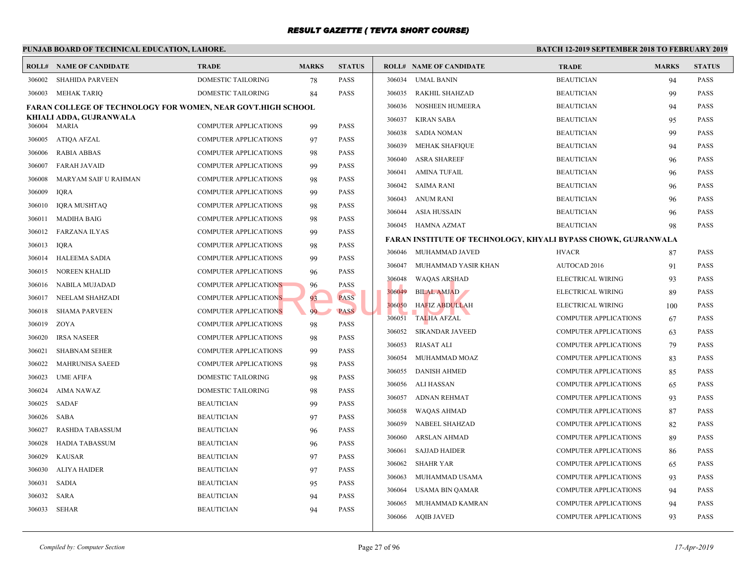|        | PUNJAB BOARD OF TECHNICAL EDUCATION, LAHORE.                        |                              |              |               | <b>BATCH 12-</b> |                                                   |              |
|--------|---------------------------------------------------------------------|------------------------------|--------------|---------------|------------------|---------------------------------------------------|--------------|
|        | <b>ROLL# NAME OF CANDIDATE</b>                                      | <b>TRADE</b>                 | <b>MARKS</b> | <b>STATUS</b> |                  | <b>ROLL# NAME OF CANDIDATE</b>                    | <b>TRAL</b>  |
| 306002 | <b>SHAHIDA PARVEEN</b>                                              | <b>DOMESTIC TAILORING</b>    | 78           | PASS          | 306034           | <b>UMAL BANIN</b>                                 | <b>BEAU</b>  |
|        | 306003 MEHAK TARIQ                                                  | DOMESTIC TAILORING           | 84           | PASS          | 306035           | RAKHIL SHAHZAD                                    | <b>BEAU</b>  |
|        | <b>FARAN COLLEGE OF TECHNOLOGY FOR WOMEN, NEAR GOVT.HIGH SCHOOL</b> |                              |              |               | 306036           | <b>NOSHEEN HUMEERA</b>                            | <b>BEAU</b>  |
|        | KHIALI ADDA, GUJRANWALA<br>306004 MARIA                             | <b>COMPUTER APPLICATIONS</b> |              | PASS          | 306037           | <b>KIRAN SABA</b>                                 | <b>BEAU</b>  |
| 306005 | ATIQA AFZAL                                                         | <b>COMPUTER APPLICATIONS</b> | 99           | PASS          | 306038           | <b>SADIA NOMAN</b>                                | <b>BEAU</b>  |
| 306006 |                                                                     |                              | 97           |               | 306039           | MEHAK SHAFIQUE                                    | <b>BEAU</b>  |
|        | <b>RABIA ABBAS</b>                                                  | <b>COMPUTER APPLICATIONS</b> | 98           | PASS          | 306040           | <b>ASRA SHAREEF</b>                               | <b>BEAU</b>  |
| 306007 | <b>FARAH JAVAID</b>                                                 | <b>COMPUTER APPLICATIONS</b> | 99           | PASS          | 306041           | <b>AMINA TUFAIL</b>                               | <b>BEAU</b>  |
| 306008 | MARYAM SAIF U RAHMAN                                                | <b>COMPUTER APPLICATIONS</b> | 98           | PASS          | 306042           | <b>SAIMA RANI</b>                                 | <b>BEAU</b>  |
| 306009 | <b>IORA</b>                                                         | <b>COMPUTER APPLICATIONS</b> | 99           | PASS          | 306043           | ANUM RANI                                         | <b>BEAU</b>  |
| 306010 | <b>IQRA MUSHTAQ</b>                                                 | <b>COMPUTER APPLICATIONS</b> | 98           | PASS          | 306044           | ASIA HUSSAIN                                      | <b>BEAU</b>  |
| 306011 | <b>MADIHA BAIG</b>                                                  | <b>COMPUTER APPLICATIONS</b> | 98           | <b>PASS</b>   |                  | 306045 HAMNA AZMAT                                | <b>BEAU</b>  |
| 306012 | FARZANA ILYAS                                                       | <b>COMPUTER APPLICATIONS</b> | 99           | PASS          |                  | <b>FARAN INSTITUTE OF TECHNOLOGY, KHYALI BYPA</b> |              |
| 306013 | <b>IQRA</b>                                                         | <b>COMPUTER APPLICATIONS</b> | 98           | PASS          |                  | 306046 MUHAMMAD JAVED                             | <b>HVAC</b>  |
| 306014 | <b>HALEEMA SADIA</b>                                                | <b>COMPUTER APPLICATIONS</b> | 99           | PASS          | 306047           | MUHAMMAD YASIR KHAN                               | <b>AUTO</b>  |
| 306015 | <b>NOREEN KHALID</b>                                                | COMPUTER APPLICATIONS        | 96           | PASS          | 306048           | <b>WAQAS ARSHAD</b>                               | <b>ELECT</b> |
| 306016 | NABILA MUJADAD                                                      | <b>COMPUTER APPLICATIONS</b> | 96           | PASS          | 306049           | <b>BILAL AMJAD</b>                                | <b>ELECT</b> |
| 306017 | NEELAM SHAHZADI                                                     | <b>COMPUTER APPLICATIONS</b> | 93           | <b>PASS</b>   | 306050           | HAFIZ ABDULLAH                                    | <b>ELECT</b> |
| 306018 | <b>SHAMA PARVEEN</b>                                                | <b>COMPUTER APPLICATIONS</b> | 99           | <b>PASS</b>   | 306051           | <b>TALHA AFZAL</b>                                | <b>COMP</b>  |
| 306019 | ZOYA                                                                | <b>COMPUTER APPLICATIONS</b> | 98           | PASS          | 306052           | <b>SIKANDAR JAVEED</b>                            | <b>COMP</b>  |
| 306020 | <b>IRSA NASEER</b>                                                  | <b>COMPUTER APPLICATIONS</b> | 98           | PASS          | 306053           | RIASAT ALI                                        | <b>COMP</b>  |
| 306021 | <b>SHABNAM SEHER</b>                                                | <b>COMPUTER APPLICATIONS</b> | 99           | PASS          | 306054           |                                                   | <b>COMP</b>  |
| 306022 | MAHRUNISA SAEED                                                     | <b>COMPUTER APPLICATIONS</b> | 98           | PASS          |                  | MUHAMMAD MOAZ                                     | <b>COMP</b>  |
| 306023 | <b>UME AFIFA</b>                                                    | DOMESTIC TAILORING           | 98           | PASS          | 306055           | <b>DANISH AHMED</b>                               |              |
| 306024 | AIMA NAWAZ                                                          | DOMESTIC TAILORING           | 98           | PASS          | 306056           | ALI HASSAN                                        | <b>COMP</b>  |
| 306025 | SADAF                                                               | <b>BEAUTICIAN</b>            | 99           | PASS          | 306057           | ADNAN REHMAT                                      | <b>COMP</b>  |
| 306026 | <b>SABA</b>                                                         | <b>BEAUTICIAN</b>            | 97           | PASS          | 306058           | WAQAS AHMAD                                       | <b>COMP</b>  |
| 306027 | <b>RASHDA TABASSUM</b>                                              | <b>BEAUTICIAN</b>            | 96           | PASS          | 306059           | NABEEL SHAHZAD                                    | <b>COMP</b>  |
| 306028 | <b>HADIA TABASSUM</b>                                               | <b>BEAUTICIAN</b>            | 96           | PASS          | 306060           | <b>ARSLAN AHMAD</b>                               | <b>COMP</b>  |
| 306029 | <b>KAUSAR</b>                                                       | <b>BEAUTICIAN</b>            | 97           | PASS          | 306061           | <b>SAJJAD HAIDER</b>                              | <b>COMP</b>  |
| 306030 | ALIYA HAIDER                                                        | <b>BEAUTICIAN</b>            | 97           | PASS          | 306062           | <b>SHAHR YAR</b>                                  | <b>COMP</b>  |
| 306031 | <b>SADIA</b>                                                        | <b>BEAUTICIAN</b>            | 95           | PASS          | 306063           | MUHAMMAD USAMA                                    | <b>COMP</b>  |
| 306032 | <b>SARA</b>                                                         | <b>BEAUTICIAN</b>            | 94           | PASS          | 306064           | USAMA BIN QAMAR                                   | <b>COMP</b>  |
| 306033 | SEHAR                                                               | <b>BEAUTICIAN</b>            | 94           | PASS          | 306065           | MUHAMMAD KAMRAN                                   | <b>COMP</b>  |
|        |                                                                     |                              |              |               |                  | 306066 AQIB JAVED                                 | <b>COMP</b>  |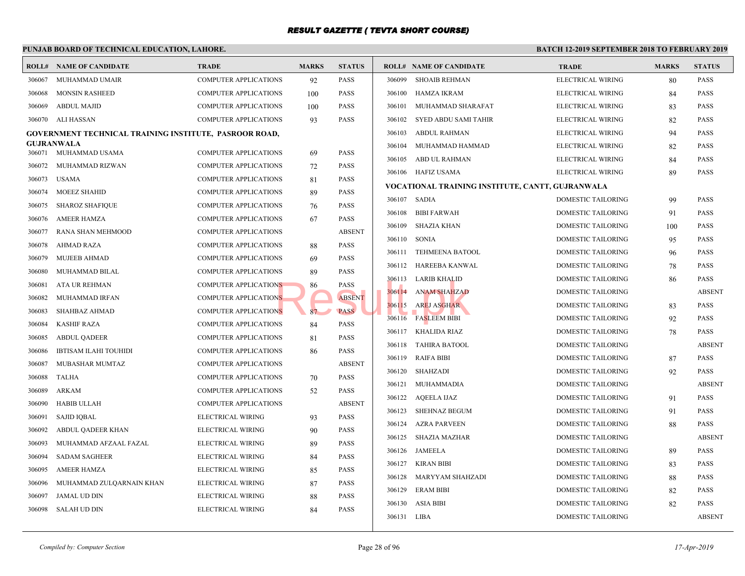#### **PUNJAB BOARD OF TECHNICAL EDUCATION, LAHORE. BATCH 12-ROLL# NAME OF CANDIDATE TRADE MARKS STATUS ROLL# NAME OF CANDIDATE TRADE MARKS STATUS** 306067 MUHAMMAD UMAIR COMPUTER APPLICATIONS 92 PASS 306068 MONSIN RASHEED COMPUTER APPLICATIONS 100 PASS 306069 ABDUL MAJID COMPUTER APPLICATIONS 100 PASS 306070 ALI HASSAN COMPUTER APPLICATIONS 93 PASS **GOVERNMENT TECHNICAL TRAINING INSTITUTE, PASROOR ROAD, GUJRANWALA** 306071 MUHAMMAD USAMA COMPUTER APPLICATIONS 69 PASS 306072 MUHAMMAD RIZWAN COMPUTER APPLICATIONS 72 PASS 306073 USAMA COMPUTER APPLICATIONS 81 PASS 306074 MOEEZ SHAHID COMPUTER APPLICATIONS 89 PASS 306075 SHAROZ SHAFIQUE COMPUTER APPLICATIONS 76 PASS 306076 AMEER HAMZA COMPUTER APPLICATIONS 67 PASS 306077 RANA SHAN MEHMOOD COMPUTER APPLICATIONS ABSENT 306078 AHMAD RAZA COMPUTER APPLICATIONS 88 PASS 306079 MUJEEB AHMAD COMPUTER APPLICATIONS 69 PASS 306080 MUHAMMAD BILAL COMPUTER APPLICATIONS 89 PASS 306081 ATA UR REHMAN COMPUTER APPLICATIONS 86 PASS 306082 MUHAMMAD IRFAN COMPUTER APPLICATIONS ABSENT 306083 SHAHBAZ AHMAD COMPUTER APPLICATIONS 87 PASS 306084 KASHIF RAZA COMPUTER APPLICATIONS 84 PASS 306085 ABDUL QADEER COMPUTER APPLICATIONS 81 PASS 306086 IBTISAM ILAHI TOUHIDI COMPUTER APPLICATIONS 86 PASS 306087 MUBASHAR MUMTAZ COMPUTER APPLICATIONS ABSENT 306088 TALHA COMPUTER APPLICATIONS 70 PASS 306089 ARKAM COMPUTER APPLICATIONS 52 PASS 306090 HABIB ULLAH COMPUTER APPLICATIONS ABSENT 306091 SAJID IQBAL ELECTRICAL WIRING 93 PASS 306092 ABDUL QADEER KHAN ELECTRICAL WIRING 90 PASS 306093 MUHAMMAD AFZAAL FAZAL ELECTRICAL WIRING 89 PASS 306094 SADAM SAGHEER ELECTRICAL WIRING 84 PASS 306095 AMEER HAMZA ELECTRICAL WIRING 85 PASS 306096 MUHAMMAD ZULQARNAIN KHAN ELECTRICAL WIRING 87 PASS 306097 JAMAL UD DIN ELECTRICAL WIRING 88 PASS 306098 SALAH UD DIN ELECTRICAL WIRING 84 PASS 306099 SHOAIB REHMAN ELECT 306100 HAMZA IKRAM ELECT 306101 MUHAMMAD SHARAFAT ELECT 306102 SYED ABDU SAMI TAHIR ELECT 306103 ABDUL RAHMAN ELECT 306104 MUHAMMAD HAMMAD ELECT 306105 ABD UL RAHMAN ELECT 306106 HAFIZ USAMA ELECT **VOCATIONAL TRAINING INSTITUTE, CANTT, GUJRA** 306107 SADIA DOME 306108 BIBI FARWAH DOME 306109 SHAZIA KHAN DOME 306110 SONIA DOME 306111 TEHMEENA BATOOL DOME 306112 HAREEBA KANWAL DOME 306113 LARIB KHALID DOME 306114 ANAM SHAHZAD DOME 306115 AREJ ASGHAR DOME 306116 FASLEEM BIBI DOME 306117 KHALIDA RIAZ DOME 306118 TAHIRA BATOOL DOME 306119 RAIFA BIBI DOME 306120 SHAHZADI DOME 306121 MUHAMMADIA DOME 306122 AQEELA IJAZ DOME 306123 SHEHNAZ BEGUM DOME 306124 AZRA PARVEEN DOME 306125 SHAZIA MAZHAR DOME 306126 JAMEELA DOME 306127 KIRAN BIBI DOME 306128 MARYYAM SHAHZADI DOME 306129 ERAM BIBI DOME 306130 ASIA BIBI DOME 306131 LIBA DOME NS RESERVE RESERVE SOCIETY AND STREET PASS PASS PASS PASS 306115 AREJ ASCHARED STREET BLUE PASSERVE DESCRIPTION OF THE PASSER PASSER PASSER PASSER PASSER PASSER PASSER PASSER PASSER PASSER PASSER PASSER PASSER PASSER PASSE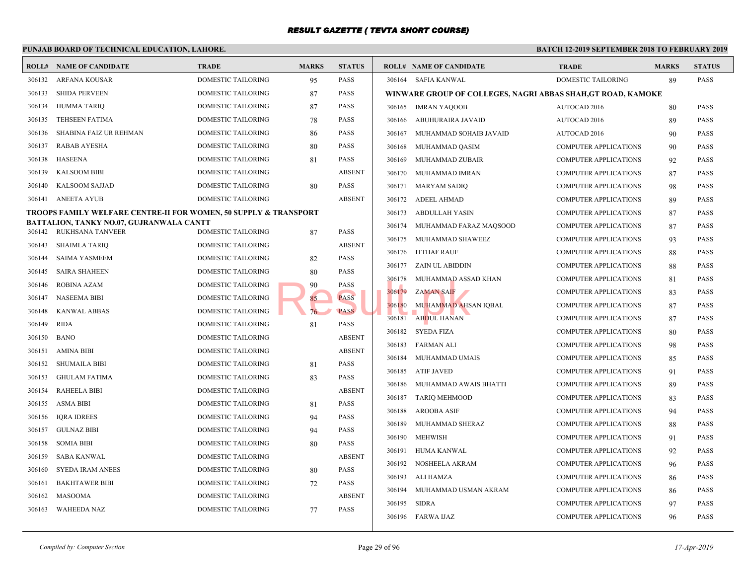|        | PUNJAB BOARD OF TECHNICAL EDUCATION, LAHORE.                                |                           |              |               | <b>BATCH 12-1</b> |                                           |             |  |
|--------|-----------------------------------------------------------------------------|---------------------------|--------------|---------------|-------------------|-------------------------------------------|-------------|--|
|        | <b>ROLL# NAME OF CANDIDATE</b>                                              | <b>TRADE</b>              | <b>MARKS</b> | <b>STATUS</b> |                   | <b>ROLL# NAME OF CANDIDATE</b>            | <b>TRAL</b> |  |
| 306132 | ARFANA KOUSAR                                                               | <b>DOMESTIC TAILORING</b> | 95           | <b>PASS</b>   |                   | 306164 SAFIA KANWAL                       | <b>DOME</b> |  |
| 306133 | <b>SHIDA PERVEEN</b>                                                        | DOMESTIC TAILORING        | 87           | <b>PASS</b>   |                   | WINWARE GROUP OF COLLEGES, NAGRI ABBAS SH |             |  |
| 306134 | <b>HUMMA TARIQ</b>                                                          | DOMESTIC TAILORING        | 87           | <b>PASS</b>   |                   | 306165 IMRAN YAQOOB                       | AUTO        |  |
| 306135 | <b>TEHSEEN FATIMA</b>                                                       | DOMESTIC TAILORING        | 78           | <b>PASS</b>   | 306166            | ABUHURAIRA JAVAID                         | <b>AUTO</b> |  |
| 306136 | SHABINA FAIZ UR REHMAN                                                      | DOMESTIC TAILORING        | 86           | <b>PASS</b>   | 306167            | MUHAMMAD SOHAIB JAVAID                    | AUTO        |  |
| 306137 | RABAB AYESHA                                                                | DOMESTIC TAILORING        | 80           | <b>PASS</b>   | 306168            | MUHAMMAD QASIM                            | <b>COMP</b> |  |
| 306138 | HASEENA                                                                     | DOMESTIC TAILORING        | 81           | <b>PASS</b>   | 306169            | MUHAMMAD ZUBAIR                           | <b>COMP</b> |  |
| 306139 | <b>KALSOOM BIBI</b>                                                         | DOMESTIC TAILORING        |              | <b>ABSENT</b> |                   | 306170 MUHAMMAD IMRAN                     | <b>COMP</b> |  |
| 306140 | <b>KALSOOM SAJJAD</b>                                                       | DOMESTIC TAILORING        | 80           | <b>PASS</b>   |                   | 306171 MARYAM SADIQ                       | <b>COMP</b> |  |
| 306141 | ANEETA AYUB                                                                 | <b>DOMESTIC TAILORING</b> |              | <b>ABSENT</b> |                   | 306172 ADEEL AHMAD                        | <b>COMP</b> |  |
|        | <b>TROOPS FAMILY WELFARE CENTRE-II FOR WOMEN, 50 SUPPLY &amp; TRANSPORT</b> |                           |              |               |                   | 306173 ABDULLAH YASIN                     | <b>COMP</b> |  |
|        | BATTALION, TANKY NO.07, GUJRANWALA CANTT<br>306142 RUKHSANA TANVEER         | DOMESTIC TAILORING        | 87           | <b>PASS</b>   | 306174            | MUHAMMAD FARAZ MAQSOOD                    | <b>COMP</b> |  |
| 306143 | SHAIMLA TARIQ                                                               | DOMESTIC TAILORING        |              | <b>ABSENT</b> |                   | 306175 MUHAMMAD SHAWEEZ                   | <b>COMP</b> |  |
| 306144 | <b>SAIMA YASMEEM</b>                                                        | DOMESTIC TAILORING        | 82           | <b>PASS</b>   |                   | 306176 ITTHAF RAUF                        | <b>COMP</b> |  |
| 306145 | <b>SAIRA SHAHEEN</b>                                                        | DOMESTIC TAILORING        | 80           | <b>PASS</b>   |                   | 306177 ZAIN UL ABIDDIN                    | <b>COMP</b> |  |
| 306146 | ROBINA AZAM                                                                 | DOMESTIC TAILORING        | 90           | <b>PASS</b>   |                   | 306178 MUHAMMAD ASSAD KHAN                | <b>COMP</b> |  |
| 306147 | <b>NASEEMA BIBI</b>                                                         | DOMESTIC TAILORING        | 85           | <b>PASS</b>   | 306179            | <b>ZAMAN SAIF</b>                         | <b>COMP</b> |  |
| 306148 | <b>KANWAL ABBAS</b>                                                         | DOMESTIC TAILORING        | 76           | <b>PASS</b>   | 306180            | MUHAMMAD AHSAN IQBAL                      | <b>COMP</b> |  |
| 306149 | <b>RIDA</b>                                                                 | DOMESTIC TAILORING        | 81           | <b>PASS</b>   | 306181            | <b>ABDUL HANAN</b>                        | <b>COMP</b> |  |
| 306150 | <b>BANO</b>                                                                 | DOMESTIC TAILORING        |              | <b>ABSENT</b> |                   | 306182 SYEDA FIZA                         | <b>COMP</b> |  |
| 306151 | <b>AMINA BIBI</b>                                                           | DOMESTIC TAILORING        |              | <b>ABSENT</b> | 306183            | FARMAN ALI                                | <b>COMP</b> |  |
| 306152 | <b>SHUMAILA BIBI</b>                                                        | DOMESTIC TAILORING        | 81           | <b>PASS</b>   | 306184            | MUHAMMAD UMAIS                            | COMP        |  |
| 306153 | <b>GHULAM FATIMA</b>                                                        | DOMESTIC TAILORING        | 83           | <b>PASS</b>   | 306185            | ATIF JAVED                                | <b>COMP</b> |  |
| 306154 | <b>RAHEELA BIBI</b>                                                         | DOMESTIC TAILORING        |              | <b>ABSENT</b> | 306186            | MUHAMMAD AWAIS BHATTI                     | <b>COMP</b> |  |
| 306155 | <b>ASMA BIBI</b>                                                            | DOMESTIC TAILORING        | 81           | <b>PASS</b>   | 306187            | <b>TARIQ MEHMOOD</b>                      | <b>COMP</b> |  |
| 306156 | <b>IORA IDREES</b>                                                          | DOMESTIC TAILORING        | 94           | <b>PASS</b>   | 306188            | <b>AROOBA ASIF</b>                        | <b>COMP</b> |  |
| 306157 | <b>GULNAZ BIBI</b>                                                          | DOMESTIC TAILORING        | 94           | <b>PASS</b>   | 306189            | MUHAMMAD SHERAZ                           | <b>COMP</b> |  |
| 306158 | <b>SOMIA BIBI</b>                                                           | DOMESTIC TAILORING        | 80           | <b>PASS</b>   | 306190            | <b>MEHWISH</b>                            | <b>COMP</b> |  |
| 306159 | SABA KANWAL                                                                 | DOMESTIC TAILORING        |              | <b>ABSENT</b> | 306191            | HUMA KANWAL                               | <b>COMP</b> |  |
| 306160 | <b>SYEDA IRAM ANEES</b>                                                     | DOMESTIC TAILORING        | 80           | <b>PASS</b>   | 306192            | NOSHEELA AKRAM                            | <b>COMP</b> |  |
| 306161 | <b>BAKHTAWER BIBI</b>                                                       | DOMESTIC TAILORING        | 72           | <b>PASS</b>   | 306193            | ALI HAMZA                                 | <b>COMP</b> |  |
| 306162 | <b>MASOOMA</b>                                                              | <b>DOMESTIC TAILORING</b> |              | <b>ABSENT</b> | 306194            | MUHAMMAD USMAN AKRAM                      | <b>COMP</b> |  |
| 306163 | <b>WAHEEDA NAZ</b>                                                          | DOMESTIC TAILORING        | 77           | <b>PASS</b>   | 306195            | SIDRA                                     | <b>COMP</b> |  |
|        |                                                                             |                           |              |               |                   | 306196 FARWA IJAZ                         | <b>COMP</b> |  |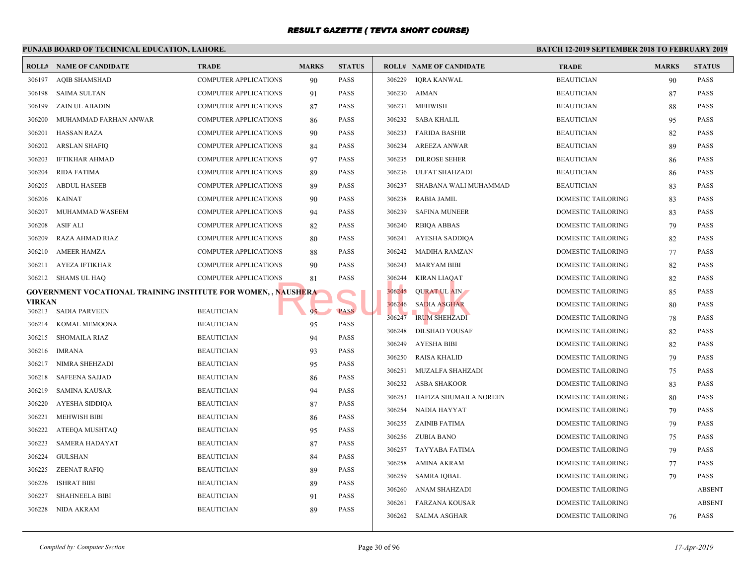|                         | PUNJAB BOARD OF TECHNICAL EDUCATION, LAHORE.                          |                                        |              |                     |        |                                | <b>BATCH 12-2</b> |
|-------------------------|-----------------------------------------------------------------------|----------------------------------------|--------------|---------------------|--------|--------------------------------|-------------------|
|                         | <b>ROLL# NAME OF CANDIDATE</b>                                        | <b>TRADE</b>                           | <b>MARKS</b> | <b>STATUS</b>       |        | <b>ROLL# NAME OF CANDIDATE</b> | <b>TRAI</b>       |
| 306197                  | <b>AQIB SHAMSHAD</b>                                                  | <b>COMPUTER APPLICATIONS</b>           | 90           | <b>PASS</b>         | 306229 | <b>IQRA KANWAL</b>             | <b>BEAU</b>       |
| 306198                  | SAIMA SULTAN                                                          | <b>COMPUTER APPLICATIONS</b>           | 91           | PASS                | 306230 | AIMAN                          | <b>BEAU</b>       |
| 306199                  | ZAIN UL ABADIN                                                        | <b>COMPUTER APPLICATIONS</b>           | 87           | PASS                | 306231 | <b>MEHWISH</b>                 | <b>BEAU</b>       |
| 306200                  | MUHAMMAD FARHAN ANWAR                                                 | <b>COMPUTER APPLICATIONS</b>           | 86           | PASS                | 306232 | SABA KHALIL                    | <b>BEAU</b>       |
| 306201                  | <b>HASSAN RAZA</b>                                                    | <b>COMPUTER APPLICATIONS</b>           | 90           | <b>PASS</b>         | 306233 | <b>FARIDA BASHIR</b>           | <b>BEAU</b>       |
| 306202                  | <b>ARSLAN SHAFIQ</b>                                                  | <b>COMPUTER APPLICATIONS</b>           | 84           | PASS                | 306234 | <b>AREEZA ANWAR</b>            | <b>BEAU</b>       |
| 306203                  | <b>IFTIKHAR AHMAD</b>                                                 | <b>COMPUTER APPLICATIONS</b>           | 97           | <b>PASS</b>         | 306235 | <b>DILROSE SEHER</b>           | <b>BEAU</b>       |
| 306204                  | <b>RIDA FATIMA</b>                                                    | <b>COMPUTER APPLICATIONS</b>           | 89           | PASS                | 306236 | <b>ULFAT SHAHZADI</b>          | <b>BEAU</b>       |
| 306205                  | <b>ABDUL HASEEB</b>                                                   | <b>COMPUTER APPLICATIONS</b>           | 89           | PASS                | 306237 | SHABANA WALI MUHAMMAD          | <b>BEAU</b>       |
| 306206                  | <b>KAINAT</b>                                                         | <b>COMPUTER APPLICATIONS</b>           | 90           | PASS                | 306238 | <b>RABIA JAMIL</b>             | <b>DOME</b>       |
| 306207                  | MUHAMMAD WASEEM                                                       | <b>COMPUTER APPLICATIONS</b>           | 94           | PASS                | 306239 | <b>SAFINA MUNEER</b>           | <b>DOME</b>       |
| 306208                  | <b>ASIF ALI</b>                                                       | <b>COMPUTER APPLICATIONS</b>           | 82           | PASS                | 306240 | <b>RBIQA ABBAS</b>             | <b>DOME</b>       |
| 306209                  | RAZA AHMAD RIAZ                                                       | <b>COMPUTER APPLICATIONS</b>           | 80           | PASS                | 306241 | AYESHA SADDIQA                 | <b>DOME</b>       |
| 306210                  | <b>AMEER HAMZA</b>                                                    | <b>COMPUTER APPLICATIONS</b>           | 88           | <b>PASS</b>         | 306242 | <b>MADIHA RAMZAN</b>           | <b>DOME</b>       |
| 306211                  | <b>AYEZA IFTIKHAR</b>                                                 | <b>COMPUTER APPLICATIONS</b>           | 90           | <b>PASS</b>         | 306243 | <b>MARYAM BIBI</b>             | <b>DOME</b>       |
| 306212                  | SHAMS UL HAQ                                                          | <b>COMPUTER APPLICATIONS</b>           | 81           | PASS                | 306244 | <b>KIRAN LIAQAT</b>            | <b>DOME</b>       |
|                         | <b>GOVERNMENT VOCATIONAL TRAINING INSTITUTE FOR WOMEN, , NAUSHERA</b> |                                        |              |                     | 306245 | <b>QURAT UL AIN</b>            | <b>DOME</b>       |
| <b>VIRKAN</b><br>306213 | <b>SADIA PARVEEN</b>                                                  | <b>BEAUTICIAN</b>                      | 95           | <b>PASS</b>         | 306246 | <b>SADIA ASGHAR</b>            | <b>DOME</b>       |
| 306214                  | KOMAL MEMOONA                                                         | <b>BEAUTICIAN</b>                      |              | <b>PASS</b>         | 306247 | <b>IRUM SHEHZADI</b>           | <b>DOME</b>       |
| 306215                  | <b>SHOMAILA RIAZ</b>                                                  | <b>BEAUTICIAN</b>                      | 95<br>94     | PASS                | 306248 | <b>DILSHAD YOUSAF</b>          | <b>DOME</b>       |
| 306216                  | IMRANA                                                                | <b>BEAUTICIAN</b>                      |              | PASS                | 306249 | <b>AYESHA BIBI</b>             | <b>DOME</b>       |
| 306217                  | NIMRA SHEHZADI                                                        | <b>BEAUTICIAN</b>                      | 93<br>95     | <b>PASS</b>         | 306250 | <b>RAISA KHALID</b>            | <b>DOME</b>       |
| 306218                  |                                                                       |                                        |              | PASS                | 306251 | MUZALFA SHAHZADI               | <b>DOME</b>       |
| 306219                  | <b>SAFEENA SAJJAD</b><br><b>SAMINA KAUSAR</b>                         | <b>BEAUTICIAN</b><br><b>BEAUTICIAN</b> | 86           | PASS                | 306252 | <b>ASBA SHAKOOR</b>            | <b>DOME</b>       |
| 306220                  | AYESHA SIDDIQA                                                        | <b>BEAUTICIAN</b>                      | 94           | PASS                | 306253 | HAFIZA SHUMAILA NOREEN         | <b>DOME</b>       |
| 306221                  | <b>MEHWISH BIBI</b>                                                   |                                        | 87           |                     | 306254 | <b>NADIA HAYYAT</b>            | <b>DOME</b>       |
| 306222                  | ATEEQA MUSHTAQ                                                        | <b>BEAUTICIAN</b><br><b>BEAUTICIAN</b> | 86<br>95     | PASS<br><b>PASS</b> | 306255 | ZAINIB FATIMA                  | <b>DOME</b>       |
|                         |                                                                       | <b>BEAUTICIAN</b>                      |              | PASS                | 306256 | ZUBIA BANO                     | <b>DOME</b>       |
| 306223<br>306224        | SAMERA HADAYAT<br><b>GULSHAN</b>                                      | <b>BEAUTICIAN</b>                      | 87           | PASS                | 306257 | TAYYABA FATIMA                 | <b>DOME</b>       |
|                         |                                                                       |                                        | 84           |                     | 306258 | AMINA AKRAM                    | <b>DOME</b>       |
| 306225                  | <b>ZEENAT RAFIQ</b><br><b>ISHRAT BIBI</b>                             | <b>BEAUTICIAN</b>                      | 89           | PASS                | 306259 | <b>SAMRA IQBAL</b>             | <b>DOME</b>       |
| 306226                  |                                                                       | <b>BEAUTICIAN</b><br><b>BEAUTICIAN</b> | 89           | PASS<br><b>PASS</b> | 306260 | ANAM SHAHZADI                  | <b>DOME</b>       |
| 306227<br>306228        | <b>SHAHNEELA BIBI</b>                                                 |                                        | 91           |                     | 306261 | <b>FARZANA KOUSAR</b>          | <b>DOME</b>       |
|                         | NIDA AKRAM                                                            | <b>BEAUTICIAN</b>                      | 89           | PASS                | 306262 | SALMA ASGHAR                   | <b>DOME</b>       |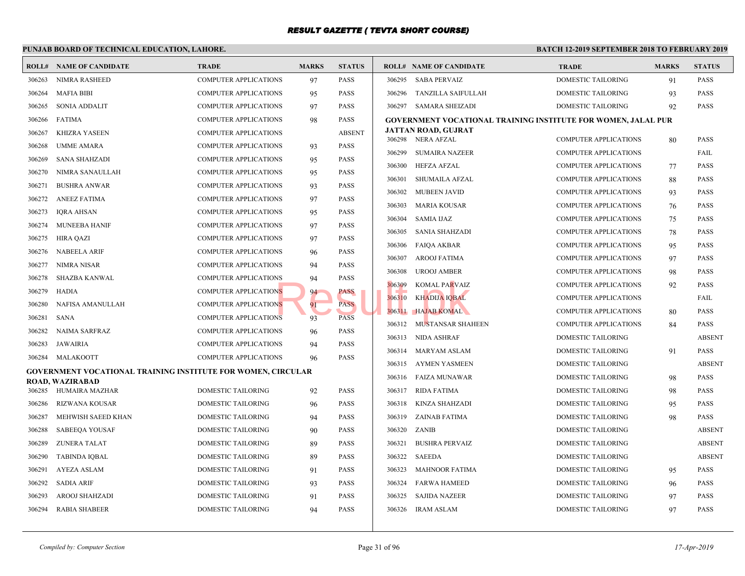|        | PUNJAB BOARD OF TECHNICAL EDUCATION, LAHORE.                 |                              |              | <b>BATCH 12-2</b> |        |                                                 |                            |
|--------|--------------------------------------------------------------|------------------------------|--------------|-------------------|--------|-------------------------------------------------|----------------------------|
|        | <b>ROLL# NAME OF CANDIDATE</b>                               | <b>TRADE</b>                 | <b>MARKS</b> | <b>STATUS</b>     |        | <b>ROLL# NAME OF CANDIDATE</b>                  | <b>TRAL</b>                |
| 306263 | <b>NIMRA RASHEED</b>                                         | <b>COMPUTER APPLICATIONS</b> | 97           | <b>PASS</b>       | 306295 | <b>SABA PERVAIZ</b>                             | <b>DOME</b>                |
| 306264 | <b>MAFIA BIBI</b>                                            | <b>COMPUTER APPLICATIONS</b> | 95           | <b>PASS</b>       | 306296 | TANZILLA SAIFULLAH                              | <b>DOME</b>                |
| 306265 | <b>SONIA ADDALIT</b>                                         | COMPUTER APPLICATIONS        | 97           | <b>PASS</b>       |        | 306297 SAMARA SHEIZADI                          | <b>DOME</b>                |
| 306266 | <b>FATIMA</b>                                                | <b>COMPUTER APPLICATIONS</b> | 98           | <b>PASS</b>       |        | <b>GOVERNMENT VOCATIONAL TRAINING INSTITUTE</b> |                            |
| 306267 | <b>KHIZRA YASEEN</b>                                         | <b>COMPUTER APPLICATIONS</b> |              | <b>ABSENT</b>     |        | JATTAN ROAD, GUJRAT                             |                            |
| 306268 | <b>UMME AMARA</b>                                            | <b>COMPUTER APPLICATIONS</b> | 93           | <b>PASS</b>       | 306299 | 306298 NERA AFZAL<br><b>SUMAIRA NAZEER</b>      | <b>COMP</b><br><b>COMP</b> |
| 306269 | <b>SANA SHAHZADI</b>                                         | <b>COMPUTER APPLICATIONS</b> | 95           | <b>PASS</b>       |        |                                                 |                            |
| 306270 | NIMRA SANAULLAH                                              | <b>COMPUTER APPLICATIONS</b> | 95           | <b>PASS</b>       | 306300 | HEFZA AFZAL                                     | <b>COMP</b>                |
| 306271 | <b>BUSHRA ANWAR</b>                                          | <b>COMPUTER APPLICATIONS</b> | 93           | <b>PASS</b>       | 306301 | SHUMAILA AFZAL                                  | <b>COMP</b>                |
| 306272 | <b>ANEEZ FATIMA</b>                                          | <b>COMPUTER APPLICATIONS</b> | 97           | <b>PASS</b>       | 306302 | <b>MUBEEN JAVID</b>                             | <b>COMP</b>                |
| 306273 | <b>IQRA AHSAN</b>                                            | <b>COMPUTER APPLICATIONS</b> | 95           | <b>PASS</b>       | 306303 | <b>MARIA KOUSAR</b>                             | <b>COMP</b>                |
| 306274 | <b>MUNEEBA HANIF</b>                                         | <b>COMPUTER APPLICATIONS</b> | 97           | <b>PASS</b>       | 306304 | <b>SAMIA IJAZ</b>                               | <b>COMP</b>                |
| 306275 | <b>HIRA QAZI</b>                                             | <b>COMPUTER APPLICATIONS</b> | 97           | <b>PASS</b>       | 306305 | <b>SANIA SHAHZADI</b>                           | <b>COMP</b>                |
| 306276 | <b>NABEELA ARIF</b>                                          | <b>COMPUTER APPLICATIONS</b> | 96           | <b>PASS</b>       | 306306 | FAIQA AKBAR                                     | <b>COMP</b>                |
| 306277 | <b>NIMRA NISAR</b>                                           | COMPUTER APPLICATIONS        | 94           | <b>PASS</b>       | 306307 | AROOJ FATIMA                                    | <b>COMP</b>                |
| 306278 | SHAZBA KANWAL                                                | COMPUTER APPLICATIONS        | 94           | <b>PASS</b>       | 306308 | <b>UROOJ AMBER</b>                              | <b>COMP</b>                |
| 306279 | HADIA                                                        | COMPUTER APPLICATIONS        | 94           | PASS              | 306309 | <b>KOMAL PARVAIZ</b>                            | <b>COMP</b>                |
| 306280 | NAFISA AMANULLAH                                             | COMPUTER APPLICATIONS        | 91           | <b>PASS</b>       | 306310 | <b>KHADIJA IQBAL</b>                            | <b>COMP</b>                |
| 306281 | <b>SANA</b>                                                  | <b>COMPUTER APPLICATIONS</b> | 93           | <b>PASS</b>       | 306311 | <b>HAJAB KOMAL</b>                              | <b>COMP</b>                |
| 306282 | NAIMA SARFRAZ                                                | <b>COMPUTER APPLICATIONS</b> | 96           | <b>PASS</b>       | 306312 | <b>MUSTANSAR SHAHEEN</b>                        | <b>COMP</b>                |
| 306283 | JAWAIRIA                                                     | <b>COMPUTER APPLICATIONS</b> | 94           | <b>PASS</b>       | 306313 | NIDA ASHRAF                                     | <b>DOME</b>                |
| 306284 | MALAKOOTT                                                    | <b>COMPUTER APPLICATIONS</b> | 96           | <b>PASS</b>       |        | 306314 MARYAM ASLAM                             | <b>DOME</b>                |
|        | GOVERNMENT VOCATIONAL TRAINING INSTITUTE FOR WOMEN, CIRCULAR |                              |              |                   | 306315 | AYMEN YASMEEN                                   | <b>DOME</b>                |
|        | <b>ROAD, WAZIRABAD</b>                                       |                              |              |                   |        | 306316 FAIZA MUNAWAR                            | <b>DOME</b>                |
|        | 306285 HUMAIRA MAZHAR                                        | DOMESTIC TAILORING           | 92           | <b>PASS</b>       | 306317 | RIDA FATIMA                                     | <b>DOME</b>                |
| 306286 | <b>RIZWANA KOUSAR</b>                                        | DOMESTIC TAILORING           | 96           | <b>PASS</b>       | 306318 | KINZA SHAHZADI                                  | <b>DOME</b>                |
| 306287 | MEHWISH SAEED KHAN                                           | <b>DOMESTIC TAILORING</b>    | 94           | <b>PASS</b>       | 306319 | ZAINAB FATIMA                                   | <b>DOME</b>                |
| 306288 | <b>SABEEQA YOUSAF</b>                                        | <b>DOMESTIC TAILORING</b>    | 90           | <b>PASS</b>       | 306320 | <b>ZANIB</b>                                    | <b>DOME</b>                |
| 306289 | <b>ZUNERA TALAT</b>                                          | DOMESTIC TAILORING           | 89           | <b>PASS</b>       | 306321 | <b>BUSHRA PERVAIZ</b>                           | <b>DOME</b>                |
| 306290 | <b>TABINDA IOBAL</b>                                         | <b>DOMESTIC TAILORING</b>    | 89           | <b>PASS</b>       | 306322 | SAEEDA                                          | <b>DOME</b>                |
| 306291 | AYEZA ASLAM                                                  | DOMESTIC TAILORING           | 91           | <b>PASS</b>       | 306323 | <b>MAHNOOR FATIMA</b>                           | <b>DOME</b>                |
| 306292 | <b>SADIA ARIF</b>                                            | DOMESTIC TAILORING           | 93           | <b>PASS</b>       | 306324 | <b>FARWA HAMEED</b>                             | <b>DOME</b>                |
| 306293 | AROOJ SHAHZADI                                               | DOMESTIC TAILORING           | 91           | <b>PASS</b>       | 306325 | <b>SAJIDA NAZEER</b>                            | <b>DOME</b>                |
| 306294 | <b>RABIA SHABEER</b>                                         | DOMESTIC TAILORING           | 94           | <b>PASS</b>       |        | 306326 IRAM ASLAM                               | <b>DOME</b>                |
|        |                                                              |                              |              |                   |        |                                                 |                            |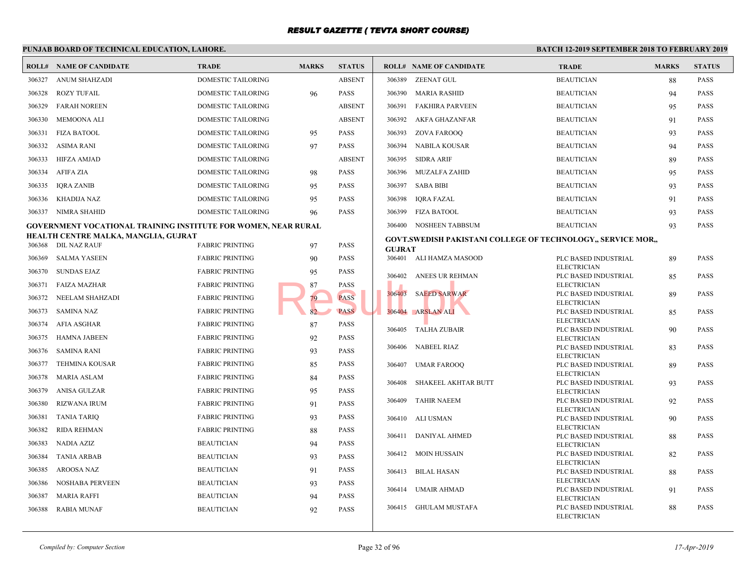|        | PUNJAB BOARD OF TECHNICAL EDUCATION, LAHORE.                   |                           |              |               |               |                                                  | <b>BATCH 12-1</b>      |
|--------|----------------------------------------------------------------|---------------------------|--------------|---------------|---------------|--------------------------------------------------|------------------------|
|        | <b>ROLL# NAME OF CANDIDATE</b>                                 | <b>TRADE</b>              | <b>MARKS</b> | <b>STATUS</b> |               | <b>ROLL# NAME OF CANDIDATE</b>                   | <b>TRAL</b>            |
| 306327 | ANUM SHAHZADI                                                  | <b>DOMESTIC TAILORING</b> |              | <b>ABSENT</b> | 306389        | <b>ZEENAT GUL</b>                                | <b>BEAU</b>            |
| 306328 | <b>ROZY TUFAIL</b>                                             | DOMESTIC TAILORING        | 96           | <b>PASS</b>   | 306390        | MARIA RASHID                                     | <b>BEAU</b>            |
| 306329 | <b>FARAH NOREEN</b>                                            | DOMESTIC TAILORING        |              | <b>ABSENT</b> | 306391        | FAKHIRA PARVEEN                                  | <b>BEAU</b>            |
| 306330 | MEMOONA ALI                                                    | DOMESTIC TAILORING        |              | <b>ABSENT</b> | 306392        | AKFA GHAZANFAR                                   | <b>BEAU</b>            |
| 306331 | <b>FIZA BATOOL</b>                                             | DOMESTIC TAILORING        | 95           | <b>PASS</b>   |               | 306393 ZOVA FAROOQ                               | <b>BEAU</b>            |
| 306332 | ASIMA RANI                                                     | DOMESTIC TAILORING        | 97           | <b>PASS</b>   | 306394        | NABILA KOUSAR                                    | <b>BEAU</b>            |
| 306333 | HIFZA AMJAD                                                    | DOMESTIC TAILORING        |              | <b>ABSENT</b> | 306395        | SIDRA ARIF                                       | <b>BEAU</b>            |
| 306334 | AFIFA ZIA                                                      | DOMESTIC TAILORING        | 98           | <b>PASS</b>   | 306396        | MUZALFA ZAHID                                    | <b>BEAU</b>            |
| 306335 | <b>IORA ZANIB</b>                                              | DOMESTIC TAILORING        | 95           | <b>PASS</b>   | 306397        | SABA BIBI                                        | <b>BEAU</b>            |
| 306336 | KHADIJA NAZ                                                    | DOMESTIC TAILORING        | 95           | <b>PASS</b>   | 306398        | <b>IQRA FAZAL</b>                                | <b>BEAU</b>            |
|        | 306337 NIMRA SHAHID                                            | DOMESTIC TAILORING        | 96           | <b>PASS</b>   | 306399        | <b>FIZA BATOOL</b>                               | <b>BEAU</b>            |
|        | GOVERNMENT VOCATIONAL TRAINING INSTITUTE FOR WOMEN, NEAR RURAL |                           |              |               | 306400        | NOSHEEN TABBSUM                                  | <b>BEAU</b>            |
|        | HEALTH CENTRE MALKA, MANGLIA, GUJRAT                           |                           |              |               |               | <b>GOVT.SWEDISH PAKISTANI COLLEGE OF TECHNOI</b> |                        |
|        | 306368 DIL NAZ RAUF                                            | <b>FABRIC PRINTING</b>    | 97           | <b>PASS</b>   | <b>GUJRAT</b> |                                                  |                        |
| 306369 | <b>SALMA YASEEN</b>                                            | <b>FABRIC PRINTING</b>    | 90           | <b>PASS</b>   |               | 306401 ALI HAMZA MASOOD                          | PLC B.<br><b>ELECT</b> |
| 306370 | SUNDAS EJAZ                                                    | <b>FABRIC PRINTING</b>    | 95           | <b>PASS</b>   |               | 306402 ANEES UR REHMAN                           | PLC B.                 |
| 306371 | <b>FAIZA MAZHAR</b>                                            | <b>FABRIC PRINTING</b>    | 87           | <b>PASS</b>   |               |                                                  | <b>ELECT</b><br>PLC B. |
| 306372 | NEELAM SHAHZADI                                                | <b>FABRIC PRINTING</b>    | 79           | <b>PASS</b>   |               | 306403 SAEED SARWAR                              | <b>ELECT</b>           |
| 306373 | SAMINA NAZ                                                     | <b>FABRIC PRINTING</b>    | 82           | <b>PASS</b>   |               | 306404 ARSLAN ALI                                | PLC B.                 |
| 306374 | AFIA ASGHAR                                                    | <b>FABRIC PRINTING</b>    | 87           | <b>PASS</b>   | 306405        | TALHA ZUBAIR                                     | <b>ELECT</b><br>PLC B. |
| 306375 | HAMNA JABEEN                                                   | <b>FABRIC PRINTING</b>    | 92           | <b>PASS</b>   |               |                                                  | <b>ELECT</b>           |
| 306376 | SAMINA RANI                                                    | <b>FABRIC PRINTING</b>    | 93           | <b>PASS</b>   | 306406        | <b>NABEEL RIAZ</b>                               | PLC B.<br><b>ELECT</b> |
| 306377 | <b>TEHMINA KOUSAR</b>                                          | <b>FABRIC PRINTING</b>    | 85           | <b>PASS</b>   | 306407        | <b>UMAR FAROOQ</b>                               | PLC B.                 |
| 306378 | <b>MARIA ASLAM</b>                                             | <b>FABRIC PRINTING</b>    | 84           | <b>PASS</b>   | 306408        | SHAKEEL AKHTAR BUTT                              | <b>ELECT</b><br>PLC B. |
| 306379 | ANISA GULZAR                                                   | <b>FABRIC PRINTING</b>    | 95           | <b>PASS</b>   |               |                                                  | <b>ELECT</b>           |
| 306380 | RIZWANA IRUM                                                   | <b>FABRIC PRINTING</b>    | 91           | <b>PASS</b>   | 306409        | <b>TAHIR NAEEM</b>                               | PLC B.<br><b>ELECT</b> |
| 306381 | <b>TANIA TARIQ</b>                                             | <b>FABRIC PRINTING</b>    | 93           | <b>PASS</b>   | 306410        | ALI USMAN                                        | PLC B.                 |
| 306382 | RIDA REHMAN                                                    | <b>FABRIC PRINTING</b>    | 88           | <b>PASS</b>   |               |                                                  | <b>ELECT</b>           |
| 306383 | NADIA AZIZ                                                     | <b>BEAUTICIAN</b>         | 94           | <b>PASS</b>   | 306411        | <b>DANIYAL AHMED</b>                             | PLC B.<br><b>ELECT</b> |
| 306384 | <b>TANIA ARBAB</b>                                             | <b>BEAUTICIAN</b>         | 93           | <b>PASS</b>   |               | 306412 MOIN HUSSAIN                              | PLC B.                 |
| 306385 | AROOSA NAZ                                                     | <b>BEAUTICIAN</b>         | 91           | <b>PASS</b>   | 306413        | BILAL HASAN                                      | <b>ELECT</b><br>PLC B. |
| 306386 | NOSHABA PERVEEN                                                | <b>BEAUTICIAN</b>         | 93           | <b>PASS</b>   |               |                                                  | <b>ELECT</b>           |
| 306387 | <b>MARIA RAFFI</b>                                             | <b>BEAUTICIAN</b>         | 94           | <b>PASS</b>   | 306414        | UMAIR AHMAD                                      | PLC B.<br><b>ELECT</b> |
| 306388 | RABIA MUNAF                                                    | <b>BEAUTICIAN</b>         | 92           | <b>PASS</b>   |               | 306415 GHULAM MUSTAFA                            | PLC B.                 |
|        |                                                                |                           |              |               |               |                                                  | <b>ELECT</b>           |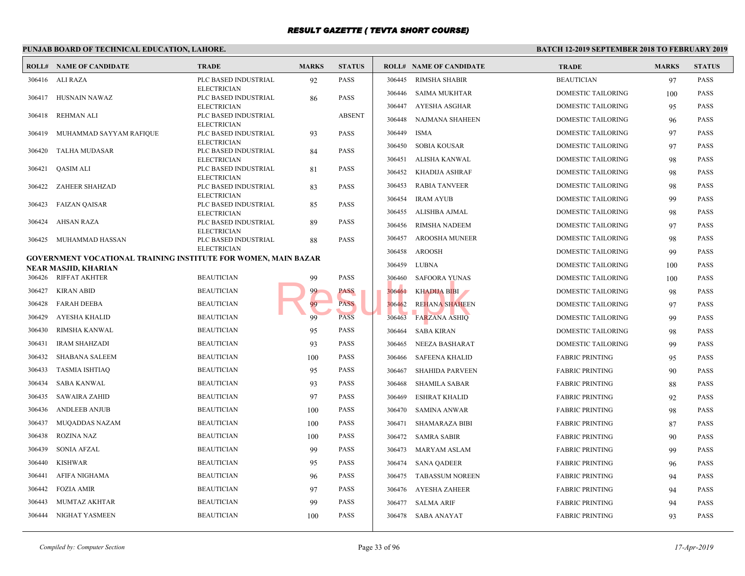|        | PUNJAB BOARD OF TECHNICAL EDUCATION, LAHORE.                                                  |                                            |              |               |        |                                | <b>BATCH 12-1</b> |
|--------|-----------------------------------------------------------------------------------------------|--------------------------------------------|--------------|---------------|--------|--------------------------------|-------------------|
|        | <b>ROLL# NAME OF CANDIDATE</b>                                                                | <b>TRADE</b>                               | <b>MARKS</b> | <b>STATUS</b> |        | <b>ROLL# NAME OF CANDIDATE</b> | <b>TRAL</b>       |
|        | 306416 ALI RAZA                                                                               | PLC BASED INDUSTRIAL                       | 92           | <b>PASS</b>   | 306445 | <b>RIMSHA SHABIR</b>           | <b>BEAU</b>       |
| 306417 | HUSNAIN NAWAZ                                                                                 | <b>ELECTRICIAN</b><br>PLC BASED INDUSTRIAL | 86           | <b>PASS</b>   | 306446 | SAIMA MUKHTAR                  | <b>DOME</b>       |
|        |                                                                                               | <b>ELECTRICIAN</b>                         |              |               | 306447 | AYESHA ASGHAR                  | <b>DOME</b>       |
| 306418 | <b>REHMAN ALI</b>                                                                             | PLC BASED INDUSTRIAL<br><b>ELECTRICIAN</b> |              | <b>ABSENT</b> | 306448 | NAJMANA SHAHEEN                | <b>DOME</b>       |
| 306419 | MUHAMMAD SAYYAM RAFIQUE                                                                       | PLC BASED INDUSTRIAL                       | 93           | <b>PASS</b>   | 306449 | <b>ISMA</b>                    | <b>DOME</b>       |
| 306420 | TALHA MUDASAR                                                                                 | <b>ELECTRICIAN</b><br>PLC BASED INDUSTRIAL | 84           | <b>PASS</b>   | 306450 | <b>SOBIA KOUSAR</b>            | <b>DOME</b>       |
|        |                                                                                               | <b>ELECTRICIAN</b>                         |              |               | 306451 | ALISHA KANWAL                  | <b>DOME</b>       |
| 306421 | QASIM ALI                                                                                     | PLC BASED INDUSTRIAL<br><b>ELECTRICIAN</b> | 81           | PASS          | 306452 | KHADIJA ASHRAF                 | <b>DOME</b>       |
| 306422 | ZAHEER SHAHZAD                                                                                | PLC BASED INDUSTRIAL                       | 83           | <b>PASS</b>   | 306453 | <b>RABIA TANVEER</b>           | <b>DOME</b>       |
| 306423 | FAIZAN QAISAR                                                                                 | <b>ELECTRICIAN</b><br>PLC BASED INDUSTRIAL | 85           | <b>PASS</b>   | 306454 | <b>IRAM AYUB</b>               | <b>DOME</b>       |
|        |                                                                                               | <b>ELECTRICIAN</b>                         |              |               | 306455 | ALISHBA AJMAL                  | <b>DOME</b>       |
| 306424 | AHSAN RAZA                                                                                    | PLC BASED INDUSTRIAL<br><b>ELECTRICIAN</b> | 89           | <b>PASS</b>   | 306456 | RIMSHA NADEEM                  | <b>DOME</b>       |
| 306425 | MUHAMMAD HASSAN                                                                               | PLC BASED INDUSTRIAL                       | 88           | <b>PASS</b>   | 306457 | AROOSHA MUNEER                 | <b>DOME</b>       |
|        |                                                                                               | <b>ELECTRICIAN</b>                         |              |               | 306458 | AROOSH                         | <b>DOME</b>       |
|        | <b>GOVERNMENT VOCATIONAL TRAINING INSTITUTE FOR WOMEN, MAIN BAZAR</b><br>NEAR MASJID, KHARIAN |                                            |              |               | 306459 | LUBNA                          | <b>DOME</b>       |
|        | 306426 RIFFAT AKHTER                                                                          | <b>BEAUTICIAN</b>                          | 99           | PASS          | 306460 | <b>SAFOORA YUNAS</b>           | <b>DOME</b>       |
| 306427 | <b>KIRAN ABID</b>                                                                             | <b>BEAUTICIAN</b>                          | 99           | PASS          | 306461 | KHADIJA BIBI                   | <b>DOME</b>       |
| 306428 | FARAH DEEBA                                                                                   | <b>BEAUTICIAN</b>                          | 99           | <b>PASS</b>   | 306462 | <b>REHANA SHAHEEN</b>          | <b>DOME</b>       |
| 306429 | AYESHA KHALID                                                                                 | <b>BEAUTICIAN</b>                          | 99           | <b>PASS</b>   | 306463 | <b>FARZANA ASHIQ</b>           | <b>DOME</b>       |
| 306430 | RIMSHA KANWAL                                                                                 | <b>BEAUTICIAN</b>                          | 95           | <b>PASS</b>   | 306464 | <b>SABA KIRAN</b>              | <b>DOME</b>       |
| 306431 | <b>IRAM SHAHZADI</b>                                                                          | <b>BEAUTICIAN</b>                          | 93           | <b>PASS</b>   | 306465 | NEEZA BASHARAT                 | <b>DOME</b>       |
| 306432 | SHABANA SALEEM                                                                                | <b>BEAUTICIAN</b>                          | 100          | <b>PASS</b>   | 306466 | <b>SAFEENA KHALID</b>          | FABRI             |
| 306433 | <b>TASMIA ISHTIAQ</b>                                                                         | <b>BEAUTICIAN</b>                          | 95           | <b>PASS</b>   | 306467 | SHAHIDA PARVEEN                | FABRI             |
| 306434 | <b>SABA KANWAL</b>                                                                            | <b>BEAUTICIAN</b>                          | 93           | PASS          | 306468 | <b>SHAMILA SABAR</b>           | FABRI             |
| 306435 | <b>SAWAIRA ZAHID</b>                                                                          | <b>BEAUTICIAN</b>                          | 97           | <b>PASS</b>   | 306469 | <b>ESHRAT KHALID</b>           | FABRI             |
| 306436 | <b>ANDLEEB ANJUB</b>                                                                          | <b>BEAUTICIAN</b>                          | 100          | <b>PASS</b>   | 306470 | SAMINA ANWAR                   | FABRI             |
| 306437 | MUQADDAS NAZAM                                                                                | <b>BEAUTICIAN</b>                          | 100          | <b>PASS</b>   | 306471 | SHAMARAZA BIBI                 | FABRI             |
| 306438 | <b>ROZINA NAZ</b>                                                                             | <b>BEAUTICIAN</b>                          | 100          | <b>PASS</b>   | 306472 | <b>SAMRA SABIR</b>             | FABRI             |
| 306439 | <b>SONIA AFZAL</b>                                                                            | <b>BEAUTICIAN</b>                          | 99           | <b>PASS</b>   | 306473 | MARYAM ASLAM                   | FABRI             |
| 306440 | <b>KISHWAR</b>                                                                                | <b>BEAUTICIAN</b>                          | 95           | PASS          | 306474 | <b>SANA QADEER</b>             | FABRI             |
| 306441 | AFIFA NIGHAMA                                                                                 | <b>BEAUTICIAN</b>                          | 96           | <b>PASS</b>   | 306475 | <b>TABASSUM NOREEN</b>         | FABRI             |
| 306442 | <b>FOZIA AMIR</b>                                                                             | <b>BEAUTICIAN</b>                          | 97           | PASS          | 306476 | AYESHA ZAHEER                  | FABRI             |
| 306443 | MUMTAZ AKHTAR                                                                                 | <b>BEAUTICIAN</b>                          | 99           | <b>PASS</b>   | 306477 | SALMA ARIF                     | FABRI             |
| 306444 | NIGHAT YASMEEN                                                                                | <b>BEAUTICIAN</b>                          | 100          | <b>PASS</b>   |        | 306478 SABA ANAYAT             | FABRI             |
|        |                                                                                               |                                            |              |               |        |                                |                   |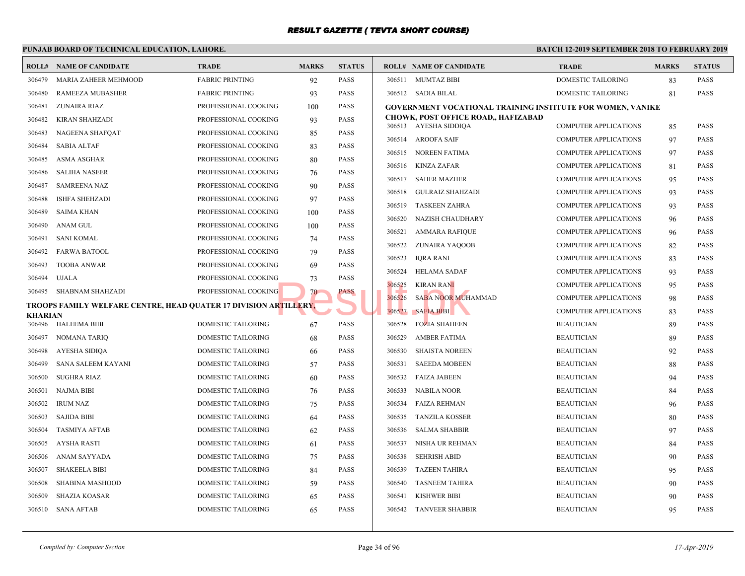|        | PUNJAB BOARD OF TECHNICAL EDUCATION, LAHORE.                     |                           |              |               |                                                 | <b>BATCH 12-1</b> |
|--------|------------------------------------------------------------------|---------------------------|--------------|---------------|-------------------------------------------------|-------------------|
|        | <b>ROLL# NAME OF CANDIDATE</b>                                   | <b>TRADE</b>              | <b>MARKS</b> | <b>STATUS</b> | <b>ROLL# NAME OF CANDIDATE</b>                  | <b>TRAL</b>       |
| 306479 | MARIA ZAHEER MEHMOOD                                             | <b>FABRIC PRINTING</b>    | 92           | PASS          | 306511 MUMTAZ BIBI                              | <b>DOME</b>       |
| 306480 | RAMEEZA MUBASHER                                                 | <b>FABRIC PRINTING</b>    | 93           | PASS          | 306512 SADIA BILAL                              | <b>DOME</b>       |
| 306481 | ZUNAIRA RIAZ                                                     | PROFESSIONAL COOKING      | 100          | PASS          | <b>GOVERNMENT VOCATIONAL TRAINING INSTITUTE</b> |                   |
| 306482 | KIRAN SHAHZADI                                                   | PROFESSIONAL COOKING      | 93           | PASS          | <b>CHOWK, POST OFFICE ROAD,, HAFIZABAD</b>      | <b>COMP</b>       |
| 306483 | NAGEENA SHAFQAT                                                  | PROFESSIONAL COOKING      | 85           | PASS          | 306513 AYESHA SIDDIQA<br>306514 AROOFA SAIF     | <b>COMP</b>       |
| 306484 | <b>SABIA ALTAF</b>                                               | PROFESSIONAL COOKING      | 83           | <b>PASS</b>   | 306515<br>NOREEN FATIMA                         | <b>COMP</b>       |
| 306485 | ASMA ASGHAR                                                      | PROFESSIONAL COOKING      | 80           | PASS          | 306516<br>KINZA ZAFAR                           | <b>COMP</b>       |
| 306486 | <b>SALIHA NASEER</b>                                             | PROFESSIONAL COOKING      | 76           | PASS          | 306517<br><b>SAHER MAZHER</b>                   | <b>COMP</b>       |
| 306487 | <b>SAMREENA NAZ</b>                                              | PROFESSIONAL COOKING      | 90           | PASS          | 306518<br><b>GULRAIZ SHAHZADI</b>               | <b>COMP</b>       |
| 306488 | <b>ISHFA SHEHZADI</b>                                            | PROFESSIONAL COOKING      | 97           | PASS          | 306519<br><b>TASKEEN ZAHRA</b>                  | <b>COMP</b>       |
| 306489 | <b>SAIMA KHAN</b>                                                | PROFESSIONAL COOKING      | 100          | PASS          | 306520<br>NAZISH CHAUDHARY                      | <b>COMP</b>       |
| 306490 | ANAM GUL                                                         | PROFESSIONAL COOKING      | 100          | PASS          | 306521<br>AMMARA RAFIQUE                        | <b>COMP</b>       |
| 306491 | SANI KOMAL                                                       | PROFESSIONAL COOKING      | 74           | PASS          | 306522<br>ZUNAIRA YAQOOB                        | <b>COMP</b>       |
| 306492 | FARWA BATOOL                                                     | PROFESSIONAL COOKING      | 79           | PASS          | 306523<br><b>IQRA RANI</b>                      | <b>COMP</b>       |
| 306493 | <b>TOOBA ANWAR</b>                                               | PROFESSIONAL COOKING      | 69           | PASS          | 306524<br><b>HELAMA SADAF</b>                   | <b>COMP</b>       |
| 306494 | <b>UJALA</b>                                                     | PROFESSIONAL COOKING      | 73           | PASS          | 306525<br><b>KIRAN RANI</b>                     | <b>COMP</b>       |
|        | 306495 SHABNAM SHAHZADI                                          | PROFESSIONAL COOKING      | 70           | PASS          | 306526<br><b>SABA NOOR MUHAMMAD</b>             | <b>COMP</b>       |
|        | TROOPS FAMILY WELFARE CENTRE, HEAD QUATER 17 DIVISION ARTILLERY, |                           |              |               | 306527<br><b>SAFIA BIBI</b>                     | <b>COMP</b>       |
|        | <b>KHARIAN</b><br>306496<br>HALEEMA BIBI                         | DOMESTIC TAILORING        | 67           | PASS          | 306528<br><b>FOZIA SHAHEEN</b>                  | <b>BEAU</b>       |
| 306497 | NOMANA TARIQ                                                     | <b>DOMESTIC TAILORING</b> | 68           | PASS          | 306529<br><b>AMBER FATIMA</b>                   | <b>BEAU</b>       |
| 306498 | AYESHA SIDIQA                                                    | DOMESTIC TAILORING        |              | PASS          | 306530<br><b>SHAISTA NOREEN</b>                 | <b>BEAU</b>       |
| 306499 | SANA SALEEM KAYANI                                               | DOMESTIC TAILORING        | 66<br>57     | PASS          | 306531<br><b>SAEEDA MOBEEN</b>                  | <b>BEAU</b>       |
| 306500 | SUGHRA RIAZ                                                      | DOMESTIC TAILORING        | 60           | PASS          | 306532<br><b>FAIZA JABEEN</b>                   | <b>BEAU</b>       |
| 306501 | <b>NAJMA BIBI</b>                                                | DOMESTIC TAILORING        | 76           | PASS          | 306533<br>NABILA NOOR                           | <b>BEAU</b>       |
| 306502 | <b>IRUM NAZ</b>                                                  | DOMESTIC TAILORING        | 75           | PASS          | 306534<br>FAIZA REHMAN                          | <b>BEAU</b>       |
| 306503 | <b>SAJIDA BIBI</b>                                               | DOMESTIC TAILORING        | 64           | PASS          | TANZILA KOSSER<br>306535                        | <b>BEAU</b>       |
| 306504 | <b>TASMIYA AFTAB</b>                                             | DOMESTIC TAILORING        | 62           | PASS          | 306536<br><b>SALMA SHABBIR</b>                  | <b>BEAU</b>       |
| 306505 | AYSHA RASTI                                                      | DOMESTIC TAILORING        | 61           | PASS          | 306537<br>NISHA UR REHMAN                       | <b>BEAU</b>       |
| 306506 | ANAM SAYYADA                                                     | DOMESTIC TAILORING        | 75           | PASS          | 306538<br><b>SEHRISH ABID</b>                   | <b>BEAU</b>       |
| 306507 | <b>SHAKEELA BIBI</b>                                             | DOMESTIC TAILORING        | 84           | <b>PASS</b>   | 306539<br><b>TAZEEN TAHIRA</b>                  | <b>BEAU</b>       |
| 306508 | SHABINA MASHOOD                                                  | DOMESTIC TAILORING        | 59           | PASS          | 306540<br><b>TASNEEM TAHIRA</b>                 | <b>BEAU</b>       |
| 306509 | <b>SHAZIA KOASAR</b>                                             | DOMESTIC TAILORING        | 65           | PASS          | <b>KISHWER BIBI</b><br>306541                   | <b>BEAU</b>       |
|        | 306510<br><b>SANA AFTAB</b>                                      | <b>DOMESTIC TAILORING</b> | 65           | <b>PASS</b>   | 306542<br><b>TANVEER SHABBIR</b>                | <b>BEAU</b>       |
|        |                                                                  |                           |              |               |                                                 |                   |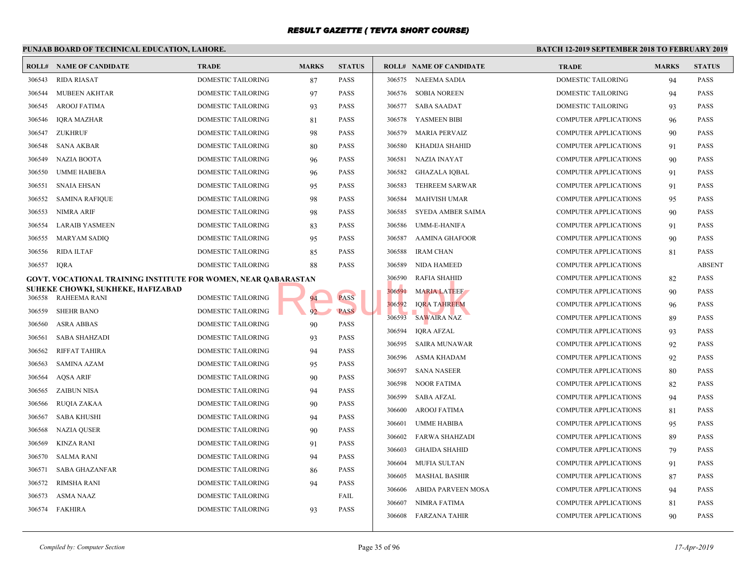#### **PUNJAB BOARD OF TECHNICAL EDUCATION, LAHORE. BATCH 12-ROLL# NAME OF CANDIDATE TRADE MARKS STATUS ROLL# NAME OF CANDIDATE TRADE MARKS STATUS** 306543 RIDA RIASAT DOMESTIC TAILORING 87 PASS 306544 MUBEEN AKHTAR DOMESTIC TAILORING 97 PASS 306545 AROOJ FATIMA DOMESTIC TAILORING 93 PASS 306546 IQRA MAZHAR DOMESTIC TAILORING 81 PASS 306547 ZUKHRUF DOMESTIC TAILORING 98 PASS 306548 SANA AKBAR DOMESTIC TAILORING 80 PASS 306549 NAZIA BOOTA DOMESTIC TAILORING 96 PASS 306550 UMME HABEBA DOMESTIC TAILORING 96 PASS 306551 SNAIA EHSAN DOMESTIC TAILORING 95 PASS 306552 SAMINA RAFIQUE DOMESTIC TAILORING 98 PASS 306553 NIMRA ARIF DOMESTIC TAILORING 98 PASS 306554 LARAIB YASMEEN DOMESTIC TAILORING 83 PASS 306555 MARYAM SADIQ DOMESTIC TAILORING 95 PASS 306556 RIDA ILTAF DOMESTIC TAILORING 85 PASS 306557 IQRA DOMESTIC TAILORING 88 PASS **GOVT. VOCATIONAL TRAINING INSTITUTE FOR WOMEN, NEAR QABARASTAN SUHEKE CHOWKI, SUKHEKE, HAFIZABAD** 306558 RAHEEMA RANI DOMESTIC TAILORING 94 PASS 306559 SHEHR BANO DOMESTIC TAILORING 92 PASS 306560 ASRA ABBAS DOMESTIC TAILORING 90 PASS 306561 SABA SHAHZADI DOMESTIC TAILORING 93 PASS 306562 RIFFAT TAHIRA DOMESTIC TAILORING 94 PASS 306563 SAMINA AZAM DOMESTIC TAILORING 95 PASS 306564 AQSA ARIF DOMESTIC TAILORING 90 PASS 306565 ZAIBUN NISA DOMESTIC TAILORING 94 PASS 306566 RUQIA ZAKAA DOMESTIC TAILORING 90 PASS 306567 SABA KHUSHI DOMESTIC TAILORING 94 PASS 306568 NAZIA QUSER DOMESTIC TAILORING 90 PASS 306569 KINZA RANI DOMESTIC TAILORING 91 PASS 306570 SALMA RANI DOMESTIC TAILORING 94 PASS 306571 SABA GHAZANFAR DOMESTIC TAILORING 86 PASS 306572 RIMSHA RANI DOMESTIC TAILORING 94 PASS 306573 ASMA NAAZ DOMESTIC TAILORING FAIL 306574 FAKHIRA DOMESTIC TAILORING 93 PASS 306575 NAEEMA SADIA DOME 306576 SOBIA NOREEN DOME 306577 SABA SAADAT DOME 306578 YASMEEN BIBI COMP 306579 MARIA PERVAIZ COMP 306580 KHADIJA SHAHID COMP 306581 NAZIA INAYAT COMP 306582 GHAZALA IQBAL COMP 306583 TEHREEM SARWAR COMP 306584 MAHVISH UMAR COMP 306585 SYEDA AMBER SAIMA COMP 306586 UMM-E-HANIFA COMP 306587 AAMINA GHAFOOR COMP 306588 IRAM CHAN COMP 306589 NIDA HAMEED COMP 306590 RAFIA SHAHID COMP 306591 MARIA LATEEF COMP 306592 IQRA TAHREEM COMP 306593 SAWAIRA NAZ COMP 306594 IQRA AFZAL COMP 306595 SAIRA MUNAWAR COMP 306596 ASMA KHADAM COMP 306597 SANA NASEER COMP 306598 NOOR FATIMA COMP 306599 SABA AFZAL COMP 306600 AROOJ FATIMA COMP 306601 UMME HABIBA COMP 306602 FARWA SHAHZADI COMP 306603 GHAIDA SHAHID COMP 306604 MUFIA SULTAN COMP 306605 MASHAL BASHIR COMP 306606 ABIDA PARVEEN MOSA COMP 306607 NIMRA FATIMA 81 PASSES APPLICATIONS 81 PASSES AND THE COMP 306608 FARZANA TAHIR COMP BARASTAN 306590 KAFIA SHAHID<br>92 PASS PASS 306592 IQRA TAHREEM<br>306593 SAWAIRA NAZ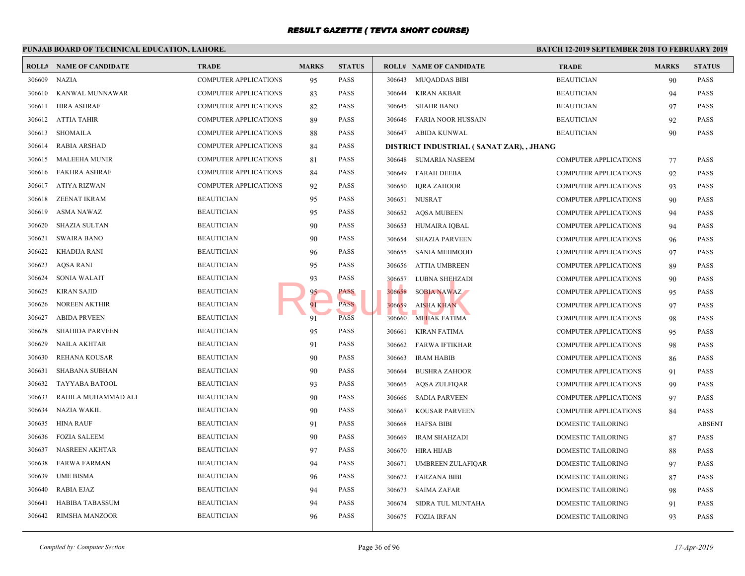| <b>BATCH 12-</b><br>PUNJAB BOARD OF TECHNICAL EDUCATION, LAHORE. |                                |                              |              |               |        |                                          |             |
|------------------------------------------------------------------|--------------------------------|------------------------------|--------------|---------------|--------|------------------------------------------|-------------|
|                                                                  | <b>ROLL# NAME OF CANDIDATE</b> | <b>TRADE</b>                 | <b>MARKS</b> | <b>STATUS</b> |        | <b>ROLL# NAME OF CANDIDATE</b>           | <b>TRAI</b> |
| 306609                                                           | <b>NAZIA</b>                   | <b>COMPUTER APPLICATIONS</b> | 95           | <b>PASS</b>   | 306643 | <b>MUOADDAS BIBI</b>                     | <b>BEAU</b> |
| 306610                                                           | KANWAL MUNNAWAR                | <b>COMPUTER APPLICATIONS</b> | 83           | <b>PASS</b>   | 306644 | <b>KIRAN AKBAR</b>                       | <b>BEAU</b> |
| 306611                                                           | <b>HIRA ASHRAF</b>             | COMPUTER APPLICATIONS        | 82           | <b>PASS</b>   | 306645 | <b>SHAHR BANO</b>                        | <b>BEAU</b> |
| 306612                                                           | <b>ATTIA TAHIR</b>             | <b>COMPUTER APPLICATIONS</b> | 89           | <b>PASS</b>   | 306646 | <b>FARIA NOOR HUSSAIN</b>                | <b>BEAU</b> |
| 306613                                                           | SHOMAILA                       | COMPUTER APPLICATIONS        | 88           | PASS          | 306647 | ABIDA KUNWAL                             | <b>BEAU</b> |
| 306614                                                           | RABIA ARSHAD                   | <b>COMPUTER APPLICATIONS</b> | 84           | PASS          |        | DISTRICT INDUSTRIAL (SANAT ZAR), , JHANG |             |
| 306615                                                           | <b>MALEEHA MUNIR</b>           | COMPUTER APPLICATIONS        | 81           | <b>PASS</b>   |        | 306648 SUMARIA NASEEM                    | COMP        |
| 306616                                                           | <b>FAKHRA ASHRAF</b>           | <b>COMPUTER APPLICATIONS</b> | 84           | <b>PASS</b>   | 306649 | <b>FARAH DEEBA</b>                       | <b>COMP</b> |
| 306617                                                           | <b>ATIYA RIZWAN</b>            | COMPUTER APPLICATIONS        | 92           | <b>PASS</b>   | 306650 | <b>IQRA ZAHOOR</b>                       | COMP        |
| 306618                                                           | <b>ZEENAT IKRAM</b>            | <b>BEAUTICIAN</b>            | 95           | <b>PASS</b>   | 306651 | <b>NUSRAT</b>                            | COMP        |
| 306619                                                           | <b>ASMA NAWAZ</b>              | <b>BEAUTICIAN</b>            | 95           | <b>PASS</b>   | 306652 | <b>AQSA MUBEEN</b>                       | <b>COMP</b> |
| 306620                                                           | <b>SHAZIA SULTAN</b>           | <b>BEAUTICIAN</b>            | 90           | <b>PASS</b>   | 306653 | HUMAIRA IQBAL                            | <b>COMP</b> |
| 306621                                                           | <b>SWAIRA BANO</b>             | <b>BEAUTICIAN</b>            | 90           | <b>PASS</b>   | 306654 | <b>SHAZIA PARVEEN</b>                    | <b>COMP</b> |
| 306622                                                           | KHADIJA RANI                   | <b>BEAUTICIAN</b>            | 96           | PASS          | 306655 | <b>SANIA MEHMOOD</b>                     | <b>COMP</b> |
| 306623                                                           | <b>AQSA RANI</b>               | <b>BEAUTICIAN</b>            | 95           | PASS          | 306656 | <b>ATTIA UMBREEN</b>                     | <b>COMP</b> |
| 306624                                                           | <b>SONIA WALAIT</b>            | <b>BEAUTICIAN</b>            | 93           | <b>PASS</b>   | 306657 | LUBNA SHEHZADI                           | <b>COMP</b> |
| 306625                                                           | <b>KIRAN SAJID</b>             | <b>BEAUTICIAN</b>            | 95           | PASS          | 306658 | SOBIA NAWAZ                              | <b>COMP</b> |
| 306626                                                           | <b>NOREEN AKTHIR</b>           | <b>BEAUTICIAN</b>            | 91           | <b>PASS</b>   | 306659 | <b>AISHA KHAN</b>                        | <b>COMP</b> |
| 306627                                                           | <b>ABIDA PRVEEN</b>            | <b>BEAUTICIAN</b>            | 91           | <b>PASS</b>   | 306660 | MEHAK FATIMA                             | <b>COMP</b> |
| 306628                                                           | <b>SHAHIDA PARVEEN</b>         | <b>BEAUTICIAN</b>            | 95           | PASS          | 306661 | <b>KIRAN FATIMA</b>                      | COMP        |
| 306629                                                           | <b>NAILA AKHTAR</b>            | <b>BEAUTICIAN</b>            | 91           | <b>PASS</b>   | 306662 | FARWA IFTIKHAR                           | COMP        |
| 306630                                                           | REHANA KOUSAR                  | <b>BEAUTICIAN</b>            | 90           | <b>PASS</b>   | 306663 | <b>IRAM HABIB</b>                        | <b>COMP</b> |
| 306631                                                           | <b>SHABANA SUBHAN</b>          | <b>BEAUTICIAN</b>            | 90           | <b>PASS</b>   | 306664 | <b>BUSHRA ZAHOOR</b>                     | <b>COMP</b> |
| 306632                                                           | TAYYABA BATOOL                 | <b>BEAUTICIAN</b>            | 93           | <b>PASS</b>   | 306665 | <b>AQSA ZULFIQAR</b>                     | <b>COMP</b> |
| 306633                                                           | RAHILA MUHAMMAD ALI            | <b>BEAUTICIAN</b>            | 90           | <b>PASS</b>   | 306666 | <b>SADIA PARVEEN</b>                     | <b>COMP</b> |
| 306634                                                           | <b>NAZIA WAKIL</b>             | <b>BEAUTICIAN</b>            | 90           | <b>PASS</b>   | 306667 | <b>KOUSAR PARVEEN</b>                    | <b>COMP</b> |
| 306635                                                           | <b>HINA RAUF</b>               | <b>BEAUTICIAN</b>            | 91           | <b>PASS</b>   | 306668 | <b>HAFSA BIBI</b>                        | <b>DOME</b> |
| 306636                                                           | <b>FOZIA SALEEM</b>            | <b>BEAUTICIAN</b>            | 90           | <b>PASS</b>   | 306669 | <b>IRAM SHAHZADI</b>                     | <b>DOME</b> |
| 306637                                                           | NASREEN AKHTAR                 | <b>BEAUTICIAN</b>            | 97           | <b>PASS</b>   | 306670 | <b>HIRA HIJAB</b>                        | <b>DOME</b> |
| 306638                                                           | <b>FARWA FARMAN</b>            | <b>BEAUTICIAN</b>            | 94           | PASS          | 306671 | UMBREEN ZULAFIQAR                        | <b>DOME</b> |
| 306639                                                           | <b>UME BISMA</b>               | <b>BEAUTICIAN</b>            | 96           | <b>PASS</b>   | 306672 | <b>FARZANA BIBI</b>                      | <b>DOME</b> |
| 306640                                                           | <b>RABIA EJAZ</b>              | <b>BEAUTICIAN</b>            | 94           | <b>PASS</b>   | 306673 | <b>SAIMA ZAFAR</b>                       | <b>DOME</b> |
| 306641                                                           | <b>HABIBA TABASSUM</b>         | <b>BEAUTICIAN</b>            | 94           | PASS          | 306674 | SIDRA TUL MUNTAHA                        | <b>DOME</b> |
| 306642                                                           | RIMSHA MANZOOR                 | <b>BEAUTICIAN</b>            | 96           | <b>PASS</b>   | 306675 | FOZIA IRFAN                              | <b>DOME</b> |
|                                                                  |                                |                              |              |               |        |                                          |             |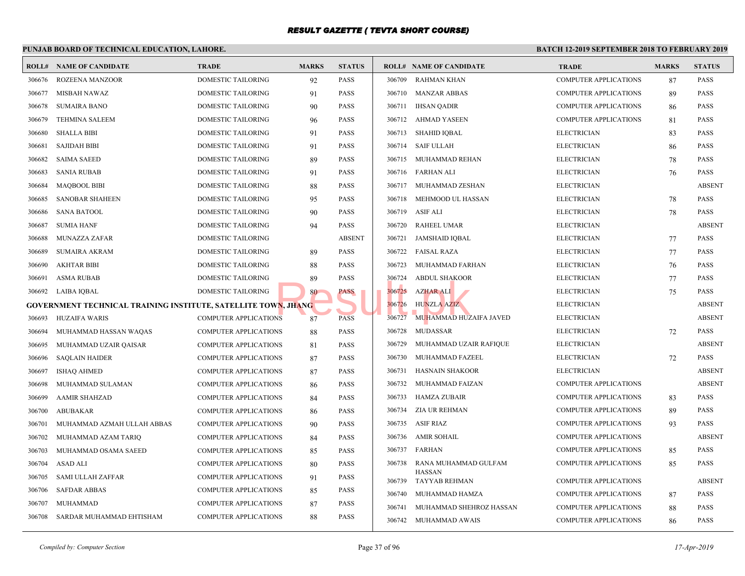|        | PUNJAB BOARD OF TECHNICAL EDUCATION, LAHORE.                          |                              |              |               |        |                                | <b>BATCH 12-</b> |
|--------|-----------------------------------------------------------------------|------------------------------|--------------|---------------|--------|--------------------------------|------------------|
|        | <b>ROLL# NAME OF CANDIDATE</b>                                        | <b>TRADE</b>                 | <b>MARKS</b> | <b>STATUS</b> |        | <b>ROLL# NAME OF CANDIDATE</b> | <b>TRAI</b>      |
| 306676 | <b>ROZEENA MANZOOR</b>                                                | <b>DOMESTIC TAILORING</b>    | 92           | <b>PASS</b>   | 306709 | <b>RAHMAN KHAN</b>             | COMP             |
| 306677 | <b>MISBAH NAWAZ</b>                                                   | <b>DOMESTIC TAILORING</b>    | 91           | <b>PASS</b>   | 306710 | <b>MANZAR ABBAS</b>            | <b>COMP</b>      |
| 306678 | <b>SUMAIRA BANO</b>                                                   | <b>DOMESTIC TAILORING</b>    | 90           | <b>PASS</b>   | 306711 | <b>IHSAN QADIR</b>             | <b>COMP</b>      |
| 306679 | <b>TEHMINA SALEEM</b>                                                 | DOMESTIC TAILORING           | 96           | <b>PASS</b>   | 306712 | AHMAD YASEEN                   | <b>COMP</b>      |
| 306680 | <b>SHALLA BIBI</b>                                                    | DOMESTIC TAILORING           | 91           | <b>PASS</b>   | 306713 | SHAHID IQBAL                   | <b>ELECT</b>     |
| 306681 | <b>SAJIDAH BIBI</b>                                                   | DOMESTIC TAILORING           | 91           | PASS          | 306714 | <b>SAIF ULLAH</b>              | <b>ELECT</b>     |
| 306682 | <b>SAIMA SAEED</b>                                                    | DOMESTIC TAILORING           | 89           | <b>PASS</b>   | 306715 | MUHAMMAD REHAN                 | <b>ELECT</b>     |
| 306683 | <b>SANIA RUBAB</b>                                                    | DOMESTIC TAILORING           | 91           | <b>PASS</b>   | 306716 | FARHAN ALI                     | <b>ELECT</b>     |
| 306684 | <b>MAQBOOL BIBI</b>                                                   | DOMESTIC TAILORING           | 88           | <b>PASS</b>   | 306717 | MUHAMMAD ZESHAN                | <b>ELECT</b>     |
| 306685 | <b>SANOBAR SHAHEEN</b>                                                | DOMESTIC TAILORING           | 95           | <b>PASS</b>   | 306718 | MEHMOOD UL HASSAN              | <b>ELECT</b>     |
| 306686 | <b>SANA BATOOL</b>                                                    | DOMESTIC TAILORING           | 90           | <b>PASS</b>   | 306719 | <b>ASIF ALI</b>                | <b>ELECT</b>     |
| 306687 | <b>SUMIA HANF</b>                                                     | DOMESTIC TAILORING           | 94           | <b>PASS</b>   | 306720 | <b>RAHEEL UMAR</b>             | <b>ELECT</b>     |
| 306688 | MUNAZZA ZAFAR                                                         | DOMESTIC TAILORING           |              | <b>ABSENT</b> | 306721 | <b>JAMSHAID IQBAL</b>          | <b>ELECT</b>     |
| 306689 | <b>SUMAIRA AKRAM</b>                                                  | DOMESTIC TAILORING           | 89           | <b>PASS</b>   | 306722 | <b>FAISAL RAZA</b>             | <b>ELECT</b>     |
| 306690 | <b>AKHTAR BIBI</b>                                                    | DOMESTIC TAILORING           | 88           | PASS          | 306723 | MUHAMMAD FARHAN                | <b>ELECT</b>     |
| 306691 | <b>ASMA RUBAB</b>                                                     | <b>DOMESTIC TAILORING</b>    | 89           | <b>PASS</b>   | 306724 | <b>ABDUL SHAKOOR</b>           | <b>ELECT</b>     |
| 306692 | LAIBA IQBAL                                                           | <b>DOMESTIC TAILORING</b>    | 80           | PASS          | 306725 | <b>AZHAR ALI</b>               | <b>ELECT</b>     |
|        | <b>GOVERNMENT TECHNICAL TRAINING INSTITUTE, SATELLITE TOWN, JHANG</b> |                              |              |               | 306726 | <b>HUNZLA AZIZ</b>             | <b>ELECT</b>     |
| 306693 | <b>HUZAIFA WARIS</b>                                                  | <b>COMPUTER APPLICATIONS</b> | 87           | <b>PASS</b>   | 306727 | MUHAMMAD HUZAIFA JAVED         | <b>ELECT</b>     |
| 306694 | MUHAMMAD HASSAN WAQAS                                                 | COMPUTER APPLICATIONS        | 88           | <b>PASS</b>   | 306728 | <b>MUDASSAR</b>                | <b>ELECT</b>     |
| 306695 | MUHAMMAD UZAIR QAISAR                                                 | <b>COMPUTER APPLICATIONS</b> | 81           | <b>PASS</b>   | 306729 | MUHAMMAD UZAIR RAFIQUE         | <b>ELECT</b>     |
| 306696 | <b>SAQLAIN HAIDER</b>                                                 | <b>COMPUTER APPLICATIONS</b> | 87           | <b>PASS</b>   | 306730 | MUHAMMAD FAZEEL                | <b>ELECT</b>     |
| 306697 | <b>ISHAQ AHMED</b>                                                    | <b>COMPUTER APPLICATIONS</b> | 87           | <b>PASS</b>   | 306731 | <b>HASNAIN SHAKOOR</b>         | <b>ELECT</b>     |
| 306698 | MUHAMMAD SULAMAN                                                      | <b>COMPUTER APPLICATIONS</b> | 86           | <b>PASS</b>   | 306732 | MUHAMMAD FAIZAN                | COMP             |
| 306699 | <b>AAMIR SHAHZAD</b>                                                  | <b>COMPUTER APPLICATIONS</b> | 84           | <b>PASS</b>   | 306733 | HAMZA ZUBAIR                   | <b>COMP</b>      |
| 306700 | <b>ABUBAKAR</b>                                                       | COMPUTER APPLICATIONS        | 86           | <b>PASS</b>   | 306734 | <b>ZIA UR REHMAN</b>           | <b>COMP</b>      |
| 306701 | MUHAMMAD AZMAH ULLAH ABBAS                                            | COMPUTER APPLICATIONS        | 90           | <b>PASS</b>   | 306735 | <b>ASIF RIAZ</b>               | <b>COMP</b>      |
| 306702 | MUHAMMAD AZAM TARIQ                                                   | <b>COMPUTER APPLICATIONS</b> | 84           | <b>PASS</b>   | 306736 | AMIR SOHAIL                    | <b>COMP</b>      |
| 306703 | MUHAMMAD OSAMA SAEED                                                  | COMPUTER APPLICATIONS        | 85           | <b>PASS</b>   | 306737 | <b>FARHAN</b>                  | <b>COMP</b>      |
| 306704 | <b>ASAD ALI</b>                                                       | COMPUTER APPLICATIONS        | 80           | <b>PASS</b>   | 306738 | RANA MUHAMMAD GULFAM           | COMP             |
| 306705 | <b>SAMI ULLAH ZAFFAR</b>                                              | COMPUTER APPLICATIONS        | 91           | <b>PASS</b>   | 306739 | <b>HASSAN</b><br>TAYYAB REHMAN | COMP             |
| 306706 | <b>SAFDAR ABBAS</b>                                                   | COMPUTER APPLICATIONS        | 85           | <b>PASS</b>   | 306740 | MUHAMMAD HAMZA                 | <b>COMP</b>      |
| 306707 | <b>MUHAMMAD</b>                                                       | COMPUTER APPLICATIONS        | 87           | <b>PASS</b>   | 306741 | MUHAMMAD SHEHROZ HASSAN        | COMP             |
| 306708 | SARDAR MUHAMMAD EHTISHAM                                              | COMPUTER APPLICATIONS        | 88           | <b>PASS</b>   | 306742 | MUHAMMAD AWAIS                 | <b>COMP</b>      |
|        |                                                                       |                              |              |               |        |                                |                  |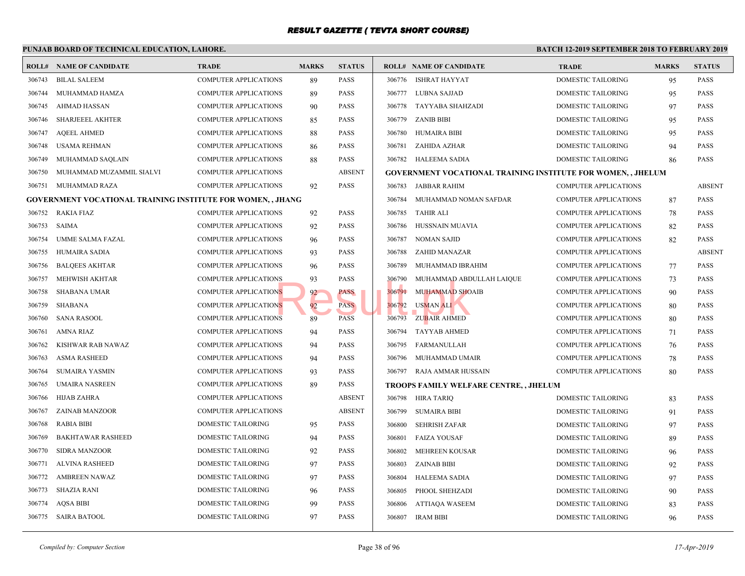|        | PUNJAB BOARD OF TECHNICAL EDUCATION, LAHORE.                      |                              |              |               |        |                                                 | <b>BATCH 12-</b> |
|--------|-------------------------------------------------------------------|------------------------------|--------------|---------------|--------|-------------------------------------------------|------------------|
|        | <b>ROLL# NAME OF CANDIDATE</b>                                    | <b>TRADE</b>                 | <b>MARKS</b> | <b>STATUS</b> |        | <b>ROLL# NAME OF CANDIDATE</b>                  | <b>TRAL</b>      |
| 306743 | <b>BILAL SALEEM</b>                                               | <b>COMPUTER APPLICATIONS</b> | 89           | PASS          | 306776 | ISHRAT HAYYAT                                   | <b>DOME</b>      |
| 306744 | MUHAMMAD HAMZA                                                    | COMPUTER APPLICATIONS        | 89           | <b>PASS</b>   | 306777 | LUBNA SAJJAD                                    | <b>DOME</b>      |
| 306745 | AHMAD HASSAN                                                      | <b>COMPUTER APPLICATIONS</b> | 90           | PASS          | 306778 | TAYYABA SHAHZADI                                | <b>DOME</b>      |
| 306746 | <b>SHARJEEEL AKHTER</b>                                           | COMPUTER APPLICATIONS        | 85           | PASS          | 306779 | <b>ZANIB BIBI</b>                               | <b>DOME</b>      |
| 306747 | <b>AQEEL AHMED</b>                                                | <b>COMPUTER APPLICATIONS</b> | 88           | PASS          | 306780 | <b>HUMAIRA BIBI</b>                             | <b>DOME</b>      |
| 306748 | <b>USAMA REHMAN</b>                                               | <b>COMPUTER APPLICATIONS</b> | 86           | <b>PASS</b>   | 306781 | ZAHIDA AZHAR                                    | <b>DOME</b>      |
| 306749 | MUHAMMAD SAQLAIN                                                  | COMPUTER APPLICATIONS        | 88           | PASS          | 306782 | HALEEMA SADIA                                   | <b>DOME</b>      |
| 306750 | MUHAMMAD MUZAMMIL SIALVI                                          | COMPUTER APPLICATIONS        |              | <b>ABSENT</b> |        | <b>GOVERNMENT VOCATIONAL TRAINING INSTITUTE</b> |                  |
| 306751 | MUHAMMAD RAZA                                                     | <b>COMPUTER APPLICATIONS</b> | 92           | <b>PASS</b>   | 306783 | JABBAR RAHIM                                    | <b>COMP</b>      |
|        | <b>GOVERNMENT VOCATIONAL TRAINING INSTITUTE FOR WOMEN,, JHANG</b> |                              |              |               | 306784 | MUHAMMAD NOMAN SAFDAR                           | COMP             |
| 306752 | <b>RAKIA FIAZ</b>                                                 | <b>COMPUTER APPLICATIONS</b> | 92           | PASS          | 306785 | <b>TAHIR ALI</b>                                | COMP             |
| 306753 | <b>SAIMA</b>                                                      | COMPUTER APPLICATIONS        | 92           | <b>PASS</b>   | 306786 | HUSSNAIN MUAVIA                                 | <b>COMP</b>      |
| 306754 | UMME SALMA FAZAL                                                  | <b>COMPUTER APPLICATIONS</b> | 96           | <b>PASS</b>   | 306787 | NOMAN SAJID                                     | <b>COMP</b>      |
| 306755 | <b>HUMAIRA SADIA</b>                                              | <b>COMPUTER APPLICATIONS</b> | 93           | <b>PASS</b>   | 306788 | ZAHID MANAZAR                                   | <b>COMP</b>      |
| 306756 | <b>BALQEES AKHTAR</b>                                             | <b>COMPUTER APPLICATIONS</b> | 96           | <b>PASS</b>   | 306789 | MUHAMMAD IBRAHIM                                | <b>COMP</b>      |
| 306757 | <b>MEHWISH AKHTAR</b>                                             | <b>COMPUTER APPLICATIONS</b> | 93           | <b>PASS</b>   | 306790 | MUHAMMAD ABDULLAH LAIQUE                        | <b>COMP</b>      |
| 306758 | <b>SHABANA UMAR</b>                                               | <b>COMPUTER APPLICATIONS</b> | 92           | PASS          | 306791 | <b>MUHAMMAD SHOAIB</b>                          | <b>COMP</b>      |
| 306759 | <b>SHABANA</b>                                                    | <b>COMPUTER APPLICATIONS</b> | 92           | <b>PASS</b>   | 306792 | USMAN ALI                                       | <b>COMP</b>      |
| 306760 | <b>SANA RASOOL</b>                                                | <b>COMPUTER APPLICATIONS</b> | 89           | <b>PASS</b>   | 306793 | ZUBAIR AHMED                                    | <b>COMP</b>      |
| 306761 | <b>AMNA RIAZ</b>                                                  | <b>COMPUTER APPLICATIONS</b> | 94           | <b>PASS</b>   | 306794 | <b>TAYYAB AHMED</b>                             | <b>COMP</b>      |
| 306762 | KISHWAR RAB NAWAZ                                                 | <b>COMPUTER APPLICATIONS</b> | 94           | <b>PASS</b>   | 306795 | FARMANULLAH                                     | <b>COMP</b>      |
| 306763 | <b>ASMA RASHEED</b>                                               | <b>COMPUTER APPLICATIONS</b> | 94           | <b>PASS</b>   | 306796 | MUHAMMAD UMAIR                                  | <b>COMP</b>      |
| 306764 | <b>SUMAIRA YASMIN</b>                                             | <b>COMPUTER APPLICATIONS</b> | 93           | PASS          | 306797 | RAJA AMMAR HUSSAIN                              | <b>COMP</b>      |
| 306765 | <b>UMAIRA NASREEN</b>                                             | <b>COMPUTER APPLICATIONS</b> | 89           | <b>PASS</b>   |        | TROOPS FAMILY WELFARE CENTRE, , JHELUM          |                  |
| 306766 | HIJAB ZAHRA                                                       | <b>COMPUTER APPLICATIONS</b> |              | <b>ABSENT</b> | 306798 | HIRA TARIQ                                      | <b>DOME</b>      |
| 306767 | ZAINAB MANZOOR                                                    | COMPUTER APPLICATIONS        |              | <b>ABSENT</b> | 306799 | SUMAIRA BIBI                                    | <b>DOME</b>      |
| 306768 | <b>RABIA BIBI</b>                                                 | DOMESTIC TAILORING           | 95           | <b>PASS</b>   | 306800 | SEHRISH ZAFAR                                   | <b>DOME</b>      |
| 306769 | <b>BAKHTAWAR RASHEED</b>                                          | DOMESTIC TAILORING           | 94           | <b>PASS</b>   | 306801 | <b>FAIZA YOUSAF</b>                             | <b>DOME</b>      |
| 306770 | <b>SIDRA MANZOOR</b>                                              | <b>DOMESTIC TAILORING</b>    | 92           | <b>PASS</b>   | 306802 | <b>MEHREEN KOUSAR</b>                           | <b>DOME</b>      |
| 306771 | <b>ALVINA RASHEED</b>                                             | DOMESTIC TAILORING           | 97           | <b>PASS</b>   | 306803 | <b>ZAINAB BIBI</b>                              | <b>DOME</b>      |
| 306772 | AMBREEN NAWAZ                                                     | DOMESTIC TAILORING           | 97           | <b>PASS</b>   | 306804 | <b>HALEEMA SADIA</b>                            | <b>DOME</b>      |
| 306773 | SHAZIA RANI                                                       | DOMESTIC TAILORING           | 96           | <b>PASS</b>   | 306805 | PHOOL SHEHZADI                                  | <b>DOME</b>      |
| 306774 | <b>AQSA BIBI</b>                                                  | DOMESTIC TAILORING           | 99           | <b>PASS</b>   | 306806 | <b>ATTIAQA WASEEM</b>                           | <b>DOME</b>      |
|        | 306775 SAIRA BATOOL                                               | DOMESTIC TAILORING           | 97           | <b>PASS</b>   | 306807 | IRAM BIBI                                       | <b>DOME</b>      |
|        |                                                                   |                              |              |               |        |                                                 |                  |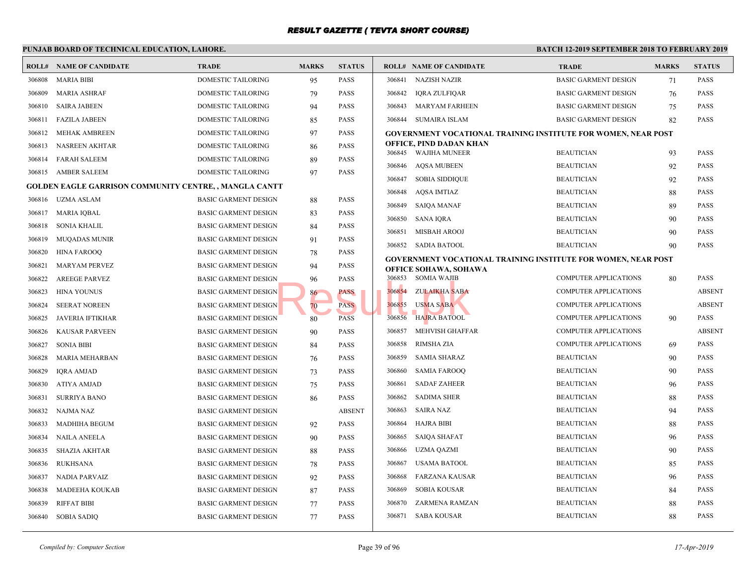|        | PUNJAB BOARD OF TECHNICAL EDUCATION, LAHORE.          |                             |              |               | <b>BATCH 12-1</b> |                                                                                 |                            |
|--------|-------------------------------------------------------|-----------------------------|--------------|---------------|-------------------|---------------------------------------------------------------------------------|----------------------------|
|        | <b>ROLL# NAME OF CANDIDATE</b>                        | <b>TRADE</b>                | <b>MARKS</b> | <b>STATUS</b> |                   | <b>ROLL# NAME OF CANDIDATE</b>                                                  | <b>TRAL</b>                |
|        | 306808 MARIA BIBI                                     | DOMESTIC TAILORING          | 95           | PASS          |                   | 306841 NAZISH NAZIR                                                             | <b>BASIC</b>               |
| 306809 | <b>MARIA ASHRAF</b>                                   | DOMESTIC TAILORING          | 79           | PASS          | 306842            | <b>IQRA ZULFIQAR</b>                                                            | <b>BASIC</b>               |
| 306810 | <b>SAIRA JABEEN</b>                                   | DOMESTIC TAILORING          | 94           | PASS          | 306843            | <b>MARYAM FARHEEN</b>                                                           | <b>BASIC</b>               |
| 306811 | <b>FAZILA JABEEN</b>                                  | DOMESTIC TAILORING          | 85           | PASS          | 306844            | SUMAIRA ISLAM                                                                   | <b>BASIC</b>               |
| 306812 | <b>MEHAK AMBREEN</b>                                  | DOMESTIC TAILORING          | 97           | PASS          |                   | <b>GOVERNMENT VOCATIONAL TRAINING INSTITUTE</b>                                 |                            |
| 306813 | NASREEN AKHTAR                                        | DOMESTIC TAILORING          | 86           | PASS          |                   | <b>OFFICE, PIND DADAN KHAN</b>                                                  | <b>BEAU</b>                |
| 306814 | <b>FARAH SALEEM</b>                                   | DOMESTIC TAILORING          | 89           | PASS          |                   | 306845 WAJIHA MUNEER                                                            |                            |
|        | 306815 AMBER SALEEM                                   | DOMESTIC TAILORING          | 97           | PASS          | 306846            | <b>AQSA MUBEEN</b>                                                              | <b>BEAU</b>                |
|        | GOLDEN EAGLE GARRISON COMMUNITY CENTRE,, MANGLA CANTT |                             |              |               | 306847            | <b>SOBIA SIDDIQUE</b>                                                           | <b>BEAU</b>                |
|        | 306816 UZMA ASLAM                                     | <b>BASIC GARMENT DESIGN</b> | 88           | PASS          | 306848            | AQSA IMTIAZ                                                                     | <b>BEAU</b><br><b>BEAU</b> |
| 306817 | <b>MARIA IQBAL</b>                                    | <b>BASIC GARMENT DESIGN</b> | 83           | PASS          | 306849            | <b>SAIOA MANAF</b>                                                              |                            |
| 306818 | SONIA KHALIL                                          | <b>BASIC GARMENT DESIGN</b> | 84           | PASS          | 306850            | <b>SANA IQRA</b>                                                                | <b>BEAU</b>                |
| 306819 | <b>MUQADAS MUNIR</b>                                  | <b>BASIC GARMENT DESIGN</b> | 91           | <b>PASS</b>   | 306851            | <b>MISBAH AROOJ</b>                                                             | <b>BEAU</b>                |
| 306820 | <b>HINA FAROOQ</b>                                    | <b>BASIC GARMENT DESIGN</b> | 78           | PASS          |                   | 306852 SADIA BATOOL                                                             | <b>BEAU</b>                |
| 306821 | <b>MARYAM PERVEZ</b>                                  | <b>BASIC GARMENT DESIGN</b> | 94           | PASS          |                   | <b>GOVERNMENT VOCATIONAL TRAINING INSTITUTE</b><br><b>OFFICE SOHAWA, SOHAWA</b> |                            |
| 306822 | <b>AREEGE PARVEZ</b>                                  | <b>BASIC GARMENT DESIGN</b> | 96           | PASS          |                   | 306853 SOMIA WAJIB                                                              | <b>COMP</b>                |
| 306823 | <b>HINA YOUNUS</b>                                    | <b>BASIC GARMENT DESIGN</b> | 86           | PASS          | 306854            | <b>ZULAIKHA SABA</b>                                                            | <b>COMP</b>                |
| 306824 | <b>SEERAT NOREEN</b>                                  | <b>BASIC GARMENT DESIGN</b> | 70           | <b>PASS</b>   | 306855            | <b>USMA SABA</b>                                                                | <b>COMP</b>                |
| 306825 | JAVERIA IFTIKHAR                                      | <b>BASIC GARMENT DESIGN</b> | 80           | PASS          | 306856            | <b>HAJRA BATOOL</b>                                                             | <b>COMP</b>                |
| 306826 | <b>KAUSAR PARVEEN</b>                                 | <b>BASIC GARMENT DESIGN</b> | 90           | PASS          | 306857            | <b>MEHVISH GHAFFAR</b>                                                          | <b>COMP</b>                |
| 306827 | <b>SONIA BIBI</b>                                     | <b>BASIC GARMENT DESIGN</b> | 84           | PASS          | 306858            | <b>RIMSHA ZIA</b>                                                               | <b>COMP</b>                |
| 306828 | MARIA MEHARBAN                                        | <b>BASIC GARMENT DESIGN</b> | 76           | PASS          | 306859            | <b>SAMIA SHARAZ</b>                                                             | <b>BEAU</b>                |
| 306829 | <b>IQRA AMJAD</b>                                     | <b>BASIC GARMENT DESIGN</b> | 73           | PASS          | 306860            | <b>SAMIA FAROOQ</b>                                                             | <b>BEAU</b>                |
| 306830 | ATIYA AMJAD                                           | <b>BASIC GARMENT DESIGN</b> | 75           | PASS          | 306861            | <b>SADAF ZAHEER</b>                                                             | <b>BEAU</b>                |
| 306831 | <b>SURRIYA BANO</b>                                   | <b>BASIC GARMENT DESIGN</b> | 86           | <b>PASS</b>   | 306862            | <b>SADIMA SHER</b>                                                              | <b>BEAU</b>                |
| 306832 | NAJMA NAZ                                             | <b>BASIC GARMENT DESIGN</b> |              | <b>ABSENT</b> | 306863            | <b>SAIRA NAZ</b>                                                                | <b>BEAU</b>                |
| 306833 | <b>MADHIHA BEGUM</b>                                  | <b>BASIC GARMENT DESIGN</b> | 92           | PASS          | 306864            | HAJRA BIBI                                                                      | <b>BEAU</b>                |
| 306834 | NAILA ANEELA                                          | <b>BASIC GARMENT DESIGN</b> | 90           | PASS          | 306865            | <b>SAIQA SHAFAT</b>                                                             | <b>BEAU</b>                |
| 306835 | SHAZIA AKHTAR                                         | <b>BASIC GARMENT DESIGN</b> | 88           | PASS          | 306866            | <b>UZMA QAZMI</b>                                                               | <b>BEAU</b>                |
| 306836 | <b>RUKHSANA</b>                                       | <b>BASIC GARMENT DESIGN</b> | 78           | PASS          | 306867            | <b>USAMA BATOOL</b>                                                             | <b>BEAU</b>                |
| 306837 | NADIA PARVAIZ                                         | <b>BASIC GARMENT DESIGN</b> | 92           | PASS          | 306868            | <b>FARZANA KAUSAR</b>                                                           | <b>BEAU</b>                |
| 306838 | MADEEHA KOUKAB                                        | <b>BASIC GARMENT DESIGN</b> | 87           | PASS          | 306869            | <b>SOBIA KOUSAR</b>                                                             | <b>BEAU</b>                |
| 306839 | <b>RIFFAT BIBI</b>                                    | <b>BASIC GARMENT DESIGN</b> | 77           | PASS          | 306870            | ZARMENA RAMZAN                                                                  | <b>BEAU</b>                |
| 306840 | <b>SOBIA SADIQ</b>                                    | <b>BASIC GARMENT DESIGN</b> | 77           | PASS          | 306871            | <b>SABA KOUSAR</b>                                                              | <b>BEAU</b>                |
|        |                                                       |                             |              |               |                   |                                                                                 |                            |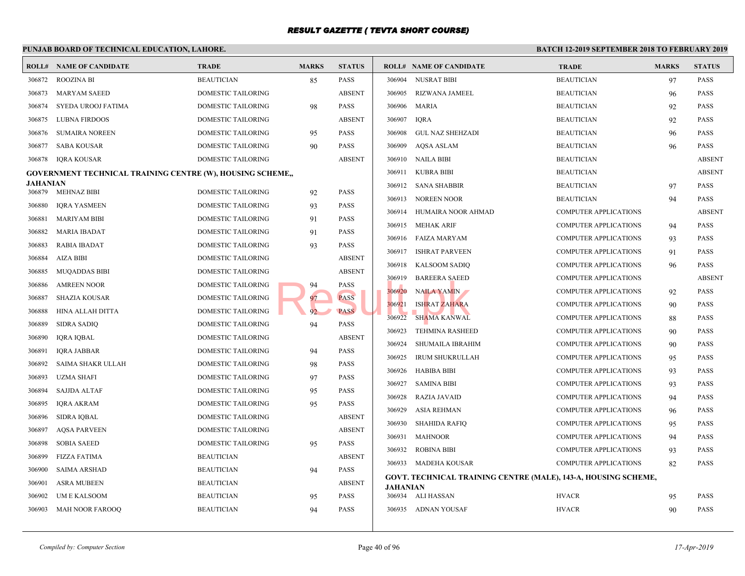|                 | PUNJAB BOARD OF TECHNICAL EDUCATION, LAHORE.                      |                                          |              |                              |                 |                                              | <b>BATCH 12-2</b> |
|-----------------|-------------------------------------------------------------------|------------------------------------------|--------------|------------------------------|-----------------|----------------------------------------------|-------------------|
|                 | <b>ROLL# NAME OF CANDIDATE</b>                                    | <b>TRADE</b>                             | <b>MARKS</b> | <b>STATUS</b>                |                 | <b>ROLL# NAME OF CANDIDATE</b>               | <b>TRAL</b>       |
| 306872          | <b>ROOZINA BI</b>                                                 | <b>BEAUTICIAN</b>                        | 85           | <b>PASS</b>                  | 306904          | <b>NUSRAT BIBI</b>                           | <b>BEAU</b>       |
| 306873          | <b>MARYAM SAEED</b>                                               | DOMESTIC TAILORING                       |              | <b>ABSENT</b>                | 306905          | RIZWANA JAMEEL                               | <b>BEAU</b>       |
| 306874          | SYEDA UROOJ FATIMA                                                | DOMESTIC TAILORING                       | 98           | PASS                         | 306906          | MARIA                                        | <b>BEAU</b>       |
| 306875          | <b>LUBNA FIRDOOS</b>                                              | DOMESTIC TAILORING                       |              | <b>ABSENT</b>                | 306907          | <b>IORA</b>                                  | <b>BEAU</b>       |
| 306876          | <b>SUMAIRA NOREEN</b>                                             | DOMESTIC TAILORING                       | 95           | <b>PASS</b>                  | 306908          | <b>GUL NAZ SHEHZADI</b>                      | <b>BEAU</b>       |
| 306877          | <b>SABA KOUSAR</b>                                                | DOMESTIC TAILORING                       | 90           | <b>PASS</b>                  | 306909          | <b>AQSA ASLAM</b>                            | <b>BEAU</b>       |
| 306878          | <b>IQRA KOUSAR</b>                                                | DOMESTIC TAILORING                       |              | <b>ABSENT</b>                |                 | 306910 NAILA BIBI                            | <b>BEAU</b>       |
|                 | <b>GOVERNMENT TECHNICAL TRAINING CENTRE (W), HOUSING SCHEME,,</b> |                                          |              |                              | 306911          | <b>KUBRA BIBI</b>                            | <b>BEAU</b>       |
| <b>JAHANIAN</b> | 306879 MEHNAZ BIBI                                                | DOMESTIC TAILORING                       | 92           | <b>PASS</b>                  | 306912          | <b>SANA SHABBIR</b>                          | <b>BEAU</b>       |
| 306880          | <b>IQRA YASMEEN</b>                                               | DOMESTIC TAILORING                       | 93           | <b>PASS</b>                  | 306913          | <b>NOREEN NOOR</b>                           | <b>BEAU</b>       |
| 306881          | <b>MARIYAM BIBI</b>                                               | DOMESTIC TAILORING                       |              | <b>PASS</b>                  | 306914          | HUMAIRA NOOR AHMAD                           | <b>COMP</b>       |
| 306882          | <b>MARIA IBADAT</b>                                               | DOMESTIC TAILORING                       | 91           | <b>PASS</b>                  | 306915          | <b>MEHAK ARIF</b>                            | <b>COMP</b>       |
| 306883          | <b>RABIA IBADAT</b>                                               | DOMESTIC TAILORING                       | 91<br>93     | PASS                         | 306916          | FAIZA MARYAM                                 | <b>COMP</b>       |
| 306884          | AIZA BIBI                                                         | DOMESTIC TAILORING                       |              | <b>ABSENT</b>                | 306917          | <b>ISHRAT PARVEEN</b>                        | <b>COMP</b>       |
| 306885          | <b>MUQADDAS BIBI</b>                                              | DOMESTIC TAILORING                       |              | <b>ABSENT</b>                | 306918          | <b>KALSOOM SADIQ</b>                         | <b>COMP</b>       |
| 306886          | <b>AMREEN NOOR</b>                                                | DOMESTIC TAILORING                       |              | <b>PASS</b>                  | 306919          | <b>BAREERA SAEED</b>                         | <b>COMP</b>       |
| 306887          | <b>SHAZIA KOUSAR</b>                                              | DOMESTIC TAILORING                       | 94<br>97     | <b>PASS</b>                  | 306920          | <b>NAILA YAMIN</b>                           | <b>COMP</b>       |
| 306888          | HINA ALLAH DITTA                                                  | DOMESTIC TAILORING                       | 92           | <b>PASS</b>                  | 306921          | <b>ISHRAT ZAHARA</b>                         | <b>COMP</b>       |
| 306889          | <b>SIDRA SADIQ</b>                                                | DOMESTIC TAILORING                       | 94           | <b>PASS</b>                  | 306922          | SHAMA KANWAL                                 | <b>COMP</b>       |
| 306890          | <b>IQRA IQBAL</b>                                                 | DOMESTIC TAILORING                       |              | <b>ABSENT</b>                | 306923          | <b>TEHMINA RASHEED</b>                       | <b>COMP</b>       |
| 306891          | <b>IQRA JABBAR</b>                                                | DOMESTIC TAILORING                       |              | <b>PASS</b>                  | 306924          | <b>SHUMAILA IBRAHIM</b>                      | <b>COMP</b>       |
| 306892          | SAIMA SHAKR ULLAH                                                 | DOMESTIC TAILORING                       | 94           | PASS                         | 306925          | <b>IRUM SHUKRULLAH</b>                       | <b>COMP</b>       |
| 306893          | <b>UZMA SHAFI</b>                                                 | DOMESTIC TAILORING                       | 98           | <b>PASS</b>                  | 306926          | <b>HABIBA BIBI</b>                           | <b>COMP</b>       |
| 306894          | <b>SAJJDA ALTAF</b>                                               | DOMESTIC TAILORING                       | 97           | <b>PASS</b>                  | 306927          | <b>SAMINA BIBI</b>                           | <b>COMP</b>       |
| 306895          |                                                                   | DOMESTIC TAILORING                       | 95           | <b>PASS</b>                  | 306928          | <b>RAZIA JAVAID</b>                          | <b>COMP</b>       |
| 306896          | IQRA AKRAM                                                        |                                          | 95           | <b>ABSENT</b>                | 306929          | ASIA REHMAN                                  | <b>COMP</b>       |
|                 | SIDRA IQBAL<br><b>AQSA PARVEEN</b>                                | DOMESTIC TAILORING<br>DOMESTIC TAILORING |              | <b>ABSENT</b>                | 306930          | SHAHIDA RAFIQ                                | <b>COMP</b>       |
| 306897          |                                                                   |                                          |              |                              | 306931          | <b>MAHNOOR</b>                               | <b>COMP</b>       |
| 306898          | <b>SOBIA SAEED</b><br><b>FIZZA FATIMA</b>                         | DOMESTIC TAILORING<br><b>BEAUTICIAN</b>  | 95           | <b>PASS</b><br><b>ABSENT</b> | 306932          | <b>ROBINA BIBI</b>                           | <b>COMP</b>       |
| 306899          |                                                                   |                                          |              |                              |                 | 306933 MADEHA KOUSAR                         | <b>COMP</b>       |
| 306900          | <b>SAIMA ARSHAD</b>                                               | <b>BEAUTICIAN</b>                        | 94           | <b>PASS</b>                  |                 | GOVT. TECHNICAL TRAINING CENTRE (MALE), 143- |                   |
| 306901          | <b>ASRA MUBEEN</b>                                                | <b>BEAUTICIAN</b>                        |              | <b>ABSENT</b>                | <b>JAHANIAN</b> |                                              |                   |
| 306902          | UM E KALSOOM                                                      | <b>BEAUTICIAN</b>                        | 95           | <b>PASS</b>                  |                 | 306934 ALI HASSAN                            | <b>HVAC</b>       |
| 306903          | MAH NOOR FAROOQ                                                   | <b>BEAUTICIAN</b>                        | 94           | <b>PASS</b>                  |                 | 306935 ADNAN YOUSAF                          | <b>HVAC</b>       |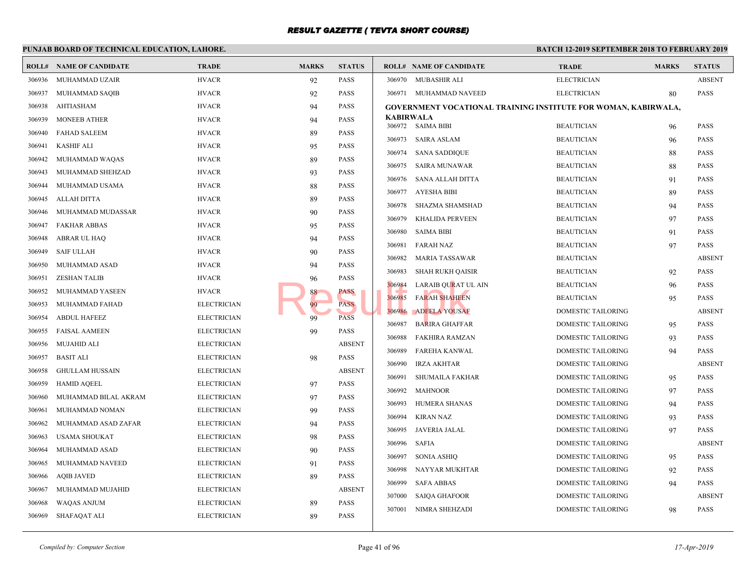|        | PUNJAB BOARD OF TECHNICAL EDUCATION, LAHORE. |                    |              | <b>BATCH 12-1</b> |                                                          |                            |
|--------|----------------------------------------------|--------------------|--------------|-------------------|----------------------------------------------------------|----------------------------|
|        | <b>ROLL# NAME OF CANDIDATE</b>               | <b>TRADE</b>       | <b>MARKS</b> | <b>STATUS</b>     | <b>ROLL# NAME OF CANDIDATE</b>                           | <b>TRAL</b>                |
| 306936 | MUHAMMAD UZAIR                               | <b>HVACR</b>       | 92           | <b>PASS</b>       | 306970 MUBASHIR ALI                                      | <b>ELECT</b>               |
| 306937 | MUHAMMAD SAQIB                               | <b>HVACR</b>       | 92           | <b>PASS</b>       | 306971 MUHAMMAD NAVEED                                   | <b>ELECT</b>               |
| 306938 | <b>AHTIASHAM</b>                             | <b>HVACR</b>       | 94           | <b>PASS</b>       | <b>GOVERNMENT VOCATIONAL TRAINING INSTITUTE</b>          |                            |
| 306939 | <b>MONEEB ATHER</b>                          | <b>HVACR</b>       | 94           | <b>PASS</b>       | <b>KABIRWALA</b><br>306972 SAIMA BIBI                    | <b>BEAU</b>                |
| 306940 | <b>FAHAD SALEEM</b>                          | <b>HVACR</b>       | 89           | <b>PASS</b>       | 306973<br>SAIRA ASLAM                                    | <b>BEAU</b>                |
| 306941 | <b>KASHIF ALI</b>                            | <b>HVACR</b>       | 95           | <b>PASS</b>       | 306974 SANA SADDIQUE                                     | <b>BEAU</b>                |
| 306942 | MUHAMMAD WAQAS                               | <b>HVACR</b>       | 89           | PASS              | 306975<br>SAIRA MUNAWAR                                  | <b>BEAU</b>                |
| 306943 | MUHAMMAD SHEHZAD                             | <b>HVACR</b>       | 93           | <b>PASS</b>       | 306976                                                   | <b>BEAU</b>                |
| 306944 | MUHAMMAD USAMA                               | <b>HVACR</b>       | 88           | <b>PASS</b>       | SANA ALLAH DITTA<br>AYESHA BIBI<br>306977                | <b>BEAU</b>                |
| 306945 | <b>ALLAH DITTA</b>                           | <b>HVACR</b>       | 89           | <b>PASS</b>       | 306978<br>SHAZMA SHAMSHAD                                | <b>BEAU</b>                |
| 306946 | MUHAMMAD MUDASSAR                            | <b>HVACR</b>       | 90           | <b>PASS</b>       |                                                          |                            |
| 306947 | <b>FAKHAR ABBAS</b>                          | <b>HVACR</b>       | 95           | PASS              | 306979<br>KHALIDA PERVEEN<br>306980<br><b>SAIMA BIBI</b> | <b>BEAU</b><br><b>BEAU</b> |
| 306948 | ABRAR UL HAQ                                 | <b>HVACR</b>       | 94           | <b>PASS</b>       |                                                          |                            |
| 306949 | <b>SAIF ULLAH</b>                            | <b>HVACR</b>       | 90           | <b>PASS</b>       | 306981<br><b>FARAH NAZ</b><br>306982                     | <b>BEAU</b><br><b>BEAU</b> |
| 306950 | MUHAMMAD ASAD                                | <b>HVACR</b>       | 94           | <b>PASS</b>       | MARIA TASSAWAR                                           | <b>BEAU</b>                |
| 306951 | <b>ZESHAN TALIB</b>                          | <b>HVACR</b>       | 96           | <b>PASS</b>       | 306983<br>SHAH RUKH QAISIR<br>306984                     | <b>BEAU</b>                |
| 306952 | MUHAMMAD YASEEN                              | <b>HVACR</b>       | 88           | PASS              | LARAIB QURAT UL AIN<br><b>FARAH SHAHEEN</b><br>306985    | <b>BEAU</b>                |
| 306953 | MUHAMMAD FAHAD                               | <b>ELECTRICIAN</b> | 99           | <b>PASS</b>       | 306986<br><b>ADEELA YOUSAF</b>                           | <b>DOME</b>                |
| 306954 | <b>ABDUL HAFEEZ</b>                          | <b>ELECTRICIAN</b> | 99           | <b>PASS</b>       | 306987<br><b>BARIRA GHAFFAR</b>                          | <b>DOME</b>                |
| 306955 | <b>FAISAL AAMEEN</b>                         | <b>ELECTRICIAN</b> | 99           | <b>PASS</b>       | 306988<br><b>FAKHIRA RAMZAN</b>                          | <b>DOME</b>                |
| 306956 | MUJAHID ALI                                  | <b>ELECTRICIAN</b> |              | <b>ABSENT</b>     | 306989<br><b>FAREHA KANWAL</b>                           | <b>DOME</b>                |
| 306957 | <b>BASIT ALI</b>                             | <b>ELECTRICIAN</b> | 98           | <b>PASS</b>       | 306990<br><b>IRZA AKHTAR</b>                             | <b>DOME</b>                |
| 306958 | <b>GHULLAM HUSSAIN</b>                       | <b>ELECTRICIAN</b> |              | <b>ABSENT</b>     | 306991<br>SHUMAILA FAKHAR                                | <b>DOME</b>                |
| 306959 | <b>HAMID AQEEL</b>                           | <b>ELECTRICIAN</b> | 97           | <b>PASS</b>       | 306992<br><b>MAHNOOR</b>                                 | <b>DOME</b>                |
| 306960 | MUHAMMAD BILAL AKRAM                         | <b>ELECTRICIAN</b> | 97           | <b>PASS</b>       | 306993<br>HUMERA SHANAS                                  | <b>DOME</b>                |
| 306961 | MUHAMMAD NOMAN                               | <b>ELECTRICIAN</b> | 99           | <b>PASS</b>       |                                                          | <b>DOME</b>                |
| 306962 | MUHAMMAD ASAD ZAFAR                          | <b>ELECTRICIAN</b> | 94           | <b>PASS</b>       | 306994<br><b>KIRAN NAZ</b><br>306995<br>JAVERIA JALAL    | <b>DOME</b>                |
| 306963 | USAMA SHOUKAT                                | <b>ELECTRICIAN</b> | 98           | PASS              | 306996<br>SAFIA                                          | <b>DOME</b>                |
| 306964 | MUHAMMAD ASAD                                | <b>ELECTRICIAN</b> | 90           | PASS              | 306997<br><b>SONIA ASHIQ</b>                             | <b>DOME</b>                |
| 306965 | MUHAMMAD NAVEED                              | <b>ELECTRICIAN</b> | 91           | PASS              | 306998                                                   | <b>DOME</b>                |
| 306966 | <b>AOIB JAVED</b>                            | <b>ELECTRICIAN</b> | 89           | <b>PASS</b>       | NAYYAR MUKHTAR<br>306999<br><b>SAFA ABBAS</b>            | <b>DOME</b>                |
| 306967 | MUHAMMAD MUJAHID                             | <b>ELECTRICIAN</b> |              | <b>ABSENT</b>     | 307000<br><b>SAIQA GHAFOOR</b>                           | <b>DOME</b>                |
| 306968 | WAQAS ANJUM                                  | <b>ELECTRICIAN</b> | 89           | <b>PASS</b>       | 307001<br>NIMRA SHEHZADI                                 | <b>DOME</b>                |
| 306969 | SHAFAQAT ALI                                 | <b>ELECTRICIAN</b> | 89           | <b>PASS</b>       |                                                          |                            |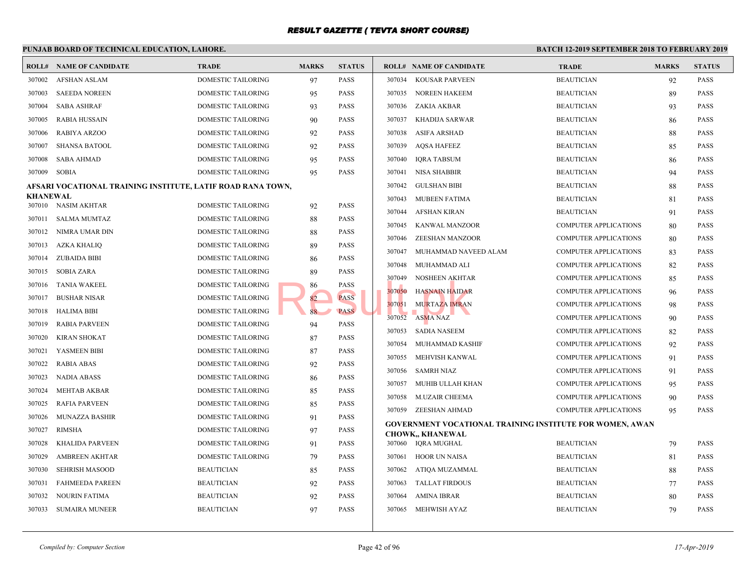#### **PUNJAB BOARD OF TECHNICAL EDUCATION, LAHORE. BATCH 12-ROLL# NAME OF CANDIDATE TRADE MARKS STATUS ROLL# NAME OF CANDIDATE TRADE MARKS STATUS** 307002 AFSHAN ASLAM DOMESTIC TAILORING 97 PASS 307003 SAEEDA NOREEN DOMESTIC TAILORING 95 PASS 307004 SABA ASHRAF DOMESTIC TAILORING 93 PASS 307005 RABIA HUSSAIN DOMESTIC TAILORING 90 PASS 307006 RABIYA ARZOO DOMESTIC TAILORING 92 PASS 307007 SHANSA BATOOL DOMESTIC TAILORING 92 PASS 307008 SABA AHMAD DOMESTIC TAILORING 95 PASS 307009 SOBIA DOMESTIC TAILORING 95 PASS **AFSARI VOCATIONAL TRAINING INSTITUTE, LATIF ROAD RANA TOWN, KHANEWAL** 307010 NASIM AKHTAR DOMESTIC TAILORING 92 PASS 307011 SALMA MUMTAZ DOMESTIC TAILORING 88 PASS 307012 NIMRA UMAR DIN DOMESTIC TAILORING 88 PASS 307013 AZKA KHALIQ DOMESTIC TAILORING 89 PASS 307014 ZUBAIDA BIBI DOMESTIC TAILORING 86 PASS 307015 SOBIA ZARA DOMESTIC TAILORING 89 PASS 307016 TANIA WAKEEL DOMESTIC TAILORING 86 PASS 307017 BUSHAR NISAR DOMESTIC TAILORING 82 PASS 307018 HALIMA BIBI DOMESTIC TAILORING 88 PASS 307019 RABIA PARVEEN DOMESTIC TAILORING 94 PASS 307020 KIRAN SHOKAT DOMESTIC TAILORING 87 PASS 307021 YASMEEN BIBI DOMESTIC TAILORING 87 PASS 307022 RABIA ABAS DOMESTIC TAILORING 92 PASS 307023 NADIA ABASS DOMESTIC TAILORING 86 PASS 307024 MEHTAB AKBAR DOMESTIC TAILORING 85 PASS 307025 RAFIA PARVEEN DOMESTIC TAILORING 85 PASS 307026 MUNAZZA BASHIR DOMESTIC TAILORING 91 PASS 307027 RIMSHA DOMESTIC TAILORING 97 PASS 307028 KHALIDA PARVEEN DOMESTIC TAILORING 91 PASS 307029 AMBREEN AKHTAR DOMESTIC TAILORING 79 PASS 307030 SEHRISH MASOOD BEAUTICIAN 85 PASS 307031 FAHMEEDA PAREEN BEAUTICIAN 92 PASS 307032 NOURIN FATIMA BEAUTICIAN 92 PASS 307033 SUMAIRA MUNEER BEAUTICIAN 97 PASS 307034 KOUSAR PARVEEN BEAUT 307035 NOREEN HAKEEM BEAUTICIAN BEAUTICIAN BEAUTICIAN BEAUTICIAN BEAUTICIAN BEAUTICIAN BEAUTICIAN BEAUTICIAN BEAU 307036 ZAKIA AKBAR BEAUTICIAN 93 307037 KHADIJA SARWAR BEAUT 307038 ASIFA ARSHAD BEAU 307039 AQSA HAFEEZ BEAUTICIAN 85 307040 IORA TABSUM BEAUT 307041 NISA SHABBIR BEAU 307042 GULSHAN BIBI BEAUTICIAN 88 BEAU 307043 MUBEEN FATIMA BEAUT 307044 AFSHAN KIRAN BEAUTICIAN BEAUTICIAN BEAUTICIAN BEAUTICIAN BEAUTICIAN BEAUTICIAN BEAUTICIAN BEAUTICIAN BEAU 307045 KANWAL MANZOOR COMP 307046 ZEESHAN MANZOOR COMP 307047 MUHAMMAD NAVEED ALAM COMP 307048 MUHAMMAD ALI COMP 307049 NOSHEEN AKHTAR COMP 307050 HASNAIN HAIDAR COMP 307051 MURTAZA IMRAN COMP 307052 ASMA NAZ COMP 307053 SADIA NASEEM COMP 307054 MUHAMMAD KASHIF COMP 307055 MEHVISH KANWAL COMP 307056 SAMRH NIAZ COMP 307057 MUHIB ULLAH KHAN COMP 307058 M.UZAIR CHEEMA COMP 307059 ZEESHAN AHMAD COMP **GOVERNMENT VOCATIONAL TRAINING INSTITUTE CHOWK,, KHANEWAL** 307060 IQRA MUGHAL BEAUTICIAN REAUTICIAN REAUTICIAN REAUTICIAN REAUTICIAN REAUTICIAN REAUTICIAN REAU 307061 HOOR UN NAISA BEAUTICIAN BEAUTICIAN BEAUTICIAN BEAUTICIAN BEAUTICIAN BEAUTICIAN BEAUTICIAN BEAUTICIAN BEAU 307062 ATIQA MUZAMMAL BEAUT 307063 TALLAT FIRDOUS BEAUTICIAN 7 307064 AMINA IBRAR BEAUTICIAN 80 BEAUTICIAN 80 BEAUTICIAN BEAUTICIAN BEAUTICIAN BEAUTICIAN BEAUTICIAN BEAUTICIAN BEAUTICIAN BEAUTICIAN BEAUTICIAN BEAUTICIAN BEAUTICIAN BEAUTICIAN BEAUTICIAN BEAUTICIAN BEAUTICIAN BEAUTICIAN 307065 MEHWISH AYAZ BEAUT **EXECUTE AND ARTICLE AND ARTICLE AND ARTICLE AND ARTICLE AND ARTICLE AND ARTICLE AND ARTICLE AND ARTICLE AND ARTICLE AND ARTICLE AND ARTICLE AND ARTICLE AND ARTICLE AND ARTICLE AND ARTICLE AND ARTICLE AND ARTICLE AND ARTIC**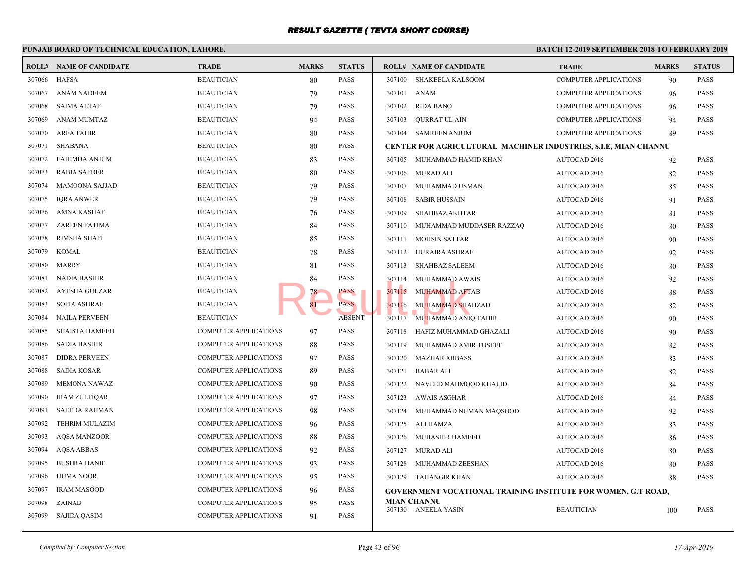#### **PUNJAB BOARD OF TECHNICAL EDUCATION, LAHORE. BATCH 12-ROLL# NAME OF CANDIDATE TRADE MARKS STATUS ROLL# NAME OF CANDIDATE TRADE MARKS STATUS** 307066 HAFSA BEAUTICIAN 80 PASS 307067 ANAM NADEEM BEAUTICIAN 79 PASS 307068 SAIMA ALTAF BEAUTICIAN 79 PASS 307069 ANAM MUMTAZ BEAUTICIAN 94 PASS 307070 ARFA TAHIR BEAUTICIAN 80 PASS 307071 SHABANA BEAUTICIAN 80 PASS 307072 FAHIMDA ANJUM BEAUTICIAN 83 PASS 307073 RABIA SAFDER BEAUTICIAN 80 PASS 307074 MAMOONA SAJJAD BEAUTICIAN 79 PASS 307075 IQRA ANWER BEAUTICIAN 79 PASS 307076 AMNA KASHAF BEAUTICIAN 76 PASS 307077 ZAREEN FATIMA BEAUTICIAN 84 PASS 307078 RIMSHA SHAFI BEAUTICIAN 85 PASS 307079 KOMAL BEAUTICIAN 78 PASS 307080 MARRY BEAUTICIAN 81 PASS 307081 NADIA BASHIR BEAUTICIAN 84 PASS 307082 AYESHA GULZAR BEAUTICIAN 78 PASS 307083 SOFIA ASHRAF BEAUTICIAN 81 PASS 307084 NAILA PERVEEN BEAUTICIAN ABSENT 307085 SHAISTA HAMEED COMPUTER APPLICATIONS 97 PASS 307086 SADIA BASHIR COMPUTER APPLICATIONS 88 PASS 307087 DIDRA PERVEEN COMPUTER APPLICATIONS 97 PASS 307088 SADIA KOSAR COMPUTER APPLICATIONS 89 PASS 307089 MEMONA NAWAZ COMPUTER APPLICATIONS 90 PASS 307090 IRAM ZULFIQAR COMPUTER APPLICATIONS 97 PASS 307091 SAEEDA RAHMAN COMPUTER APPLICATIONS 98 PASS 307092 TEHRIM MULAZIM COMPUTER APPLICATIONS 96 PASS 307093 AQSA MANZOOR COMPUTER APPLICATIONS 88 PASS 307094 AQSA ABBAS COMPUTER APPLICATIONS 92 PASS 307095 BUSHRA HANIF COMPUTER APPLICATIONS 93 PASS 307096 HUMA NOOR COMPUTER APPLICATIONS 95 PASS 307097 IRAM MASOOD COMPUTER APPLICATIONS 96 PASS 307098 ZAINAB COMPUTER APPLICATIONS 95 PASS 307099 SAJIDA QASIM COMPUTER APPLICATIONS 91 PASS 307100 SHAKEELA KALSOOM COMP 307101 ANAM COMP 307102 RIDA BANO COMP 307103 QURRAT UL AIN COMP 307104 SAMREEN ANJUM COMP **CENTER FOR AGRICULTURAL MACHINER INDUSTI** 307105 MUHAMMAD HAMID KHAN AUTO 307106 MURAD ALI AUTO 307107 MUHAMMAD USMAN AUTO 307108 SABIR HUSSAIN AUTO 307109 SHAHBAZ AKHTAR AUTO 307110 MUHAMMAD MUDDASER RAZZAQ AUTO 307111 MOHSIN SATTAR AUTO 307112 HURAIRA ASHRAF AUTO 307113 SHAHBAZ SALEEM AUTO 307114 MUHAMMAD AWAIS AUTO 307115 MUHAMMAD AFTAB AUTO 307116 MUHAMMAD SHAHZAD AUTO 307117 MUHAMMAD ANIQ TAHIR AUTO 307118 HAFIZ MUHAMMAD GHAZALI AUTO 307119 MUHAMMAD AMIR TOSEEF AUTO 307120 MAZHAR ABBASS AUTO 307121 BABAR ALI AUTO 307122 NAVEED MAHMOOD KHALID AUTO 307123 AWAIS ASGHAR AUTO 307124 MUHAMMAD NUMAN MAQSOOD AUTO 307125 ALI HAMZA AUTO 307126 MUBASHIR HAMEED AUTO 307127 MURAD ALI AUTO 307128 MUHAMMAD ZEESHAN AUTO 307129 TAHANGIR KHAN AUTO **GOVERNMENT VOCATIONAL TRAINING INSTITUTE MIAN CHANNU** 307130 ANEELA YASIN BEAUTICIAN 100 BEAUTICIAN 100 PASSES BEAUTICIAN 100 PASSES BEAUTICIAN 100 PASSES BEAUTICIAN 100 PASSES BEAUTICIAN 100 PASSES BEAUTICIAN 100 PASSES BEAUTICIAN 100 PASSES BEAUTICIAN 100 PASSES BEAUTICIAN EXERCISE PASS 307114 MUHAMMAD AW.<br>
PASS PASS 307116 MUHAMMAD AFT ABSENT 307116 MUHAMMAD SHA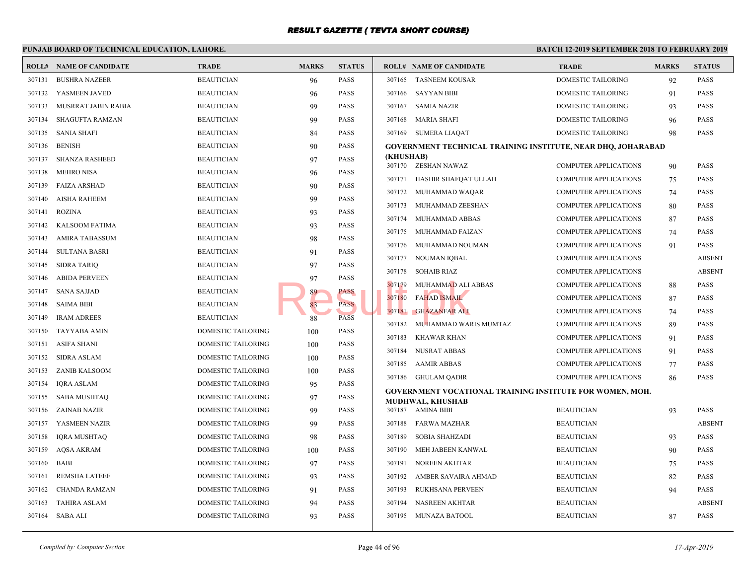#### **PUNJAB BOARD OF TECHNICAL EDUCATION, LAHORE. BATCH 12-ROLL# NAME OF CANDIDATE TRADE MARKS STATUS ROLL# NAME OF CANDIDATE TRADE MARKS STATUS** 307131 BUSHRA NAZEER BEAUTICIAN 96 PASS 307132 YASMEEN JAVED BEAUTICIAN 96 PASS 307133 MUSRRAT JABIN RABIA BEAUTICIAN 99 PASS 307134 SHAGUFTA RAMZAN BEAUTICIAN 99 PASS 307135 SANIA SHAFI BEAUTICIAN 84 PASS 307136 BENISH BEAUTICIAN 90 PASS 307137 SHANZA RASHEED BEAUTICIAN 97 PASS 307138 MEHRO NISA BEAUTICIAN 96 PASS 307139 FAIZA ARSHAD BEAUTICIAN 90 PASS 307140 AISHA RAHEEM BEAUTICIAN 99 PASS 307141 ROZINA BEAUTICIAN 93 PASS 307142 KALSOOM FATIMA BEAUTICIAN 93 PASS 307143 AMIRA TABASSUM BEAUTICIAN 98 PASS 307144 SULTANA BASRI BEAUTICIAN 91 PASS 307145 SIDRA TARIQ BEAUTICIAN 97 PASS 307146 ABIDA PERVEEN BEAUTICIAN 97 PASS 307147 SANA SAJJAD BEAUTICIAN BEAUTICIAN 89 PASS 307148 SAIMA BIBI BEAUTICIAN 83 PASS 307149 IRAM ADREES BEAUTICIAN 88 PASS 307150 TAYYABA AMIN DOMESTIC TAILORING 100 PASS 307151 ASIFA SHANI DOMESTIC TAILORING 100 PASS 307152 SIDRA ASLAM DOMESTIC TAILORING 100 PASS 307153 ZANIB KALSOOM DOMESTIC TAILORING 100 PASS 307154 IQRA ASLAM DOMESTIC TAILORING 95 PASS 307155 SABA MUSHTAQ DOMESTIC TAILORING 97 PASS 307156 ZAINAB NAZIR DOMESTIC TAILORING 99 PASS 307157 YASMEEN NAZIR DOMESTIC TAILORING 99 PASS 307158 IQRA MUSHTAQ DOMESTIC TAILORING 98 PASS 307159 AQSA AKRAM DOMESTIC TAILORING 100 PASS 307160 BABI DOMESTIC TAILORING 97 PASS 307161 REMSHA LATEEF DOMESTIC TAILORING 93 PASS 307162 CHANDA RAMZAN DOMESTIC TAILORING 91 PASS 307163 TAHIRA ASLAM DOMESTIC TAILORING 94 PASS 307164 SABA ALI DOMESTIC TAILORING 93 PASS 307165 TASNEEM KOUSAR DOME 307166 SAYYAN BIBI DOME 307167 SAMIA NAZIR DOME 307168 MARIA SHAFI DOME 307169 SUMERA LIAQAT DOME **GOVERNMENT TECHNICAL TRAINING INSTITUTE, I (KHUSHAB)**<br>307170 **ZESI** ZESHAN NAWAZ COMP 307171 HASHIR SHAFQAT ULLAH COMP 307172 MUHAMMAD WAQAR COMP 307173 MUHAMMAD ZEESHAN COMP 307174 MUHAMMAD ABBAS COMP 307175 MUHAMMAD FAIZAN COMP 307176 MUHAMMAD NOUMAN COMP 307177 NOUMAN IQBAL COMP 307178 SOHAIB RIAZ COMP 307179 MUHAMMAD ALI ABBAS COMP 307180 FAHAD ISMAIL COMP 307181 GHAZANFAR ALI COMP 307182 MUHAMMAD WARIS MUMTAZ COMP 307183 KHAWAR KHAN COMP 307184 NUSRAT ABBAS COMP 307185 AAMIR ABBAS COMP 307186 GHULAM QADIR COMP **GOVERNMENT VOCATIONAL TRAINING INSTITUTE MUDHWAL, KHUSHAB** 307187 AMINA BIBI BEAUTICIAN 93 307188 FARWA MAZHAR BEAUTICIAN BEAUTICIAN ABSENT 307189 SOBIA SHAHZADI BEAUT 307190 MEH JABEEN KANWAL BEAUT 307191 NOREEN AKHTAR BEAUT 307192 AMBER SAVAIRA AHMAD BEAUT 307193 RUKHSANA PERVEEN BEAUT 307194 NASREEN AKHTAR BEAUT 307195 MUNAZA BATOOL BEAUT FASS BOTTES BUREAU ALL PASS PASS PASS PASS PASS PASS PARTENT OF THE CHAZANFAR ALL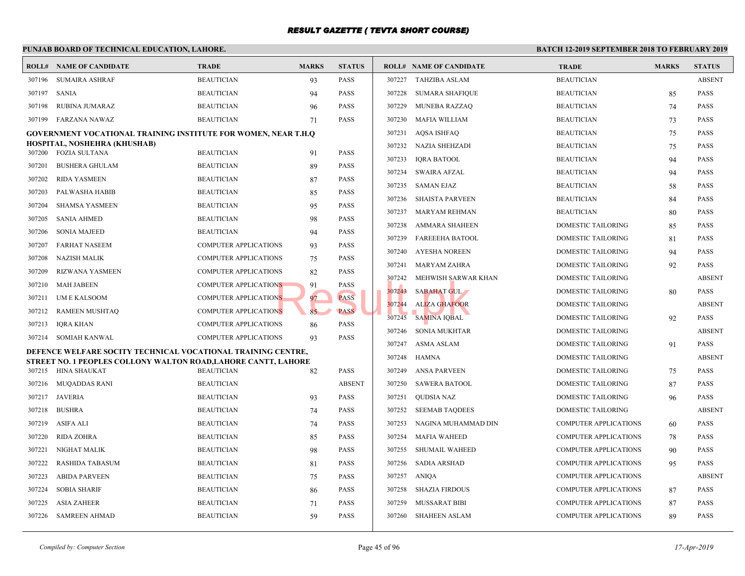|        | PUNJAB BOARD OF TECHNICAL EDUCATION, LAHORE.                                          |                              |              |               |        |                                | <b>BATCH 12-2</b> |
|--------|---------------------------------------------------------------------------------------|------------------------------|--------------|---------------|--------|--------------------------------|-------------------|
|        | <b>ROLL# NAME OF CANDIDATE</b>                                                        | <b>TRADE</b>                 | <b>MARKS</b> | <b>STATUS</b> |        | <b>ROLL# NAME OF CANDIDATE</b> | <b>TRAL</b>       |
| 307196 | SUMAIRA ASHRAF                                                                        | <b>BEAUTICIAN</b>            | 93           | <b>PASS</b>   |        | 307227 TAHZIBA ASLAM           | <b>BEAU</b>       |
| 307197 | SANIA                                                                                 | <b>BEAUTICIAN</b>            | 94           | <b>PASS</b>   | 307228 | SUMARA SHAFIQUE                | <b>BEAU</b>       |
| 307198 | RUBINA JUMARAZ                                                                        | <b>BEAUTICIAN</b>            | 96           | <b>PASS</b>   | 307229 | <b>MUNEBA RAZZAQ</b>           | <b>BEAU</b>       |
| 307199 | FARZANA NAWAZ                                                                         | <b>BEAUTICIAN</b>            | 71           | <b>PASS</b>   | 307230 | MAFIA WILLIAM                  | <b>BEAU</b>       |
|        | <b>GOVERNMENT VOCATIONAL TRAINING INSTITUTE FOR WOMEN, NEAR T.H.Q</b>                 |                              |              |               | 307231 | AQSA ISHFAQ                    | <b>BEAU</b>       |
|        | HOSPITAL, NOSHEHRA (KHUSHAB)<br>307200 FOZIA SULTANA                                  | <b>BEAUTICIAN</b>            |              | <b>PASS</b>   | 307232 | NAZIA SHEHZADI                 | <b>BEAU</b>       |
|        |                                                                                       |                              | 91           |               | 307233 | <b>IQRA BATOOL</b>             | <b>BEAU</b>       |
| 307201 | <b>BUSHERA GHULAM</b>                                                                 | <b>BEAUTICIAN</b>            | 89           | <b>PASS</b>   | 307234 | SWAIRA AFZAL                   | <b>BEAU</b>       |
| 307202 | RIDA YASMEEN                                                                          | <b>BEAUTICIAN</b>            | 87           | <b>PASS</b>   | 307235 | SAMAN EJAZ                     | <b>BEAU</b>       |
| 307203 | PALWASHA HABIB                                                                        | <b>BEAUTICIAN</b>            | 85           | <b>PASS</b>   | 307236 | <b>SHAISTA PARVEEN</b>         | <b>BEAU</b>       |
| 307204 | <b>SHAMSA YASMEEN</b>                                                                 | <b>BEAUTICIAN</b>            | 95           | <b>PASS</b>   | 307237 | MARYAM REHMAN                  | <b>BEAU</b>       |
| 307205 | <b>SANIA AHMED</b>                                                                    | <b>BEAUTICIAN</b>            | 98           | <b>PASS</b>   | 307238 | AMMARA SHAHEEN                 | <b>DOME</b>       |
| 307206 | <b>SONIA MAJEED</b>                                                                   | <b>BEAUTICIAN</b>            | 94           | <b>PASS</b>   | 307239 | <b>FAREEEHA BATOOL</b>         | <b>DOME</b>       |
| 307207 | FARHAT NASEEM                                                                         | COMPUTER APPLICATIONS        | 93           | <b>PASS</b>   | 307240 | AYESHA NOREEN                  | <b>DOME</b>       |
| 307208 | NAZISH MALIK                                                                          | COMPUTER APPLICATIONS        | 75           | <b>PASS</b>   | 307241 | MARYAM ZAHRA                   | <b>DOME</b>       |
| 307209 | RIZWANA YASMEEN                                                                       | <b>COMPUTER APPLICATIONS</b> | 82           | <b>PASS</b>   | 307242 | MEHWISH SARWAR KHAN            | <b>DOME</b>       |
| 307210 | <b>MAH JABEEN</b>                                                                     | <b>COMPUTER APPLICATIONS</b> | 91           | <b>PASS</b>   | 307243 | <b>SABAHAT GUL</b>             | <b>DOME</b>       |
| 307211 | UM E KALSOOM                                                                          | <b>COMPUTER APPLICATIONS</b> | 97           | <b>PASS</b>   | 307244 | <b>ALIZA GHAFOOR</b>           | <b>DOME</b>       |
| 307212 | RAMEEN MUSHTAQ                                                                        | <b>COMPUTER APPLICATIONS</b> | 85           | <b>PASS</b>   | 307245 | <b>SAMINA IQBAL</b>            | <b>DOME</b>       |
| 307213 | IQRA KHAN                                                                             | COMPUTER APPLICATIONS        | 86           | <b>PASS</b>   | 307246 | SONIA MUKHTAR                  | <b>DOME</b>       |
|        | 307214 SOMIAH KANWAL                                                                  | <b>COMPUTER APPLICATIONS</b> | 93           | <b>PASS</b>   | 307247 | ASMA ASLAM                     | <b>DOME</b>       |
|        | DEFENCE WELFARE SOCITY TECHNICAL VOCATIONAL TRAINING CENTRE,                          |                              |              |               | 307248 | HAMNA                          | <b>DOME</b>       |
|        | STREET NO. 1 PEOPLES COLLONY WALTON ROAD, LAHORE CANTT, LAHORE<br>307215 HINA SHAUKAT | <b>BEAUTICIAN</b>            | 82           | <b>PASS</b>   |        | 307249 ANSA PARVEEN            | <b>DOME</b>       |
|        | 307216 MUQADDAS RANI                                                                  | <b>BEAUTICIAN</b>            |              | <b>ABSENT</b> | 307250 | <b>SAWERA BATOOL</b>           | <b>DOME</b>       |
|        |                                                                                       |                              |              |               | 307251 |                                | <b>DOME</b>       |
|        | 307217 JAVERIA                                                                        | <b>BEAUTICIAN</b>            | 93           | <b>PASS</b>   |        | QUDSIA NAZ                     |                   |
| 307218 | <b>BUSHRA</b>                                                                         | <b>BEAUTICIAN</b>            | 74           | <b>PASS</b>   | 307252 | <b>SEEMAB TAQDEES</b>          | <b>DOME</b>       |
| 307219 | ASIFA ALI                                                                             | <b>BEAUTICIAN</b>            | 74           | <b>PASS</b>   | 307253 | NAGINA MUHAMMAD DIN            | <b>COMP</b>       |
| 307220 | RIDA ZOHRA                                                                            | <b>BEAUTICIAN</b>            | 85           | <b>PASS</b>   | 307254 | <b>MAFIA WAHEED</b>            | <b>COMP</b>       |
| 307221 | NIGHAT MALIK                                                                          | <b>BEAUTICIAN</b>            | 98           | <b>PASS</b>   | 307255 | <b>SHUMAIL WAHEED</b>          | <b>COMP</b>       |
| 307222 | <b>RASHIDA TABASUM</b>                                                                | <b>BEAUTICIAN</b>            | 81           | <b>PASS</b>   | 307256 | SADIA ARSHAD                   | <b>COMP</b>       |
| 307223 | <b>ABIDA PARVEEN</b>                                                                  | <b>BEAUTICIAN</b>            | 75           | <b>PASS</b>   | 307257 | ANIQA                          | <b>COMP</b>       |
| 307224 | <b>SOBIA SHARIF</b>                                                                   | <b>BEAUTICIAN</b>            | 86           | <b>PASS</b>   | 307258 | <b>SHAZIA FIRDOUS</b>          | <b>COMP</b>       |
| 307225 | <b>ASIA ZAHEER</b>                                                                    | <b>BEAUTICIAN</b>            | 71           | <b>PASS</b>   | 307259 | MUSSARAT BIBI                  | <b>COMP</b>       |
| 307226 | SAMREEN AHMAD                                                                         | <b>BEAUTICIAN</b>            | 59           | <b>PASS</b>   | 307260 | SHAHEEN ASLAM                  | <b>COMP</b>       |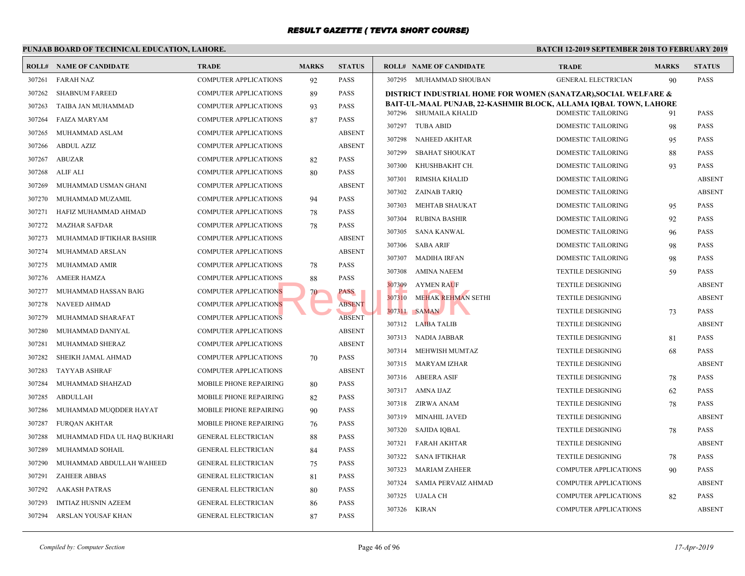|        | PUNJAB BOARD OF TECHNICAL EDUCATION, LAHORE. |                              |              |               |        |                                             | <b>BATCH 12-</b> |
|--------|----------------------------------------------|------------------------------|--------------|---------------|--------|---------------------------------------------|------------------|
|        | <b>ROLL# NAME OF CANDIDATE</b>               | <b>TRADE</b>                 | <b>MARKS</b> | <b>STATUS</b> |        | <b>ROLL# NAME OF CANDIDATE</b>              | <b>TRAL</b>      |
| 307261 | <b>FARAH NAZ</b>                             | COMPUTER APPLICATIONS        | 92           | <b>PASS</b>   |        | 307295 MUHAMMAD SHOUBAN                     | <b>GENE</b>      |
| 307262 | <b>SHABNUM FAREED</b>                        | <b>COMPUTER APPLICATIONS</b> | 89           | <b>PASS</b>   |        | DISTRICT INDUSTRIAL HOME FOR WOMEN (SANAT   |                  |
| 307263 | TAIBA JAN MUHAMMAD                           | <b>COMPUTER APPLICATIONS</b> | 93           | <b>PASS</b>   |        | BAIT-UL-MAAL PUNJAB, 22-KASHMIR BLOCK, ALLA |                  |
| 307264 | <b>FAIZA MARYAM</b>                          | COMPUTER APPLICATIONS        | 87           | <b>PASS</b>   |        | 307296 SHUMAILA KHALID                      | <b>DOME</b>      |
| 307265 | MUHAMMAD ASLAM                               | COMPUTER APPLICATIONS        |              | <b>ABSENT</b> | 307297 | <b>TUBA ABID</b>                            | <b>DOME</b>      |
| 307266 | <b>ABDUL AZIZ</b>                            | <b>COMPUTER APPLICATIONS</b> |              | <b>ABSENT</b> | 307298 | NAHEED AKHTAR                               | <b>DOME</b>      |
| 307267 | <b>ABUZAR</b>                                | <b>COMPUTER APPLICATIONS</b> | 82           | <b>PASS</b>   | 307299 | <b>SBAHAT SHOUKAT</b>                       | <b>DOME</b>      |
| 307268 | ALIF ALI                                     | <b>COMPUTER APPLICATIONS</b> | 80           | <b>PASS</b>   | 307300 | KHUSHBAKHT CH.                              | <b>DOME</b>      |
| 307269 | MUHAMMAD USMAN GHANI                         | <b>COMPUTER APPLICATIONS</b> |              | <b>ABSENT</b> | 307301 | RIMSHA KHALID                               | <b>DOME</b>      |
| 307270 | MUHAMMAD MUZAMIL                             | <b>COMPUTER APPLICATIONS</b> | 94           | <b>PASS</b>   | 307302 | ZAINAB TARIQ                                | <b>DOME</b>      |
| 307271 | HAFIZ MUHAMMAD AHMAD                         | COMPUTER APPLICATIONS        | 78           | <b>PASS</b>   | 307303 | MEHTAB SHAUKAT                              | <b>DOME</b>      |
| 307272 | <b>MAZHAR SAFDAR</b>                         | COMPUTER APPLICATIONS        | 78           | <b>PASS</b>   | 307304 | <b>RUBINA BASHIR</b>                        | <b>DOME</b>      |
| 307273 | MUHAMMAD IFTIKHAR BASHIR                     | <b>COMPUTER APPLICATIONS</b> |              | <b>ABSENT</b> | 307305 | SANA KANWAL                                 | <b>DOME</b>      |
| 307274 | MUHAMMAD ARSLAN                              | <b>COMPUTER APPLICATIONS</b> |              | <b>ABSENT</b> | 307306 | SABA ARIF                                   | <b>DOME</b>      |
| 307275 | MUHAMMAD AMIR                                | <b>COMPUTER APPLICATIONS</b> | 78           | <b>PASS</b>   | 307307 | MADIHA IRFAN                                | <b>DOME</b>      |
| 307276 | <b>AMEER HAMZA</b>                           | <b>COMPUTER APPLICATIONS</b> | 88           | <b>PASS</b>   | 307308 | AMINA NAEEM                                 | <b>TEXTI</b>     |
| 307277 | MUHAMMAD HASSAN BAIG                         | <b>COMPUTER APPLICATIONS</b> | $70-$        | PASS          | 307309 | <b>AYMEN RAUF</b>                           | <b>TEXTI</b>     |
| 307278 | <b>NAVEED AHMAD</b>                          | <b>COMPUTER APPLICATIONS</b> |              | <b>ABSENT</b> | 307310 | MEHAK REHMAN SETHI                          | <b>TEXTI</b>     |
| 307279 | MUHAMMAD SHARAFAT                            | COMPUTER APPLICATIONS        |              | <b>ABSENT</b> | 307311 | <b>SAMAN</b>                                | <b>TEXTI</b>     |
| 307280 | MUHAMMAD DANIYAL                             | <b>COMPUTER APPLICATIONS</b> |              | <b>ABSENT</b> |        | 307312 LAIBA TALIB                          | <b>TEXTI</b>     |
| 307281 | MUHAMMAD SHERAZ                              | <b>COMPUTER APPLICATIONS</b> |              | <b>ABSENT</b> |        | 307313 NADIA JABBAR                         | <b>TEXTI</b>     |
| 307282 | SHEIKH JAMAL AHMAD                           | <b>COMPUTER APPLICATIONS</b> | 70           | <b>PASS</b>   |        | 307314 MEHWISH MUMTAZ                       | <b>TEXTI</b>     |
| 307283 | <b>TAYYAB ASHRAF</b>                         | <b>COMPUTER APPLICATIONS</b> |              | <b>ABSENT</b> |        | 307315 MARYAM IZHAR                         | <b>TEXTI</b>     |
| 307284 | MUHAMMAD SHAHZAD                             | MOBILE PHONE REPAIRING       | 80           | <b>PASS</b>   |        | 307316 ABEERA ASIF                          | <b>TEXTI</b>     |
| 307285 | <b>ABDULLAH</b>                              | MOBILE PHONE REPAIRING       | 82           | <b>PASS</b>   |        | 307317 AMNA IJAZ                            | <b>TEXTI</b>     |
| 307286 | MUHAMMAD MUQDDER HAYAT                       | MOBILE PHONE REPAIRING       | 90           | <b>PASS</b>   | 307318 | ZIRWA ANAM                                  | <b>TEXTI</b>     |
| 307287 | <b>FUROAN AKHTAR</b>                         | MOBILE PHONE REPAIRING       | 76           | <b>PASS</b>   | 307319 | MINAHIL JAVED                               | <b>TEXTI</b>     |
| 307288 | MUHAMMAD FIDA UL HAQ BUKHARI                 | <b>GENERAL ELECTRICIAN</b>   | 88           | <b>PASS</b>   | 307320 | SAJIDA IQBAL                                | <b>TEXTI</b>     |
| 307289 | MUHAMMAD SOHAIL                              | <b>GENERAL ELECTRICIAN</b>   | 84           | <b>PASS</b>   | 307321 | FARAH AKHTAR                                | <b>TEXTI</b>     |
| 307290 | MUHAMMAD ABDULLAH WAHEED                     | <b>GENERAL ELECTRICIAN</b>   | 75           | <b>PASS</b>   | 307322 | SANA IFTIKHAR                               | <b>TEXTI</b>     |
| 307291 | <b>ZAHEER ABBAS</b>                          | <b>GENERAL ELECTRICIAN</b>   | 81           | <b>PASS</b>   | 307323 | MARIAM ZAHEER                               | <b>COMP</b>      |
| 307292 | <b>AAKASH PATRAS</b>                         | <b>GENERAL ELECTRICIAN</b>   | 80           | <b>PASS</b>   | 307324 | SAMIA PERVAIZ AHMAD                         | <b>COMP</b>      |
| 307293 | IMTIAZ HUSNIN AZEEM                          | <b>GENERAL ELECTRICIAN</b>   | 86           | <b>PASS</b>   | 307325 | UJALA CH                                    | <b>COMP</b>      |
| 307294 | ARSLAN YOUSAF KHAN                           | <b>GENERAL ELECTRICIAN</b>   | 87           | <b>PASS</b>   | 307326 | KIRAN                                       | <b>COMP</b>      |
|        |                                              |                              |              |               |        |                                             |                  |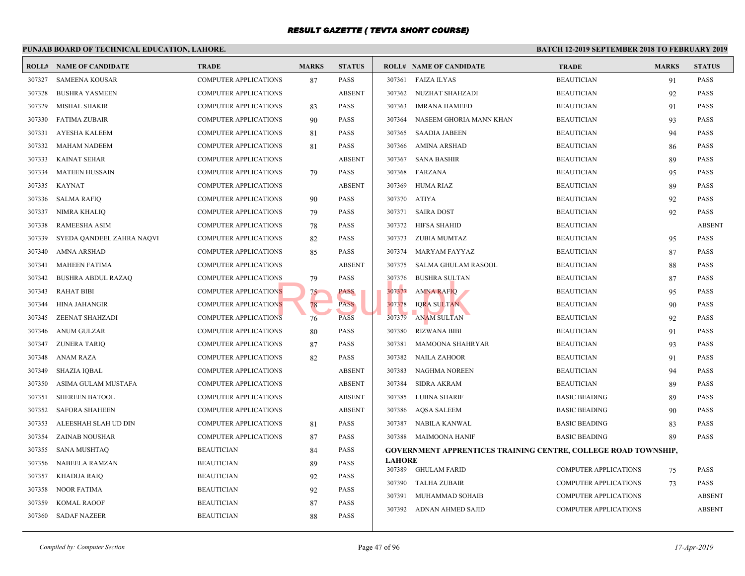|        | PUNJAB BOARD OF TECHNICAL EDUCATION, LAHORE. |                              | <b>BATCH 12-</b> |               |               |                                                  |              |
|--------|----------------------------------------------|------------------------------|------------------|---------------|---------------|--------------------------------------------------|--------------|
|        | <b>ROLL# NAME OF CANDIDATE</b>               | <b>TRADE</b>                 | <b>MARKS</b>     | <b>STATUS</b> |               | <b>ROLL# NAME OF CANDIDATE</b>                   | <b>TRAL</b>  |
| 307327 | <b>SAMEENA KOUSAR</b>                        | <b>COMPUTER APPLICATIONS</b> | 87               | <b>PASS</b>   | 307361        | <b>FAIZA ILYAS</b>                               | <b>BEAU</b>  |
| 307328 | <b>BUSHRA YASMEEN</b>                        | <b>COMPUTER APPLICATIONS</b> |                  | <b>ABSENT</b> | 307362        | NUZHAT SHAHZADI                                  | <b>BEAU</b>  |
| 307329 | <b>MISHAL SHAKIR</b>                         | COMPUTER APPLICATIONS        | 83               | <b>PASS</b>   | 307363        | <b>IMRANA HAMEED</b>                             | <b>BEAU</b>  |
| 307330 | <b>FATIMA ZUBAIR</b>                         | COMPUTER APPLICATIONS        | 90               | <b>PASS</b>   | 307364        | NASEEM GHORIA MANN KHAN                          | <b>BEAU</b>  |
| 307331 | AYESHA KALEEM                                | COMPUTER APPLICATIONS        | 81               | <b>PASS</b>   | 307365        | SAADIA JABEEN                                    | <b>BEAU</b>  |
| 307332 | <b>MAHAM NADEEM</b>                          | <b>COMPUTER APPLICATIONS</b> | 81               | PASS          | 307366        | AMINA ARSHAD                                     | <b>BEAU</b>  |
| 307333 | <b>KAINAT SEHAR</b>                          | COMPUTER APPLICATIONS        |                  | <b>ABSENT</b> | 307367        | <b>SANA BASHIR</b>                               | <b>BEAU</b>  |
| 307334 | <b>MATEEN HUSSAIN</b>                        | COMPUTER APPLICATIONS        | 79               | <b>PASS</b>   | 307368        | FARZANA                                          | <b>BEAU</b>  |
| 307335 | KAYNAT                                       | COMPUTER APPLICATIONS        |                  | <b>ABSENT</b> | 307369        | HUMA RIAZ                                        | <b>BEAU</b>  |
| 307336 | SALMA RAFIQ                                  | COMPUTER APPLICATIONS        | 90               | <b>PASS</b>   | 307370        | ATIYA                                            | <b>BEAU</b>  |
| 307337 | <b>NIMRA KHALIQ</b>                          | COMPUTER APPLICATIONS        | 79               | <b>PASS</b>   | 307371        | <b>SAIRA DOST</b>                                | <b>BEAU</b>  |
| 307338 | <b>RAMEESHA ASIM</b>                         | COMPUTER APPLICATIONS        | 78               | <b>PASS</b>   | 307372        | HIFSA SHAHID                                     | <b>BEAU</b>  |
| 307339 | SYEDA QANDEEL ZAHRA NAQVI                    | COMPUTER APPLICATIONS        | 82               | <b>PASS</b>   | 307373        | ZUBIA MUMTAZ                                     | <b>BEAU</b>  |
| 307340 | AMNA ARSHAD                                  | <b>COMPUTER APPLICATIONS</b> | 85               | <b>PASS</b>   | 307374        | MARYAM FAYYAZ                                    | <b>BEAU</b>  |
| 307341 | <b>MAHEEN FATIMA</b>                         | COMPUTER APPLICATIONS        |                  | <b>ABSENT</b> | 307375        | SALMA GHULAM RASOOL                              | <b>BEAU</b>  |
| 307342 | <b>BUSHRA ABDUL RAZAQ</b>                    | COMPUTER APPLICATIONS        | 79               | <b>PASS</b>   | 307376        | <b>BUSHRA SULTAN</b>                             | <b>BEAU</b>  |
| 307343 | <b>RAHAT BIBI</b>                            | <b>COMPUTER APPLICATIONS</b> | 75               | PASS          | 307377        | <b>AMNA RAFIQ</b>                                | <b>BEAU</b>  |
| 307344 | <b>HINA JAHANGIR</b>                         | <b>COMPUTER APPLICATIONS</b> | 78               | <b>PASS</b>   | 307378        | <b>IQRA SULTAN</b>                               | <b>BEAU</b>  |
| 307345 | ZEENAT SHAHZADI                              | <b>COMPUTER APPLICATIONS</b> | 76               | <b>PASS</b>   | 307379        | ANAM SULTAN                                      | <b>BEAU</b>  |
| 307346 | ANUM GULZAR                                  | <b>COMPUTER APPLICATIONS</b> | 80               | PASS          | 307380        | RIZWANA BIBI                                     | <b>BEAU</b>  |
| 307347 | <b>ZUNERA TARIQ</b>                          | <b>COMPUTER APPLICATIONS</b> | 87               | <b>PASS</b>   | 307381        | <b>MAMOONA SHAHRYAR</b>                          | <b>BEAU</b>  |
| 307348 | ANAM RAZA                                    | COMPUTER APPLICATIONS        | 82               | <b>PASS</b>   | 307382        | NAILA ZAHOOR                                     | <b>BEAU</b>  |
| 307349 | <b>SHAZIA IQBAL</b>                          | COMPUTER APPLICATIONS        |                  | <b>ABSENT</b> | 307383        | <b>NAGHMA NOREEN</b>                             | <b>BEAU</b>  |
| 307350 | ASIMA GULAM MUSTAFA                          | COMPUTER APPLICATIONS        |                  | <b>ABSENT</b> | 307384        | <b>SIDRA AKRAM</b>                               | <b>BEAU</b>  |
| 307351 | <b>SHEREEN BATOOL</b>                        | <b>COMPUTER APPLICATIONS</b> |                  | <b>ABSENT</b> | 307385        | LUBNA SHARIF                                     | <b>BASIC</b> |
| 307352 | <b>SAFORA SHAHEEN</b>                        | <b>COMPUTER APPLICATIONS</b> |                  | <b>ABSENT</b> | 307386        | <b>AQSA SALEEM</b>                               | <b>BASIC</b> |
| 307353 | ALEESHAH SLAH UD DIN                         | COMPUTER APPLICATIONS        | 81               | <b>PASS</b>   | 307387        | NABILA KANWAL                                    | <b>BASIC</b> |
| 307354 | ZAINAB NOUSHAR                               | <b>COMPUTER APPLICATIONS</b> | 87               | <b>PASS</b>   | 307388        | MAIMOONA HANIF                                   | <b>BASIC</b> |
| 307355 | <b>SANA MUSHTAQ</b>                          | <b>BEAUTICIAN</b>            | 84               | <b>PASS</b>   |               | <b>GOVERNMENT APPRENTICES TRAINING CENTRE, C</b> |              |
| 307356 | NABEELA RAMZAN                               | <b>BEAUTICIAN</b>            | 89               | PASS          | <b>LAHORE</b> |                                                  |              |
| 307357 | <b>KHADIJA RAIQ</b>                          | <b>BEAUTICIAN</b>            | 92               | <b>PASS</b>   | 307389        | GHULAM FARID                                     | <b>COMP</b>  |
| 307358 | <b>NOOR FATIMA</b>                           | <b>BEAUTICIAN</b>            | 92               | <b>PASS</b>   | 307390        | TALHA ZUBAIR                                     | <b>COMP</b>  |
| 307359 | <b>KOMAL RAOOF</b>                           | <b>BEAUTICIAN</b>            | 87               | <b>PASS</b>   | 307391        | MUHAMMAD SOHAIB                                  | <b>COMP</b>  |
| 307360 | <b>SADAF NAZEER</b>                          | <b>BEAUTICIAN</b>            | 88               | <b>PASS</b>   | 307392        | ADNAN AHMED SAJID                                | <b>COMP</b>  |
|        |                                              |                              |                  |               |               |                                                  |              |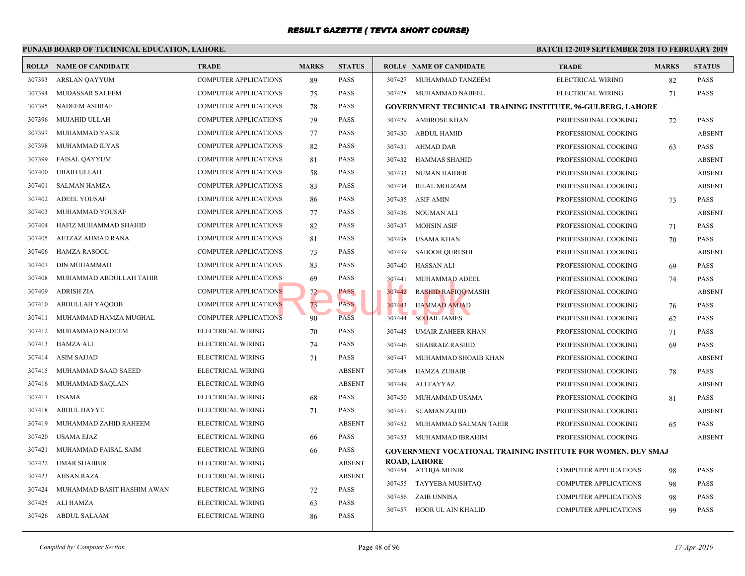|        | PUNJAB BOARD OF TECHNICAL EDUCATION, LAHORE. |                              |              |               |        |                                                 | <b>BATCH 12-</b> |
|--------|----------------------------------------------|------------------------------|--------------|---------------|--------|-------------------------------------------------|------------------|
|        | <b>ROLL# NAME OF CANDIDATE</b>               | <b>TRADE</b>                 | <b>MARKS</b> | <b>STATUS</b> |        | <b>ROLL# NAME OF CANDIDATE</b>                  | <b>TRAI</b>      |
| 307393 | ARSLAN QAYYUM                                | COMPUTER APPLICATIONS        | 89           | <b>PASS</b>   | 307427 | MUHAMMAD TANZEEM                                | <b>ELECT</b>     |
| 307394 | MUDASSAR SALEEM                              | <b>COMPUTER APPLICATIONS</b> | 75           | <b>PASS</b>   |        | 307428 MUHAMMAD NABEEL                          | <b>ELECT</b>     |
| 307395 | NADEEM ASHRAF                                | <b>COMPUTER APPLICATIONS</b> | 78           | PASS          |        | GOVERNMENT TECHNICAL TRAINING INSTITUTE,        |                  |
| 307396 | MUJAHID ULLAH                                | <b>COMPUTER APPLICATIONS</b> | 79           | <b>PASS</b>   |        | 307429 AMBROSE KHAN                             | <b>PROFE</b>     |
| 307397 | MUHAMMAD YASIR                               | <b>COMPUTER APPLICATIONS</b> | 77           | PASS          | 307430 | ABDUL HAMID                                     | <b>PROFE</b>     |
| 307398 | MUHAMMAD ILYAS                               | <b>COMPUTER APPLICATIONS</b> | 82           | <b>PASS</b>   | 307431 | AHMAD DAR                                       | <b>PROFE</b>     |
| 307399 | <b>FAISAL QAYYUM</b>                         | <b>COMPUTER APPLICATIONS</b> | 81           | <b>PASS</b>   | 307432 | HAMMAS SHAHID                                   | <b>PROFE</b>     |
| 307400 | <b>UBAID ULLAH</b>                           | <b>COMPUTER APPLICATIONS</b> | 58           | <b>PASS</b>   | 307433 | NUMAN HAIDER                                    | <b>PROFE</b>     |
| 307401 | <b>SALMAN HAMZA</b>                          | <b>COMPUTER APPLICATIONS</b> | 83           | <b>PASS</b>   | 307434 | <b>BILAL MOUZAM</b>                             | <b>PROFE</b>     |
| 307402 | <b>ADEEL YOUSAF</b>                          | <b>COMPUTER APPLICATIONS</b> | 86           | <b>PASS</b>   | 307435 | <b>ASIF AMIN</b>                                | <b>PROFE</b>     |
| 307403 | MUHAMMAD YOUSAF                              | COMPUTER APPLICATIONS        | 77           | <b>PASS</b>   | 307436 | NOUMAN ALI                                      | <b>PROFE</b>     |
| 307404 | HAFIZ MUHAMMAD SHAHID                        | COMPUTER APPLICATIONS        | 82           | <b>PASS</b>   | 307437 | MOHSIN ASIF                                     | <b>PROFE</b>     |
| 307405 | AETZAZ AHMAD RANA                            | <b>COMPUTER APPLICATIONS</b> | 81           | PASS          | 307438 | USAMA KHAN                                      | <b>PROFE</b>     |
| 307406 | HAMZA RASOOL                                 | <b>COMPUTER APPLICATIONS</b> | 73           | PASS          | 307439 | <b>SABOOR QURESHI</b>                           | <b>PROFE</b>     |
| 307407 | DIN MUHAMMAD                                 | <b>COMPUTER APPLICATIONS</b> | 83           | PASS          |        | 307440 HASSAN ALI                               | <b>PROFE</b>     |
| 307408 | MUHAMMAD ABDULLAH TAHIR                      | COMPUTER APPLICATIONS        | 69           | <b>PASS</b>   | 307441 | MUHAMMAD ADEEL                                  | <b>PROFE</b>     |
| 307409 | <b>ADRISH ZIA</b>                            | <b>COMPUTER APPLICATIONS</b> | 72           | PASS          | 307442 | <b>RASHID RAFIQQ MASIH</b>                      | <b>PROFE</b>     |
| 307410 | ABDULLAH YAQOOB                              | <b>COMPUTER APPLICATIONS</b> | 73           | <b>PASS</b>   | 307443 | <b>HAMMAD AMJAD</b>                             | <b>PROFI</b>     |
| 307411 | MUHAMMAD HAMZA MUGHAL                        | <b>COMPUTER APPLICATIONS</b> | 90           | <b>PASS</b>   | 307444 | <b>SOHAIL JAMES</b>                             | <b>PROFE</b>     |
| 307412 | MUHAMMAD NADEEM                              | ELECTRICAL WIRING            | 70           | <b>PASS</b>   | 307445 | UMAIR ZAHEER KHAN                               | <b>PROFE</b>     |
| 307413 | <b>HAMZA ALI</b>                             | ELECTRICAL WIRING            | 74           | <b>PASS</b>   | 307446 | SHABRAIZ RASHID                                 | <b>PROFE</b>     |
| 307414 | <b>ASIM SAJJAD</b>                           | ELECTRICAL WIRING            | 71           | <b>PASS</b>   | 307447 | MUHAMMAD SHOAIB KHAN                            | <b>PROFI</b>     |
| 307415 | MUHAMMAD SAAD SAEED                          | ELECTRICAL WIRING            |              | <b>ABSENT</b> | 307448 | HAMZA ZUBAIR                                    | <b>PROFE</b>     |
| 307416 | MUHAMMAD SAQLAIN                             | ELECTRICAL WIRING            |              | <b>ABSENT</b> | 307449 | ALI FAYYAZ                                      | <b>PROFE</b>     |
| 307417 | <b>USAMA</b>                                 | ELECTRICAL WIRING            | 68           | PASS          | 307450 | MUHAMMAD USAMA                                  | <b>PROFE</b>     |
| 307418 | <b>ABDUL HAYYE</b>                           | ELECTRICAL WIRING            | 71           | PASS          | 307451 | <b>SUAMAN ZAHID</b>                             | <b>PROFE</b>     |
| 307419 | MUHAMMAD ZAHID RAHEEM                        | ELECTRICAL WIRING            |              | <b>ABSENT</b> | 307452 | MUHAMMAD SALMAN TAHIR                           | <b>PROFE</b>     |
| 307420 | <b>USAMA EJAZ</b>                            | ELECTRICAL WIRING            | 66           | <b>PASS</b>   |        | 307453 MUHAMMAD IBRAHIM                         | <b>PROFE</b>     |
| 307421 | MUHAMMAD FAISAL SAIM                         | ELECTRICAL WIRING            | 66           | <b>PASS</b>   |        | <b>GOVERNMENT VOCATIONAL TRAINING INSTITUTE</b> |                  |
| 307422 | <b>UMAR SHABBIR</b>                          | ELECTRICAL WIRING            |              | <b>ABSENT</b> |        | <b>ROAD, LAHORE</b>                             |                  |
| 307423 | AHSAN RAZA                                   | ELECTRICAL WIRING            |              | <b>ABSENT</b> |        | 307454 ATTIQA MUNIR                             | <b>COMP</b>      |
| 307424 | MUHAMMAD BASIT HASHIM AWAN                   | ELECTRICAL WIRING            | 72           | <b>PASS</b>   | 307455 | TAYYEBA MUSHTAQ                                 | <b>COMP</b>      |
| 307425 | ALI HAMZA                                    | ELECTRICAL WIRING            | 63           | <b>PASS</b>   | 307456 | ZAIB UNNISA                                     | <b>COMP</b>      |
| 307426 | ABDUL SALAAM                                 | ELECTRICAL WIRING            | 86           | PASS          |        | 307457 HOOR UL AIN KHALID                       | <b>COMP</b>      |
|        |                                              |                              |              |               |        |                                                 |                  |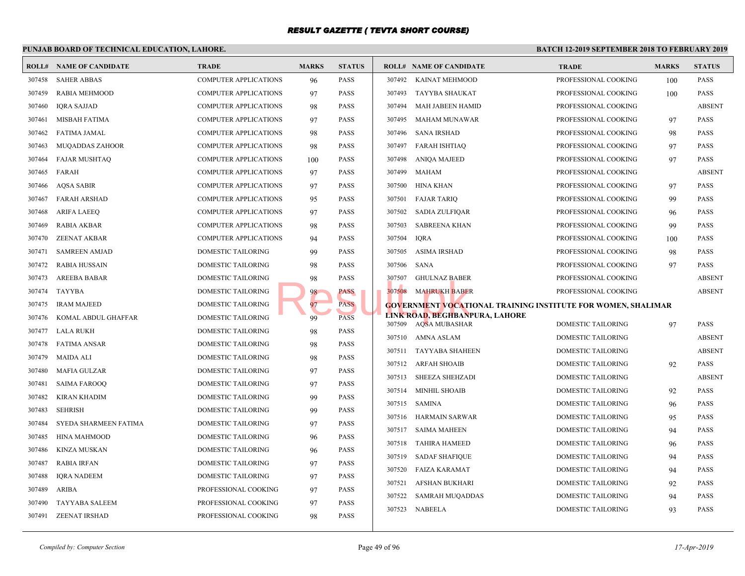|        | PUNJAB BOARD OF TECHNICAL EDUCATION, LAHORE. |                              |              |               |        |                                                        | <b>BATCH 12-</b> |
|--------|----------------------------------------------|------------------------------|--------------|---------------|--------|--------------------------------------------------------|------------------|
|        | <b>ROLL# NAME OF CANDIDATE</b>               | <b>TRADE</b>                 | <b>MARKS</b> | <b>STATUS</b> |        | <b>ROLL# NAME OF CANDIDATE</b>                         | <b>TRAI</b>      |
| 307458 | <b>SAHER ABBAS</b>                           | <b>COMPUTER APPLICATIONS</b> | 96           | <b>PASS</b>   | 307492 | KAINAT MEHMOOD                                         | <b>PROFE</b>     |
| 307459 | RABIA MEHMOOD                                | <b>COMPUTER APPLICATIONS</b> | 97           | <b>PASS</b>   | 307493 | TAYYBA SHAUKAT                                         | <b>PROFE</b>     |
| 307460 | <b>IQRA SAJJAD</b>                           | <b>COMPUTER APPLICATIONS</b> | 98           | <b>PASS</b>   | 307494 | MAH JABEEN HAMID                                       | <b>PROFE</b>     |
| 307461 | MISBAH FATIMA                                | <b>COMPUTER APPLICATIONS</b> | 97           | <b>PASS</b>   | 307495 | MAHAM MUNAWAR                                          | <b>PROFE</b>     |
| 307462 | <b>FATIMA JAMAL</b>                          | <b>COMPUTER APPLICATIONS</b> | 98           | <b>PASS</b>   | 307496 | <b>SANA IRSHAD</b>                                     | <b>PROFE</b>     |
| 307463 | <b>MUQADDAS ZAHOOR</b>                       | <b>COMPUTER APPLICATIONS</b> | 98           | PASS          | 307497 | FARAH ISHTIAQ                                          | <b>PROFE</b>     |
| 307464 | <b>FAJAR MUSHTAQ</b>                         | <b>COMPUTER APPLICATIONS</b> | 100          | <b>PASS</b>   | 307498 | ANIQA MAJEED                                           | <b>PROFE</b>     |
| 307465 | FARAH                                        | COMPUTER APPLICATIONS        | 97           | <b>PASS</b>   | 307499 | <b>MAHAM</b>                                           | <b>PROFE</b>     |
| 307466 | <b>AQSA SABIR</b>                            | <b>COMPUTER APPLICATIONS</b> | 97           | <b>PASS</b>   | 307500 | HINA KHAN                                              | <b>PROFE</b>     |
| 307467 | <b>FARAH ARSHAD</b>                          | COMPUTER APPLICATIONS        | 95           | <b>PASS</b>   | 307501 | <b>FAJAR TARIQ</b>                                     | <b>PROFE</b>     |
| 307468 | <b>ARIFA LAEEQ</b>                           | COMPUTER APPLICATIONS        | 97           | <b>PASS</b>   | 307502 | <b>SADIA ZULFIQAR</b>                                  | <b>PROFE</b>     |
| 307469 | <b>RABIA AKBAR</b>                           | COMPUTER APPLICATIONS        | 98           | <b>PASS</b>   | 307503 | <b>SABREENA KHAN</b>                                   | <b>PROFE</b>     |
| 307470 | <b>ZEENAT AKBAR</b>                          | COMPUTER APPLICATIONS        | 94           | <b>PASS</b>   | 307504 | <b>IQRA</b>                                            | <b>PROFE</b>     |
| 307471 | <b>SAMREEN AMJAD</b>                         | DOMESTIC TAILORING           | 99           | PASS          | 307505 | <b>ASIMA IRSHAD</b>                                    | <b>PROFE</b>     |
| 307472 | <b>RABIA HUSSAIN</b>                         | DOMESTIC TAILORING           | 98           | <b>PASS</b>   | 307506 | SANA                                                   | <b>PROFE</b>     |
| 307473 | <b>AREEBA BABAR</b>                          | DOMESTIC TAILORING           | 98           | <b>PASS</b>   | 307507 | <b>GHULNAZ BABER</b>                                   | <b>PROFE</b>     |
| 307474 | <b>TAYYBA</b>                                | DOMESTIC TAILORING           | 98.          | PASS          | 307508 | <b>MAHRUKH BABER</b>                                   | <b>PROFE</b>     |
| 307475 | <b>IRAM MAJEED</b>                           | DOMESTIC TAILORING           | 97           | <b>PASS</b>   |        | <b>GOVERNMENT VOCATIONAL TRAINING INSTITUTE</b>        |                  |
| 307476 | KOMAL ABDUL GHAFFAR                          | DOMESTIC TAILORING           | 99           | <b>PASS</b>   |        | LINK ROAD, BEGHBANPURA, LAHORE<br>307509 AQSA MUBASHAR | <b>DOME</b>      |
| 307477 | LALA RUKH                                    | DOMESTIC TAILORING           | 98           | PASS          |        | 307510 AMNA ASLAM                                      | <b>DOME</b>      |
| 307478 | <b>FATIMA ANSAR</b>                          | DOMESTIC TAILORING           | 98           | PASS          | 307511 | TAYYABA SHAHEEN                                        | <b>DOME</b>      |
| 307479 | <b>MAIDA ALI</b>                             | DOMESTIC TAILORING           | 98           | <b>PASS</b>   |        | 307512 ARFAH SHOAIB                                    | <b>DOME</b>      |
| 307480 | <b>MAFIA GULZAR</b>                          | DOMESTIC TAILORING           | 97           | <b>PASS</b>   | 307513 | <b>SHEEZA SHEHZADI</b>                                 | <b>DOME</b>      |
| 307481 | <b>SAIMA FAROOQ</b>                          | DOMESTIC TAILORING           | 97           | <b>PASS</b>   | 307514 | <b>MINHIL SHOAIB</b>                                   | <b>DOME</b>      |
| 307482 | <b>KIRAN KHADIM</b>                          | DOMESTIC TAILORING           | 99           | PASS          | 307515 | SAMINA                                                 | <b>DOME</b>      |
| 307483 | <b>SEHRISH</b>                               | DOMESTIC TAILORING           | 99           | PASS          | 307516 | HARMAIN SARWAR                                         | <b>DOME</b>      |
| 307484 | SYEDA SHARMEEN FATIMA                        | DOMESTIC TAILORING           | 97           | <b>PASS</b>   | 307517 | SAIMA MAHEEN                                           | <b>DOME</b>      |
| 307485 | <b>HINA MAHMOOD</b>                          | <b>DOMESTIC TAILORING</b>    | 96           | <b>PASS</b>   | 307518 | TAHIRA HAMEED                                          | <b>DOME</b>      |
| 307486 | <b>KINZA MUSKAN</b>                          | <b>DOMESTIC TAILORING</b>    | 96           | <b>PASS</b>   | 307519 | <b>SADAF SHAFIQUE</b>                                  | <b>DOME</b>      |
| 307487 | <b>RABIA IRFAN</b>                           | DOMESTIC TAILORING           | 97           | <b>PASS</b>   | 307520 | <b>FAIZA KARAMAT</b>                                   | <b>DOME</b>      |
| 307488 | <b>IQRA NADEEM</b>                           | DOMESTIC TAILORING           | 97           | PASS          | 307521 | <b>AFSHAN BUKHARI</b>                                  | <b>DOME</b>      |
| 307489 | ARIBA                                        | PROFESSIONAL COOKING         | 97           | PASS          | 307522 | SAMRAH MUQADDAS                                        | <b>DOME</b>      |
| 307490 | <b>TAYYABA SALEEM</b>                        | PROFESSIONAL COOKING         | 97           | <b>PASS</b>   | 307523 | NABEELA                                                | <b>DOME</b>      |
| 307491 | <b>ZEENAT IRSHAD</b>                         | PROFESSIONAL COOKING         | 98           | <b>PASS</b>   |        |                                                        |                  |
|        |                                              |                              |              |               |        |                                                        |                  |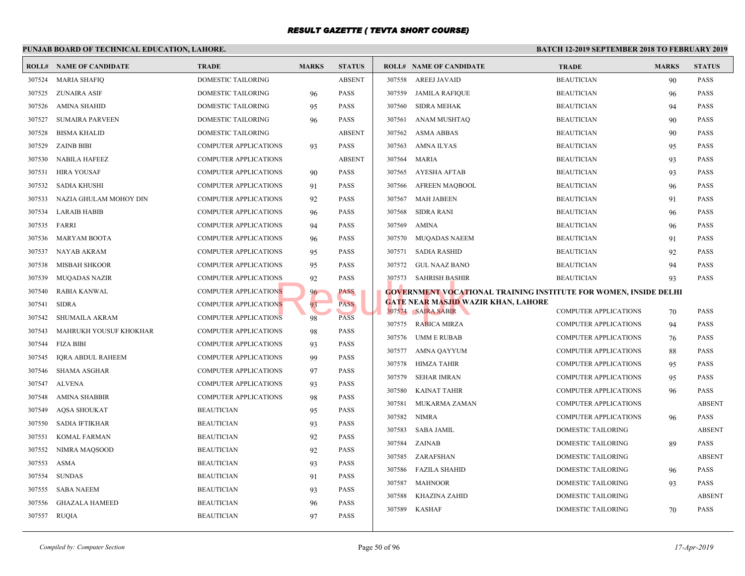|        | PUNJAB BOARD OF TECHNICAL EDUCATION, LAHORE. |                              |              |               |                  |                                                 | <b>BATCH 12-</b>           |
|--------|----------------------------------------------|------------------------------|--------------|---------------|------------------|-------------------------------------------------|----------------------------|
|        | <b>ROLL# NAME OF CANDIDATE</b>               | <b>TRADE</b>                 | <b>MARKS</b> | <b>STATUS</b> |                  | <b>ROLL# NAME OF CANDIDATE</b>                  | <b>TRAL</b>                |
| 307524 | <b>MARIA SHAFIQ</b>                          | DOMESTIC TAILORING           |              | <b>ABSENT</b> | 307558           | AREEJ JAVAID                                    | <b>BEAU</b>                |
| 307525 | ZUNAIRA ASIF                                 | DOMESTIC TAILORING           | 96           | <b>PASS</b>   | 307559           | JAMILA RAFIQUE                                  | <b>BEAU</b>                |
| 307526 | <b>AMINA SHAHID</b>                          | DOMESTIC TAILORING           | 95           | <b>PASS</b>   | 307560           | <b>SIDRA MEHAK</b>                              | <b>BEAU</b>                |
| 307527 | <b>SUMAIRA PARVEEN</b>                       | DOMESTIC TAILORING           | 96           | <b>PASS</b>   | 307561           | ANAM MUSHTAQ                                    | <b>BEAU</b>                |
| 307528 | <b>BISMA KHALID</b>                          | DOMESTIC TAILORING           |              | <b>ABSENT</b> | 307562           | <b>ASMA ABBAS</b>                               | <b>BEAU</b>                |
| 307529 | <b>ZAINB BIBI</b>                            | <b>COMPUTER APPLICATIONS</b> | 93           | <b>PASS</b>   | 307563           | AMNA ILYAS                                      | <b>BEAU</b>                |
| 307530 | <b>NABILA HAFEEZ</b>                         | <b>COMPUTER APPLICATIONS</b> |              | <b>ABSENT</b> | 307564           | MARIA                                           | <b>BEAU</b>                |
| 307531 | HIRA YOUSAF                                  | COMPUTER APPLICATIONS        | 90           | <b>PASS</b>   | 307565           | <b>AYESHA AFTAB</b>                             | <b>BEAU</b>                |
| 307532 | <b>SADIA KHUSHI</b>                          | COMPUTER APPLICATIONS        | 91           | <b>PASS</b>   | 307566           | <b>AFREEN MAQBOOL</b>                           | <b>BEAU</b>                |
| 307533 | NAZIA GHULAM MOHOY DIN                       | COMPUTER APPLICATIONS        | 92           | <b>PASS</b>   | 307567           | <b>MAH JABEEN</b>                               | <b>BEAU</b>                |
| 307534 | <b>LARAIB HABIB</b>                          | COMPUTER APPLICATIONS        | 96           | <b>PASS</b>   | 307568           | <b>SIDRA RANI</b>                               | <b>BEAU</b>                |
| 307535 | FARRI                                        | COMPUTER APPLICATIONS        | 94           | <b>PASS</b>   | 307569           | AMINA                                           | <b>BEAU</b>                |
| 307536 | <b>MARYAM BOOTA</b>                          | COMPUTER APPLICATIONS        | 96           | <b>PASS</b>   | 307570           | MUQADAS NAEEM                                   | <b>BEAU</b>                |
| 307537 | NAYAB AKRAM                                  | COMPUTER APPLICATIONS        | 95           | <b>PASS</b>   | 307571           | SADIA RASHID                                    | <b>BEAU</b>                |
| 307538 | <b>MISBAH SHKOOR</b>                         | <b>COMPUTER APPLICATIONS</b> | 95           | <b>PASS</b>   | 307572           | GUL NAAZ BANO                                   | <b>BEAU</b>                |
| 307539 | <b>MUQADAS NAZIR</b>                         | <b>COMPUTER APPLICATIONS</b> | 92           | <b>PASS</b>   |                  | 307573 SAHRISH BASHIR                           | <b>BEAU</b>                |
| 307540 | <b>RABIA KANWAL</b>                          | <b>COMPUTER APPLICATIONS</b> | 96           | PASS          |                  | <b>GOVERNMENT VOCATIONAL TRAINING INSTITUTE</b> |                            |
| 307541 | <b>SIDRA</b>                                 | <b>COMPUTER APPLICATIONS</b> | 93           | <b>PASS</b>   |                  | <b>GATE NEAR MASJID WAZIR KHAN, LAHORE</b>      |                            |
| 307542 | SHUMAILA AKRAM                               | <b>COMPUTER APPLICATIONS</b> | 98           | <b>PASS</b>   |                  | 307574 SAIRA SABIR<br>307575 RABICA MIRZA       | <b>COMP</b><br><b>COMP</b> |
| 307543 | MAHRUKH YOUSUF KHOKHAR                       | <b>COMPUTER APPLICATIONS</b> | 98           | <b>PASS</b>   |                  |                                                 |                            |
| 307544 | <b>FIZA BIBI</b>                             | <b>COMPUTER APPLICATIONS</b> | 93           | <b>PASS</b>   | 307576<br>307577 | UMM E RUBAB                                     | <b>COMP</b><br><b>COMP</b> |
| 307545 | <b>IORA ABDUL RAHEEM</b>                     | <b>COMPUTER APPLICATIONS</b> | 99           | <b>PASS</b>   |                  | AMNA QAYYUM                                     |                            |
| 307546 | <b>SHAMA ASGHAR</b>                          | <b>COMPUTER APPLICATIONS</b> | 97           | <b>PASS</b>   | 307578<br>307579 | HIMZA TAHIR                                     | <b>COMP</b>                |
| 307547 | ALVENA                                       | COMPUTER APPLICATIONS        | 93           | <b>PASS</b>   |                  | <b>SEHAR IMRAN</b>                              | <b>COMP</b>                |
| 307548 | AMINA SHABBIR                                | <b>COMPUTER APPLICATIONS</b> | 98           | <b>PASS</b>   | 307580<br>307581 | <b>KAINAT TAHIR</b>                             | <b>COMP</b><br><b>COMP</b> |
| 307549 | <b>AQSA SHOUKAT</b>                          | <b>BEAUTICIAN</b>            | 95           | <b>PASS</b>   |                  | MUKARMA ZAMAN                                   |                            |
| 307550 | <b>SADIA IFTIKHAR</b>                        | <b>BEAUTICIAN</b>            | 93           | <b>PASS</b>   | 307582           | <b>NIMRA</b>                                    | <b>COMP</b>                |
| 307551 | <b>KOMAL FARMAN</b>                          | <b>BEAUTICIAN</b>            | 92           | <b>PASS</b>   | 307583           | <b>SABA JAMIL</b>                               | <b>DOME</b>                |
| 307552 | NIMRA MAOSOOD                                | <b>BEAUTICIAN</b>            | 92           | <b>PASS</b>   | 307584           | ZAINAB                                          | <b>DOME</b>                |
| 307553 | ASMA                                         | <b>BEAUTICIAN</b>            | 93           | <b>PASS</b>   | 307585           | ZARAFSHAN                                       | <b>DOME</b>                |
| 307554 | <b>SUNDAS</b>                                | <b>BEAUTICIAN</b>            | 91           | <b>PASS</b>   | 307586           | <b>FAZILA SHAHID</b>                            | <b>DOME</b>                |
| 307555 | <b>SABA NAEEM</b>                            | <b>BEAUTICIAN</b>            | 93           | <b>PASS</b>   | 307587           | <b>MAHNOOR</b>                                  | <b>DOME</b>                |
| 307556 | <b>GHAZALA HAMEED</b>                        | <b>BEAUTICIAN</b>            | 96           | <b>PASS</b>   | 307588           | <b>KHAZINA ZAHID</b>                            | <b>DOME</b>                |
| 307557 | RUQIA                                        | <b>BEAUTICIAN</b>            | 97           | <b>PASS</b>   | 307589           | <b>KASHAF</b>                                   | <b>DOME</b>                |
|        |                                              |                              |              |               |                  |                                                 |                            |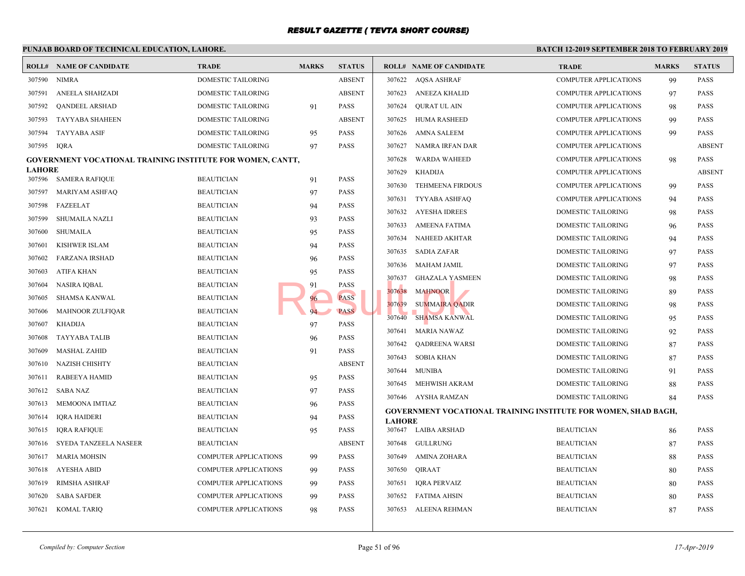|               | PUNJAB BOARD OF TECHNICAL EDUCATION, LAHORE.                      |                              |              |               | <b>BATCH 12-1</b> |                                                 |             |
|---------------|-------------------------------------------------------------------|------------------------------|--------------|---------------|-------------------|-------------------------------------------------|-------------|
|               | <b>ROLL# NAME OF CANDIDATE</b>                                    | <b>TRADE</b>                 | <b>MARKS</b> | <b>STATUS</b> |                   | <b>ROLL# NAME OF CANDIDATE</b>                  | <b>TRAL</b> |
| 307590        | NIMRA                                                             | DOMESTIC TAILORING           |              | <b>ABSENT</b> |                   | 307622 AQSA ASHRAF                              | <b>COMP</b> |
| 307591        | ANEELA SHAHZADI                                                   | DOMESTIC TAILORING           |              | <b>ABSENT</b> | 307623            | ANEEZA KHALID                                   | <b>COMP</b> |
| 307592        | <b>OANDEEL ARSHAD</b>                                             | DOMESTIC TAILORING           | 91           | PASS          | 307624            | OURAT UL AIN                                    | <b>COMP</b> |
| 307593        | <b>TAYYABA SHAHEEN</b>                                            | DOMESTIC TAILORING           |              | <b>ABSENT</b> |                   | 307625 HUMA RASHEED                             | <b>COMP</b> |
| 307594        | <b>TAYYABA ASIF</b>                                               | DOMESTIC TAILORING           | 95           | PASS          | 307626            | AMNA SALEEM                                     | <b>COMP</b> |
| 307595        | IORA                                                              | DOMESTIC TAILORING           | 97           | PASS          | 307627            | NAMRA IRFAN DAR                                 | <b>COMP</b> |
|               | <b>GOVERNMENT VOCATIONAL TRAINING INSTITUTE FOR WOMEN, CANTT,</b> |                              |              |               | 307628            | <b>WARDA WAHEED</b>                             | <b>COMP</b> |
| <b>LAHORE</b> | 307596 SAMERA RAFIQUE                                             | <b>BEAUTICIAN</b>            |              | PASS          | 307629            | KHADIJA                                         | <b>COMP</b> |
|               |                                                                   |                              | 91           |               | 307630            | <b>TEHMEENA FIRDOUS</b>                         | <b>COMP</b> |
| 307597        | MARIYAM ASHFAQ                                                    | <b>BEAUTICIAN</b>            | 97           | PASS          | 307631            | TYYABA ASHFAQ                                   | <b>COMP</b> |
| 307598        | FAZEELAT                                                          | <b>BEAUTICIAN</b>            | 94           | PASS          | 307632            | <b>AYESHA IDREES</b>                            | <b>DOME</b> |
| 307599        | <b>SHUMAILA NAZLI</b>                                             | <b>BEAUTICIAN</b>            | 93           | PASS          | 307633            | <b>AMEENA FATIMA</b>                            | <b>DOME</b> |
| 307600        | <b>SHUMAILA</b>                                                   | <b>BEAUTICIAN</b>            | 95           | PASS          | 307634            | <b>NAHEED AKHTAR</b>                            | <b>DOME</b> |
| 307601        | KISHWER ISLAM                                                     | <b>BEAUTICIAN</b>            | 94           | PASS          | 307635            | <b>SADIA ZAFAR</b>                              | <b>DOME</b> |
| 307602        | <b>FARZANA IRSHAD</b>                                             | <b>BEAUTICIAN</b>            | 96           | PASS          | 307636            | MAHAM JAMIL                                     | <b>DOME</b> |
| 307603        | ATIFA KHAN                                                        | <b>BEAUTICIAN</b>            | 95           | PASS          | 307637            | <b>GHAZALA YASMEEN</b>                          | <b>DOME</b> |
| 307604        | NASIRA IOBAL                                                      | <b>BEAUTICIAN</b>            | 91           | PASS          | 307638            | <b>MAHNOOR</b>                                  | <b>DOME</b> |
| 307605        | <b>SHAMSA KANWAL</b>                                              | <b>BEAUTICIAN</b>            | 96           | <b>PASS</b>   | 307639            | <b>SUMMAIRA QADIR</b>                           | <b>DOME</b> |
| 307606        | <b>MAHNOOR ZULFIQAR</b>                                           | <b>BEAUTICIAN</b>            |              | <b>PASS</b>   | 307640            | <b>SHAMSA KANWAL</b>                            | <b>DOME</b> |
| 307607        | KHADIJA                                                           | <b>BEAUTICIAN</b>            | 97           | PASS          | 307641            | <b>MARIA NAWAZ</b>                              | <b>DOME</b> |
| 307608        | <b>TAYYABA TALIB</b>                                              | <b>BEAUTICIAN</b>            | 96           | PASS          | 307642            | QADREENA WARSI                                  | <b>DOME</b> |
| 307609        | <b>MASHAL ZAHID</b>                                               | <b>BEAUTICIAN</b>            | 91           | PASS          | 307643            | <b>SOBIA KHAN</b>                               | <b>DOME</b> |
| 307610        | <b>NAZISH CHISHTY</b>                                             | <b>BEAUTICIAN</b>            |              | <b>ABSENT</b> | 307644            | <b>MUNIBA</b>                                   | <b>DOME</b> |
| 307611        | RABEEYA HAMID                                                     | <b>BEAUTICIAN</b>            | 95           | <b>PASS</b>   |                   | 307645 MEHWISH AKRAM                            | <b>DOME</b> |
| 307612        | <b>SABA NAZ</b>                                                   | <b>BEAUTICIAN</b>            | 97           | PASS          |                   | 307646 AYSHA RAMZAN                             | <b>DOME</b> |
| 307613        | MEMOONA IMTIAZ                                                    | <b>BEAUTICIAN</b>            | 96           | PASS          |                   | <b>GOVERNMENT VOCATIONAL TRAINING INSTITUTE</b> |             |
| 307614        | <b>IQRA HAIDERI</b>                                               | <b>BEAUTICIAN</b>            | 94           | PASS          | <b>LAHORE</b>     |                                                 |             |
| 307615        | <b>IQRA RAFIQUE</b>                                               | <b>BEAUTICIAN</b>            | 95           | PASS          |                   | 307647 LAIBA ARSHAD                             | <b>BEAU</b> |
| 307616        | SYEDA TANZEELA NASEER                                             | <b>BEAUTICIAN</b>            |              | <b>ABSENT</b> | 307648            | GULLRUNG                                        | <b>BEAU</b> |
| 307617        | <b>MARIA MOHSIN</b>                                               | <b>COMPUTER APPLICATIONS</b> | 99           | PASS          | 307649            | AMINA ZOHARA                                    | <b>BEAU</b> |
| 307618        | AYESHA ABID                                                       | <b>COMPUTER APPLICATIONS</b> | 99           | PASS          | 307650            | QIRAAT                                          | <b>BEAU</b> |
| 307619        | RIMSHA ASHRAF                                                     | <b>COMPUTER APPLICATIONS</b> | 99           | PASS          | 307651            | <b>IQRA PERVAIZ</b>                             | <b>BEAU</b> |
| 307620        | <b>SABA SAFDER</b>                                                | <b>COMPUTER APPLICATIONS</b> | 99           | PASS          |                   | 307652 FATIMA AHSIN                             | <b>BEAU</b> |
| 307621        | KOMAL TARIQ                                                       | <b>COMPUTER APPLICATIONS</b> | 98           | PASS          |                   | 307653 ALEENA REHMAN                            | <b>BEAU</b> |
|               |                                                                   |                              |              |               |                   |                                                 |             |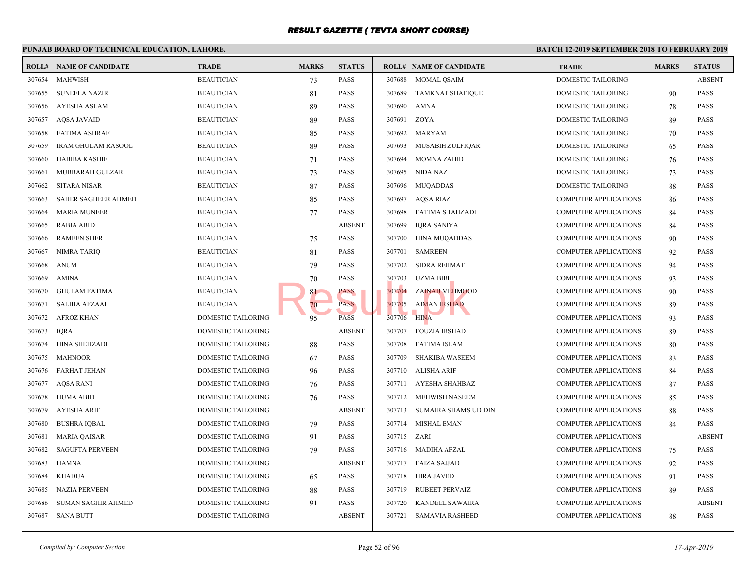#### **PUNJAB BOARD OF TECHNICAL EDUCATION, LAHORE. BATCH 12-ROLL# NAME OF CANDIDATE TRADE MARKS STATUS ROLL# NAME OF CANDIDATE TRADE MARKS STATUS** 307654 MAHWISH BEAUTICIAN 73 PASS 307655 SUNEELA NAZIR BEAUTICIAN 81 PASS 307656 AYESHA ASLAM BEAUTICIAN 89 PASS 307657 AQSA JAVAID BEAUTICIAN 89 PASS 307658 FATIMA ASHRAF BEAUTICIAN 85 PASS 307659 IRAM GHULAM RASOOL BEAUTICIAN 89 PASS 307660 HABIBA KASHIF BEAUTICIAN 71 PASS 307661 MUBBARAH GULZAR BEAUTICIAN 73 PASS 307662 SITARA NISAR BEAUTICIAN 87 PASS 307663 SAHER SAGHEER AHMED BEAUTICIAN 85 PASS 307664 MARIA MUNEER BEAUTICIAN 77 PASS 307665 RABIA ABID BEAUTICIAN ABSENT 307666 RAMEEN SHER BEAUTICIAN **BEAUTICIAN** 75 PASS 307667 NIMRA TARIQ BEAUTICIAN 81 PASS 307668 ANUM BEAUTICIAN 79 PASS 307669 AMINA BEAUTICIAN 70 PASS 307670 GHULAM FATIMA BEAUTICIAN BEAUTICIAN 81 PASS 307671 SALIHA AFZAAL BEAUTICIAN 70 PASS 307672 AFROZ KHAN DOMESTIC TAILORING 95 PASS 307673 IQRA DOMESTIC TAILORING ABSENT 307674 HINA SHEHZADI DOMESTIC TAILORING 88 PASS 307675 MAHNOOR DOMESTIC TAILORING 67 PASS 307676 FARHAT JEHAN DOMESTIC TAILORING 96 PASS 307677 AQSA RANI DOMESTIC TAILORING 76 PASS 307678 HUMA ABID DOMESTIC TAILORING 76 PASS 307679 AYESHA ARIF DOMESTIC TAILORING ABSENT 307680 BUSHRA IQBAL DOMESTIC TAILORING 79 PASS 307681 MARIA QAISAR DOMESTIC TAILORING 91 PASS 307682 SAGUFTA PERVEEN DOMESTIC TAILORING 79 PASS 307683 HAMNA DOMESTIC TAILORING ABSENT 307684 KHADIJA DOMESTIC TAILORING 65 PASS 307685 NAZIA PERVEEN DOMESTIC TAILORING 88 PASS 307686 SUMAN SAGHIR AHMED DOMESTIC TAILORING 91 PASS 307687 SANA BUTT DOMESTIC TAILORING ABSENT 307688 MOMAL QSAIM DOME 307689 TAMKNAT SHAFIQUE DOME 307690 AMNA DOME 307691 ZOYA DOME 307692 MARYAM DOME 307693 MUSABIH ZULFIQAR DOME 307694 MOMNA ZAHID DOME 307695 NIDA NAZ DOME 307696 MUQADDAS DOME 307697 AQSA RIAZ COMP 307698 FATIMA SHAHZADI COMP 307699 IQRA SANIYA COMP 307700 HINA MUQADDAS COMP 307701 SAMREEN COMP 307702 SIDRA REHMAT COMP 307703 UZMA BIBI COMP 307704 ZAINAB MEHMOOD COMP 307705 AIMAN IRSHAD COMP 307706 HINA COMP 307707 FOUZIA IRSHAD COMP 307708 FATIMA ISLAM COMP 307709 SHAKIBA WASEEM COMP 307710 ALISHA ARIF COMP 307711 AYESHA SHAHBAZ COMP 307712 MEHWISH NASEEM COMP 307713 SUMAIRA SHAMS UD DIN COMP 307714 MISHAL EMAN COMP 307715 ZARI COMP 307716 MADIHA AFZAL COMP 307717 FAIZA SAJJAD COMP 307718 HIRA JAVED COMP 307719 RUBEET PERVAIZ COMP 307720 KANDEEL SAWAIRA COMP 307721 SAMAVIA RASHEED COMP PASS<br>
PASS<br>
PASS<br>
PASS<br>
PASS<br>
PASS<br>
307706 HINA<br>
HINA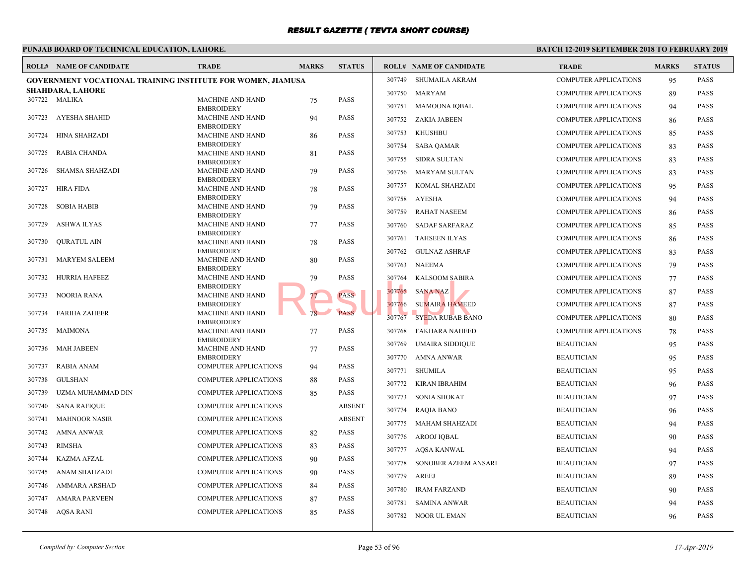|        | PUNJAB BOARD OF TECHNICAL EDUCATION, LAHORE.                       |                                              |              |               | <b>BATCH 12-1</b> |                                |             |
|--------|--------------------------------------------------------------------|----------------------------------------------|--------------|---------------|-------------------|--------------------------------|-------------|
|        | <b>ROLL# NAME OF CANDIDATE</b>                                     | <b>TRADE</b>                                 | <b>MARKS</b> | <b>STATUS</b> |                   | <b>ROLL# NAME OF CANDIDATE</b> | <b>TRAL</b> |
|        | <b>GOVERNMENT VOCATIONAL TRAINING INSTITUTE FOR WOMEN, JIAMUSA</b> |                                              |              |               | 307749            | SHUMAILA AKRAM                 | <b>COMP</b> |
|        | <b>SHAHDARA, LAHORE</b>                                            |                                              |              |               |                   | 307750 MARYAM                  | <b>COMP</b> |
|        | 307722 MALIKA                                                      | <b>MACHINE AND HAND</b><br><b>EMBROIDERY</b> | 75           | <b>PASS</b>   |                   | 307751 MAMOONA IQBAL           | <b>COMP</b> |
| 307723 | AYESHA SHAHID                                                      | MACHINE AND HAND                             | 94           | <b>PASS</b>   |                   | 307752 ZAKIA JABEEN            | <b>COMP</b> |
| 307724 | <b>HINA SHAHZADI</b>                                               | <b>EMBROIDERY</b><br>MACHINE AND HAND        | 86           | <b>PASS</b>   | 307753            | KHUSHBU                        | <b>COMP</b> |
|        |                                                                    | <b>EMBROIDERY</b>                            |              |               |                   | 307754 SABA QAMAR              | <b>COMP</b> |
| 307725 | <b>RABIA CHANDA</b>                                                | <b>MACHINE AND HAND</b><br><b>EMBROIDERY</b> | 81           | <b>PASS</b>   | 307755            | SIDRA SULTAN                   | <b>COMP</b> |
| 307726 | SHAMSA SHAHZADI                                                    | <b>MACHINE AND HAND</b><br><b>EMBROIDERY</b> | 79           | <b>PASS</b>   |                   | 307756 MARYAM SULTAN           | <b>COMP</b> |
| 307727 | <b>HIRA FIDA</b>                                                   | MACHINE AND HAND                             | 78           | <b>PASS</b>   | 307757            | KOMAL SHAHZADI                 | <b>COMP</b> |
|        |                                                                    | <b>EMBROIDERY</b>                            |              |               | 307758            | AYESHA                         | <b>COMP</b> |
| 307728 | <b>SOBIA HABIB</b>                                                 | MACHINE AND HAND<br><b>EMBROIDERY</b>        | 79           | <b>PASS</b>   | 307759            | <b>RAHAT NASEEM</b>            | <b>COMP</b> |
| 307729 | ASHWA ILYAS                                                        | MACHINE AND HAND                             | 77           | <b>PASS</b>   | 307760            | <b>SADAF SARFARAZ</b>          | <b>COMP</b> |
| 307730 | <b>QURATUL AIN</b>                                                 | <b>EMBROIDERY</b><br>MACHINE AND HAND        | 78           | <b>PASS</b>   |                   | 307761 TAHSEEN ILYAS           | <b>COMP</b> |
|        |                                                                    | <b>EMBROIDERY</b>                            |              |               |                   | 307762 GULNAZ ASHRAF           | <b>COMP</b> |
| 307731 | <b>MARYEM SALEEM</b>                                               | MACHINE AND HAND<br><b>EMBROIDERY</b>        | 80           | <b>PASS</b>   | 307763            | <b>NAEEMA</b>                  | <b>COMP</b> |
| 307732 | <b>HURRIA HAFEEZ</b>                                               | <b>MACHINE AND HAND</b>                      | 79           | <b>PASS</b>   | 307764            | <b>KALSOOM SABIRA</b>          | <b>COMP</b> |
| 307733 | NOORIA RANA                                                        | <b>EMBROIDERY</b><br>MACHINE AND HAND        | 77           | <b>PASS</b>   | 307765            | <b>SANA NAZ</b>                | <b>COMP</b> |
|        |                                                                    | <b>EMBROIDERY</b>                            |              |               | 307766            | <b>SUMAIRA HAMEED</b>          | <b>COMP</b> |
| 307734 | <b>FARIHA ZAHEER</b>                                               | <b>MACHINE AND HAND</b><br><b>EMBROIDERY</b> | 78           | <b>PASS</b>   | 307767            | <b>SYEDA RUBAB BANO</b>        | <b>COMP</b> |
| 307735 | MAIMONA                                                            | <b>MACHINE AND HAND</b><br><b>EMBROIDERY</b> | 77           | <b>PASS</b>   | 307768            | FAKHARA NAHEED                 | <b>COMP</b> |
| 307736 | <b>MAH JABEEN</b>                                                  | <b>MACHINE AND HAND</b>                      | 77           | <b>PASS</b>   | 307769            | UMAIRA SIDDIQUE                | <b>BEAU</b> |
|        |                                                                    | <b>EMBROIDERY</b>                            |              |               | 307770            | AMNA ANWAR                     | <b>BEAU</b> |
| 307737 | <b>RABIA ANAM</b>                                                  | <b>COMPUTER APPLICATIONS</b>                 | 94           | <b>PASS</b>   | 307771            | SHUMILA                        | <b>BEAU</b> |
| 307738 | GULSHAN                                                            | <b>COMPUTER APPLICATIONS</b>                 | 88           | <b>PASS</b>   | 307772            | KIRAN IBRAHIM                  | <b>BEAU</b> |
| 307739 | UZMA MUHAMMAD DIN                                                  | <b>COMPUTER APPLICATIONS</b>                 | 85           | <b>PASS</b>   |                   | 307773 SONIA SHOKAT            | <b>BEAU</b> |
| 307740 | <b>SANA RAFIQUE</b>                                                | <b>COMPUTER APPLICATIONS</b>                 |              | <b>ABSENT</b> |                   | 307774 RAQIA BANO              | <b>BEAU</b> |
| 307741 | <b>MAHNOOR NASIR</b>                                               | <b>COMPUTER APPLICATIONS</b>                 |              | <b>ABSENT</b> |                   | 307775 MAHAM SHAHZADI          | <b>BEAU</b> |
| 307742 | <b>AMNA ANWAR</b>                                                  | <b>COMPUTER APPLICATIONS</b>                 | 82           | <b>PASS</b>   |                   | 307776 AROOJ IQBAL             | <b>BEAU</b> |
| 307743 | <b>RIMSHA</b>                                                      | <b>COMPUTER APPLICATIONS</b>                 | 83           | <b>PASS</b>   |                   | 307777 AQSA KANWAL             | <b>BEAU</b> |
| 307744 | <b>KAZMA AFZAL</b>                                                 | <b>COMPUTER APPLICATIONS</b>                 | 90           | <b>PASS</b>   | 307778            | SONOBER AZEEM ANSARI           | <b>BEAU</b> |
| 307745 | ANAM SHAHZADI                                                      | <b>COMPUTER APPLICATIONS</b>                 | 90           | <b>PASS</b>   | 307779            | AREEJ                          | <b>BEAU</b> |
| 307746 | <b>AMMARA ARSHAD</b>                                               | <b>COMPUTER APPLICATIONS</b>                 | 84           | <b>PASS</b>   | 307780            | <b>IRAM FARZAND</b>            | <b>BEAU</b> |
| 307747 | <b>AMARA PARVEEN</b>                                               | <b>COMPUTER APPLICATIONS</b>                 | 87           | <b>PASS</b>   | 307781            | SAMINA ANWAR                   | <b>BEAU</b> |
| 307748 | AQSA RANI                                                          | <b>COMPUTER APPLICATIONS</b>                 | 85           | <b>PASS</b>   |                   | 307782 NOOR UL EMAN            | <b>BEAU</b> |
|        |                                                                    |                                              |              |               |                   |                                |             |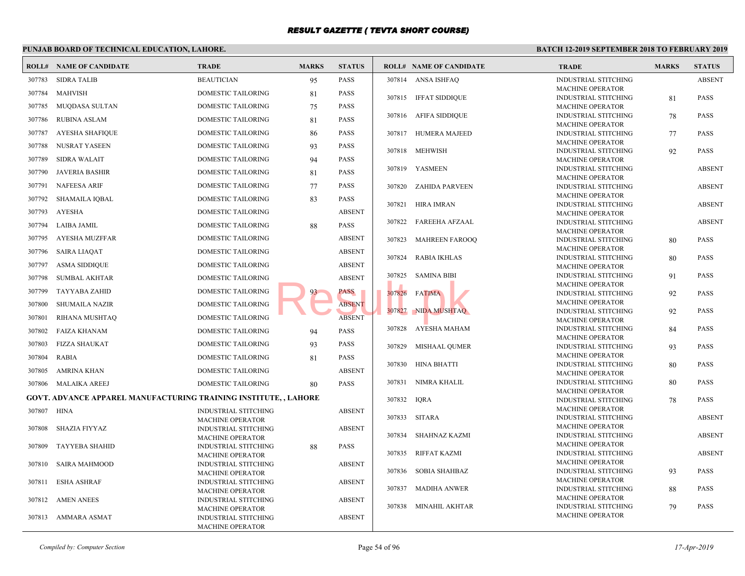|        | PUNJAB BOARD OF TECHNICAL EDUCATION, LAHORE.                     |                                                        |              | <b>BATCH 12-2</b> |        |                                |                             |
|--------|------------------------------------------------------------------|--------------------------------------------------------|--------------|-------------------|--------|--------------------------------|-----------------------------|
|        | <b>ROLL# NAME OF CANDIDATE</b>                                   | <b>TRADE</b>                                           | <b>MARKS</b> | <b>STATUS</b>     |        | <b>ROLL# NAME OF CANDIDATE</b> | <b>TRAL</b>                 |
| 307783 | <b>SIDRA TALIB</b>                                               | <b>BEAUTICIAN</b>                                      | 95           | <b>PASS</b>       |        | 307814 ANSA ISHFAQ             | <b>INDUS</b>                |
| 307784 | MAHVISH                                                          | <b>DOMESTIC TAILORING</b>                              | 81           | <b>PASS</b>       |        |                                | <b>MACH</b>                 |
| 307785 | MUQDASA SULTAN                                                   | DOMESTIC TAILORING                                     | 75           | <b>PASS</b>       |        | 307815 IFFAT SIDDIQUE          | <b>INDUS</b><br>MACH        |
| 307786 |                                                                  |                                                        |              | <b>PASS</b>       |        | 307816 AFIFA SIDDIQUE          | <b>INDUS</b>                |
|        | <b>RUBINA ASLAM</b>                                              | DOMESTIC TAILORING                                     | 81           |                   |        |                                | <b>MACH</b>                 |
| 307787 | AYESHA SHAFIQUE                                                  | DOMESTIC TAILORING                                     | 86           | <b>PASS</b>       |        | 307817 HUMERA MAJEED           | <b>INDUS</b>                |
| 307788 | NUSRAT YASEEN                                                    | DOMESTIC TAILORING                                     | 93           | <b>PASS</b>       |        | 307818 MEHWISH                 | <b>MACH</b><br><b>INDUS</b> |
| 307789 | <b>SIDRA WALAIT</b>                                              | DOMESTIC TAILORING                                     | 94           | <b>PASS</b>       |        |                                | <b>MACH</b>                 |
| 307790 | <b>JAVERIA BASHIR</b>                                            | DOMESTIC TAILORING                                     | 81           | <b>PASS</b>       |        | 307819 YASMEEN                 | <b>INDUS</b>                |
| 307791 | <b>NAFEESA ARIF</b>                                              | DOMESTIC TAILORING                                     | 77           | <b>PASS</b>       | 307820 | ZAHIDA PARVEEN                 | <b>MACH</b><br><b>INDUS</b> |
| 307792 | <b>SHAMAILA IQBAL</b>                                            | DOMESTIC TAILORING                                     | 83           | <b>PASS</b>       |        |                                | <b>MACH</b>                 |
|        |                                                                  |                                                        |              |                   | 307821 | HIRA IMRAN                     | <b>INDUS</b>                |
| 307793 | AYESHA                                                           | DOMESTIC TAILORING                                     |              | <b>ABSENT</b>     | 307822 | FAREEHA AFZAAL                 | MACH<br><b>INDUS</b>        |
| 307794 | LAIBA JAMIL                                                      | DOMESTIC TAILORING                                     | 88           | <b>PASS</b>       |        |                                | <b>MACH</b>                 |
| 307795 | AYESHA MUZFFAR                                                   | DOMESTIC TAILORING                                     |              | <b>ABSENT</b>     | 307823 | <b>MAHREEN FAROOQ</b>          | <b>INDUS</b>                |
| 307796 | <b>SAIRA LIAQAT</b>                                              | DOMESTIC TAILORING                                     |              | <b>ABSENT</b>     |        |                                | <b>MACH</b>                 |
| 307797 | <b>ASMA SIDDIQUE</b>                                             | <b>DOMESTIC TAILORING</b>                              |              | <b>ABSENT</b>     | 307824 | <b>RABIA IKHLAS</b>            | <b>INDUS</b><br><b>MACH</b> |
| 307798 | <b>SUMBAL AKHTAR</b>                                             | <b>DOMESTIC TAILORING</b>                              |              | <b>ABSENT</b>     | 307825 | <b>SAMINA BIBI</b>             | <b>INDUS</b>                |
| 307799 | <b>TAYYABA ZAHID</b>                                             | DOMESTIC TAILORING                                     | 93           | PASS              | 307826 |                                | <b>MACH</b><br><b>INDUS</b> |
|        | <b>SHUMAILA NAZIR</b>                                            | DOMESTIC TAILORING                                     |              | <b>ABSENT</b>     |        | <b>FATIMA</b>                  | <b>MACH</b>                 |
| 307800 |                                                                  |                                                        |              |                   |        | 307827 NIDA MUSHTAQ            | <b>INDUS</b>                |
| 307801 | RIHANA MUSHTAQ                                                   | DOMESTIC TAILORING                                     |              | <b>ABSENT</b>     |        |                                | <b>MACH</b>                 |
| 307802 | <b>FAIZA KHANAM</b>                                              | DOMESTIC TAILORING                                     | 94           | <b>PASS</b>       | 307828 | AYESHA MAHAM                   | <b>INDUS</b><br><b>MACH</b> |
| 307803 | <b>FIZZA SHAUKAT</b>                                             | DOMESTIC TAILORING                                     | 93           | <b>PASS</b>       | 307829 | <b>MISHAAL QUMER</b>           | <b>INDUS</b>                |
| 307804 | <b>RABIA</b>                                                     | DOMESTIC TAILORING                                     | 81           | <b>PASS</b>       |        |                                | <b>MACH</b>                 |
| 307805 | AMRINA KHAN                                                      | DOMESTIC TAILORING                                     |              | <b>ABSENT</b>     |        | 307830 HINA BHATTI             | <b>INDUS</b><br><b>MACH</b> |
|        | 307806 MALAIKA AREEJ                                             | DOMESTIC TAILORING                                     | 80           | <b>PASS</b>       | 307831 | NIMRA KHALIL                   | <b>INDUS</b>                |
|        | GOVT. ADVANCE APPAREL MANUFACTURING TRAINING INSTITUTE, , LAHORE |                                                        |              |                   |        |                                | <b>MACH</b>                 |
|        |                                                                  |                                                        |              |                   | 307832 | <b>IORA</b>                    | <b>INDUS</b><br><b>MACH</b> |
| 307807 | HINA                                                             | <b>INDUSTRIAL STITCHING</b><br><b>MACHINE OPERATOR</b> |              | <b>ABSENT</b>     |        | 307833 SITARA                  | <b>INDUS</b>                |
| 307808 | SHAZIA FIYYAZ                                                    | <b>INDUSTRIAL STITCHING</b>                            |              | <b>ABSENT</b>     |        |                                | <b>MACH</b>                 |
|        |                                                                  | <b>MACHINE OPERATOR</b>                                |              |                   | 307834 | SHAHNAZ KAZMI                  | <b>INDUS</b><br><b>MACH</b> |
| 307809 | <b>TAYYEBA SHAHID</b>                                            | <b>INDUSTRIAL STITCHING</b><br><b>MACHINE OPERATOR</b> | 88           | <b>PASS</b>       | 307835 | RIFFAT KAZMI                   | <b>INDUS</b>                |
| 307810 | <b>SAIRA MAHMOOD</b>                                             | <b>INDUSTRIAL STITCHING</b>                            |              | <b>ABSENT</b>     |        |                                | <b>MACH</b>                 |
|        |                                                                  | MACHINE OPERATOR                                       |              |                   |        | 307836 SOBIA SHAHBAZ           | <b>INDUS</b>                |
| 307811 | <b>ESHA ASHRAF</b>                                               | <b>INDUSTRIAL STITCHING</b>                            |              | <b>ABSENT</b>     | 307837 | MADIHA ANWER                   | <b>MACH</b><br><b>INDUS</b> |
|        | 307812 AMEN ANEES                                                | <b>MACHINE OPERATOR</b><br><b>INDUSTRIAL STITCHING</b> |              | <b>ABSENT</b>     |        |                                | <b>MACH</b>                 |
|        |                                                                  | <b>MACHINE OPERATOR</b>                                |              |                   |        | 307838 MINAHIL AKHTAR          | <b>INDUS</b>                |
|        | 307813 AMMARA ASMAT                                              | <b>INDUSTRIAL STITCHING</b>                            |              | <b>ABSENT</b>     |        |                                | <b>MACH</b>                 |
|        |                                                                  | <b>MACHINE OPERATOR</b>                                |              |                   |        |                                |                             |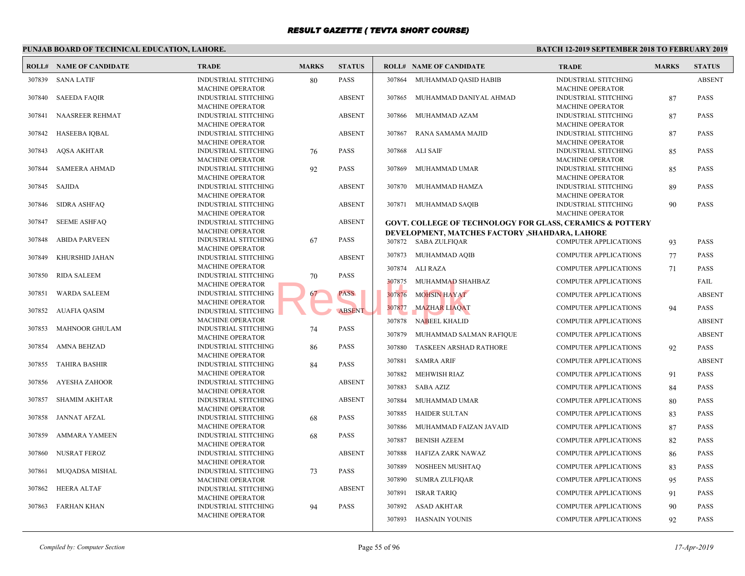#### **PUNJAB BOARD OF TECHNICAL EDUCATION, LAHORE. BATCH 12-ROLL# NAME OF CANDIDATE TRADE MARKS STATUS ROLL# NAME OF CANDIDATE TRADE MARKS STATUS** INDUSTRIAL STITCHING 80 PASS MACHINE OPERATOR 307839 SANA LATIF INDUSTRIAL STITCHING [ABSENT](http://www.result.pk/) MACHINE OPERATOR 307840 SAEEDA FAQIR INDUSTRIAL STITCHING ABSENT MACHINE OPERATOR 307841 NAASREER REHMAT INDUSTRIAL STITCHING ABSENT MACHINE OPERATOR 307842 HASEEBA IQBAL INDUSTRIAL STITCHING 76 PASS MACHINE OPERATOR 307843 AQSA AKHTAR INDUSTRIAL STITCHING 92 PASS MACHINE OPERATOR 307844 SAMEERA AHMAD INDUSTRIAL STITCHING ABSENT MACHINE OPERATOR 307845 SAJIDA INDUSTRIAL STITCHING ABSENT MACHINE OPERATOR 307846 SIDRA ASHFAQ INDUSTRIAL STITCHING ABSENT MACHINE OPERATOR 307847 SEEME ASHFAQ INDUSTRIAL STITCHING 67 PASS MACHINE OPERATOR 307848 ABIDA PARVEEN INDUSTRIAL STITCHING ABSENT MACHINE OPERATOR 307849 KHURSHID JAHAN INDUSTRIAL STITCHING  $70$  PASS MACHINE OPERATOR 307850 RIDA SALEEM INDUSTRIAL STITCHING 67 PASS MACHINE OPERATOR 307851 WARDA SALEEM INDUSTRIAL STITCHING ABSENT MACHINE OPERATOR 307852 AUAFIA QASIM INDUSTRIAL STITCHING 74 PASS MACHINE OPERATOR 307853 MAHNOOR GHULAM INDUSTRIAL STITCHING 86 PASS MACHINE OPERATOR 307854 AMNA BEHZAD INDUSTRIAL STITCHING 84 PASS MACHINE OPERATOR 307855 TAHIRA BASHIR INDUSTRIAL STITCHING ABSENT MACHINE OPERATOR 307856 AYESHA ZAHOOR INDUSTRIAL STITCHING ABSENT MACHINE OPERATOR 307857 SHAMIM AKHTAR INDUSTRIAL STITCHING 68 PASS MACHINE OPERATOR 307858 JANNAT AFZAL INDUSTRIAL STITCHING 68 PASS MACHINE OPERATOR 307859 AMMARA YAMEEN INDUSTRIAL STITCHING ABSENT MACHINE OPERATOR 307860 NUSRAT FEROZ INDUSTRIAL STITCHING 73 PASS MACHINE OPERATOR 307861 MUQADSA MISHAL INDUSTRIAL STITCHING ABSENT MACHINE OPERATOR 307862 HEERA ALTAF INDUSTRIAL STITCHING 94 PASS MACHINE OPERATOR 307863 FARHAN KHAN **INDUS** MACH 307864 MUHAMMAD QASID HABIB INDUS **MACH**  307865 MUHAMMAD DANIYAL AHMAD INDUS MACH 307866 MUHAMMAD AZAM INDUS **MACH**  307867 RANA SAMAMA MAJID INDUS **MACH**  307868 ALI SAIF INDUS MACH 307869 MUHAMMAD UMAR INDUS **MACH**  307870 MUHAMMAD HAMZA INDUS **MACH**  307871 MUHAMMAD SAQIB **GOVT. COLLEGE OF TECHNOLOGY FOR GLASS, CE DEVELOPMENT, MATCHES FACTORY , SHAHDARA,** 307872 SABA ZULFIQAR COMP 307873 MUHAMMAD AQIB COMP 307874 ALI RAZA COMP 307875 MUHAMMAD SHAHBAZ COMP 307876 MOHSIN HAYAT COMP 307877 MAZHAR LIAQAT COMP 307878 NABEEL KHALID COMP 307879 MUHAMMAD SALMAN RAFIQUE COMP 307880 TASKEEN ARSHAD RATHORE COMP 307881 SAMRA ARIF COMP 307882 MEHWISH RIAZ COMP 307883 SABA AZIZ COMP 307884 MUHAMMAD UMAR COMP 307885 HAIDER SULTAN COMP 307886 MUHAMMAD FAIZAN JAVAID COMP 307887 BENISH AZEEM COMP 307888 HAFIZA ZARK NAWAZ COMP 307889 NOSHEEN MUSHTAQ COMP 307890 SUMRA ZULFIQAR COMP 307891 ISRAR TARIQ COMP 307892 ASAD AKHTAR COMP 307893 HASNAIN YOUNIS COMP FRASS 307875 MUHAMMAD SHA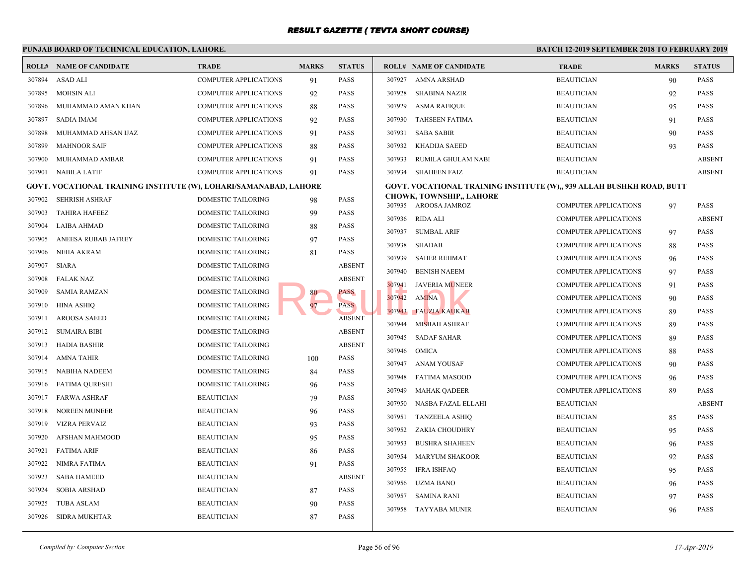|        | PUNJAB BOARD OF TECHNICAL EDUCATION, LAHORE.                      |                              |              |               |                  |                                                         | <b>BATCH 12-2</b>          |
|--------|-------------------------------------------------------------------|------------------------------|--------------|---------------|------------------|---------------------------------------------------------|----------------------------|
|        | <b>ROLL# NAME OF CANDIDATE</b>                                    | <b>TRADE</b>                 | <b>MARKS</b> | <b>STATUS</b> |                  | <b>ROLL# NAME OF CANDIDATE</b>                          | <b>TRAI</b>                |
| 307894 | <b>ASAD ALI</b>                                                   | <b>COMPUTER APPLICATIONS</b> | 91           | <b>PASS</b>   | 307927           | AMNA ARSHAD                                             | <b>BEAU</b>                |
| 307895 | <b>MOHSIN ALI</b>                                                 | <b>COMPUTER APPLICATIONS</b> | 92           | <b>PASS</b>   | 307928           | <b>SHABINA NAZIR</b>                                    | <b>BEAU</b>                |
| 307896 | MUHAMMAD AMAN KHAN                                                | <b>COMPUTER APPLICATIONS</b> | 88           | PASS          | 307929           | ASMA RAFIQUE                                            | <b>BEAU</b>                |
| 307897 | <b>SADIA IMAM</b>                                                 | <b>COMPUTER APPLICATIONS</b> | 92           | PASS          | 307930           | <b>TAHSEEN FATIMA</b>                                   | <b>BEAU</b>                |
| 307898 | MUHAMMAD AHSAN IJAZ                                               | <b>COMPUTER APPLICATIONS</b> | 91           | PASS          | 307931           | <b>SABA SABIR</b>                                       | <b>BEAU</b>                |
| 307899 | <b>MAHNOOR SAIF</b>                                               | <b>COMPUTER APPLICATIONS</b> | 88           | PASS          | 307932           | <b>KHADIJA SAEED</b>                                    | <b>BEAU</b>                |
| 307900 | MUHAMMAD AMBAR                                                    | COMPUTER APPLICATIONS        | 91           | PASS          | 307933           | RUMILA GHULAM NABI                                      | <b>BEAU</b>                |
|        | 307901 NABILA LATIF                                               | COMPUTER APPLICATIONS        | 91           | <b>PASS</b>   | 307934           | <b>SHAHEEN FAIZ</b>                                     | <b>BEAU</b>                |
|        | GOVT. VOCATIONAL TRAINING INSTITUTE (W), LOHARI/SAMANABAD, LAHORE |                              |              |               |                  | GOVT. VOCATIONAL TRAINING INSTITUTE (W),, 939           |                            |
| 307902 | <b>SEHRISH ASHRAF</b>                                             | DOMESTIC TAILORING           | 98           | <b>PASS</b>   |                  | <b>CHOWK, TOWNSHIP,, LAHORE</b><br>307935 AROOSA JAMROZ | <b>COMP</b>                |
| 307903 | <b>TAHIRA HAFEEZ</b>                                              | DOMESTIC TAILORING           | 99           | PASS          |                  |                                                         |                            |
| 307904 | LAIBA AHMAD                                                       | DOMESTIC TAILORING           | 88           | <b>PASS</b>   | 307936<br>307937 | RIDA ALI                                                | <b>COMP</b><br><b>COMP</b> |
| 307905 | ANEESA RUBAB JAFREY                                               | DOMESTIC TAILORING           | 97           | <b>PASS</b>   |                  | SUMBAL ARIF                                             |                            |
| 307906 | <b>NEHA AKRAM</b>                                                 | DOMESTIC TAILORING           | 81           | PASS          | 307938<br>307939 | SHADAB<br><b>SAHER REHMAT</b>                           | <b>COMP</b><br>COMP        |
| 307907 | <b>SIARA</b>                                                      | DOMESTIC TAILORING           |              | <b>ABSENT</b> |                  |                                                         | <b>COMP</b>                |
| 307908 | FALAK NAZ                                                         | DOMESTIC TAILORING           |              | <b>ABSENT</b> | 307940           | <b>BENISH NAEEM</b>                                     |                            |
| 307909 | <b>SAMIA RAMZAN</b>                                               | DOMESTIC TAILORING           | 80           | PASS          | 307941<br>307942 | <b>JAVERIA MUNEER</b><br><b>AMINA</b>                   | <b>COMP</b><br><b>COMP</b> |
| 307910 | HINA ASHIQ                                                        | DOMESTIC TAILORING           | 97           | <b>PASS</b>   | 307943           | <b>FAUZIA KAUKAB</b>                                    | <b>COMP</b>                |
| 307911 | <b>AROOSA SAEED</b>                                               | DOMESTIC TAILORING           |              | <b>ABSENT</b> | 307944           | <b>MISBAH ASHRAF</b>                                    | <b>COMP</b>                |
| 307912 | <b>SUMAIRA BIBI</b>                                               | DOMESTIC TAILORING           |              | <b>ABSENT</b> | 307945           | <b>SADAF SAHAR</b>                                      | <b>COMP</b>                |
| 307913 | HADIA BASHIR                                                      | DOMESTIC TAILORING           |              | <b>ABSENT</b> | 307946           | OMICA                                                   | <b>COMP</b>                |
| 307914 | <b>AMNA TAHIR</b>                                                 | DOMESTIC TAILORING           | 100          | PASS          | 307947           |                                                         | <b>COMP</b>                |
| 307915 | NABIHA NADEEM                                                     | DOMESTIC TAILORING           | 84           | PASS          | 307948           | ANAM YOUSAF<br><b>FATIMA MASOOD</b>                     | <b>COMP</b>                |
| 307916 | FATIMA QURESHI                                                    | DOMESTIC TAILORING           | 96           | PASS          | 307949           | <b>MAHAK QADEER</b>                                     | <b>COMP</b>                |
| 307917 | <b>FARWA ASHRAF</b>                                               | <b>BEAUTICIAN</b>            | 79           | PASS          | 307950           | NASBA FAZAL ELLAHI                                      | <b>BEAU</b>                |
| 307918 | NOREEN MUNEER                                                     | <b>BEAUTICIAN</b>            | 96           | PASS          | 307951           | <b>TANZEELA ASHIQ</b>                                   | <b>BEAU</b>                |
| 307919 | <b>VIZRA PERVAIZ</b>                                              | <b>BEAUTICIAN</b>            | 93           | <b>PASS</b>   | 307952           | ZAKIA CHOUDHRY                                          | <b>BEAU</b>                |
| 307920 | AFSHAN MAHMOOD                                                    | <b>BEAUTICIAN</b>            | 95           | <b>PASS</b>   | 307953           | <b>BUSHRA SHAHEEN</b>                                   | <b>BEAU</b>                |
| 307921 | <b>FATIMA ARIF</b>                                                | <b>BEAUTICIAN</b>            | 86           | <b>PASS</b>   | 307954           | <b>MARYUM SHAKOOR</b>                                   | <b>BEAU</b>                |
| 307922 | NIMRA FATIMA                                                      | <b>BEAUTICIAN</b>            | 91           | <b>PASS</b>   | 307955           |                                                         | <b>BEAU</b>                |
| 307923 | <b>SABA HAMEED</b>                                                | <b>BEAUTICIAN</b>            |              | <b>ABSENT</b> | 307956           | IFRA ISHFAQ<br>UZMA BANO                                | <b>BEAU</b>                |
| 307924 | <b>SOBIA ARSHAD</b>                                               | <b>BEAUTICIAN</b>            | 87           | PASS          | 307957           | SAMINA RANI                                             | <b>BEAU</b>                |
| 307925 | <b>TUBA ASLAM</b>                                                 | <b>BEAUTICIAN</b>            | 90           | PASS          |                  |                                                         |                            |
| 307926 | SIDRA MUKHTAR                                                     | <b>BEAUTICIAN</b>            | 87           | PASS          | 307958           | <b>TAYYABA MUNIR</b>                                    | <b>BEAU</b>                |
|        |                                                                   |                              |              |               |                  |                                                         |                            |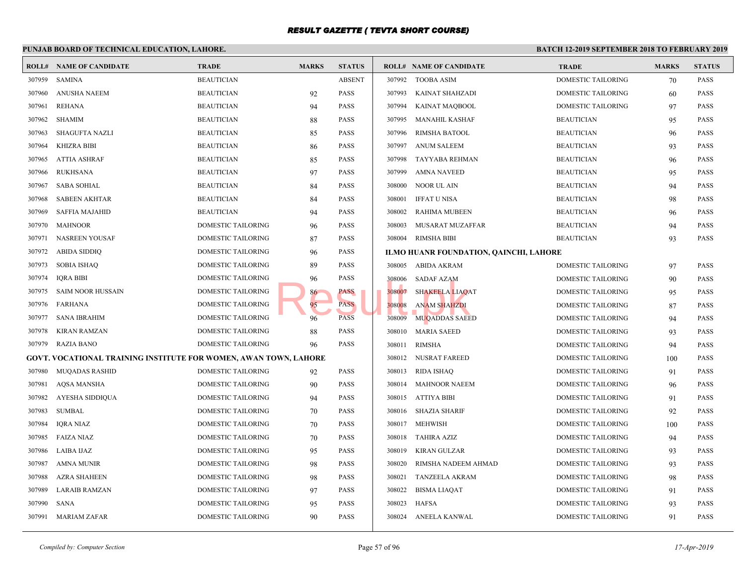#### **PUNJAB BOARD OF TECHNICAL EDUCATION, LAHORE. BATCH 12-ROLL# NAME OF CANDIDATE TRADE MARKS STATUS ROLL# NAME OF CANDIDATE TRADE MARKS STATUS** 307959 SAMINA BEAUTICIAN ABSENT 307960 ANUSHA NAEEM BEAUTICIAN 92 PASS 307961 REHANA BEAUTICIAN 94 PASS 307962 SHAMIM BEAUTICIAN 88 PASS 307963 SHAGUFTA NAZLI BEAUTICIAN 85 PASS 307964 KHIZRA BIBI BEAUTICIAN 86 PASS 307965 ATTIA ASHRAF BEAUTICIAN 85 PASS 307966 RUKHSANA BEAUTICIAN 97 PASS 307967 SABA SOHIAL BEAUTICIAN 84 PASS 307968 SABEEN AKHTAR BEAUTICIAN 84 PASS 307969 SAFFIA MAJAHID BEAUTICIAN 94 PASS 307970 MAHNOOR DOMESTIC TAILORING 96 PASS 307971 NASREEN YOUSAF DOMESTIC TAILORING 87 PASS 307972 ABIDA SIDDIQ DOMESTIC TAILORING 96 PASS 307973 SOBIA ISHAQ DOMESTIC TAILORING 89 PASS 307974 IQRA BIBI DOMESTIC TAILORING 96 PASS 307975 SAIM NOOR HUSSAIN DOMESTIC TAILORING 86 PASS 307976 FARHANA DOMESTIC TAILORING 95 PASS 307977 SANA IBRAHIM DOMESTIC TAILORING 96 PASS 307978 KIRAN RAMZAN DOMESTIC TAILORING 88 PASS 307979 RAZIA BANO DOMESTIC TAILORING 96 PASS **GOVT. VOCATIONAL TRAINING INSTITUTE FOR WOMEN, AWAN TOWN, LAHORE** 307980 MUQADAS RASHID DOMESTIC TAILORING 92 PASS 307981 AQSA MANSHA DOMESTIC TAILORING 90 PASS 307982 AYESHA SIDDIQUA DOMESTIC TAILORING 94 PASS 307983 SUMBAL DOMESTIC TAILORING 70 PASS 307984 IQRA NIAZ DOMESTIC TAILORING 70 PASS 307985 FAIZA NIAZ DOMESTIC TAILORING 70 PASS 307986 LAIBA IJAZ DOMESTIC TAILORING 95 PASS 307987 AMNA MUNIR DOMESTIC TAILORING 98 PASS 307988 AZRA SHAHEEN DOMESTIC TAILORING 98 PASS 307989 LARAIB RAMZAN DOMESTIC TAILORING 97 PASS 307990 SANA DOMESTIC TAILORING 95 PASS 307991 MARIAM ZAFAR DOMESTIC TAILORING 90 PASS 307992 TOOBA ASIM DOME 307993 KAINAT SHAHZADI DOME 307994 KAINAT MAQBOOL DOME 307995 MANAHIL KASHAF BEAUT 307996 RIMSHA BATOOL BEAU 307997 ANUM SALEEM BEAUT 307998 TAYYABA REHMAN BEAUT 307999 AMNA NAVEED BEAU 308000 NOOR UL AIN BEAUT 308001 IFFAT U NISA BEAUT 308002 RAHIMA MUBEEN BEAUT 308003 MUSARAT MUZAFFAR BEAUT 308004 RIMSHA BIBI BEAUTICIAN 93 BEAUTICIAN 93 BEAUTICIAN BEAUTICIAN BEAUTICIAN 93 BEAUTICIAN BEAUTICIAN BEAUTICIAN BEAUTICIAN BEAUTICIAN BEAUTICIAN BEAUTICIAN BEAUTICIAN BEAUTICIAN BEAUTICIAN BEAUTICIAN BEAUTICIAN BEAUTIC **ILMO HUANR FOUNDATION, QAINCHI, LAHORE** 308005 ABIDA AKRAM DOME 308006 SADAF AZAM DOME 308007 SHAKEELA LIAQAT DOME 308008 ANAM SHAHZDI DOME 308009 MUQADDAS SAEED DOME 308010 MARIA SAEED DOME 308011 RIMSHA DOME 308012 NUSRAT FAREED DOME 308013 RIDA ISHAQ DOME 308014 MAHNOOR NAEEM DOME 308015 ATTIYA BIBI DOME 308016 SHAZIA SHARIF DOME 308017 MEHWISH DOME 308018 TAHIRA AZIZ DOME 308019 KIRAN GULZAR DOME 308020 RIMSHA NADEEM AHMAD DOME 308021 TANZEELA AKRAM DOME 308022 BISMA LIAQAT DOME 308023 HAFSA DOME 308024 ANEELA KANWAL DOME 96 PASS<br>
PASS<br>
96 PASS<br>
96 PASS<br>
PASS<br>
308007 SHAKEELA LIAQ?<br>
308008 ANAM SHAHZDI<br>
308009 MUQADDAS SAEE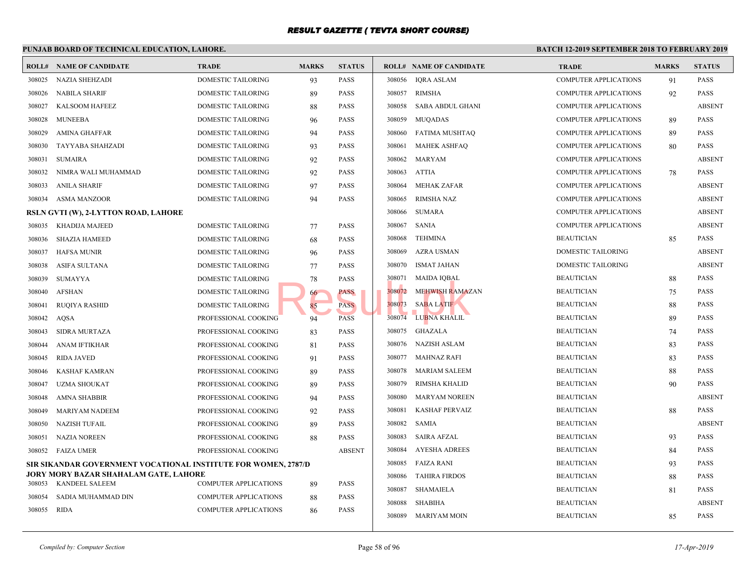#### **PUNJAB BOARD OF TECHNICAL EDUCATION, LAHORE. BATCH 12-ROLL# NAME OF CANDIDATE TRADE MARKS STATUS ROLL# NAME OF CANDIDATE TRADE MARKS STATUS** 308025 NAZIA SHEHZADI DOMESTIC TAILORING 93 PASS 308026 NABILA SHARIF DOMESTIC TAILORING 89 PASS 308027 KALSOOM HAFEEZ DOMESTIC TAILORING 88 PASS 308028 MUNEEBA DOMESTIC TAILORING 96 PASS 308029 AMINA GHAFFAR DOMESTIC TAILORING 94 PASS 308030 TAYYABA SHAHZADI DOMESTIC TAILORING 93 PASS 308031 SUMAIRA DOMESTIC TAILORING 92 PASS 308032 NIMRA WALI MUHAMMAD DOMESTIC TAILORING 92 PASS 308033 ANILA SHARIF DOMESTIC TAILORING 97 PASS 308034 ASMA MANZOOR DOMESTIC TAILORING 94 PASS **RSLN GVTI (W), 2-LYTTON ROAD, LAHORE** 308035 KHADIJA MAJEED DOMESTIC TAILORING 77 PASS 308036 SHAZIA HAMEED DOMESTIC TAILORING 68 PASS 308037 HAFSA MUNIR DOMESTIC TAILORING 96 PASS 308038 ASIFA SULTANA DOMESTIC TAILORING 77 PASS 308039 SUMAYYA DOMESTIC TAILORING 78 PASS 308040 AFSHAN DOMESTIC TAILORING 66 PASS 308041 RUQIYA RASHID DOMESTIC TAILORING 85 PASS 308042 AQSA PROFESSIONAL COOKING 94 PASS 308043 SIDRA MURTAZA PROFESSIONAL COOKING 83 PASS 308044 ANAM IFTIKHAR PROFESSIONAL COOKING 81 PASS 308045 RIDA JAVED PROFESSIONAL COOKING 91 PASS 308046 KASHAF KAMRAN PROFESSIONAL COOKING 89 PASS 308047 UZMA SHOUKAT PROFESSIONAL COOKING 89 PASS 308048 AMNA SHABBIR PROFESSIONAL COOKING 94 PASS 308049 MARIYAM NADEEM PROFESSIONAL COOKING 92 PASS 308050 NAZISH TUFAIL PROFESSIONAL COOKING 89 PASS 308051 NAZIA NOREEN PROFESSIONAL COOKING 88 PASS 308052 FAIZA UMER PROFESSIONAL COOKING ABSENT **SIR SIKANDAR GOVERNMENT VOCATIONAL INSTITUTE FOR WOMEN, 2787/D JORY MORY BAZAR SHAHALAM GATE, LAHORE** 308053 KANDEEL SALEEM COMPUTER APPLICATIONS 89 PASS 308054 SADIA MUHAMMAD DIN COMPUTER APPLICATIONS 88 PASS 308055 RIDA COMPUTER APPLICATIONS 86 PASS 308056 IQRA ASLAM COMP 308057 RIMSHA COMP 308058 SABA ABDUL GHANI COMP 308059 MUQADAS COMP 308060 FATIMA MUSHTAQ COMP 308061 MAHEK ASHFAQ COMP 308062 MARYAM COMP 308063 ATTIA COMP 308064 MEHAK ZAFAR COMP 308065 RIMSHA NAZ COMP 308066 SUMARA COMP 308067 SANIA COMP 308068 TEHMINA BEAUT 308069 AZRA USMAN DOME 308070 ISMAT JAHAN DOME 308071 MAIDA IQBAL BEAUTICIAN BEAUTICIAN BEAUTICIAN BEAUTICIAN BEAUTICIAN BEAUTICIAN BEAUTICIAN BEAU 308072 MEHWISH RAMAZAN BEAUT 308073 SABA LATIF BEAUTICIAN BEAUTICIAN BEAUTICIAN BEAUTICIAN BEAUTICIAN BEAUTICIAN BEAUTICIAN BEAUTICIAN BEAU 308074 LUBNA KHALIL BEAUTICIAN BEAUTICIAN BEAUTICIAN BEAUTICIAN BEAUTICIAN BEAUTICIAN BEAUTICIAN BEAUTICIAN BEAU 308075 GHAZALA BEAUTICIAN REAUTICIAN REAUTICIAN REAUTICIAN REAUTICIAN REAUTICIAN REAUTICIAN REAUTICIAN REAUTICIAN REAUTICIAN REAUTICIAN REAUTICIAN REAUTICIAN REAUTICIAN REAUTICIAN REAUTICIAN REAUTICIAN REAUTICIAN REAUTICIA 308076 NAZISH ASLAM BEAUTICIAN BEAUTICIAN BEAUTICIAN BEAUTICIAN BEAUTICIAN BEAUTICIAN BEAUTICIAN BEAU 308077 MAHNAZ RAFI BEAUT 308078 MARIAM SALEEM BEAU 308079 RIMSHA KHALID BEAUT 308080 MARYAM NOREEN BEAUT 308081 KASHAF PERVAIZ BEAUT 308082 SAMIA BEAUT 308083 SAIRA AFZAL BEAUTICIAN 93 308084 AYESHA ADREES BEAUT 308085 FAIZA RANI BEAUTICIAN 93 308086 TAHIRA FIRDOS BEAUT 308087 SHAMAIELA BEAUT 308088 SHABIHA BEAUT 308089 MARIYAM MOIN BEAUT TRESPASS PASS 308072 MEHWISH RAMAZ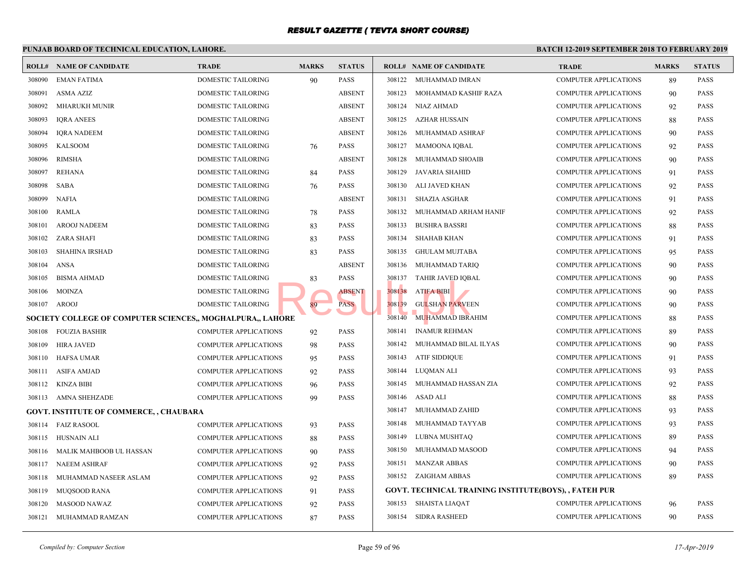|        | PUNJAB BOARD OF TECHNICAL EDUCATION, LAHORE.               |                              |              | <b>BATCH 12-1</b> |        |                                               |             |
|--------|------------------------------------------------------------|------------------------------|--------------|-------------------|--------|-----------------------------------------------|-------------|
|        | <b>ROLL# NAME OF CANDIDATE</b>                             | <b>TRADE</b>                 | <b>MARKS</b> | <b>STATUS</b>     |        | <b>ROLL# NAME OF CANDIDATE</b>                | <b>TRAL</b> |
| 308090 | <b>EMAN FATIMA</b>                                         | DOMESTIC TAILORING           | 90           | PASS              | 308122 | MUHAMMAD IMRAN                                | <b>COMP</b> |
| 308091 | <b>ASMA AZIZ</b>                                           | <b>DOMESTIC TAILORING</b>    |              | <b>ABSENT</b>     | 308123 | MOHAMMAD KASHIF RAZA                          | <b>COMP</b> |
| 308092 | <b>MHARUKH MUNIR</b>                                       | DOMESTIC TAILORING           |              | <b>ABSENT</b>     | 308124 | NIAZ AHMAD                                    | <b>COMP</b> |
| 308093 | <b>IQRA ANEES</b>                                          | DOMESTIC TAILORING           |              | <b>ABSENT</b>     | 308125 | AZHAR HUSSAIN                                 | <b>COMP</b> |
| 308094 | <b>IQRA NADEEM</b>                                         | DOMESTIC TAILORING           |              | <b>ABSENT</b>     | 308126 | MUHAMMAD ASHRAF                               | <b>COMP</b> |
| 308095 | <b>KALSOOM</b>                                             | DOMESTIC TAILORING           | 76           | <b>PASS</b>       | 308127 | <b>MAMOONA IQBAL</b>                          | <b>COMP</b> |
| 308096 | <b>RIMSHA</b>                                              | <b>DOMESTIC TAILORING</b>    |              | <b>ABSENT</b>     | 308128 | MUHAMMAD SHOAIB                               | <b>COMP</b> |
| 308097 | <b>REHANA</b>                                              | DOMESTIC TAILORING           | 84           | <b>PASS</b>       | 308129 | JAVARIA SHAHID                                | <b>COMP</b> |
| 308098 | <b>SABA</b>                                                | DOMESTIC TAILORING           | 76           | PASS              | 308130 | ALI JAVED KHAN                                | <b>COMP</b> |
| 308099 | <b>NAFIA</b>                                               | <b>DOMESTIC TAILORING</b>    |              | <b>ABSENT</b>     | 308131 | <b>SHAZIA ASGHAR</b>                          | <b>COMP</b> |
| 308100 | <b>RAMLA</b>                                               | DOMESTIC TAILORING           | 78           | PASS              | 308132 | MUHAMMAD ARHAM HANIF                          | <b>COMP</b> |
| 308101 | <b>AROOJ NADEEM</b>                                        | DOMESTIC TAILORING           | 83           | PASS              | 308133 | <b>BUSHRA BASSRI</b>                          | <b>COMP</b> |
| 308102 | ZARA SHAFI                                                 | DOMESTIC TAILORING           | 83           | PASS              | 308134 | SHAHAB KHAN                                   | <b>COMP</b> |
| 308103 | <b>SHAHINA IRSHAD</b>                                      | DOMESTIC TAILORING           | 83           | PASS              | 308135 | <b>GHULAM MUJTABA</b>                         | <b>COMP</b> |
| 308104 | ANSA                                                       | <b>DOMESTIC TAILORING</b>    |              | <b>ABSENT</b>     | 308136 | MUHAMMAD TARIQ                                | <b>COMP</b> |
| 308105 | <b>BISMA AHMAD</b>                                         | DOMESTIC TAILORING           | 83           | PASS              | 308137 | TAHIR JAVED IQBAL                             | <b>COMP</b> |
| 308106 | <b>MOINZA</b>                                              | <b>DOMESTIC TAILORING</b>    |              | <b>ABSENT</b>     | 308138 | <b>ATIFA BIBI</b>                             | <b>COMP</b> |
| 308107 | AROOJ                                                      | <b>DOMESTIC TAILORING</b>    | 89           | <b>PASS</b>       | 308139 | <b>GULSHAN PARVEEN</b>                        | <b>COMP</b> |
|        | SOCIETY COLLEGE OF COMPUTER SCIENCES., MOGHALPURA., LAHORE |                              |              |                   | 308140 | MUHAMMAD IBRAHIM                              | <b>COMP</b> |
| 308108 | <b>FOUZIA BASHIR</b>                                       | COMPUTER APPLICATIONS        | 92           | PASS              | 308141 | <b>INAMUR REHMAN</b>                          | <b>COMP</b> |
| 308109 | <b>HIRA JAVED</b>                                          | COMPUTER APPLICATIONS        | 98           | PASS              | 308142 | MUHAMMAD BILAL ILYAS                          | <b>COMP</b> |
| 308110 | <b>HAFSA UMAR</b>                                          | COMPUTER APPLICATIONS        | 95           | PASS              | 308143 | <b>ATIF SIDDIQUE</b>                          | <b>COMP</b> |
| 308111 | ASIFA AMJAD                                                | <b>COMPUTER APPLICATIONS</b> | 92           | PASS              | 308144 | LUOMAN ALI                                    | <b>COMP</b> |
|        | 308112 KINZA BIBI                                          | <b>COMPUTER APPLICATIONS</b> | 96           | PASS              | 308145 | MUHAMMAD HASSAN ZIA                           | <b>COMP</b> |
|        | 308113 AMNA SHEHZADE                                       | <b>COMPUTER APPLICATIONS</b> | 99           | PASS              | 308146 | ASAD ALI                                      | <b>COMP</b> |
|        | <b>GOVT. INSTITUTE OF COMMERCE, , CHAUBARA</b>             |                              |              |                   | 308147 | MUHAMMAD ZAHID                                | <b>COMP</b> |
| 308114 | <b>FAIZ RASOOL</b>                                         | <b>COMPUTER APPLICATIONS</b> | 93           | PASS              | 308148 | MUHAMMAD TAYYAB                               | <b>COMP</b> |
| 308115 | HUSNAIN ALI                                                | <b>COMPUTER APPLICATIONS</b> | 88           | PASS              | 308149 | LUBNA MUSHTAQ                                 | <b>COMP</b> |
| 308116 | MALIK MAHBOOB UL HASSAN                                    | COMPUTER APPLICATIONS        | 90           | PASS              | 308150 | MUHAMMAD MASOOD                               | <b>COMP</b> |
| 308117 | NAEEM ASHRAF                                               | <b>COMPUTER APPLICATIONS</b> | 92           | <b>PASS</b>       | 308151 | <b>MANZAR ABBAS</b>                           | <b>COMP</b> |
| 308118 | MUHAMMAD NASEER ASLAM                                      | <b>COMPUTER APPLICATIONS</b> | 92           | PASS              |        | 308152 ZAIGHAM ABBAS                          | <b>COMP</b> |
| 308119 | MUQSOOD RANA                                               | <b>COMPUTER APPLICATIONS</b> | 91           | PASS              |        | GOVT. TECHNICAL TRAINING INSTITUTE(BOYS), , F |             |
| 308120 | MASOOD NAWAZ                                               | <b>COMPUTER APPLICATIONS</b> | 92           | PASS              | 308153 | <b>SHAISTA LIAQAT</b>                         | <b>COMP</b> |
| 308121 | MUHAMMAD RAMZAN                                            | <b>COMPUTER APPLICATIONS</b> | 87           | PASS              | 308154 | <b>SIDRA RASHEED</b>                          | <b>COMP</b> |
|        |                                                            |                              |              |                   |        |                                               |             |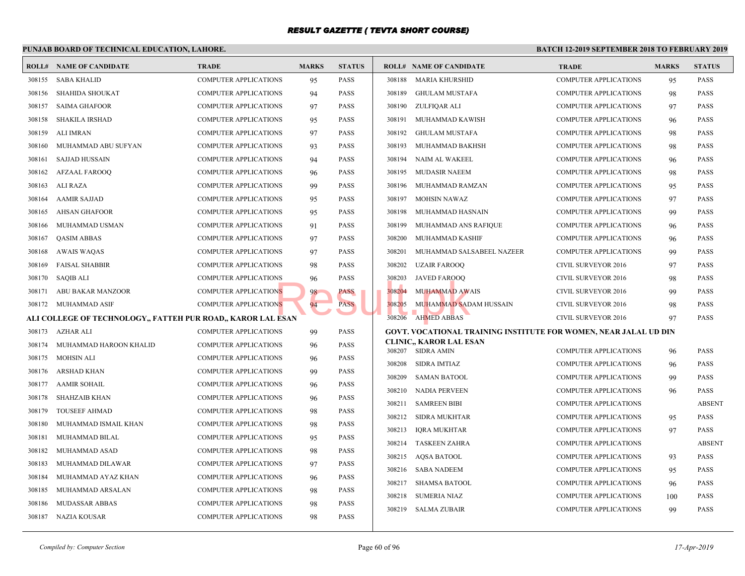|        | PUNJAB BOARD OF TECHNICAL EDUCATION, LAHORE.                 |                              |              |               | <b>BATCH 12-</b> |                                                     |              |
|--------|--------------------------------------------------------------|------------------------------|--------------|---------------|------------------|-----------------------------------------------------|--------------|
|        | <b>ROLL# NAME OF CANDIDATE</b>                               | <b>TRADE</b>                 | <b>MARKS</b> | <b>STATUS</b> |                  | <b>ROLL# NAME OF CANDIDATE</b>                      | <b>TRAI</b>  |
| 308155 | <b>SABA KHALID</b>                                           | <b>COMPUTER APPLICATIONS</b> | 95           | <b>PASS</b>   | 308188           | <b>MARIA KHURSHID</b>                               | COMP         |
| 308156 | <b>SHAHIDA SHOUKAT</b>                                       | <b>COMPUTER APPLICATIONS</b> | 94           | <b>PASS</b>   | 308189           | <b>GHULAM MUSTAFA</b>                               | <b>COMP</b>  |
| 308157 | <b>SAIMA GHAFOOR</b>                                         | <b>COMPUTER APPLICATIONS</b> | 97           | <b>PASS</b>   | 308190           | ZULFIQAR ALI                                        | <b>COMP</b>  |
| 308158 | <b>SHAKILA IRSHAD</b>                                        | <b>COMPUTER APPLICATIONS</b> | 95           | <b>PASS</b>   | 308191           | MUHAMMAD KAWISH                                     | <b>COMP</b>  |
| 308159 | ALI IMRAN                                                    | <b>COMPUTER APPLICATIONS</b> | 97           | <b>PASS</b>   | 308192           | <b>GHULAM MUSTAFA</b>                               | <b>COMP</b>  |
| 308160 | MUHAMMAD ABU SUFYAN                                          | <b>COMPUTER APPLICATIONS</b> | 93           | PASS          | 308193           | MUHAMMAD BAKHSH                                     | <b>COMP</b>  |
| 308161 | <b>SAJJAD HUSSAIN</b>                                        | <b>COMPUTER APPLICATIONS</b> | 94           | <b>PASS</b>   | 308194           | NAIM AL WAKEEL                                      | <b>COMP</b>  |
| 308162 | <b>AFZAAL FAROOQ</b>                                         | COMPUTER APPLICATIONS        | 96           | <b>PASS</b>   | 308195           | <b>MUDASIR NAEEM</b>                                | <b>COMP</b>  |
| 308163 | <b>ALI RAZA</b>                                              | COMPUTER APPLICATIONS        | 99           | <b>PASS</b>   | 308196           | MUHAMMAD RAMZAN                                     | <b>COMP</b>  |
| 308164 | <b>AAMIR SAJJAD</b>                                          | <b>COMPUTER APPLICATIONS</b> | 95           | <b>PASS</b>   | 308197           | MOHSIN NAWAZ                                        | <b>COMP</b>  |
| 308165 | <b>AHSAN GHAFOOR</b>                                         | COMPUTER APPLICATIONS        | 95           | <b>PASS</b>   | 308198           | MUHAMMAD HASNAIN                                    | COMP         |
| 308166 | MUHAMMAD USMAN                                               | COMPUTER APPLICATIONS        | 91           | <b>PASS</b>   | 308199           | MUHAMMAD ANS RAFIQUE                                | COMP         |
| 308167 | <b>QASIM ABBAS</b>                                           | <b>COMPUTER APPLICATIONS</b> | 97           | <b>PASS</b>   | 308200           | MUHAMMAD KASHIF                                     | COMP         |
| 308168 | <b>AWAIS WAQAS</b>                                           | <b>COMPUTER APPLICATIONS</b> | 97           | <b>PASS</b>   | 308201           | MUHAMMAD SALSABEEL NAZEER                           | <b>COMP</b>  |
| 308169 | <b>FAISAL SHABBIR</b>                                        | <b>COMPUTER APPLICATIONS</b> | 98           | <b>PASS</b>   | 308202           | <b>UZAIR FAROOQ</b>                                 | <b>CIVIL</b> |
| 308170 | <b>SAQIB ALI</b>                                             | <b>COMPUTER APPLICATIONS</b> | 96           | <b>PASS</b>   | 308203           | <b>JAVED FAROOQ</b>                                 | <b>CIVIL</b> |
| 308171 | ABU BAKAR MANZOOR                                            | <b>COMPUTER APPLICATIONS</b> | 98           | PASS          | 308204           | <b>MUHAMMAD AWAIS</b>                               | <b>CIVIL</b> |
| 308172 | MUHAMMAD ASIF                                                | COMPUTER APPLICATIONS        | 94           | <b>PASS</b>   | 308205           | MUHAMMAD SADAM HUSSAIN                              | <b>CIVIL</b> |
|        | ALI COLLEGE OF TECHNOLOGY,, FATTEH PUR ROAD,, KAROR LAL ESAN |                              |              |               | 308206           | AHMED ABBAS                                         | <b>CIVIL</b> |
| 308173 | AZHAR ALI                                                    | <b>COMPUTER APPLICATIONS</b> | 99           | <b>PASS</b>   |                  | <b>GOVT. VOCATIONAL TRAINING INSTITUTE FOR WO</b>   |              |
| 308174 | MUHAMMAD HAROON KHALID                                       | <b>COMPUTER APPLICATIONS</b> | 96           | <b>PASS</b>   |                  | <b>CLINIC., KAROR LAL ESAN</b><br>308207 SIDRA AMIN | <b>COMP</b>  |
| 308175 | MOHSIN ALI                                                   | <b>COMPUTER APPLICATIONS</b> | 96           | <b>PASS</b>   | 308208           | SIDRA IMTIAZ                                        | <b>COMP</b>  |
| 308176 | ARSHAD KHAN                                                  | <b>COMPUTER APPLICATIONS</b> | 99           | <b>PASS</b>   | 308209           | <b>SAMAN BATOOL</b>                                 | COMP         |
| 308177 | <b>AAMIR SOHAIL</b>                                          | <b>COMPUTER APPLICATIONS</b> | 96           | <b>PASS</b>   | 308210           | NADIA PERVEEN                                       | <b>COMP</b>  |
| 308178 | <b>SHAHZAIB KHAN</b>                                         | <b>COMPUTER APPLICATIONS</b> | 96           | <b>PASS</b>   | 308211           | <b>SAMREEN BIBI</b>                                 | COMP         |
| 308179 | <b>TOUSEEF AHMAD</b>                                         | <b>COMPUTER APPLICATIONS</b> | 98           | <b>PASS</b>   | 308212           | SIDRA MUKHTAR                                       | COMP         |
| 308180 | MUHAMMAD ISMAIL KHAN                                         | <b>COMPUTER APPLICATIONS</b> | 98           | <b>PASS</b>   | 308213           | IQRA MUKHTAR                                        | <b>COMP</b>  |
| 308181 | MUHAMMAD BILAL                                               | COMPUTER APPLICATIONS        | 95           | <b>PASS</b>   | 308214           | <b>TASKEEN ZAHRA</b>                                | <b>COMP</b>  |
| 308182 | MUHAMMAD ASAD                                                | <b>COMPUTER APPLICATIONS</b> | 98           | PASS          | 308215           | AQSA BATOOL                                         | <b>COMP</b>  |
| 308183 | MUHAMMAD DILAWAR                                             | <b>COMPUTER APPLICATIONS</b> | 97           | <b>PASS</b>   | 308216           | <b>SABA NADEEM</b>                                  | <b>COMP</b>  |
| 308184 | MUHAMMAD AYAZ KHAN                                           | COMPUTER APPLICATIONS        | 96           | <b>PASS</b>   | 308217           | <b>SHAMSA BATOOL</b>                                | <b>COMP</b>  |
| 308185 | MUHAMMAD ARSALAN                                             | <b>COMPUTER APPLICATIONS</b> | 98           | <b>PASS</b>   | 308218           | <b>SUMERIA NIAZ</b>                                 | <b>COMP</b>  |
| 308186 | <b>MUDASSAR ABBAS</b>                                        | COMPUTER APPLICATIONS        | 98           | <b>PASS</b>   |                  | 308219 SALMA ZUBAIR                                 | <b>COMP</b>  |
|        | 308187 NAZIA KOUSAR                                          | <b>COMPUTER APPLICATIONS</b> | 98           | <b>PASS</b>   |                  |                                                     |              |
|        |                                                              |                              |              |               |                  |                                                     |              |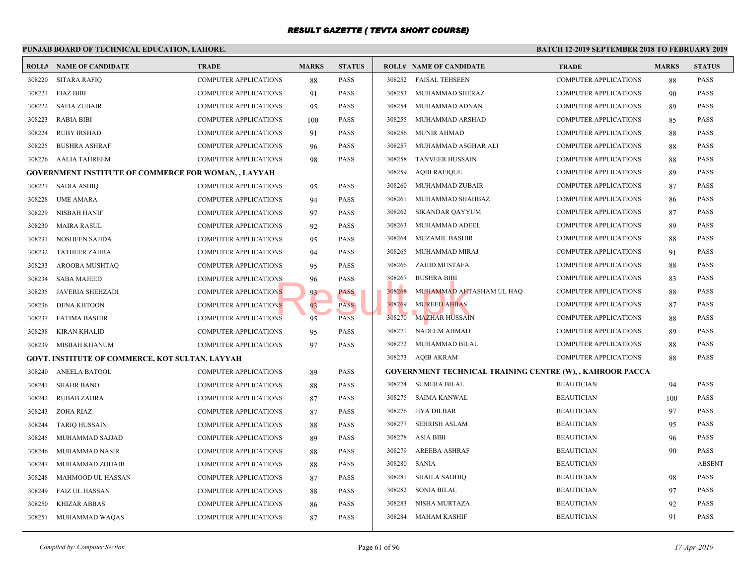|        | PUNJAB BOARD OF TECHNICAL EDUCATION, LAHORE.                |                              |              |               |        |                                                  | <b>BATCH 12-</b> |
|--------|-------------------------------------------------------------|------------------------------|--------------|---------------|--------|--------------------------------------------------|------------------|
|        | <b>ROLL# NAME OF CANDIDATE</b>                              | <b>TRADE</b>                 | <b>MARKS</b> | <b>STATUS</b> |        | <b>ROLL# NAME OF CANDIDATE</b>                   | <b>TRAL</b>      |
| 308220 | <b>SITARA RAFIQ</b>                                         | COMPUTER APPLICATIONS        | 88           | <b>PASS</b>   | 308252 | <b>FAISAL TEHSEEN</b>                            | COMP             |
| 308221 | FIAZ BIBI                                                   | COMPUTER APPLICATIONS        | 91           | <b>PASS</b>   | 308253 | MUHAMMAD SHERAZ                                  | <b>COMP</b>      |
| 308222 | <b>SAFIA ZUBAIR</b>                                         | <b>COMPUTER APPLICATIONS</b> | 95           | <b>PASS</b>   | 308254 | MUHAMMAD ADNAN                                   | <b>COMP</b>      |
| 308223 | RABIA BIBI                                                  | COMPUTER APPLICATIONS        | 100          | <b>PASS</b>   | 308255 | MUHAMMAD ARSHAD                                  | <b>COMP</b>      |
| 308224 | <b>RUBY IRSHAD</b>                                          | COMPUTER APPLICATIONS        | 91           | PASS          | 308256 | <b>MUNIR AHMAD</b>                               | <b>COMP</b>      |
| 308225 | <b>BUSHRA ASHRAF</b>                                        | <b>COMPUTER APPLICATIONS</b> | 96           | <b>PASS</b>   | 308257 | MUHAMMAD ASGHAR ALI                              | <b>COMP</b>      |
| 308226 | AALIA TAHREEM                                               | COMPUTER APPLICATIONS        | 98           | <b>PASS</b>   | 308258 | <b>TANVEER HUSSAIN</b>                           | COMP             |
|        | <b>GOVERNMENT INSTITUTE OF COMMERCE FOR WOMAN, , LAYYAH</b> |                              |              |               | 308259 | <b>AQIB RAFIQUE</b>                              | <b>COMP</b>      |
| 308227 | <b>SADIA ASHIQ</b>                                          | COMPUTER APPLICATIONS        | 95           | <b>PASS</b>   | 308260 | MUHAMMAD ZUBAIR                                  | <b>COMP</b>      |
| 308228 | <b>UME AMARA</b>                                            | COMPUTER APPLICATIONS        | 94           | PASS          | 308261 | MUHAMMAD SHAHBAZ                                 | <b>COMP</b>      |
| 308229 | <b>NISBAH HANIF</b>                                         | COMPUTER APPLICATIONS        | 97           | <b>PASS</b>   | 308262 | SIKANDAR QAYYUM                                  | <b>COMP</b>      |
| 308230 | <b>MAIRA RASUL</b>                                          | COMPUTER APPLICATIONS        | 92           | <b>PASS</b>   | 308263 | MUHAMMAD ADEEL                                   | <b>COMP</b>      |
| 308231 | <b>NOSHEEN SAJIDA</b>                                       | <b>COMPUTER APPLICATIONS</b> | 95           | <b>PASS</b>   | 308264 | <b>MUZAMIL BASHIR</b>                            | <b>COMP</b>      |
| 308232 | <b>TATHEER ZAHRA</b>                                        | COMPUTER APPLICATIONS        | 94           | <b>PASS</b>   | 308265 | MUHAMMAD MIRAJ                                   | <b>COMP</b>      |
| 308233 | AROOBA MUSHTAQ                                              | <b>COMPUTER APPLICATIONS</b> | 95           | <b>PASS</b>   | 308266 | ZAHID MUSTAFA                                    | <b>COMP</b>      |
| 308234 | <b>SABA MAJEED</b>                                          | <b>COMPUTER APPLICATIONS</b> | 96           | <b>PASS</b>   | 308267 | <b>BUSHRA BIBI</b>                               | <b>COMP</b>      |
| 308235 | <b>JAVERIA SHEHZADI</b>                                     | <b>COMPUTER APPLICATIONS</b> | 93           | PASS          | 308268 | MUHAMMAD AHTASHAM UL HAQ                         | <b>COMP</b>      |
| 308236 | <b>DENA KHTOON</b>                                          | <b>COMPUTER APPLICATIONS</b> | 93           | <b>PASS</b>   | 308269 | <b>MUREED ABBAS</b>                              | <b>COMP</b>      |
| 308237 | <b>FATIMA BASHIR</b>                                        | COMPUTER APPLICATIONS        | 95           | <b>PASS</b>   | 308270 | <b>MAZHAR HUSSAIN</b>                            | <b>COMP</b>      |
| 308238 | <b>KIRAN KHALID</b>                                         | COMPUTER APPLICATIONS        | 95           | <b>PASS</b>   | 308271 | NADEEM AHMAD                                     | <b>COMP</b>      |
| 308239 | MISBAH KHANUM                                               | COMPUTER APPLICATIONS        | 97           | <b>PASS</b>   | 308272 | MUHAMMAD BILAL                                   | <b>COMP</b>      |
|        | GOVT. INSTITUTE OF COMMERCE, KOT SULTAN, LAYYAH             |                              |              |               | 308273 | AQIB AKRAM                                       | COMP             |
| 308240 | <b>ANEELA BATOOL</b>                                        | COMPUTER APPLICATIONS        | 89           | <b>PASS</b>   |        | <b>GOVERNMENT TECHNICAL TRAINING CENTRE (W).</b> |                  |
| 308241 | <b>SHAHR BANO</b>                                           | COMPUTER APPLICATIONS        | 88           | <b>PASS</b>   | 308274 | SUMERA BILAL                                     | <b>BEAU</b>      |
| 308242 | RUBAB ZAHRA                                                 | COMPUTER APPLICATIONS        | 87           | <b>PASS</b>   | 308275 | <b>SAIMA KANWAL</b>                              | <b>BEAU</b>      |
| 308243 | ZOHA RIAZ                                                   | COMPUTER APPLICATIONS        | 87           | <b>PASS</b>   | 308276 | JIYA DILBAR                                      | <b>BEAU</b>      |
| 308244 | <b>TARIQ HUSSAIN</b>                                        | <b>COMPUTER APPLICATIONS</b> | 88           | <b>PASS</b>   | 308277 | SEHRISH ASLAM                                    | <b>BEAU</b>      |
| 308245 | MUHAMMAD SAJJAD                                             | COMPUTER APPLICATIONS        | 89           | <b>PASS</b>   | 308278 | <b>ASIA BIBI</b>                                 | <b>BEAU</b>      |
| 308246 | MUHAMMAD NASIR                                              | COMPUTER APPLICATIONS        | 88           | PASS          | 308279 | <b>AREEBA ASHRAF</b>                             | <b>BEAU</b>      |
| 308247 | MUHAMMAD ZOHAIB                                             | COMPUTER APPLICATIONS        | 88           | <b>PASS</b>   | 308280 | <b>SANIA</b>                                     | <b>BEAU</b>      |
| 308248 | MAHMOOD UL HASSAN                                           | COMPUTER APPLICATIONS        | 87           | <b>PASS</b>   | 308281 | <b>SHAILA SADDIQ</b>                             | <b>BEAU</b>      |
| 308249 | <b>FAIZ UL HASSAN</b>                                       | COMPUTER APPLICATIONS        | 88           | <b>PASS</b>   | 308282 | SONIA BILAL                                      | <b>BEAU</b>      |
| 308250 | <b>KHIZAR ABBAS</b>                                         | <b>COMPUTER APPLICATIONS</b> | 86           | <b>PASS</b>   | 308283 | NISHA MURTAZA                                    | <b>BEAU</b>      |
| 308251 | MUHAMMAD WAQAS                                              | <b>COMPUTER APPLICATIONS</b> | 87           | <b>PASS</b>   | 308284 | MAHAM KASHIF                                     | <b>BEAU</b>      |
|        |                                                             |                              |              |               |        |                                                  |                  |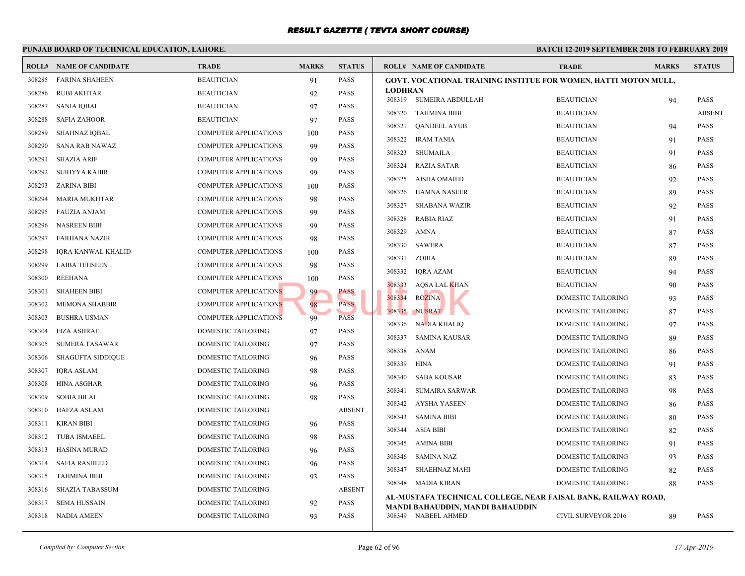#### **PUNJAB BOARD OF TECHNICAL EDUCATION, LAHORE. BATCH 12-ROLL# NAME OF CANDIDATE TRADE MARKS STATUS ROLL# NAME OF CANDIDATE TRADE MARKS STATUS** 308285 FARINA SHAHEEN BEAUTICIAN 91 PASS 308286 RUBI AKHTAR BEAUTICIAN 92 PASS 308287 SANIA IQBAL BEAUTICIAN 97 PASS 308288 SAFIA ZAHOOR BEAUTICIAN 97 PASS 308289 SHAHNAZ IQBAL COMPUTER APPLICATIONS 100 PASS 308290 SANA RAB NAWAZ COMPUTER APPLICATIONS 99 PASS 308291 SHAZIA ARIF COMPUTER APPLICATIONS 99 PASS 308292 SURIYYA KABIR COMPUTER APPLICATIONS 99 PASS 308293 ZARINA BIBI COMPUTER APPLICATIONS 100 PASS 308294 MARIA MUKHTAR COMPUTER APPLICATIONS 98 PASS 308295 FAUZIA ANJAM COMPUTER APPLICATIONS 99 PASS 308296 NASREEN BIBI COMPUTER APPLICATIONS 99 PASS 308297 FARHANA NAZIR COMPUTER APPLICATIONS 98 PASS 308298 IQRA KANWAL KHALID COMPUTER APPLICATIONS 100 PASS 308299 LAIBA TEHSEEN COMPUTER APPLICATIONS 98 PASS 308300 REEHANA COMPUTER APPLICATIONS 100 PASS 308301 SHAHEEN BIBI COMPUTER APPLICATIONS 99 PASS 308302 MEMONA SHABBIR COMPUTER APPLICATIONS 98 PASS 308303 BUSHRA USMAN COMPUTER APPLICATIONS 99 PASS 308304 FIZA ASHRAF DOMESTIC TAILORING 97 PASS 308305 SUMERA TASAWAR DOMESTIC TAILORING 97 PASS 308306 SHAGUFTA SIDDIQUE DOMESTIC TAILORING 96 PASS 308307 IQRA ASLAM DOMESTIC TAILORING 98 PASS 308308 HINA ASGHAR DOMESTIC TAILORING 96 PASS 308309 SOBIA BILAL DOMESTIC TAILORING 98 PASS 308310 HAFZA ASLAM DOMESTIC TAILORING ABSENT 308311 KIRAN BIBI DOMESTIC TAILORING 96 PASS 308312 TUBA ISMAEEL DOMESTIC TAILORING 98 PASS 308313 HASINA MURAD DOMESTIC TAILORING 96 PASS 308314 SAFIA RASHEED DOMESTIC TAILORING 96 PASS 308315 TAHMINA BIBI DOMESTIC TAILORING 93 PASS 308316 SHAZIA TABASSUM DOMESTIC TAILORING ABSENT 308317 SEMA HUSSAIN DOMESTIC TAILORING 92 PASS 308318 NADIA AMEEN DOMESTIC TAILORING 93 PASS **GOVT. VOCATIONAL TRAINING INSTITUE FOR WOMEN LODHRAN** 308319 SUMEIRA ABDULLAH BEAUT 308320 TAHMINA BIBI BEAUTICIAN BEAUTICIAN BEAUTICIAN BEAUTICIAN BEAUTICIAN BEAUTICIAN BEAUTICIAN BEAUTICIAN BEAUTICIAN BEAUTICIAN BEAUTICIAN BEAUTICIAN BEAUTICIAN BEAUTICIAN BEAUTICIAN BEAUTICIAN BEAUTICIAN BEAUTICIAN BEAU 308321 QANDEEL AYUB BEAUTICIAN 94 BEAUTICIAN 94 PASSES BEAUTICIAN 94 PASSES BEAUTICIAN 94 PASSES BEAU 308322 IRAM TANIA BEAUTICIAN 91 BEAUT 308323 SHUMAILA BEAU 308324 RAZIA SATAR BEAUT 308325 AISHA OMAIED BEAUT 308326 HAMNA NASEER BEAUT 308327 SHABANA WAZIR BEAUT 308328 RABIA RIAZ BEAUT 308329 AMNA BEAUT 308330 SAWERA BEAUT 308331 ZOBIA BEAUT 308332 IQRA AZAM BEAUT 308333 AQSA LAL KHAN BEAUTICIAN BEAUTICIAN BEAUTICIAN BEAUTICIAN BEAUTICIAN BEAUTICIAN BEAUTICIAN BEAUTICIAN BEAU 308334 ROZINA DOME 308335 NUSRAT DOME 308336 NADIA KHALIQ DOME 308337 SAMINA KAUSAR DOME 308338 ANAM DOME 308339 HINA DOME 308340 SABA KOUSAR DOME 308341 SUMAIRA SARWAR DOME 308342 AYSHA YASEEN DOME 308343 SAMINA BIBI DOME 308344 ASIA BIBI DOME 308345 AMINA BIBI DOME 308346 SAMINA NAZ DOME 308347 SHAEHNAZ MAHI DOME 308348 MADIA KIRAN DOME **AL-MUSTAFA TECHNICAL COLLEGE, NEAR FAISAL MANDI BAHAUDDIN, MANDI BAHAUDDIN** 308349 NABEEL AHMED CIVIL Result.pk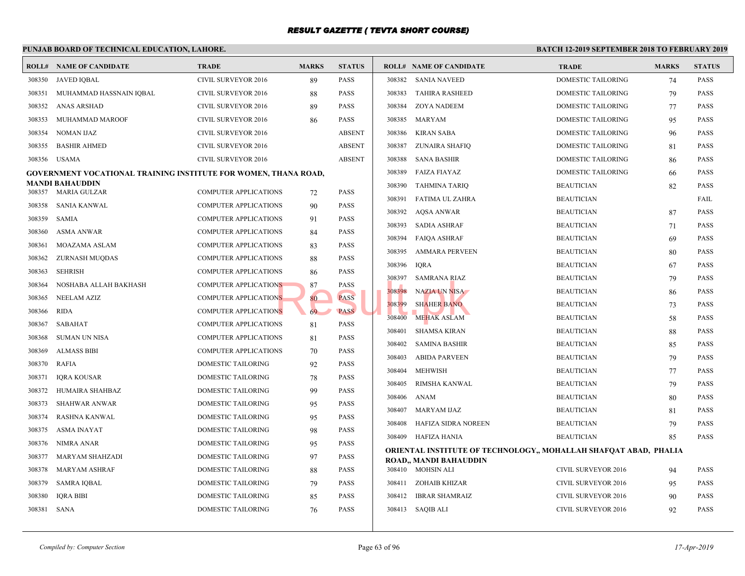|        | PUNJAB BOARD OF TECHNICAL EDUCATION, LAHORE.                    |                              |              |               |        |                                           | <b>BATCH 12-1</b> |
|--------|-----------------------------------------------------------------|------------------------------|--------------|---------------|--------|-------------------------------------------|-------------------|
|        | <b>ROLL# NAME OF CANDIDATE</b>                                  | <b>TRADE</b>                 | <b>MARKS</b> | <b>STATUS</b> |        | <b>ROLL# NAME OF CANDIDATE</b>            | <b>TRAL</b>       |
| 308350 | JAVED IQBAL                                                     | CIVIL SURVEYOR 2016          | 89           | <b>PASS</b>   |        | 308382 SANIA NAVEED                       | <b>DOME</b>       |
| 308351 | MUHAMMAD HASSNAIN IQBAL                                         | CIVIL SURVEYOR 2016          | 88           | <b>PASS</b>   | 308383 | <b>TAHIRA RASHEED</b>                     | <b>DOME</b>       |
| 308352 | <b>ANAS ARSHAD</b>                                              | <b>CIVIL SURVEYOR 2016</b>   | 89           | <b>PASS</b>   | 308384 | <b>ZOYA NADEEM</b>                        | <b>DOME</b>       |
| 308353 | MUHAMMAD MAROOF                                                 | CIVIL SURVEYOR 2016          | 86           | <b>PASS</b>   | 308385 | MARYAM                                    | <b>DOME</b>       |
| 308354 | NOMAN IJAZ                                                      | CIVIL SURVEYOR 2016          |              | <b>ABSENT</b> | 308386 | <b>KIRAN SABA</b>                         | <b>DOME</b>       |
| 308355 | <b>BASHIR AHMED</b>                                             | <b>CIVIL SURVEYOR 2016</b>   |              | <b>ABSENT</b> | 308387 | <b>ZUNAIRA SHAFIQ</b>                     | <b>DOME</b>       |
|        | 308356 USAMA                                                    | <b>CIVIL SURVEYOR 2016</b>   |              | <b>ABSENT</b> | 308388 | <b>SANA BASHIR</b>                        | <b>DOME</b>       |
|        | GOVERNMENT VOCATIONAL TRAINING INSTITUTE FOR WOMEN, THANA ROAD, |                              |              |               | 308389 | <b>FAIZA FIAYAZ</b>                       | <b>DOME</b>       |
|        | <b>MANDI BAHAUDDIN</b>                                          |                              |              |               | 308390 | <b>TAHMINA TARIO</b>                      | <b>BEAU</b>       |
|        | 308357 MARIA GULZAR                                             | <b>COMPUTER APPLICATIONS</b> | 72           | <b>PASS</b>   | 308391 | <b>FATIMA UL ZAHRA</b>                    | <b>BEAU</b>       |
| 308358 | SANIA KANWAL                                                    | <b>COMPUTER APPLICATIONS</b> | 90           | <b>PASS</b>   | 308392 | <b>AQSA ANWAR</b>                         | <b>BEAU</b>       |
| 308359 | SAMIA                                                           | <b>COMPUTER APPLICATIONS</b> | 91           | <b>PASS</b>   | 308393 | <b>SADIA ASHRAF</b>                       | <b>BEAU</b>       |
| 308360 | <b>ASMA ANWAR</b>                                               | <b>COMPUTER APPLICATIONS</b> | 84           | <b>PASS</b>   | 308394 | <b>FAIQA ASHRAF</b>                       | <b>BEAU</b>       |
| 308361 | MOAZAMA ASLAM                                                   | COMPUTER APPLICATIONS        | 83           | <b>PASS</b>   | 308395 | <b>AMMARA PERVEEN</b>                     | <b>BEAU</b>       |
| 308362 | ZURNASH MUQDAS                                                  | <b>COMPUTER APPLICATIONS</b> | 88           | <b>PASS</b>   | 308396 | <b>IQRA</b>                               | <b>BEAU</b>       |
| 308363 | <b>SEHRISH</b>                                                  | <b>COMPUTER APPLICATIONS</b> | 86           | <b>PASS</b>   | 308397 | <b>SAMRANA RIAZ</b>                       | <b>BEAU</b>       |
| 308364 | NOSHABA ALLAH BAKHASH                                           | <b>COMPUTER APPLICATIONS</b> | 87           | <b>PASS</b>   | 308398 | <b>NAZIA UN NISA</b>                      | <b>BEAU</b>       |
| 308365 | <b>NEELAM AZIZ</b>                                              | <b>COMPUTER APPLICATIONS</b> | 80           | <b>PASS</b>   | 308399 | <b>SHAHER BANO</b>                        | <b>BEAU</b>       |
| 308366 | <b>RIDA</b>                                                     | <b>COMPUTER APPLICATIONS</b> | 69           | <b>PASS</b>   | 308400 | <b>MEHAK ASLAM</b>                        | <b>BEAU</b>       |
| 308367 | SABAHAT                                                         | COMPUTER APPLICATIONS        | 81           | <b>PASS</b>   | 308401 | <b>SHAMSA KIRAN</b>                       | <b>BEAU</b>       |
| 308368 | <b>SUMAN UN NISA</b>                                            | <b>COMPUTER APPLICATIONS</b> | 81           | <b>PASS</b>   | 308402 | <b>SAMINA BASHIR</b>                      | <b>BEAU</b>       |
| 308369 | <b>ALMASS BIBI</b>                                              | COMPUTER APPLICATIONS        | 70           | <b>PASS</b>   | 308403 | <b>ABIDA PARVEEN</b>                      | <b>BEAU</b>       |
| 308370 | <b>RAFIA</b>                                                    | DOMESTIC TAILORING           | 92           | <b>PASS</b>   | 308404 | <b>MEHWISH</b>                            | <b>BEAU</b>       |
| 308371 | <b>IQRA KOUSAR</b>                                              | DOMESTIC TAILORING           | 78           | <b>PASS</b>   | 308405 | RIMSHA KANWAL                             | <b>BEAU</b>       |
| 308372 | HUMAIRA SHAHBAZ                                                 | DOMESTIC TAILORING           | 99           | <b>PASS</b>   | 308406 | ANAM                                      | <b>BEAU</b>       |
| 308373 | <b>SHAHWAR ANWAR</b>                                            | DOMESTIC TAILORING           | 95           | <b>PASS</b>   | 308407 | <b>MARYAM IJAZ</b>                        | <b>BEAU</b>       |
| 308374 | RASHNA KANWAL                                                   | <b>DOMESTIC TAILORING</b>    | 95           | <b>PASS</b>   | 308408 | <b>HAFIZA SIDRA NOREEN</b>                | <b>BEAU</b>       |
| 308375 | <b>ASMA INAYAT</b>                                              | DOMESTIC TAILORING           | 98           | <b>PASS</b>   | 308409 | HAFIZA HANIA                              | <b>BEAU</b>       |
| 308376 | NIMRA ANAR                                                      | DOMESTIC TAILORING           | 95           | <b>PASS</b>   |        | ORIENTAL INSTITUTE OF TECHNOLOGY,, MOHALL |                   |
| 308377 | MARYAM SHAHZADI                                                 | DOMESTIC TAILORING           | 97           | <b>PASS</b>   |        | ROAD,, MANDI BAHAUDDIN                    |                   |
| 308378 | MARYAM ASHRAF                                                   | DOMESTIC TAILORING           | 88           | <b>PASS</b>   |        | 308410 MOHSIN ALI                         | <b>CIVIL</b>      |
| 308379 | <b>SAMRA IQBAL</b>                                              | DOMESTIC TAILORING           | 79           | <b>PASS</b>   |        | 308411 ZOHAIB KHIZAR                      | <b>CIVIL</b>      |
| 308380 | IQRA BIBI                                                       | DOMESTIC TAILORING           | 85           | <b>PASS</b>   | 308412 | <b>IBRAR SHAMRAIZ</b>                     | <b>CIVIL</b>      |
| 308381 | SANA                                                            | DOMESTIC TAILORING           | 76           | <b>PASS</b>   |        | 308413 SAQIB ALI                          | <b>CIVIL</b>      |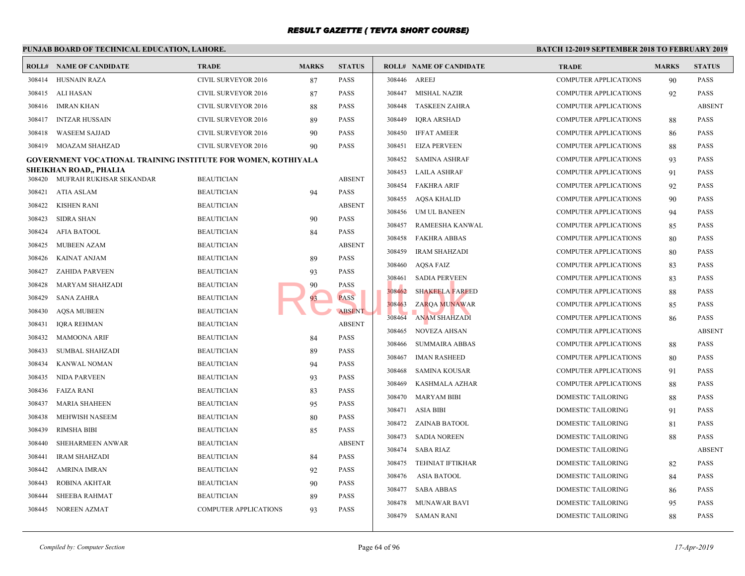|        | PUNJAB BOARD OF TECHNICAL EDUCATION, LAHORE.                         |                              |              |               |        |                                | <b>BATCH 12-1</b> |
|--------|----------------------------------------------------------------------|------------------------------|--------------|---------------|--------|--------------------------------|-------------------|
|        | <b>ROLL# NAME OF CANDIDATE</b>                                       | <b>TRADE</b>                 | <b>MARKS</b> | <b>STATUS</b> |        | <b>ROLL# NAME OF CANDIDATE</b> | <b>TRAL</b>       |
|        | 308414 HUSNAIN RAZA                                                  | CIVIL SURVEYOR 2016          | 87           | <b>PASS</b>   | 308446 | AREEJ                          | <b>COMP</b>       |
| 308415 | ALI HASAN                                                            | <b>CIVIL SURVEYOR 2016</b>   | 87           | <b>PASS</b>   | 308447 | MISHAL NAZIR                   | <b>COMP</b>       |
| 308416 | IMRAN KHAN                                                           | CIVIL SURVEYOR 2016          | 88           | <b>PASS</b>   | 308448 | <b>TASKEEN ZAHRA</b>           | <b>COMP</b>       |
| 308417 | <b>INTZAR HUSSAIN</b>                                                | CIVIL SURVEYOR 2016          | 89           | <b>PASS</b>   | 308449 | <b>IQRA ARSHAD</b>             | <b>COMP</b>       |
| 308418 | <b>WASEEM SAJJAD</b>                                                 | CIVIL SURVEYOR 2016          | 90           | <b>PASS</b>   | 308450 | <b>IFFAT AMEER</b>             | <b>COMP</b>       |
| 308419 | MOAZAM SHAHZAD                                                       | CIVIL SURVEYOR 2016          | 90           | <b>PASS</b>   | 308451 | <b>EIZA PERVEEN</b>            | <b>COMP</b>       |
|        | <b>GOVERNMENT VOCATIONAL TRAINING INSTITUTE FOR WOMEN, KOTHIYALA</b> |                              |              |               | 308452 | <b>SAMINA ASHRAF</b>           | <b>COMP</b>       |
|        | <b>SHEIKHAN ROAD,, PHALIA</b>                                        |                              |              |               | 308453 | <b>LAILA ASHRAF</b>            | <b>COMP</b>       |
|        | 308420 MUFRAH RUKHSAR SEKANDAR                                       | <b>BEAUTICIAN</b>            |              | <b>ABSENT</b> | 308454 | <b>FAKHRA ARIF</b>             | <b>COMP</b>       |
| 308421 | ATIA ASLAM                                                           | <b>BEAUTICIAN</b>            | 94           | <b>PASS</b>   | 308455 | AQSA KHALID                    | <b>COMP</b>       |
| 308422 | KISHEN RANI                                                          | <b>BEAUTICIAN</b>            |              | <b>ABSENT</b> | 308456 | UM UL BANEEN                   | <b>COMP</b>       |
| 308423 | <b>SIDRA SHAN</b>                                                    | <b>BEAUTICIAN</b>            | 90           | <b>PASS</b>   | 308457 | RAMEESHA KANWAL                | <b>COMP</b>       |
| 308424 | AFIA BATOOL                                                          | <b>BEAUTICIAN</b>            | 84           | <b>PASS</b>   | 308458 | <b>FAKHRA ABBAS</b>            | <b>COMP</b>       |
| 308425 | <b>MUBEEN AZAM</b>                                                   | <b>BEAUTICIAN</b>            |              | <b>ABSENT</b> | 308459 | <b>IRAM SHAHZADI</b>           | <b>COMP</b>       |
| 308426 | KAINAT ANJAM                                                         | <b>BEAUTICIAN</b>            | 89           | <b>PASS</b>   | 308460 | <b>AQSA FAIZ</b>               | <b>COMP</b>       |
| 308427 | <b>ZAHIDA PARVEEN</b>                                                | <b>BEAUTICIAN</b>            | 93           | <b>PASS</b>   | 308461 | <b>SADIA PERVEEN</b>           | <b>COMP</b>       |
| 308428 | MARYAM SHAHZADI                                                      | <b>BEAUTICIAN</b>            | 90           | <b>PASS</b>   | 308462 | <b>SHAKEELA FAREED</b>         | <b>COMP</b>       |
| 308429 | SANA ZAHRA                                                           | <b>BEAUTICIAN</b>            | 93           | <b>PASS</b>   | 308463 | <b>ZARQA MUNAWAR</b>           | <b>COMP</b>       |
| 308430 | <b>AQSA MUBEEN</b>                                                   | <b>BEAUTICIAN</b>            |              | ABSENT        | 308464 | <b>ANAM SHAHZADI</b>           | <b>COMP</b>       |
| 308431 | IQRA REHMAN                                                          | <b>BEAUTICIAN</b>            |              | <b>ABSENT</b> | 308465 | <b>NOVEZA AHSAN</b>            | <b>COMP</b>       |
| 308432 | <b>MAMOONA ARIF</b>                                                  | <b>BEAUTICIAN</b>            | 84           | <b>PASS</b>   | 308466 | <b>SUMMAIRA ABBAS</b>          | <b>COMP</b>       |
| 308433 | <b>SUMBAL SHAHZADI</b>                                               | <b>BEAUTICIAN</b>            | 89           | <b>PASS</b>   | 308467 | <b>IMAN RASHEED</b>            | <b>COMP</b>       |
| 308434 | KANWAL NOMAN                                                         | <b>BEAUTICIAN</b>            | 94           | <b>PASS</b>   | 308468 | SAMINA KOUSAR                  | <b>COMP</b>       |
| 308435 | <b>NIDA PARVEEN</b>                                                  | <b>BEAUTICIAN</b>            | 93           | <b>PASS</b>   | 308469 | KASHMALA AZHAR                 | <b>COMP</b>       |
| 308436 | FAIZA RANI                                                           | <b>BEAUTICIAN</b>            | 83           | <b>PASS</b>   | 308470 | <b>MARYAM BIBI</b>             | <b>DOME</b>       |
| 308437 | <b>MARIA SHAHEEN</b>                                                 | <b>BEAUTICIAN</b>            | 95           | <b>PASS</b>   | 308471 | ASIA BIBI                      | <b>DOME</b>       |
| 308438 | MEHWISH NASEEM                                                       | <b>BEAUTICIAN</b>            | 80           | <b>PASS</b>   | 308472 | ZAINAB BATOOL                  | <b>DOME</b>       |
| 308439 | <b>RIMSHA BIBI</b>                                                   | <b>BEAUTICIAN</b>            | 85           | <b>PASS</b>   | 308473 | <b>SADIA NOREEN</b>            | <b>DOME</b>       |
| 308440 | <b>SHEHARMEEN ANWAR</b>                                              | <b>BEAUTICIAN</b>            |              | <b>ABSENT</b> | 308474 | <b>SABA RIAZ</b>               | <b>DOME</b>       |
| 308441 | <b>IRAM SHAHZADI</b>                                                 | <b>BEAUTICIAN</b>            | 84           | <b>PASS</b>   | 308475 | TEHNIAT IFTIKHAR               | <b>DOME</b>       |
| 308442 | AMRINA IMRAN                                                         | <b>BEAUTICIAN</b>            | 92           | <b>PASS</b>   | 308476 | <b>ASIA BATOOL</b>             | <b>DOME</b>       |
| 308443 | ROBINA AKHTAR                                                        | <b>BEAUTICIAN</b>            | 90           | <b>PASS</b>   | 308477 | SABA ABBAS                     | <b>DOME</b>       |
| 308444 | SHEEBA RAHMAT                                                        | <b>BEAUTICIAN</b>            | 89           | <b>PASS</b>   | 308478 | MUNAWAR BAVI                   | <b>DOME</b>       |
| 308445 | NOREEN AZMAT                                                         | <b>COMPUTER APPLICATIONS</b> | 93           | <b>PASS</b>   |        | 308479 SAMAN RANI              | <b>DOME</b>       |
|        |                                                                      |                              |              |               |        |                                |                   |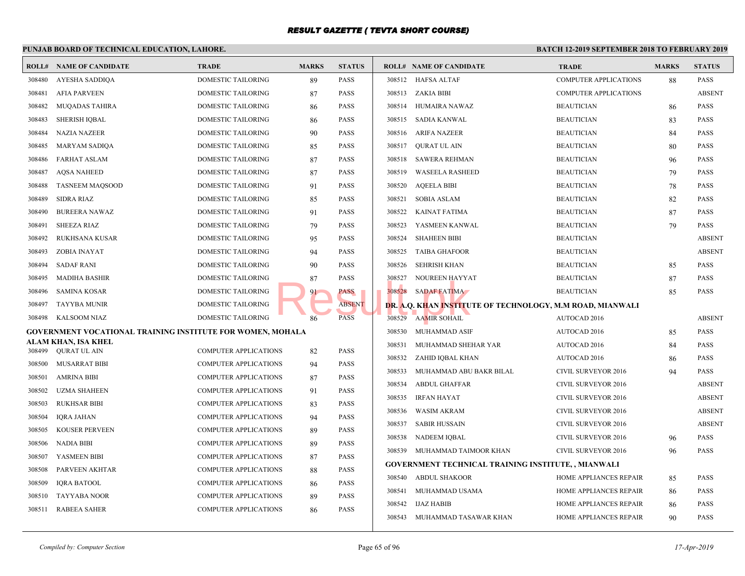|        | PUNJAB BOARD OF TECHNICAL EDUCATION, LAHORE.               |                              |              |               | <b>BATCH 12-1</b> |                                              |              |
|--------|------------------------------------------------------------|------------------------------|--------------|---------------|-------------------|----------------------------------------------|--------------|
|        | <b>ROLL# NAME OF CANDIDATE</b>                             | <b>TRADE</b>                 | <b>MARKS</b> | <b>STATUS</b> |                   | <b>ROLL# NAME OF CANDIDATE</b>               | <b>TRAL</b>  |
| 308480 | AYESHA SADDIQA                                             | DOMESTIC TAILORING           | 89           | PASS          |                   | 308512 HAFSA ALTAF                           | <b>COMP</b>  |
| 308481 | <b>AFIA PARVEEN</b>                                        | DOMESTIC TAILORING           | 87           | <b>PASS</b>   |                   | 308513 ZAKIA BIBI                            | <b>COMP</b>  |
| 308482 | <b>MUQADAS TAHIRA</b>                                      | DOMESTIC TAILORING           | 86           | PASS          |                   | 308514 HUMAIRA NAWAZ                         | <b>BEAU</b>  |
| 308483 | <b>SHERISH IQBAL</b>                                       | DOMESTIC TAILORING           | 86           | PASS          |                   | 308515 SADIA KANWAL                          | <b>BEAU</b>  |
| 308484 | <b>NAZIA NAZEER</b>                                        | <b>DOMESTIC TAILORING</b>    | 90           | PASS          | 308516            | ARIFA NAZEER                                 | <b>BEAU</b>  |
| 308485 | MARYAM SADIQA                                              | DOMESTIC TAILORING           | 85           | PASS          | 308517            | <b>OURAT UL AIN</b>                          | <b>BEAU</b>  |
| 308486 | <b>FARHAT ASLAM</b>                                        | DOMESTIC TAILORING           | 87           | PASS          | 308518            | <b>SAWERA REHMAN</b>                         | <b>BEAU</b>  |
| 308487 | <b>AQSA NAHEED</b>                                         | DOMESTIC TAILORING           | 87           | PASS          | 308519            | <b>WASEELA RASHEED</b>                       | <b>BEAU</b>  |
| 308488 | <b>TASNEEM MAQSOOD</b>                                     | DOMESTIC TAILORING           | 91           | PASS          | 308520            | <b>AQEELA BIBI</b>                           | <b>BEAU</b>  |
| 308489 | SIDRA RIAZ                                                 | DOMESTIC TAILORING           | 85           | PASS          | 308521            | SOBIA ASLAM                                  | <b>BEAU</b>  |
| 308490 | <b>BUREERA NAWAZ</b>                                       | DOMESTIC TAILORING           | 91           | PASS          | 308522            | KAINAT FATIMA                                | <b>BEAU</b>  |
| 308491 | <b>SHEEZA RIAZ</b>                                         | DOMESTIC TAILORING           | 79           | PASS          | 308523            | YASMEEN KANWAL                               | <b>BEAU</b>  |
| 308492 | RUKHSANA KUSAR                                             | DOMESTIC TAILORING           | 95           | PASS          | 308524            | <b>SHAHEEN BIBI</b>                          | <b>BEAU</b>  |
| 308493 | ZOBIA INAYAT                                               | DOMESTIC TAILORING           | 94           | PASS          | 308525            | <b>TAIBA GHAFOOR</b>                         | <b>BEAU</b>  |
| 308494 | <b>SADAF RANI</b>                                          | DOMESTIC TAILORING           | 90           | PASS          | 308526            | SEHRISH KHAN                                 | <b>BEAU</b>  |
| 308495 | MADIHA BASHIR                                              | DOMESTIC TAILORING           | 87           | PASS          | 308527            | NOUREEN HAYYAT                               | <b>BEAU</b>  |
| 308496 | <b>SAMINA KOSAR</b>                                        | DOMESTIC TAILORING           | 91           | PASS          |                   | 308528 SADAF FATIMA                          | <b>BEAU</b>  |
| 308497 | <b>TAYYBA MUNIR</b>                                        | DOMESTIC TAILORING           |              | <b>ABSENT</b> |                   | DR. A.Q. KHAN INSTITUTE OF TECHNOLOGY, M.M R |              |
| 308498 | KALSOOM NIAZ                                               | <b>DOMESTIC TAILORING</b>    | 86           | <b>PASS</b>   |                   | 308529 AAMIR SOHAIL                          | AUTO         |
|        | GOVERNMENT VOCATIONAL TRAINING INSTITUTE FOR WOMEN, MOHALA |                              |              |               | 308530            | MUHAMMAD ASIF                                | <b>AUTO</b>  |
|        | ALAM KHAN, ISA KHEL<br>308499 QURAT UL AIN                 | <b>COMPUTER APPLICATIONS</b> | 82           | PASS          | 308531            | MUHAMMAD SHEHAR YAR                          | <b>AUTO</b>  |
| 308500 | MUSARRAT BIBI                                              | <b>COMPUTER APPLICATIONS</b> | 94           | PASS          | 308532            | ZAHID IQBAL KHAN                             | AUTO         |
| 308501 | <b>AMRINA BIBI</b>                                         | <b>COMPUTER APPLICATIONS</b> | 87           | PASS          | 308533            | MUHAMMAD ABU BAKR BILAL                      | <b>CIVIL</b> |
| 308502 | UZMA SHAHEEN                                               | <b>COMPUTER APPLICATIONS</b> | 91           | <b>PASS</b>   | 308534            | ABDUL GHAFFAR                                | <b>CIVIL</b> |
| 308503 | <b>RUKHSAR BIBI</b>                                        | <b>COMPUTER APPLICATIONS</b> | 83           | <b>PASS</b>   | 308535            | <b>IRFAN HAYAT</b>                           | <b>CIVIL</b> |
| 308504 | <b>IQRA JAHAN</b>                                          | COMPUTER APPLICATIONS        | 94           | PASS          | 308536            | <b>WASIM AKRAM</b>                           | <b>CIVIL</b> |
| 308505 | <b>KOUSER PERVEEN</b>                                      | <b>COMPUTER APPLICATIONS</b> | 89           | PASS          | 308537            | <b>SABIR HUSSAIN</b>                         | <b>CIVIL</b> |
| 308506 | <b>NADIA BIBI</b>                                          | <b>COMPUTER APPLICATIONS</b> | 89           | PASS          | 308538            | NADEEM IQBAL                                 | <b>CIVIL</b> |
| 308507 | YASMEEN BIBI                                               | <b>COMPUTER APPLICATIONS</b> | 87           | PASS          | 308539            | MUHAMMAD TAIMOOR KHAN                        | <b>CIVIL</b> |
| 308508 | PARVEEN AKHTAR                                             | <b>COMPUTER APPLICATIONS</b> | 88           | PASS          |                   | GOVERNMENT TECHNICAL TRAINING INSTITUTE,     |              |
| 308509 | <b>IQRA BATOOL</b>                                         | <b>COMPUTER APPLICATIONS</b> | 86           | PASS          | 308540            | ABDUL SHAKOOR                                | <b>HOME</b>  |
| 308510 | <b>TAYYABA NOOR</b>                                        | <b>COMPUTER APPLICATIONS</b> | 89           | PASS          | 308541            | MUHAMMAD USAMA                               | <b>HOME</b>  |
| 308511 | <b>RABEEA SAHER</b>                                        | <b>COMPUTER APPLICATIONS</b> | 86           | PASS          | 308542            | IJAZ HABIB                                   | <b>HOME</b>  |
|        |                                                            |                              |              |               |                   | 308543 MUHAMMAD TASAWAR KHAN                 | <b>HOME</b>  |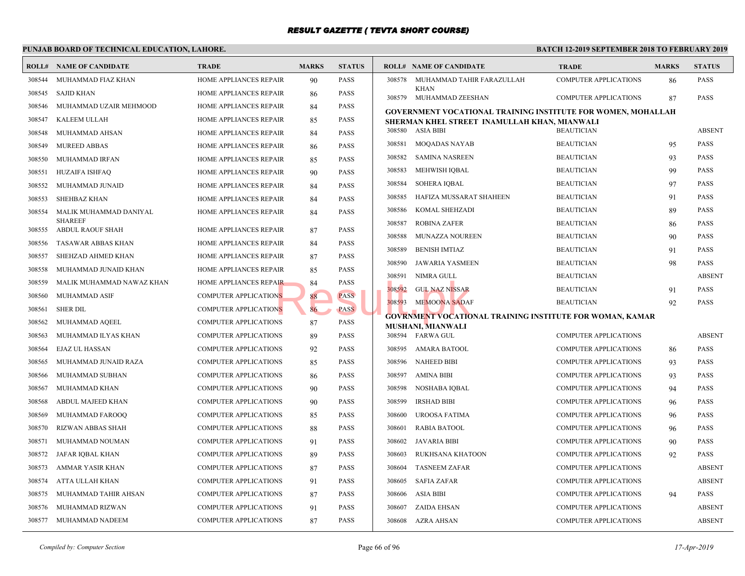|        | PUNJAB BOARD OF TECHNICAL EDUCATION, LAHORE. |                               |              |               |        |                                                  | <b>BATCH 12-</b> |
|--------|----------------------------------------------|-------------------------------|--------------|---------------|--------|--------------------------------------------------|------------------|
|        | <b>ROLL# NAME OF CANDIDATE</b>               | <b>TRADE</b>                  | <b>MARKS</b> | <b>STATUS</b> |        | <b>ROLL# NAME OF CANDIDATE</b>                   | <b>TRAL</b>      |
| 308544 | MUHAMMAD FIAZ KHAN                           | HOME APPLIANCES REPAIR        | 90           | PASS          | 308578 | MUHAMMAD TAHIR FARAZULLAH                        | COMP             |
| 308545 | SAJID KHAN                                   | HOME APPLIANCES REPAIR        | 86           | <b>PASS</b>   |        | <b>KHAN</b><br>308579 MUHAMMAD ZEESHAN           | <b>COMP</b>      |
| 308546 | MUHAMMAD UZAIR MEHMOOD                       | HOME APPLIANCES REPAIR        | 84           | <b>PASS</b>   |        | <b>GOVERNMENT VOCATIONAL TRAINING INSTITUTE</b>  |                  |
| 308547 | KALEEM ULLAH                                 | <b>HOME APPLIANCES REPAIR</b> | 85           | <b>PASS</b>   |        | SHERMAN KHEL STREET INAMULLAH KHAN, MIAN         |                  |
| 308548 | MUHAMMAD AHSAN                               | <b>HOME APPLIANCES REPAIR</b> | 84           | <b>PASS</b>   |        | 308580 ASIA BIBI                                 | <b>BEAU</b>      |
| 308549 | <b>MUREED ABBAS</b>                          | HOME APPLIANCES REPAIR        | 86           | <b>PASS</b>   | 308581 | <b>MOQADAS NAYAB</b>                             | <b>BEAU</b>      |
| 308550 | MUHAMMAD IRFAN                               | HOME APPLIANCES REPAIR        | 85           | <b>PASS</b>   | 308582 | SAMINA NASREEN                                   | <b>BEAU</b>      |
| 308551 | <b>HUZAIFA ISHFAQ</b>                        | HOME APPLIANCES REPAIR        | 90           | <b>PASS</b>   | 308583 | MEHWISH IQBAL                                    | <b>BEAU</b>      |
| 308552 | MUHAMMAD JUNAID                              | HOME APPLIANCES REPAIR        | 84           | <b>PASS</b>   | 308584 | <b>SOHERA IQBAL</b>                              | <b>BEAU</b>      |
| 308553 | <b>SHEHBAZ KHAN</b>                          | <b>HOME APPLIANCES REPAIR</b> | 84           | <b>PASS</b>   | 308585 | HAFIZA MUSSARAT SHAHEEN                          | <b>BEAU</b>      |
| 308554 | MALIK MUHAMMAD DANIYAL                       | HOME APPLIANCES REPAIR        | 84           | <b>PASS</b>   | 308586 | KOMAL SHEHZADI                                   | <b>BEAU</b>      |
| 308555 | <b>SHAREEF</b><br>ABDUL RAOUF SHAH           | HOME APPLIANCES REPAIR        | 87           | <b>PASS</b>   | 308587 | <b>ROBINA ZAFER</b>                              | <b>BEAU</b>      |
| 308556 | TASAWAR ABBAS KHAN                           | HOME APPLIANCES REPAIR        | 84           | <b>PASS</b>   | 308588 | MUNAZZA NOUREEN                                  | <b>BEAU</b>      |
| 308557 | SHEHZAD AHMED KHAN                           | HOME APPLIANCES REPAIR        | 87           | <b>PASS</b>   | 308589 | <b>BENISH IMTIAZ</b>                             | <b>BEAU</b>      |
| 308558 | MUHAMMAD JUNAID KHAN                         | HOME APPLIANCES REPAIR        | 85           | <b>PASS</b>   | 308590 | JAWARIA YASMEEN                                  | <b>BEAU</b>      |
| 308559 | MALIK MUHAMMAD NAWAZ KHAN                    | HOME APPLIANCES REPAIR        | 84           | PASS          | 308591 | NIMRA GULL                                       | <b>BEAU</b>      |
| 308560 | MUHAMMAD ASIF                                | <b>COMPUTER APPLICATIONS</b>  | 88           | <b>PASS</b>   | 308592 | <b>GUL NAZ NISSAR</b>                            | <b>BEAU</b>      |
| 308561 | <b>SHER DIL</b>                              | <b>COMPUTER APPLICATIONS</b>  | 86           | <b>PASS</b>   | 308593 | <b>MEMOONA SADAF</b>                             | <b>BEAU</b>      |
| 308562 | MUHAMMAD AQEEL                               | <b>COMPUTER APPLICATIONS</b>  | 87           | <b>PASS</b>   |        | <b>GOVRNMENT VOCATIONAL TRAINING INSTITUTE I</b> |                  |
| 308563 | MUHAMMAD ILYAS KHAN                          | <b>COMPUTER APPLICATIONS</b>  | 89           | <b>PASS</b>   |        | <b>MUSHANI, MIANWALI</b><br>308594 FARWA GUL     | <b>COMP</b>      |
| 308564 | EJAZ UL HASSAN                               | <b>COMPUTER APPLICATIONS</b>  | 92           | <b>PASS</b>   | 308595 | AMARA BATOOL                                     | <b>COMP</b>      |
| 308565 | MUHAMMAD JUNAID RAZA                         | <b>COMPUTER APPLICATIONS</b>  | 85           | <b>PASS</b>   | 308596 | <b>NAHEED BIBI</b>                               | <b>COMP</b>      |
| 308566 | MUHAMMAD SUBHAN                              | <b>COMPUTER APPLICATIONS</b>  | 86           | <b>PASS</b>   | 308597 | AMINA BIBI                                       | <b>COMP</b>      |
| 308567 | MUHAMMAD KHAN                                | COMPUTER APPLICATIONS         | 90           | <b>PASS</b>   | 308598 | NOSHABA IQBAL                                    | <b>COMP</b>      |
| 308568 | ABDUL MAJEED KHAN                            | COMPUTER APPLICATIONS         | 90           | <b>PASS</b>   | 308599 | <b>IRSHAD BIBI</b>                               | <b>COMP</b>      |
| 308569 | MUHAMMAD FAROOQ                              | COMPUTER APPLICATIONS         | 85           | <b>PASS</b>   | 308600 | UROOSA FATIMA                                    | <b>COMP</b>      |
| 308570 | <b>RIZWAN ABBAS SHAH</b>                     | COMPUTER APPLICATIONS         | 88           | <b>PASS</b>   | 308601 | <b>RABIA BATOOL</b>                              | <b>COMP</b>      |
| 308571 | MUHAMMAD NOUMAN                              | COMPUTER APPLICATIONS         | 91           | <b>PASS</b>   | 308602 | <b>JAVARIA BIBI</b>                              | <b>COMP</b>      |
| 308572 | JAFAR IQBAL KHAN                             | COMPUTER APPLICATIONS         | 89           | <b>PASS</b>   | 308603 | RUKHSANA KHATOON                                 | <b>COMP</b>      |
| 308573 | AMMAR YASIR KHAN                             | <b>COMPUTER APPLICATIONS</b>  | 87           | PASS          | 308604 | <b>TASNEEM ZAFAR</b>                             | COMP             |
| 308574 | ATTA ULLAH KHAN                              | <b>COMPUTER APPLICATIONS</b>  | 91           | PASS          | 308605 | <b>SAFIA ZAFAR</b>                               | <b>COMP</b>      |
| 308575 | MUHAMMAD TAHIR AHSAN                         | <b>COMPUTER APPLICATIONS</b>  | 87           | <b>PASS</b>   | 308606 | ASIA BIBI                                        | <b>COMP</b>      |
| 308576 | MUHAMMAD RIZWAN                              | <b>COMPUTER APPLICATIONS</b>  | 91           | <b>PASS</b>   | 308607 | ZAIDA EHSAN                                      | <b>COMP</b>      |
|        | 308577 MUHAMMAD NADEEM                       | <b>COMPUTER APPLICATIONS</b>  | 87           | <b>PASS</b>   |        | 308608 AZRA AHSAN                                | <b>COMP</b>      |
|        |                                              |                               |              |               |        |                                                  |                  |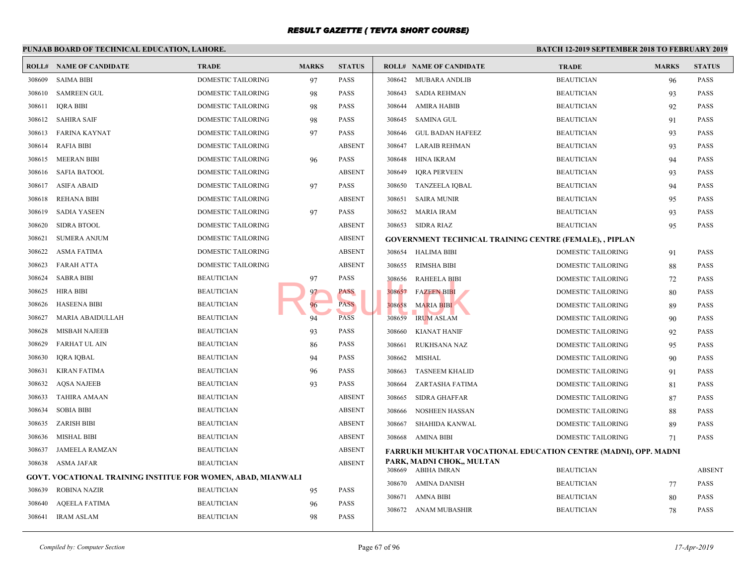|        | PUNJAB BOARD OF TECHNICAL EDUCATION, LAHORE.                        |                    |              |               | <b>BATCH 12-</b> |                                                  |             |
|--------|---------------------------------------------------------------------|--------------------|--------------|---------------|------------------|--------------------------------------------------|-------------|
|        | <b>ROLL# NAME OF CANDIDATE</b>                                      | <b>TRADE</b>       | <b>MARKS</b> | <b>STATUS</b> |                  | <b>ROLL# NAME OF CANDIDATE</b>                   | <b>TRAI</b> |
| 308609 | <b>SAIMA BIBI</b>                                                   | DOMESTIC TAILORING | 97           | <b>PASS</b>   | 308642           | <b>MUBARA ANDLIB</b>                             | <b>BEAU</b> |
| 308610 | <b>SAMREEN GUL</b>                                                  | DOMESTIC TAILORING | 98           | <b>PASS</b>   | 308643           | <b>SADIA REHMAN</b>                              | <b>BEAU</b> |
| 308611 | <b>IQRA BIBI</b>                                                    | DOMESTIC TAILORING | 98           | <b>PASS</b>   | 308644           | AMIRA HABIB                                      | <b>BEAU</b> |
| 308612 | SAHIRA SAIF                                                         | DOMESTIC TAILORING | 98           | <b>PASS</b>   | 308645           | <b>SAMINA GUL</b>                                | <b>BEAU</b> |
| 308613 | FARINA KAYNAT                                                       | DOMESTIC TAILORING | 97           | <b>PASS</b>   | 308646           | <b>GUL BADAN HAFEEZ</b>                          | <b>BEAU</b> |
| 308614 | <b>RAFIA BIBI</b>                                                   | DOMESTIC TAILORING |              | <b>ABSENT</b> | 308647           | <b>LARAIB REHMAN</b>                             | <b>BEAU</b> |
| 308615 | <b>MEERAN BIBI</b>                                                  | DOMESTIC TAILORING | 96           | <b>PASS</b>   | 308648           | HINA IKRAM                                       | <b>BEAU</b> |
| 308616 | <b>SAFIA BATOOL</b>                                                 | DOMESTIC TAILORING |              | <b>ABSENT</b> | 308649           | <b>IQRA PERVEEN</b>                              | <b>BEAU</b> |
| 308617 | ASIFA ABAID                                                         | DOMESTIC TAILORING | 97           | <b>PASS</b>   | 308650           | <b>TANZEELA IQBAL</b>                            | <b>BEAU</b> |
| 308618 | <b>REHANA BIBI</b>                                                  | DOMESTIC TAILORING |              | <b>ABSENT</b> | 308651           | <b>SAIRA MUNIR</b>                               | <b>BEAU</b> |
| 308619 | <b>SADIA YASEEN</b>                                                 | DOMESTIC TAILORING | 97           | <b>PASS</b>   | 308652           | <b>MARIA IRAM</b>                                | <b>BEAU</b> |
| 308620 | <b>SIDRA BTOOL</b>                                                  | DOMESTIC TAILORING |              | <b>ABSENT</b> | 308653           | SIDRA RIAZ                                       | <b>BEAU</b> |
| 308621 | <b>SUMERA ANJUM</b>                                                 | DOMESTIC TAILORING |              | <b>ABSENT</b> |                  | <b>GOVERNMENT TECHNICAL TRAINING CENTRE (FE)</b> |             |
| 308622 | <b>ASMA FATIMA</b>                                                  | DOMESTIC TAILORING |              | <b>ABSENT</b> |                  | 308654 HALIMA BIBI                               | <b>DOME</b> |
| 308623 | <b>FARAH ATTA</b>                                                   | DOMESTIC TAILORING |              | <b>ABSENT</b> | 308655           | RIMSHA BIBI                                      | <b>DOME</b> |
| 308624 | <b>SABRA BIBI</b>                                                   | <b>BEAUTICIAN</b>  | 97           | <b>PASS</b>   | 308656           | <b>RAHEELA BIBI</b>                              | <b>DOME</b> |
| 308625 | <b>HIRA BIBI</b>                                                    | <b>BEAUTICIAN</b>  | 97           | PASS          | 308657           | <b>FAZEEN BIBI</b>                               | <b>DOME</b> |
| 308626 | <b>HASEENA BIBI</b>                                                 | <b>BEAUTICIAN</b>  | 96           | <b>PASS</b>   | 308658           | <b>MARIA BIBI</b>                                | <b>DOME</b> |
| 308627 | MARIA ABAIDULLAH                                                    | <b>BEAUTICIAN</b>  | 94           | <b>PASS</b>   | 308659           | <b>IRUM ASLAM</b>                                | <b>DOME</b> |
| 308628 | <b>MISBAH NAJEEB</b>                                                | <b>BEAUTICIAN</b>  | 93           | PASS          | 308660           | <b>KIANAT HANIF</b>                              | <b>DOME</b> |
| 308629 | <b>FARHAT UL AIN</b>                                                | <b>BEAUTICIAN</b>  | 86           | PASS          | 308661           | RUKHSANA NAZ                                     | <b>DOME</b> |
| 308630 | IQRA IQBAL                                                          | <b>BEAUTICIAN</b>  | 94           | PASS          | 308662           | <b>MISHAL</b>                                    | <b>DOME</b> |
| 308631 | <b>KIRAN FATIMA</b>                                                 | <b>BEAUTICIAN</b>  | 96           | PASS          | 308663           | <b>TASNEEM KHALID</b>                            | <b>DOME</b> |
| 308632 | <b>AQSA NAJEEB</b>                                                  | <b>BEAUTICIAN</b>  | 93           | PASS          | 308664           | ZARTASHA FATIMA                                  | <b>DOME</b> |
| 308633 | <b>TAHIRA AMAAN</b>                                                 | <b>BEAUTICIAN</b>  |              | <b>ABSENT</b> | 308665           | <b>SIDRA GHAFFAR</b>                             | <b>DOME</b> |
| 308634 | <b>SOBIA BIBI</b>                                                   | <b>BEAUTICIAN</b>  |              | <b>ABSENT</b> | 308666           | <b>NOSHEEN HASSAN</b>                            | <b>DOME</b> |
| 308635 | <b>ZARISH BIBI</b>                                                  | <b>BEAUTICIAN</b>  |              | <b>ABSENT</b> | 308667           | <b>SHAHIDA KANWAL</b>                            | <b>DOME</b> |
| 308636 | <b>MISHAL BIBI</b>                                                  | <b>BEAUTICIAN</b>  |              | <b>ABSENT</b> | 308668           | AMINA BIBI                                       | <b>DOME</b> |
| 308637 | <b>JAMEELA RAMZAN</b>                                               | <b>BEAUTICIAN</b>  |              | <b>ABSENT</b> |                  | <b>FARRUKH MUKHTAR VOCATIONAL EDUCATION CH</b>   |             |
| 308638 | ASMA JAFAR                                                          | <b>BEAUTICIAN</b>  |              | <b>ABSENT</b> |                  | PARK, MADNI CHOK,, MULTAN                        |             |
|        | <b>GOVT. VOCATIONAL TRAINING INSTITUE FOR WOMEN, ABAD, MIANWALI</b> |                    |              |               |                  | 308669 ABIHA IMRAN                               | <b>BEAU</b> |
| 308639 | <b>ROBINA NAZIR</b>                                                 | <b>BEAUTICIAN</b>  | 95           | PASS          | 308670           | AMINA DANISH                                     | <b>BEAU</b> |
| 308640 | <b>AQEELA FATIMA</b>                                                | <b>BEAUTICIAN</b>  | 96           | PASS          | 308671           | AMNA BIBI                                        | <b>BEAU</b> |
| 308641 | <b>IRAM ASLAM</b>                                                   | <b>BEAUTICIAN</b>  | 98           | PASS          | 308672           | ANAM MUBASHIR                                    | <b>BEAU</b> |
|        |                                                                     |                    |              |               |                  |                                                  |             |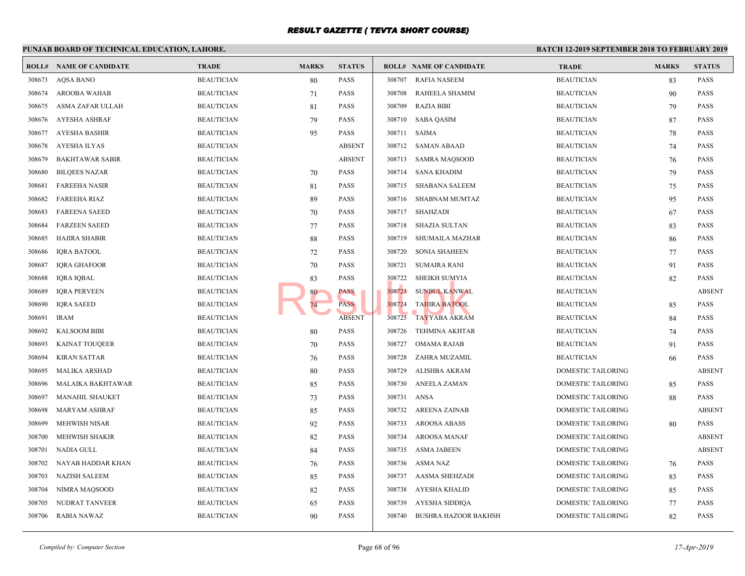#### **PUNJAB BOARD OF TECHNICAL EDUCATION, LAHORE. BATCH 12-ROLL# NAME OF CANDIDATE TRADE MARKS STATUS ROLL# NAME OF CANDIDATE TRADE MARKS STATUS** 308673 AQSA BANO BEAUTICIAN 80 PASS 308674 AROOBA WAHAB BEAUTICIAN 71 PASS 308675 ASMA ZAFAR ULLAH BEAUTICIAN 81 PASS 308676 AYESHA ASHRAF BEAUTICIAN 79 PASS 308677 AYESHA BASHIR BEAUTICIAN 95 PASS 308678 AYESHA ILYAS BEAUTICIAN ABSENT 308679 BAKHTAWAR SABIR BEAUTICIAN ABSENT 308680 BILQEES NAZAR BEAUTICIAN 70 PASS 308681 FAREEHA NASIR BEAUTICIAN 81 PASS 308682 FAREEHA RIAZ BEAUTICIAN 89 PASS 308683 FAREENA SAEED BEAUTICIAN 70 PASS 308684 FARZEEN SAEED BEAUTICIAN 77 PASS 308685 HAJIRA SHABIR BEAUTICIAN 88 PASS 308686 IQRA BATOOL BEAUTICIAN 72 PASS 308687 IQRA GHAFOOR BEAUTICIAN 70 PASS 308688 IQRA IQBAL BEAUTICIAN BEAUTICIAN 83 PASS 308689 IQRA PERVEEN BEAUTICIAN BEAUTICIAN 80 PASS 308690 IQRA SAEED BEAUTICIAN 74 PASS 308691 IRAM BEAUTICIAN ABSENT 308692 KALSOOM BIBI BEAUTICIAN 80 PASS 308693 KAINAT TOUQEER BEAUTICIAN 70 PASS 308694 KIRAN SATTAR BEAUTICIAN BEAUTICIAN 76 PASS 308695 MALIKA ARSHAD BEAUTICIAN 80 PASS 308696 MALAIKA BAKHTAWAR BEAUTICIAN 85 PASS 308697 MANAHIL SHAUKET BEAUTICIAN 73 PASS 308698 MARYAM ASHRAF BEAUTICIAN 85 PASS 308699 MEHWISH NISAR BEAUTICIAN 92 PASS 308700 MEHWISH SHAKIR BEAUTICIAN 82 PASS 308701 NADIA GULL BEAUTICIAN 84 PASS 308702 NAYAB HADDAR KHAN BEAUTICIAN 76 PASS 308703 NAZISH SALEEM BEAUTICIAN 85 PASS 308704 NIMRA MAQSOOD BEAUTICIAN 82 PASS 308705 NUDRAT TANVEER BEAUTICIAN 65 PASS 308706 RABIA NAWAZ BEAUTICIAN 90 PASS 308707 RAFIA NASEEM BEAUTICIAN BEAUTICIAN BEAUTICIAN BEAUTICIAN BEAUTICIAN BEAUTICIAN BEAUTICIAN BEAU 308708 RAHEELA SHAMIM BEAUTICIAN 90 BEAUTICIAN 90 BEAUTICIAN 90 BEAUTICIAN 90 BEAU 308709 RAZIA BIBI BEAUT 308710 SABA QASIM BEAUTICIAN BEAUTICIAN BEAUTICIAN BEAUTICIAN BEAUTICIAN BEAUTICIAN BEAUTICIAN BEAUTICIAN BEAU 308711 SAIMA BEAUT 308712 SAMAN ABAAD BEAUT 308713 SAMRA MAOSOOD BEAUT 308714 SANA KHADIM BEAU 308715 SHABANA SALEEM BEAUTICIAN 75 308716 SHABNAM MUMTAZ BEAUT 308717 SHAHZADI BEAUT 308718 SHAZIA SULTAN BEAUT 308719 SHUMAILA MAZHAR BEAUT 308720 SONIA SHAHEEN BEAUT 308721 SUMAIRA RANI BEAUT 308722 SHEIKH SUMYIA BEAUTICIAN BEAUTICIAN BEAUTICIAN BEAUTICIAN BEAUTICIAN BEAUTICIAN BEAUTICIAN BEAUTICIAN BEAU 308723 SUNBUL KANWAL BEAUTICIAN BEAUTICIAN BEAUTICIAN ABSENT 308724 TAHIRA BATOOL BEAUTICIAN BEAUTICIAN BEAUTICIAN BEAUTICIAN BEAUTICIAN BEAUTICIAN BEAUTICIAN BEAUTICIAN B 308725 TAYYABA AKRAM BEAUT 308726 TEHMINA AKHTAR BEAUT 308727 OMAMA RAJAB BEAUTICIAN 91 BEAUTICIAN 91 BEAUTICIAN BEAUTICIAN 91 BEAUTICIAN 91 BEAUTICIAN 91 BEAUTICIAN 91 BEAUTICIAN BEAUTICIAN BEAUTICIAN BEAUTICIAN BEAUTICIAN BEAUTICIAN BEAUTICIAN BEAUTICIAN BEAUTICIAN BEAUTICIA 308728 ZAHRA MUZAMIL BEAUT 308729 ALISHBA AKRAM DOME 308730 ANEELA ZAMAN DOME 308731 ANSA DOME 308732 AREENA ZAINAB DOME 308733 AROOSA ABASS DOME 308734 AROOSA MANAF DOME 308735 ASMA JABEEN DOME 308736 ASMA NAZ DOME 308737 AASMA SHEHZADI DOME 308738 AYESHA KHALID DOME 308739 AYESHA SIDDIQA DOME 308740 BUSHRA HAZOOR BAKHSH DOME FASS<br>
PASS<br>
PASS<br>
PASS<br>
PASS<br>
PASS<br>
308724<br>
TAHIRA BATOOL<br>
308724<br>
TAHIRA BATOOL<br>
308725<br>
TAYYABA AKRAN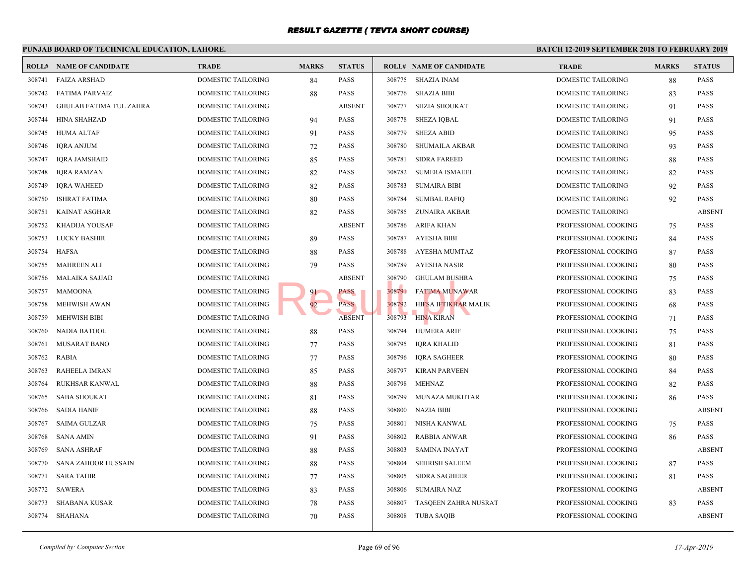|        | PUNJAB BOARD OF TECHNICAL EDUCATION, LAHORE. |                           |              |               |        |                                | <b>BATCH 12-</b> |
|--------|----------------------------------------------|---------------------------|--------------|---------------|--------|--------------------------------|------------------|
|        | <b>ROLL# NAME OF CANDIDATE</b>               | <b>TRADE</b>              | <b>MARKS</b> | <b>STATUS</b> |        | <b>ROLL# NAME OF CANDIDATE</b> | <b>TRAI</b>      |
| 308741 | <b>FAIZA ARSHAD</b>                          | DOMESTIC TAILORING        | 84           | <b>PASS</b>   | 308775 | SHAZIA INAM                    | <b>DOME</b>      |
| 308742 | <b>FATIMA PARVAIZ</b>                        | DOMESTIC TAILORING        | 88           | <b>PASS</b>   | 308776 | SHAZIA BIBI                    | <b>DOME</b>      |
| 308743 | <b>GHULAB FATIMA TUL ZAHRA</b>               | DOMESTIC TAILORING        |              | <b>ABSENT</b> | 308777 | SHZIA SHOUKAT                  | <b>DOME</b>      |
| 308744 | <b>HINA SHAHZAD</b>                          | DOMESTIC TAILORING        | 94           | PASS          | 308778 | SHEZA IQBAL                    | <b>DOME</b>      |
| 308745 | <b>HUMA ALTAF</b>                            | DOMESTIC TAILORING        | 91           | <b>PASS</b>   | 308779 | <b>SHEZA ABID</b>              | <b>DOME</b>      |
| 308746 | <b>IQRA ANJUM</b>                            | DOMESTIC TAILORING        | 72           | <b>PASS</b>   | 308780 | <b>SHUMAILA AKBAR</b>          | <b>DOME</b>      |
| 308747 | <b>IQRA JAMSHAID</b>                         | DOMESTIC TAILORING        | 85           | <b>PASS</b>   | 308781 | <b>SIDRA FAREED</b>            | <b>DOME</b>      |
| 308748 | <b>IQRA RAMZAN</b>                           | DOMESTIC TAILORING        | 82           | <b>PASS</b>   | 308782 | <b>SUMERA ISMAEEL</b>          | <b>DOME</b>      |
| 308749 | <b>IQRA WAHEED</b>                           | DOMESTIC TAILORING        | 82           | <b>PASS</b>   | 308783 | <b>SUMAIRA BIBI</b>            | <b>DOME</b>      |
| 308750 | <b>ISHRAT FATIMA</b>                         | DOMESTIC TAILORING        | 80           | PASS          | 308784 | <b>SUMBAL RAFIQ</b>            | <b>DOME</b>      |
| 308751 | KAINAT ASGHAR                                | DOMESTIC TAILORING        | 82           | <b>PASS</b>   | 308785 | ZUNAIRA AKBAR                  | <b>DOME</b>      |
| 308752 | KHADIJA YOUSAF                               | DOMESTIC TAILORING        |              | <b>ABSENT</b> | 308786 | <b>ARIFA KHAN</b>              | <b>PROFE</b>     |
| 308753 | LUCKY BASHIR                                 | DOMESTIC TAILORING        | 89           | <b>PASS</b>   | 308787 | <b>AYESHA BIBI</b>             | <b>PROFE</b>     |
| 308754 | <b>HAFSA</b>                                 | DOMESTIC TAILORING        | 88           | <b>PASS</b>   | 308788 | AYESHA MUMTAZ                  | <b>PROFE</b>     |
| 308755 | <b>MAHREEN ALI</b>                           | DOMESTIC TAILORING        | 79           | <b>PASS</b>   | 308789 | <b>AYESHA NASIR</b>            | <b>PROFE</b>     |
| 308756 | <b>MALAIKA SAJJAD</b>                        | DOMESTIC TAILORING        |              | <b>ABSENT</b> | 308790 | <b>GHULAM BUSHRA</b>           | <b>PROFI</b>     |
| 308757 | <b>MAMOONA</b>                               | DOMESTIC TAILORING        | 91           | <b>PASS</b>   | 308791 | <b>FATIMA MUNAWAR</b>          | <b>PROFE</b>     |
| 308758 | <b>MEHWISH AWAN</b>                          | DOMESTIC TAILORING        | 92           | <b>PASS</b>   | 308792 | HIFSA IFTIKHAR MALIK           | <b>PROFE</b>     |
| 308759 | <b>MEHWISH BIBI</b>                          | DOMESTIC TAILORING        |              | <b>ABSENT</b> | 308793 | <b>HINA KIRAN</b>              | <b>PROFE</b>     |
| 308760 | <b>NADIA BATOOL</b>                          | DOMESTIC TAILORING        | 88           | PASS          | 308794 | <b>HUMERA ARIF</b>             | <b>PROFE</b>     |
| 308761 | MUSARAT BANO                                 | DOMESTIC TAILORING        | 77           | <b>PASS</b>   | 308795 | <b>IQRA KHALID</b>             | <b>PROFE</b>     |
| 308762 | <b>RABIA</b>                                 | DOMESTIC TAILORING        | 77           | <b>PASS</b>   | 308796 | <b>IORA SAGHEER</b>            | <b>PROFE</b>     |
| 308763 | RAHEELA IMRAN                                | DOMESTIC TAILORING        | 85           | <b>PASS</b>   | 308797 | <b>KIRAN PARVEEN</b>           | <b>PROFE</b>     |
| 308764 | RUKHSAR KANWAL                               | DOMESTIC TAILORING        | 88           | <b>PASS</b>   | 308798 | MEHNAZ                         | <b>PROFE</b>     |
| 308765 | <b>SABA SHOUKAT</b>                          | DOMESTIC TAILORING        | 81           | <b>PASS</b>   | 308799 | MUNAZA MUKHTAR                 | <b>PROFE</b>     |
| 308766 | <b>SADIA HANIF</b>                           | DOMESTIC TAILORING        | 88           | <b>PASS</b>   | 308800 | NAZIA BIBI                     | <b>PROFE</b>     |
| 308767 | <b>SAIMA GULZAR</b>                          | DOMESTIC TAILORING        | 75           | <b>PASS</b>   | 308801 | NISHA KANWAL                   | <b>PROFE</b>     |
| 308768 | <b>SANA AMIN</b>                             | DOMESTIC TAILORING        | 91           | PASS          | 308802 | <b>RABBIA ANWAR</b>            | <b>PROFE</b>     |
| 308769 | <b>SANA ASHRAF</b>                           | DOMESTIC TAILORING        | 88           | PASS          | 308803 | SAMINA INAYAT                  | <b>PROFE</b>     |
| 308770 | <b>SANA ZAHOOR HUSSAIN</b>                   | DOMESTIC TAILORING        | 88           | PASS          | 308804 | <b>SEHRISH SALEEM</b>          | <b>PROFE</b>     |
| 308771 | <b>SARA TAHIR</b>                            | <b>DOMESTIC TAILORING</b> | 77           | <b>PASS</b>   | 308805 | <b>SIDRA SAGHEER</b>           | <b>PROFE</b>     |
| 308772 | SAWERA                                       | DOMESTIC TAILORING        | 83           | <b>PASS</b>   | 308806 | <b>SUMAIRA NAZ</b>             | <b>PROFE</b>     |
| 308773 | <b>SHABANA KUSAR</b>                         | DOMESTIC TAILORING        | 78           | <b>PASS</b>   | 308807 | TASQEEN ZAHRA NUSRAT           | <b>PROFE</b>     |
| 308774 | <b>SHAHANA</b>                               | DOMESTIC TAILORING        | 70           | <b>PASS</b>   | 308808 | <b>TUBA SAQIB</b>              | <b>PROFE</b>     |
|        |                                              |                           |              |               |        |                                |                  |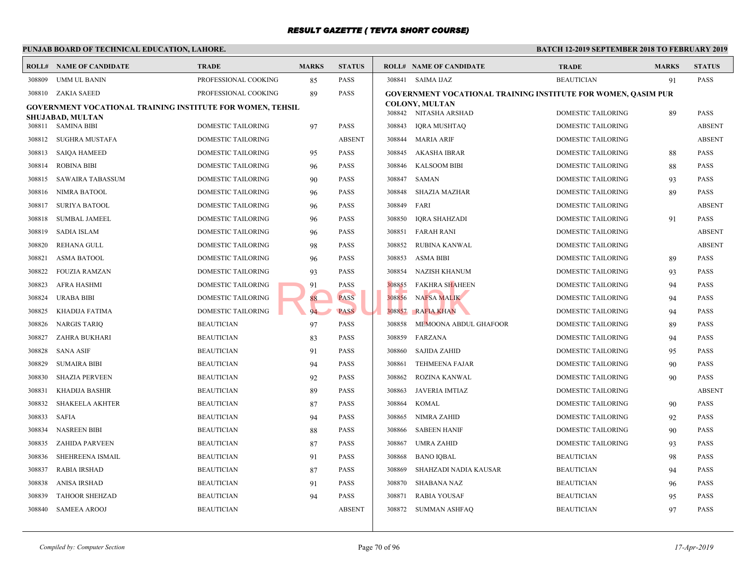#### **PUNJAB BOARD OF TECHNICAL EDUCATION, LAHORE. BATCH 12-ROLL# NAME OF CANDIDATE TRADE MARKS STATUS ROLL# NAME OF CANDIDATE TRADE MARKS STATUS** 308809 UMM UL BANIN PROFESSIONAL COOKING 85 PASS 308810 ZAKIA SAEED PROFESSIONAL COOKING 89 PASS **GOVERNMENT VOCATIONAL TRAINING INSTITUTE FOR WOMEN, TEHSIL SHUJABAD, MULTAN** 308811 SAMINA BIBI DOMESTIC TAILORING 97 PASS 308812 SUGHRA MUSTAFA DOMESTIC TAILORING ABSENT 308813 SAIQA HAMEED DOMESTIC TAILORING 95 PASS 308814 ROBINA BIBI DOMESTIC TAILORING 96 PASS 308815 SAWAIRA TABASSUM DOMESTIC TAILORING 90 PASS 308816 NIMRA BATOOL DOMESTIC TAILORING 96 PASS 308817 SURIYA BATOOL DOMESTIC TAILORING 96 PASS 308818 SUMBAL JAMEEL DOMESTIC TAILORING 96 PASS 308819 SADIA ISLAM DOMESTIC TAILORING 96 PASS 308820 REHANA GULL DOMESTIC TAILORING 98 PASS 308821 ASMA BATOOL DOMESTIC TAILORING 96 PASS 308822 FOUZIA RAMZAN DOMESTIC TAILORING 93 PASS 308823 AFRA HASHMI DOMESTIC TAILORING 91 PASS 308824 URABA BIBI DOMESTIC TAILORING 88 PASS 308825 KHADIJA FATIMA DOMESTIC TAILORING 94 PASS 308826 NARGIS TARIQ BEAUTICIAN 97 PASS 308827 ZAHRA BUKHARI BEAUTICIAN 83 PASS 308828 SANA ASIF BEAUTICIAN 91 PASS 308829 SUMAIRA BIBI BEAUTICIAN 94 PASS 308830 SHAZIA PERVEEN BEAUTICIAN 92 PASS 308831 KHADIJA BASHIR BEAUTICIAN 89 PASS 308832 SHAKEELA AKHTER BEAUTICIAN 87 PASS 308833 SAFIA BEAUTICIAN 94 PASS 308834 NASREEN BIBI BEAUTICIAN 88 PASS 308835 ZAHIDA PARVEEN BEAUTICIAN 87 PASS 308836 SHEHREENA ISMAIL BEAUTICIAN 91 PASS 308837 RABIA IRSHAD BEAUTICIAN 87 PASS 308838 ANISA IRSHAD BEAUTICIAN 91 PASS 308839 TAHOOR SHEHZAD BEAUTICIAN 94 PASS 308840 SAMEEA AROOJ BEAUTICIAN ABSENT 308841 SAIMA IJAZ BEAUT **[GOVERNMENT VOCATI](http://www.result.pk/)ONAL TRAINING INSTITUTE COLONY, MULTAN** 308842 NITASHA ARSHAD DOME 308843 IQRA MUSHTAQ DOME 308844 MARIA ARIF DOME 308845 AKASHA IBRAR DOME 308846 KALSOOM BIBI DOME 308847 SAMAN DOME 308848 SHAZIA MAZHAR DOME 308849 FARI DOME 308850 IQRA SHAHZADI DOME 308851 FARAH RANI DOME 308852 RUBINA KANWAL DOME 308853 ASMA BIBI DOME 308854 NAZISH KHANUM DOME 308855 FAKHRA SHAHEEN DOME 308856 NAFSA MALIK DOME 308857 RAFIA KHAN DOME 308858 MEMOONA ABDUL GHAFOOR DOME 308859 FARZANA DOME 308860 SAJIDA ZAHID DOME 308861 TEHMEENA FAJAR DOME 308862 ROZINA KANWAL DOME 308863 JAVERIA IMTIAZ DOME 308864 KOMAL DOME 308865 NIMRA ZAHID DOME 308866 SABEEN HANIF DOME 308867 UMRA ZAHID DOME 308868 BANO IQBAL BEAUTICIAN 98 BEAUTICIAN 98 BEAUTICIAN 98 BEAUTICIAN 98 PASSAGE 308869 SHAHZADI NADIA KAUSAR BEAUT 308870 SHABANA NAZ BEAUTICIAN 96 BEAU 308871 RABIA YOUSAF BEAUT 308872 SUMMAN ASHFAQ BEAUTICIAN 97 BEAUTICIAN 97 PASSES PASSES BEAUTICIAN 97 PASSES PASSES PASSES PASSES PASSES PART OF PASSES PART OF PASSES PART OF PASSES PART OF PASSES PART OF PASSES PART OF PASSES PART OF PASSES PART and the PASS of BARBA SHAHER SHAHER AND PASS PASS 208856 NAFSA MALIK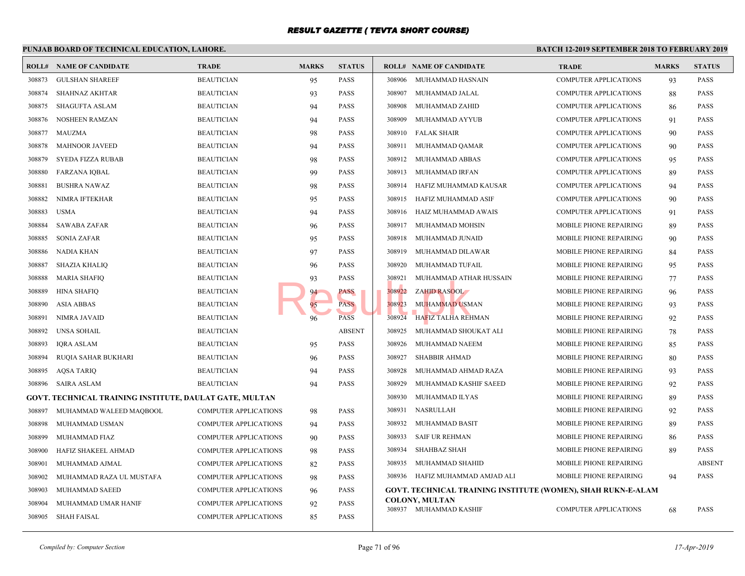#### **PUNJAB BOARD OF TECHNICAL EDUCATION, LAHORE. BATCH 12-ROLL# NAME OF CANDIDATE TRADE MARKS STATUS ROLL# NAME OF CANDIDATE TRADE MARKS STATUS** 308873 GULSHAN SHAREEF BEAUTICIAN 95 PASS 308874 SHAHNAZ AKHTAR BEAUTICIAN 93 PASS 308875 SHAGUFTA ASLAM BEAUTICIAN 94 PASS 308876 NOSHEEN RAMZAN BEAUTICIAN 94 PASS 308877 MAUZMA BEAUTICIAN 98 PASS 308878 MAHNOOR JAVEED BEAUTICIAN 94 PASS 308879 SYEDA FIZZA RUBAB BEAUTICIAN 98 PASS 308880 FARZANA IQBAL BEAUTICIAN 99 PASS 308881 BUSHRA NAWAZ BEAUTICIAN 98 PASS 308882 NIMRA IFTEKHAR BEAUTICIAN BEAUTICIAN 95 PASS 308883 USMA BEAUTICIAN 94 PASS 308884 SAWABA ZAFAR BEAUTICIAN 96 PASS 308885 SONIA ZAFAR BEAUTICIAN 95 PASS 308886 NADIA KHAN BEAUTICIAN 97 PASS 308887 SHAZIA KHALIQ BEAUTICIAN 96 PASS 308888 MARIA SHAFIQ BEAUTICIAN 93 PASS 308889 HINA SHAFIQ BEAUTICIAN BEAUTICIAN 94 PASS 308890 ASIA ABBAS BEAUTICIAN 95 PASS 308891 NIMRA JAVAID BEAUTICIAN 96 PASS 308892 UNSA SOHAIL BEAUTICIAN ABSENT 308893 IQRA ASLAM BEAUTICIAN 95 PASS 308894 RUQIA SAHAR BUKHARI BEAUTICIAN 96 PASS 308895 AQSA TARIQ BEAUTICIAN 94 PASS 308896 SAIRA ASLAM BEAUTICIAN 94 PASS **GOVT. TECHNICAL TRAINING INSTITUTE, DAULAT GATE, MULTAN** 308897 MUHAMMAD WALEED MAQBOOL COMPUTER APPLICATIONS 98 PASS 308898 MUHAMMAD USMAN COMPUTER APPLICATIONS 94 PASS 308899 MUHAMMAD FIAZ COMPUTER APPLICATIONS 90 PASS 308900 HAFIZ SHAKEEL AHMAD COMPUTER APPLICATIONS 98 PASS 308901 MUHAMMAD AJMAL COMPUTER APPLICATIONS 82 PASS 308902 MUHAMMAD RAZA UL MUSTAFA COMPUTER APPLICATIONS 98 PASS 308903 MUHAMMAD SAEED COMPUTER APPLICATIONS 96 PASS 308904 MUHAMMAD UMAR HANIF COMPUTER APPLICATIONS 92 PASS 308905 SHAH FAISAL COMPUTER APPLICATIONS 85 PASS 308906 MUHAMMAD HASNAIN COMP 308907 MUHAMMAD JALAL COMP 308908 MUHAMMAD ZAHID COMP 308909 MUHAMMAD AYYUB COMP 308910 FALAK SHAIR COMP 308911 MUHAMMAD QAMAR COMP 308912 MUHAMMAD ABBAS COMP 308913 MUHAMMAD IRFAN COMP 308914 HAFIZ MUHAMMAD KAUSAR COMP 308915 HAFIZ MUHAMMAD ASIF COMP 308916 HAIZ MUHAMMAD AWAIS COMP 308917 MUHAMMAD MOHSIN MOBIL 308918 MUHAMMAD JUNAID MOBIL 308919 MUHAMMAD DILAWAR MOBIL 308920 MUHAMMAD TUFAIL MOBIL 308921 MUHAMMAD ATHAR HUSSAIN MOBIL 308922 ZAHID RASOOL MOBILE PHONE REPAIRING 96 PASSES 308923 MUHAMMAD USMAN MOBIL 308924 HAFIZ TALHA REHMAN MOBIL 308925 MUHAMMAD SHOUKAT ALI MOBIL 308926 MUHAMMAD NAEEM MOBIL 308927 SHABBIR AHMAD MOBIL 308928 MUHAMMAD AHMAD RAZA MOBII 308929 MUHAMMAD KASHIF SAEED MOBIL 308930 MUHAMMAD ILYAS MOBIL 308931 NASRULLAH MOBIL 308932 MUHAMMAD BASIT MOBIL 308933 SAIF UR REHMAN MOBIL 308934 SHAHBAZ SHAH MOBIL 308935 MUHAMMAD SHAHID MOBIL 308936 HAFIZ MUHAMMAD AMJAD ALI MOBIL **GOVT. TECHNICAL TRAINING INSTITUTE (WOMEN) COLONY, MULTAN** 308937 MUHAMMAD KASHIF COMP 93 PASS<br>
94 PASS<br>
96 PASS<br>
96 PASS<br>
96 PASS<br>
96 PASS<br>
96 PASS<br>
96 PASS<br>
96 PASS<br>
96 PASS<br>
96 PASS<br>
96 PASS<br>
96 PASS<br>
96 PASS<br>
96 PASS<br>
96 PASS<br>
96 PASS<br>
96 PASS<br>
96 PASS<br>
96 PASS<br>
96 PASS<br>
96 PASS<br>
96 PASS<br>
96 PASS<br>
96 PAS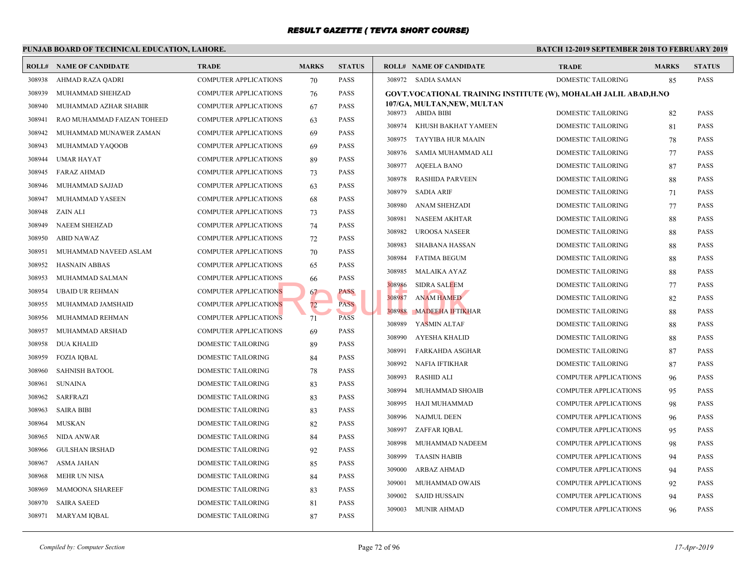| <b>BATCH 12-1</b><br>PUNJAB BOARD OF TECHNICAL EDUCATION, LAHORE. |                                |                              |              |               |                                                  |             |
|-------------------------------------------------------------------|--------------------------------|------------------------------|--------------|---------------|--------------------------------------------------|-------------|
|                                                                   | <b>ROLL# NAME OF CANDIDATE</b> | <b>TRADE</b>                 | <b>MARKS</b> | <b>STATUS</b> | <b>ROLL# NAME OF CANDIDATE</b>                   | <b>TRAL</b> |
| 308938                                                            | AHMAD RAZA QADRI               | <b>COMPUTER APPLICATIONS</b> | 70           | <b>PASS</b>   | 308972 SADIA SAMAN                               | <b>DOME</b> |
| 308939                                                            | MUHAMMAD SHEHZAD               | <b>COMPUTER APPLICATIONS</b> | 76           | <b>PASS</b>   | GOVT.VOCATIONAL TRAINING INSTITUTE (W), MOI      |             |
| 308940                                                            | MUHAMMAD AZHAR SHABIR          | <b>COMPUTER APPLICATIONS</b> | 67           | <b>PASS</b>   | 107/GA, MULTAN, NEW, MULTAN<br>308973 ABIDA BIBI | <b>DOME</b> |
| 308941                                                            | RAO MUHAMMAD FAIZAN TOHEED     | <b>COMPUTER APPLICATIONS</b> | 63           | <b>PASS</b>   | 308974                                           | <b>DOME</b> |
| 308942                                                            | MUHAMMAD MUNAWER ZAMAN         | COMPUTER APPLICATIONS        | 69           | <b>PASS</b>   | KHUSH BAKHAT YAMEEN                              |             |
| 308943                                                            | MUHAMMAD YAQOOB                | <b>COMPUTER APPLICATIONS</b> | 69           | <b>PASS</b>   | 308975<br>TAYYIBA HUR MAAIN                      | <b>DOME</b> |
| 308944                                                            | <b>UMAR HAYAT</b>              | <b>COMPUTER APPLICATIONS</b> | 89           | <b>PASS</b>   | 308976<br>SAMIA MUHAMMAD ALI                     | <b>DOME</b> |
| 308945                                                            | FARAZ AHMAD                    | <b>COMPUTER APPLICATIONS</b> | 73           | <b>PASS</b>   | 308977<br><b>AQEELA BANO</b>                     | <b>DOME</b> |
| 308946                                                            | MUHAMMAD SAJJAD                | COMPUTER APPLICATIONS        | 63           | <b>PASS</b>   | 308978<br><b>RASHIDA PARVEEN</b>                 | <b>DOME</b> |
| 308947                                                            | MUHAMMAD YASEEN                | <b>COMPUTER APPLICATIONS</b> | 68           | <b>PASS</b>   | 308979<br><b>SADIA ARIF</b>                      | <b>DOME</b> |
| 308948                                                            | ZAIN ALI                       | <b>COMPUTER APPLICATIONS</b> | 73           | <b>PASS</b>   | 308980<br><b>ANAM SHEHZADI</b>                   | <b>DOME</b> |
| 308949                                                            | <b>NAEEM SHEHZAD</b>           | <b>COMPUTER APPLICATIONS</b> | 74           | <b>PASS</b>   | 308981<br>NASEEM AKHTAR                          | <b>DOME</b> |
| 308950                                                            | <b>ABID NAWAZ</b>              | <b>COMPUTER APPLICATIONS</b> | 72           | <b>PASS</b>   | 308982<br><b>UROOSA NASEER</b>                   | <b>DOME</b> |
| 308951                                                            | MUHAMMAD NAVEED ASLAM          | <b>COMPUTER APPLICATIONS</b> | 70           | <b>PASS</b>   | 308983<br><b>SHABANA HASSAN</b>                  | <b>DOME</b> |
| 308952                                                            | <b>HASNAIN ABBAS</b>           | <b>COMPUTER APPLICATIONS</b> | 65           | <b>PASS</b>   | 308984<br><b>FATIMA BEGUM</b>                    | <b>DOME</b> |
| 308953                                                            | MUHAMMAD SALMAN                | <b>COMPUTER APPLICATIONS</b> | 66           | <b>PASS</b>   | 308985<br>MALAIKA AYAZ                           | <b>DOME</b> |
| 308954                                                            | <b>UBAID UR REHMAN</b>         | <b>COMPUTER APPLICATIONS</b> | 67           | <b>PASS</b>   | 308986<br><b>SIDRA SALEEM</b>                    | <b>DOME</b> |
| 308955                                                            | MUHAMMAD JAMSHAID              | <b>COMPUTER APPLICATIONS</b> | 72           | <b>PASS</b>   | 308987<br><b>ANAM HAMED</b>                      | <b>DOME</b> |
| 308956                                                            | MUHAMMAD REHMAN                | <b>COMPUTER APPLICATIONS</b> | 71           | <b>PASS</b>   | 308988<br><b>MADEEHA IFTIKHAR</b>                | <b>DOME</b> |
| 308957                                                            | MUHAMMAD ARSHAD                | <b>COMPUTER APPLICATIONS</b> | 69           | <b>PASS</b>   | 308989<br>YASMIN ALTAF                           | <b>DOME</b> |
| 308958                                                            | <b>DUA KHALID</b>              | DOMESTIC TAILORING           | 89           | <b>PASS</b>   | 308990<br>AYESHA KHALID                          | <b>DOME</b> |
| 308959                                                            | <b>FOZIA IQBAL</b>             | DOMESTIC TAILORING           | 84           | <b>PASS</b>   | 308991<br><b>FARKAHDA ASGHAR</b>                 | <b>DOME</b> |
| 308960                                                            | <b>SAHNISH BATOOL</b>          | DOMESTIC TAILORING           | 78           | <b>PASS</b>   | 308992<br>NAFIA IFTIKHAR                         | <b>DOME</b> |
| 308961                                                            | <b>SUNAINA</b>                 | DOMESTIC TAILORING           | 83           | <b>PASS</b>   | 308993<br><b>RASHID ALI</b>                      | <b>COMP</b> |
| 308962                                                            | SARFRAZI                       | DOMESTIC TAILORING           | 83           | <b>PASS</b>   | 308994<br>MUHAMMAD SHOAIB                        | <b>COMP</b> |
| 308963                                                            | <b>SAIRA BIBI</b>              | DOMESTIC TAILORING           | 83           | <b>PASS</b>   | 308995<br>HAJI MUHAMMAD                          | <b>COMP</b> |
| 308964                                                            | <b>MUSKAN</b>                  | DOMESTIC TAILORING           | 82           | <b>PASS</b>   | 308996<br>NAJMUL DEEN                            | <b>COMP</b> |
| 308965                                                            | NIDA ANWAR                     | DOMESTIC TAILORING           | 84           | <b>PASS</b>   | 308997<br>ZAFFAR IQBAL                           | <b>COMP</b> |
| 308966                                                            | <b>GULSHAN IRSHAD</b>          | DOMESTIC TAILORING           | 92           | <b>PASS</b>   | 308998<br>MUHAMMAD NADEEM                        | <b>COMP</b> |
| 308967                                                            | ASMA JAHAN                     | DOMESTIC TAILORING           |              | <b>PASS</b>   | 308999<br><b>TAASIN HABIB</b>                    | <b>COMP</b> |
|                                                                   | MEHR UN NISA                   | DOMESTIC TAILORING           | 85           | <b>PASS</b>   | 309000<br><b>ARBAZ AHMAD</b>                     | <b>COMP</b> |
| 308968                                                            |                                |                              | 84           |               | 309001<br>MUHAMMAD OWAIS                         | <b>COMP</b> |
| 308969                                                            | <b>MAMOONA SHAREEF</b>         | DOMESTIC TAILORING           | 83           | <b>PASS</b>   | SAJID HUSSAIN<br>309002                          | <b>COMP</b> |
| 308970                                                            | <b>SAIRA SAEED</b>             | DOMESTIC TAILORING           | 81           | <b>PASS</b>   | 309003<br>MUNIR AHMAD                            | <b>COMP</b> |
| 308971                                                            | MARYAM IQBAL                   | DOMESTIC TAILORING           | 87           | <b>PASS</b>   |                                                  |             |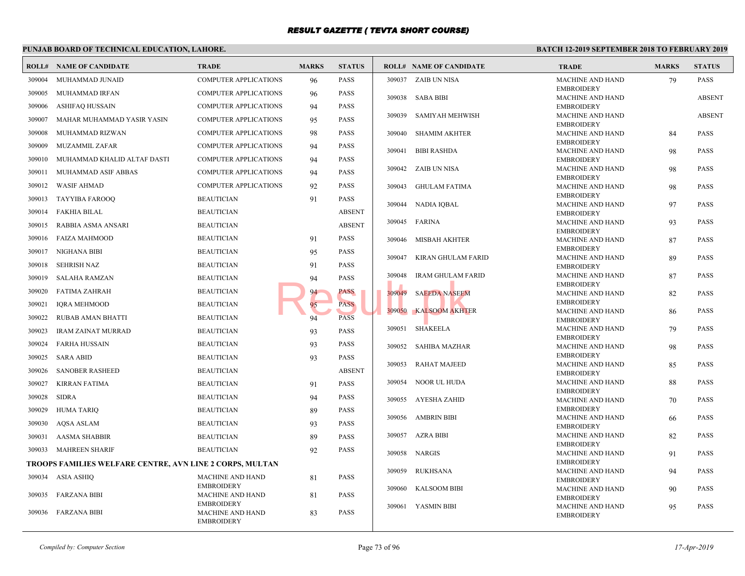|        | PUNJAB BOARD OF TECHNICAL EDUCATION, LAHORE.             |                                              |              |               |        |                                | <b>BATCH 12-</b>           |
|--------|----------------------------------------------------------|----------------------------------------------|--------------|---------------|--------|--------------------------------|----------------------------|
|        | <b>ROLL# NAME OF CANDIDATE</b>                           | <b>TRADE</b>                                 | <b>MARKS</b> | <b>STATUS</b> |        | <b>ROLL# NAME OF CANDIDATE</b> | <b>TRAI</b>                |
| 309004 | MUHAMMAD JUNAID                                          | <b>COMPUTER APPLICATIONS</b>                 | 96           | <b>PASS</b>   |        | 309037 ZAIB UN NISA            | <b>MACH</b>                |
| 309005 | MUHAMMAD IRFAN                                           | COMPUTER APPLICATIONS                        | 96           | <b>PASS</b>   |        | 309038 SABA BIBI               | <b>EMBR</b><br><b>MACH</b> |
| 309006 | ASHIFAQ HUSSAIN                                          | <b>COMPUTER APPLICATIONS</b>                 | 94           | <b>PASS</b>   |        |                                | <b>EMBR</b>                |
| 309007 | MAHAR MUHAMMAD YASIR YASIN                               | <b>COMPUTER APPLICATIONS</b>                 | 95           | <b>PASS</b>   | 309039 | SAMIYAH MEHWISH                | <b>MACH</b>                |
| 309008 | MUHAMMAD RIZWAN                                          | <b>COMPUTER APPLICATIONS</b>                 | 98           | <b>PASS</b>   | 309040 | <b>SHAMIM AKHTER</b>           | <b>EMBR</b><br><b>MACH</b> |
| 309009 | MUZAMMIL ZAFAR                                           | COMPUTER APPLICATIONS                        | 94           | PASS          |        |                                | <b>EMBR</b>                |
|        |                                                          |                                              |              |               | 309041 | <b>BIBI RASHDA</b>             | <b>MACH</b>                |
| 309010 | MUHAMMAD KHALID ALTAF DASTI                              | COMPUTER APPLICATIONS                        | 94           | PASS          | 309042 | ZAIB UN NISA                   | <b>EMBR</b><br><b>MACH</b> |
| 309011 | MUHAMMAD ASIF ABBAS                                      | COMPUTER APPLICATIONS                        | 94           | <b>PASS</b>   |        |                                | <b>EMBR</b>                |
| 309012 | <b>WASIF AHMAD</b>                                       | <b>COMPUTER APPLICATIONS</b>                 | 92           | <b>PASS</b>   | 309043 | <b>GHULAM FATIMA</b>           | <b>MACH</b><br><b>EMBR</b> |
| 309013 | TAYYIBA FAROOQ                                           | <b>BEAUTICIAN</b>                            | 91           | <b>PASS</b>   | 309044 | <b>NADIA IOBAL</b>             | <b>MACH</b>                |
| 309014 | <b>FAKHIA BILAL</b>                                      | <b>BEAUTICIAN</b>                            |              | <b>ABSENT</b> |        |                                | <b>EMBR</b>                |
| 309015 | RABBIA ASMA ANSARI                                       | <b>BEAUTICIAN</b>                            |              | <b>ABSENT</b> | 309045 | FARINA                         | <b>MACH</b><br><b>EMBR</b> |
| 309016 | <b>FAIZA MAHMOOD</b>                                     | <b>BEAUTICIAN</b>                            | 91           | <b>PASS</b>   | 309046 | MISBAH AKHTER                  | <b>MACH</b>                |
| 309017 | NIGHANA BIBI                                             | <b>BEAUTICIAN</b>                            | 95           | <b>PASS</b>   |        |                                | <b>EMBR</b>                |
| 309018 | <b>SEHRISH NAZ</b>                                       | <b>BEAUTICIAN</b>                            | 91           | <b>PASS</b>   | 309047 | KIRAN GHULAM FARID             | <b>MACH</b><br><b>EMBR</b> |
| 309019 | <b>SALAHA RAMZAN</b>                                     | <b>BEAUTICIAN</b>                            | 94           | <b>PASS</b>   | 309048 | <b>IRAM GHULAM FARID</b>       | <b>MACH</b>                |
| 309020 | <b>FATIMA ZAHRAH</b>                                     | <b>BEAUTICIAN</b>                            | 94           | PASS          | 309049 | <b>SAEEDA NASEEM</b>           | <b>EMBR</b><br>MACH        |
| 309021 | <b>IQRA MEHMOOD</b>                                      | <b>BEAUTICIAN</b>                            | 95           | <b>PASS</b>   |        |                                | <b>EMBR</b>                |
| 309022 | RUBAB AMAN BHATTI                                        | <b>BEAUTICIAN</b>                            | 94           | <b>PASS</b>   | 309050 | <b>KALSOOM AKHTER</b>          | <b>MACH</b>                |
|        |                                                          | <b>BEAUTICIAN</b>                            |              | <b>PASS</b>   | 309051 | SHAKEELA                       | <b>EMBR</b><br>MACH        |
| 309023 | <b>IRAM ZAINAT MURRAD</b>                                |                                              | 93           |               |        |                                | <b>EMBR</b>                |
| 309024 | <b>FARHA HUSSAIN</b>                                     | <b>BEAUTICIAN</b>                            | 93           | PASS          | 309052 | <b>SAHIBA MAZHAR</b>           | <b>MACH</b><br><b>EMBR</b> |
| 309025 | <b>SARA ABID</b>                                         | <b>BEAUTICIAN</b>                            | 93           | PASS          | 309053 | <b>RAHAT MAJEED</b>            | <b>MACH</b>                |
| 309026 | <b>SANOBER RASHEED</b>                                   | <b>BEAUTICIAN</b>                            |              | <b>ABSENT</b> |        |                                | <b>EMBR</b>                |
| 309027 | <b>KIRRAN FATIMA</b>                                     | <b>BEAUTICIAN</b>                            | 91           | <b>PASS</b>   | 309054 | NOOR UL HUDA                   | <b>MACH</b><br><b>EMBR</b> |
| 309028 | <b>SIDRA</b>                                             | <b>BEAUTICIAN</b>                            | 94           | <b>PASS</b>   | 309055 | AYESHA ZAHID                   | MACH                       |
| 309029 | <b>HUMA TARIO</b>                                        | <b>BEAUTICIAN</b>                            | 89           | <b>PASS</b>   |        |                                | <b>EMBR</b>                |
| 309030 | <b>AQSA ASLAM</b>                                        | <b>BEAUTICIAN</b>                            | 93           | <b>PASS</b>   | 309056 | AMBRIN BIBI                    | <b>MACH</b><br><b>EMBR</b> |
| 309031 | <b>AASMA SHABBIR</b>                                     | <b>BEAUTICIAN</b>                            | 89           | <b>PASS</b>   | 309057 | AZRA BIBI                      | <b>MACH</b>                |
| 309033 | <b>MAHREEN SHARIF</b>                                    | <b>BEAUTICIAN</b>                            | 92           | <b>PASS</b>   |        | 309058 NARGIS                  | <b>EMBR</b><br><b>MACH</b> |
|        | TROOPS FAMILIES WELFARE CENTRE, AVN LINE 2 CORPS, MULTAN |                                              |              |               |        |                                | <b>EMBR</b>                |
| 309034 | ASIA ASHIQ                                               | <b>MACHINE AND HAND</b>                      | 81           | <b>PASS</b>   | 309059 | <b>RUKHSANA</b>                | <b>MACH</b>                |
|        |                                                          | <b>EMBROIDERY</b>                            |              |               | 309060 | <b>KALSOOM BIBI</b>            | <b>EMBR</b><br><b>MACH</b> |
| 309035 | FARZANA BIBI                                             | <b>MACHINE AND HAND</b>                      | 81           | <b>PASS</b>   |        |                                | <b>EMBR</b>                |
| 309036 | FARZANA BIBI                                             | <b>EMBROIDERY</b><br><b>MACHINE AND HAND</b> | 83           | <b>PASS</b>   |        | 309061 YASMIN BIBI             | <b>MACI</b><br><b>EMBR</b> |
|        |                                                          | <b>EMBROIDERY</b>                            |              |               |        |                                |                            |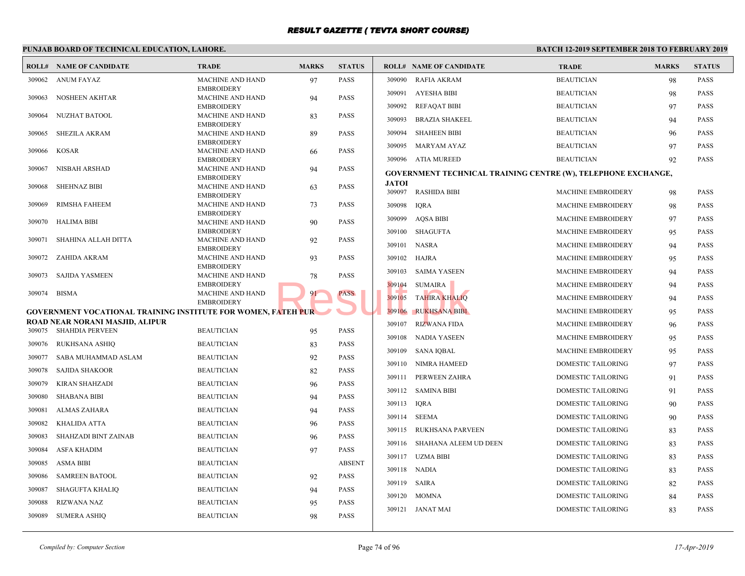#### **PUNJAB BOARD OF TECHNICAL EDUCATION, LAHORE. BATCH 12-ROLL# NAME OF CANDIDATE TRADE MARKS STATUS ROLL# NAME OF CANDIDATE TRADE MARKS STATUS** MACHINE AND HAND 97 PASS EMBROIDERY 309062 ANUM FAYAZ MACHINE AND HAND 94 PASS EMBROIDERY 309063 NOSHEEN AKHTAR MACHINE AND HAND 83 PASS **EMBROIDERY**  309064 NUZHAT BATOOL MACHINE AND HAND 89 PASS EMBROIDERY 309065 SHEZILA AKRAM MACHINE AND HAND 66 PASS EMBROIDERY 309066 KOSAR MACHINE AND HAND 94 PASS EMBROIDERY 309067 NISBAH ARSHAD MACHINE AND HAND 63 PASS EMBROIDERY 309068 SHEHNAZ BIBI MACHINE AND HAND 73 PASS EMBROIDERY 309069 RIMSHA FAHEEM MACHINE AND HAND 90 PASS EMBROIDERY 309070 HALIMA BIBI MACHINE AND HAND 92 PASS **EMBROIDERY**  309071 SHAHINA ALLAH DITTA MACHINE AND HAND 93 PASS **EMBROIDERY**  309072 ZAHIDA AKRAM MACHINE AND HAND 78 PASS EMBROIDERY 309073 SAJIDA YASMEEN MACHINE AND HAND 91 PASS EMBROIDERY 309074 BISMA **GOVERNMENT VOCATIONAL TRAINING INSTITUTE FOR WOMEN, FATEH PUR ROAD NEAR NORANI MASJID, ALIPUR** 309075 SHAHDIA PERVEEN BEAUTICIAN 95 PASS 309076 RUKHSANA ASHIQ BEAUTICIAN 83 PASS 309077 SABA MUHAMMAD ASLAM BEAUTICIAN 92 PASS 309078 SAJIDA SHAKOOR BEAUTICIAN 82 PASS 309079 KIRAN SHAHZADI BEAUTICIAN 96 PASS 309080 SHABANA BIBI BEAUTICIAN 94 PASS 309081 ALMAS ZAHARA BEAUTICIAN 94 PASS 309082 KHALIDA ATTA BEAUTICIAN 96 PASS 309083 SHAHZADI BINT ZAINAB BEAUTICIAN 96 PASS 309084 ASFA KHADIM BEAUTICIAN 97 PASS 309085 ASMA BIBI BEAUTICIAN ABSENT 309086 SAMREEN BATOOL BEAUTICIAN 92 PASS 309087 SHAGUFTA KHALIQ BEAUTICIAN 94 PASS 309088 RIZWANA NAZ BEAUTICIAN 95 PASS 309089 SUMERA ASHIQ BEAUTICIAN 98 PASS 309090 RAFIA AKRAM BEAUT 309091 AYESHA BIBI BEAUT 309092 REFAQAT BIBI BEAUTICIAN 97 BEAUTICIAN 97 PASSES BEAUTICIAN 97 PASSES BEAUTICIAN 97 PASSES BEAU 309093 BRAZIA SHAKEEL BEAUT 309094 SHAHEEN BIBI BEAUTICIAN 96 BEAUTICIAN 96 BEAUTICIAN BEAUTICIAN 96 BEAUTICIAN 96 BEAUTICIAN BEAUTICIAN 96 PASSES AND BEAUTICIAN BEAUTICIAN BEAUTICIAN BEAUTICIAN BEAUTICIAN BEAUTICIAN BEAUTICIAN BEAUTICIAN BEAUTICIAN 309095 MARYAM AYAZ BEAUT 309096 ATIA MUREED BEAUT **GOVERNMENT TECHNICAL TRAINING CENTRE (W) JATOI** 309097 RASHIDA BIBI MACH 309098 IQRA MACH 309099 AQSA BIBI MACH 309100 SHAGUFTA MACH 309101 NASRA MACH 309102 HAJRA MACH 309103 SAIMA YASEEN MACH 309104 SUMAIRA MACH 309105 TAHIRA KHALIQ MACH 309106 RUKHSANA BIBI MACH 309107 RIZWANA FIDA MACH 309108 NADIA YASEEN MACH 309109 SANA IQBAL MACH 309110 NIMRA HAMEED DOME 309111 PERWEEN ZAHRA DOME 309112 SAMINA BIBI DOME 309113 IQRA DOME 309114 SEEMA DOME 309115 RUKHSANA PARVEEN DOME 309116 SHAHANA ALEEM UD DEEN DOME 309117 UZMA BIBI DOME 309118 NADIA DOME 309119 SAIRA DOME 309120 MOMNA DOME 309121 JANAT MAI DOME FRIEH PUR PASS 109105 TAHIRA KHALIQ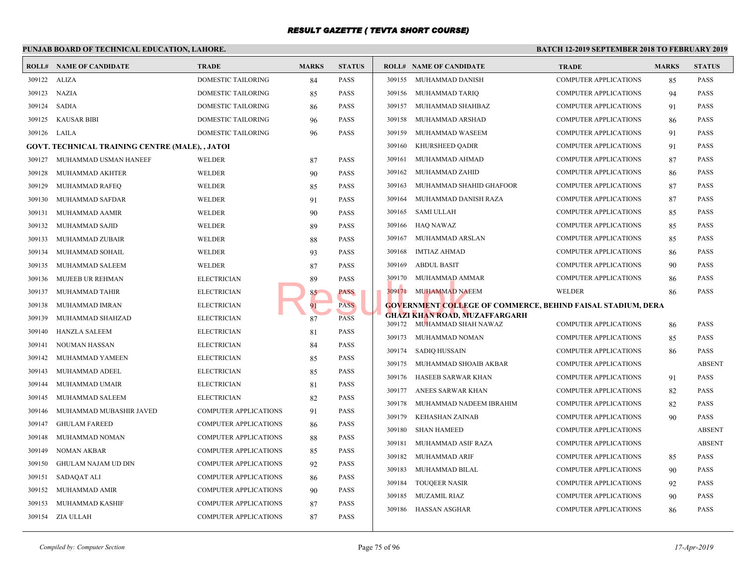#### **PUNJAB BOARD OF TECHNICAL EDUCATION, LAHORE. BATCH 12-ROLL# NAME OF CANDIDATE TRADE MARKS STATUS ROLL# NAME OF CANDIDATE TRADE MARKS STATUS** 309122 ALIZA DOMESTIC TAILORING 84 PASS 309123 NAZIA DOMESTIC TAILORING 85 PASS 309124 SADIA DOMESTIC TAILORING 86 PASS 309125 KAUSAR BIBI DOMESTIC TAILORING 96 PASS 309126 LAILA DOMESTIC TAILORING 96 PASS **GOVT. TECHNICAL TRAINING CENTRE (MALE), , JATOI** 309127 MUHAMMAD USMAN HANEEF WELDER 87 PASS 309128 MUHAMMAD AKHTER WELDER 90 PASS 309129 MUHAMMAD RAFEQ WELDER 85 PASS 309130 MUHAMMAD SAFDAR WELDER 91 PASS 309131 MUHAMMAD AAMIR WELDER 90 PASS 309132 MUHAMMAD SAJID WELDER 89 PASS 309133 MUHAMMAD ZUBAIR WELDER 88 PASS 309134 MUHAMMAD SOHAIL WELDER 93 PASS 309135 MUHAMMAD SALEEM WELDER 87 PASS 309136 MUJEEB UR REHMAN ELECTRICIAN 89 PASS 309137 MUHAMMAD TAHIR ELECTRICIAN 85 PASS 309138 MUHAMMAD IMRAN ELECTRICIAN 91 PASS 309139 MUHAMMAD SHAHZAD ELECTRICIAN 587 PASS 309140 HANZLA SALEEM ELECTRICIAN 81 PASS 309141 NOUMAN HASSAN ELECTRICIAN 84 PASS 309142 MUHAMMAD YAMEEN ELECTRICIAN 85 PASS 309143 MUHAMMAD ADEEL ELECTRICIAN 85 PASS 309144 MUHAMMAD UMAIR ELECTRICIAN 81 PASS 309145 MUHAMMAD SALEEM ELECTRICIAN 82 PASS 309146 MUHAMMAD MUBASHIR JAVED COMPUTER APPLICATIONS 91 PASS 309147 GHULAM FAREED COMPUTER APPLICATIONS 86 PASS 309148 MUHAMMAD NOMAN COMPUTER APPLICATIONS 88 PASS 309149 NOMAN AKBAR COMPUTER APPLICATIONS 85 PASS 309150 GHULAM NAJAM UD DIN COMPUTER APPLICATIONS 92 PASS 309151 SADAQAT ALI COMPUTER APPLICATIONS 86 PASS 309152 MUHAMMAD AMIR COMPUTER APPLICATIONS 90 PASS 309153 MUHAMMAD KASHIF COMPUTER APPLICATIONS 87 PASS 309154 ZIA ULLAH COMPUTER APPLICATIONS 87 PASS 309155 MUHAMMAD DANISH COMP 309156 MUHAMMAD TARIQ COMP 309157 MUHAMMAD SHAHBAZ COMP 309158 MUHAMMAD ARSHAD COMP 309159 MUHAMMAD WASEEM COMP 309160 KHURSHEED QADIR COMP 309161 MUHAMMAD AHMAD COMP 309162 MUHAMMAD ZAHID COMP 309163 MUHAMMAD SHAHID GHAFOOR COMP 309164 MUHAMMAD DANISH RAZA COMP 309165 SAMI ULLAH COMP 309166 HAQ NAWAZ COMP 309167 MUHAMMAD ARSLAN COMP 309168 IMTIAZ AHMAD COMP 309169 ABDUL BASIT COMP 309170 MUHAMMAD AMMAR COMP 309171 MUHAMMAD NAEEM WELD **GOVERNMENT COLLEGE OF COMMERCE, BEHIND GHAZI KHAN ROAD, MUZAFFARGARH** 309172 MUHAMMAD SHAH NAWAZ COMP 309173 MUHAMMAD NOMAN COMP 309174 SADIQ HUSSAIN COMP 309175 MUHAMMAD SHOAIB AKBAR COMP 309176 HASEEB SARWAR KHAN COMP 309177 ANEES SARWAR KHAN COMP 309178 MUHAMMAD NADEEM IBRAHIM COMP 309179 KEHASHAN ZAINAB COMP 309180 SHAN HAMEED COMP 309181 MUHAMMAD ASIF RAZA COMP 309182 MUHAMMAD ARIF COMP 309183 MUHAMMAD BILAL COMP 309184 TOUQEER NASIR COMP 309185 MUZAMIL RIAZ COMP 309186 HASSAN ASGHAR COMP **EXECUTED MORE AND AND AND AND AND AND AND SIGNAL MORE AND AND AND SIGNAL MORE AND AND AND SIGNAL MORE AND AND SIGNAL MORE AND AND SIGNAL MORE AND AND AND SIGNAL MORE AND AND AND SIGNAL MORE AND AND AND AND AND AND AND AND**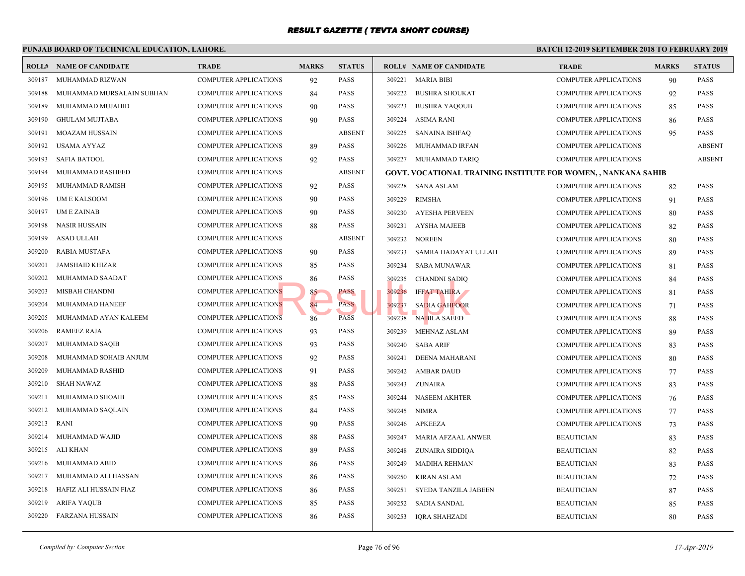|        | PUNJAB BOARD OF TECHNICAL EDUCATION, LAHORE. |                              |              |               |        |        |                                                   | <b>BATCH 12-2</b> |
|--------|----------------------------------------------|------------------------------|--------------|---------------|--------|--------|---------------------------------------------------|-------------------|
|        | <b>ROLL# NAME OF CANDIDATE</b>               | <b>TRADE</b>                 | <b>MARKS</b> | <b>STATUS</b> |        |        | <b>ROLL# NAME OF CANDIDATE</b>                    | <b>TRAL</b>       |
| 309187 | MUHAMMAD RIZWAN                              | <b>COMPUTER APPLICATIONS</b> | 92           | <b>PASS</b>   | 309221 |        | <b>MARIA BIBI</b>                                 | COMP              |
| 309188 | MUHAMMAD MURSALAIN SUBHAN                    | <b>COMPUTER APPLICATIONS</b> | 84           | <b>PASS</b>   | 309222 |        | <b>BUSHRA SHOUKAT</b>                             | <b>COMP</b>       |
| 309189 | MUHAMMAD MUJAHID                             | <b>COMPUTER APPLICATIONS</b> | 90           | <b>PASS</b>   | 309223 |        | <b>BUSHRA YAQOUB</b>                              | <b>COMP</b>       |
| 309190 | <b>GHULAM MUJTABA</b>                        | <b>COMPUTER APPLICATIONS</b> | 90           | <b>PASS</b>   | 309224 |        | ASIMA RANI                                        | <b>COMP</b>       |
| 309191 | <b>MOAZAM HUSSAIN</b>                        | <b>COMPUTER APPLICATIONS</b> |              | <b>ABSENT</b> |        | 309225 | SANAINA ISHFAQ                                    | <b>COMP</b>       |
| 309192 | <b>USAMA AYYAZ</b>                           | COMPUTER APPLICATIONS        | 89           | <b>PASS</b>   |        | 309226 | MUHAMMAD IRFAN                                    | <b>COMP</b>       |
| 309193 | <b>SAFIA BATOOL</b>                          | <b>COMPUTER APPLICATIONS</b> | 92           | <b>PASS</b>   |        | 309227 | MUHAMMAD TARIQ                                    | <b>COMP</b>       |
| 309194 | MUHAMMAD RASHEED                             | <b>COMPUTER APPLICATIONS</b> |              | <b>ABSENT</b> |        |        | <b>GOVT. VOCATIONAL TRAINING INSTITUTE FOR WO</b> |                   |
| 309195 | MUHAMMAD RAMISH                              | <b>COMPUTER APPLICATIONS</b> | 92           | <b>PASS</b>   |        | 309228 | SANA ASLAM                                        | <b>COMP</b>       |
| 309196 | UM E KALSOOM                                 | <b>COMPUTER APPLICATIONS</b> | 90           | <b>PASS</b>   | 309229 |        | <b>RIMSHA</b>                                     | <b>COMP</b>       |
| 309197 | <b>UMEZAINAB</b>                             | COMPUTER APPLICATIONS        | 90           | <b>PASS</b>   |        | 309230 | AYESHA PERVEEN                                    | <b>COMP</b>       |
| 309198 | NASIR HUSSAIN                                | COMPUTER APPLICATIONS        | 88           | PASS          | 309231 |        | AYSHA MAJEEB                                      | <b>COMP</b>       |
| 309199 | ASAD ULLAH                                   | COMPUTER APPLICATIONS        |              | <b>ABSENT</b> |        | 309232 | <b>NOREEN</b>                                     | <b>COMP</b>       |
| 309200 | RABIA MUSTAFA                                | <b>COMPUTER APPLICATIONS</b> | 90           | <b>PASS</b>   |        | 309233 | SAMRA HADAYAT ULLAH                               | <b>COMP</b>       |
| 309201 | <b>JAMSHAID KHIZAR</b>                       | <b>COMPUTER APPLICATIONS</b> | 85           | <b>PASS</b>   | 309234 |        | <b>SABA MUNAWAR</b>                               | COMP              |
| 309202 | MUHAMMAD SAADAT                              | <b>COMPUTER APPLICATIONS</b> | 86           | <b>PASS</b>   |        | 309235 | <b>CHANDNI SADIQ</b>                              | <b>COMP</b>       |
| 309203 | MISBAH CHANDNI                               | <b>COMPUTER APPLICATIONS</b> | 85           | PASS          |        | 309236 | <b>IFFAT TAHIRA</b>                               | <b>COMP</b>       |
| 309204 | MUHAMMAD HANEEF                              | <b>COMPUTER APPLICATIONS</b> | 84           | PASS          |        | 309237 | <b>SADIA GAHFOOR</b>                              | <b>COMP</b>       |
| 309205 | MUHAMMAD AYAN KALEEM                         | COMPUTER APPLICATIONS        | 86           | <b>PASS</b>   |        | 309238 | <b>NABILA SAEED</b>                               | <b>COMP</b>       |
| 309206 | <b>RAMEEZ RAJA</b>                           | <b>COMPUTER APPLICATIONS</b> | 93           | <b>PASS</b>   | 309239 |        | <b>MEHNAZ ASLAM</b>                               | <b>COMP</b>       |
| 309207 | MUHAMMAD SAQIB                               | <b>COMPUTER APPLICATIONS</b> | 93           | PASS          | 309240 |        | <b>SABA ARIF</b>                                  | <b>COMP</b>       |
| 309208 | MUHAMMAD SOHAIB ANJUM                        | <b>COMPUTER APPLICATIONS</b> | 92           | <b>PASS</b>   | 309241 |        | DEENA MAHARANI                                    | <b>COMP</b>       |
| 309209 | MUHAMMAD RASHID                              | <b>COMPUTER APPLICATIONS</b> | 91           | <b>PASS</b>   |        | 309242 | AMBAR DAUD                                        | <b>COMP</b>       |
| 309210 | <b>SHAH NAWAZ</b>                            | <b>COMPUTER APPLICATIONS</b> | 88           | <b>PASS</b>   |        | 309243 | <b>ZUNAIRA</b>                                    | <b>COMP</b>       |
| 309211 | MUHAMMAD SHOAIB                              | <b>COMPUTER APPLICATIONS</b> | 85           | <b>PASS</b>   |        | 309244 | <b>NASEEM AKHTER</b>                              | <b>COMP</b>       |
| 309212 | MUHAMMAD SAQLAIN                             | COMPUTER APPLICATIONS        | 84           | <b>PASS</b>   |        | 309245 | <b>NIMRA</b>                                      | <b>COMP</b>       |
| 309213 | <b>RANI</b>                                  | COMPUTER APPLICATIONS        | 90           | <b>PASS</b>   |        | 309246 | <b>APKEEZA</b>                                    | <b>COMP</b>       |
| 309214 | MUHAMMAD WAJID                               | COMPUTER APPLICATIONS        | 88           | <b>PASS</b>   |        | 309247 | MARIA AFZAAL ANWER                                | <b>BEAU</b>       |
| 309215 | ALI KHAN                                     | <b>COMPUTER APPLICATIONS</b> | 89           | <b>PASS</b>   |        | 309248 | ZUNAIRA SIDDIQA                                   | <b>BEAU</b>       |
| 309216 | MUHAMMAD ABID                                | <b>COMPUTER APPLICATIONS</b> | 86           | <b>PASS</b>   | 309249 |        | MADIHA REHMAN                                     | <b>BEAU</b>       |
| 309217 | MUHAMMAD ALI HASSAN                          | <b>COMPUTER APPLICATIONS</b> | 86           | <b>PASS</b>   | 309250 |        | <b>KIRAN ASLAM</b>                                | <b>BEAU</b>       |
| 309218 | HAFIZ ALI HUSSAIN FIAZ                       | <b>COMPUTER APPLICATIONS</b> | 86           | <b>PASS</b>   | 309251 |        | SYEDA TANZILA JABEEN                              | <b>BEAU</b>       |
| 309219 | <b>ARIFA YAQUB</b>                           | COMPUTER APPLICATIONS        | 85           | <b>PASS</b>   |        | 309252 | <b>SADIA SANDAL</b>                               | <b>BEAU</b>       |
| 309220 | FARZANA HUSSAIN                              | <b>COMPUTER APPLICATIONS</b> | 86           | <b>PASS</b>   |        | 309253 | IQRA SHAHZADI                                     | <b>BEAU</b>       |
|        |                                              |                              |              |               |        |        |                                                   |                   |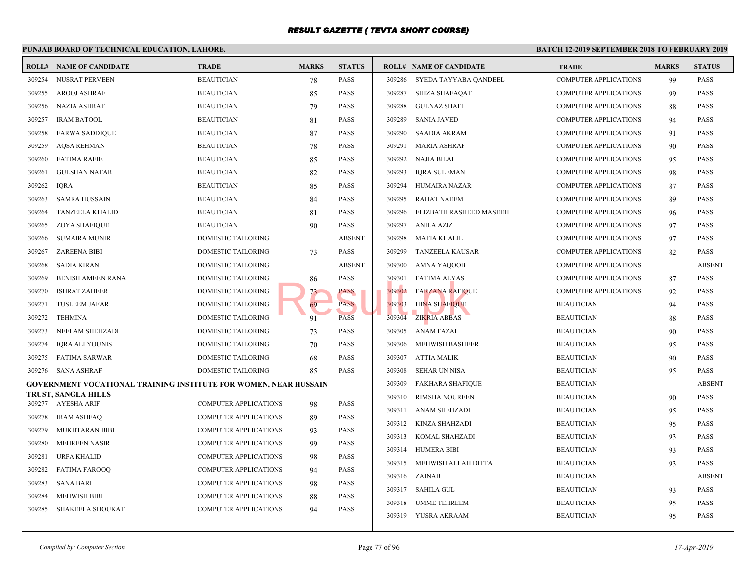#### **PUNJAB BOARD OF TECHNICAL EDUCATION, LAHORE. BATCH 12-ROLL# NAME OF CANDIDATE TRADE MARKS STATUS ROLL# NAME OF CANDIDATE TRADE MARKS STATUS** 309254 NUSRAT PERVEEN BEAUTICIAN 78 PASS 309255 AROOJ ASHRAF BEAUTICIAN 85 PASS 309256 NAZIA ASHRAF BEAUTICIAN 79 PASS 309257 IRAM BATOOL BEAUTICIAN 81 PASS 309258 FARWA SADDIQUE BEAUTICIAN 87 PASS 309259 AQSA REHMAN BEAUTICIAN 78 PASS 309260 FATIMA RAFIE BEAUTICIAN 85 PASS 309261 GULSHAN NAFAR BEAUTICIAN 82 PASS 309262 IQRA BEAUTICIAN 85 PASS 309263 SAMRA HUSSAIN BEAUTICIAN 84 PASS 309264 TANZEELA KHALID BEAUTICIAN 81 PASS 309265 ZOYA SHAFIQUE BEAUTICIAN 90 PASS 309266 SUMAIRA MUNIR DOMESTIC TAILORING ABSENT 309267 ZAREENA BIBI DOMESTIC TAILORING 73 PASS 309268 SADIA KIRAN DOMESTIC TAILORING ABSENT 309269 BENISH AMEEN RANA DOMESTIC TAILORING 266 PASS 309270 ISHRAT ZAHEER DOMESTIC TAILORING 73 PASS 309271 TUSLEEM JAFAR DOMESTIC TAILORING 69 PASS 309272 TEHMINA DOMESTIC TAILORING 91 PASS 309273 NEELAM SHEHZADI DOMESTIC TAILORING 73 PASS 309274 IQRA ALI YOUNIS DOMESTIC TAILORING 70 PASS 309275 FATIMA SARWAR DOMESTIC TAILORING 68 PASS 309276 SANA ASHRAF DOMESTIC TAILORING 85 PASS **GOVERNMENT VOCATIONAL TRAINING INSTITUTE FOR WOMEN, NEAR HUSSAIN TRUST, SANGLA HILLS** 309277 AYESHA ARIF COMPUTER APPLICATIONS 98 PASS 309278 IRAM ASHFAQ COMPUTER APPLICATIONS 89 PASS 309279 MUKHTARAN BIBI COMPUTER APPLICATIONS 93 PASS 309280 MEHREEN NASIR COMPUTER APPLICATIONS 99 PASS 309281 URFA KHALID COMPUTER APPLICATIONS 98 PASS 309282 FATIMA FAROOQ COMPUTER APPLICATIONS 94 PASS 309283 SANA BARI COMPUTER APPLICATIONS 98 PASS 309284 MEHWISH BIBI COMPUTER APPLICATIONS 88 PASS 309285 SHAKEELA SHOUKAT COMPUTER APPLICATIONS 94 PASS 309286 SYEDA TAYYABA QANDEEL COMP 309287 SHIZA SHAFAQAT COMP 309288 GULNAZ SHAFI COMP 309289 SANIA JAVED COMP 309290 SAADIA AKRAM COMP 309291 MARIA ASHRAF COMP 309292 NAJIA BILAL COMP 309293 IQRA SULEMAN COMP 309294 HUMAIRA NAZAR COMP 309295 RAHAT NAEEM COMP 309296 ELIZBATH RASHEED MASEEH COMP 309297 ANILA AZIZ COMP 309298 MAFIA KHALIL COMP 309299 TANZEELA KAUSAR COMP 309300 AMNA YAQOOB COMP 309301 FATIMA ALYAS COMP 309302 FARZANA RAFIQUE COMP 309303 HINA SHAFIQUE BEAUTICIAN BEAUTICIAN BEAUTICIAN BEAUTICIAN BEAUTICIAN BEAUTICIAN BEAUTICIAN BEAUTICIAN BEAU 309304 ZIKRIA ABBAS BEAUTICIAN BEAUTICIAN BEAUTICIAN BEAUTICIAN BEAUTICIAN BEAUTICIAN BEAUTICIAN BEAUTICIAN BEAU 309305 ANAM FAZAL BEAUTICIAN 90 BEAU 309306 MEHWISH BASHEER BEAUT 309307 ATTIA MALIK BEAUT 309308 SEHAR UN NISA BEAUTICIAN 95 BEAU 309309 FAKHARA SHAFIQUE BEAUTICIAN BEAUTICIAN ABSENT 309310 RIMSHA NOUREEN BEAUT 309311 ANAM SHEHZADI BEAUT 309312 KINZA SHAHZADI BEAUTICIAN 95 BEAU 309313 KOMAL SHAHZADI BEAUT 309314 HUMERA BIBI BEAUTICIAN 93 309315 MEHWISH ALLAH DITTA BEAUT 309316 ZAINAB BEAUT 309317 SAHILA GUL BEAUTICIAN 93 309318 UMME TEHREEM BEAUT 309319 YUSRA AKRAAM BEAUT 86 PASS<br>
73 PASS<br>
91 PASS<br>
89 PASS<br>
91 PASS<br>
809303 HINA SHAFIQUE<br>
309303 HINA SHAFIQUE<br>
21KRIA ABBAS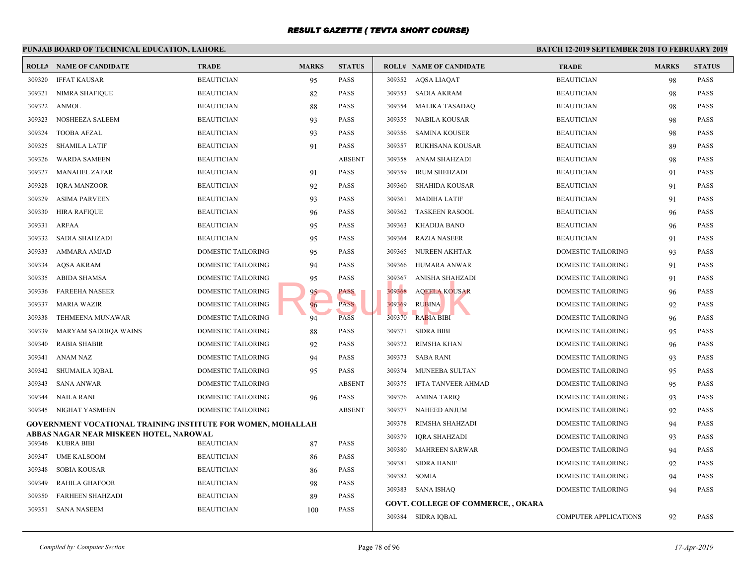#### **PUNJAB BOARD OF TECHNICAL EDUCATION, LAHORE. BATCH 12-ROLL# NAME OF CANDIDATE TRADE MARKS STATUS ROLL# NAME OF CANDIDATE TRADE MARKS STATUS** 309320 IFFAT KAUSAR BEAUTICIAN 95 PASS 309321 NIMRA SHAFIQUE BEAUTICIAN 82 PASS 309322 ANMOL BEAUTICIAN 88 PASS 309323 NOSHEEZA SALEEM BEAUTICIAN 93 PASS 309324 TOOBA AFZAL BEAUTICIAN 93 PASS 309325 SHAMILA LATIF BEAUTICIAN 91 PASS 309326 WARDA SAMEEN BEAUTICIAN ABSENT 309327 MANAHEL ZAFAR BEAUTICIAN 91 PASS 309328 IQRA MANZOOR BEAUTICIAN 92 PASS 309329 ASIMA PARVEEN BEAUTICIAN 93 PASS 309330 HIRA RAFIQUE BEAUTICIAN 96 PASS 309331 ARFAA BEAUTICIAN 95 PASS 309332 SADIA SHAHZADI BEAUTICIAN 95 PASS 309333 AMMARA AMJAD DOMESTIC TAILORING 95 PASS 309334 AQSA AKRAM DOMESTIC TAILORING 94 PASS 309335 ABIDA SHAMSA DOMESTIC TAILORING 95 PASS 309336 FAREEHA NASEER DOMESTIC TAILORING 95 PASS 309337 MARIA WAZIR DOMESTIC TAILORING 96 PASS 309338 TEHMEENA MUNAWAR DOMESTIC TAILORING 94 PASS 309339 MARYAM SADDIQA WAINS DOMESTIC TAILORING 88 PASS 309340 RABIA SHABIR DOMESTIC TAILORING 92 PASS 309341 ANAM NAZ DOMESTIC TAILORING 94 PASS 309342 SHUMAILA IQBAL DOMESTIC TAILORING 95 PASS 309343 SANA ANWAR DOMESTIC TAILORING ABSENT 309344 NAILA RANI DOMESTIC TAILORING 96 PASS 309345 NIGHAT YASMEEN DOMESTIC TAILORING ABSENT **GOVERNMENT VOCATIONAL TRAINING INSTITUTE FOR WOMEN, MOHALLAH ABBAS NAGAR NEAR MISKEEN HOTEL, NAROWAL** 309346 KUBRA BIBI BEAUTICIAN 87 PASS 309347 UME KALSOOM BEAUTICIAN 86 PASS 309348 SOBIA KOUSAR BEAUTICIAN 86 PASS 309349 RAHILA GHAFOOR BEAUTICIAN 98 PASS 309350 FARHEEN SHAHZADI BEAUTICIAN 89 PASS 309351 SANA NASEEM BEAUTICIAN 100 PASS 309352 AQSA LIAQAT BEAU 309353 SADIA AKRAM BEAUT 309354 MALIKA TASADAQ BEAUT 309355 NABILA KOUSAR BEAUT 309356 SAMINA KOUSER BEAUTICIAN 98 309357 RUKHSANA KOUSAR BEAUT 309358 ANAM SHAHZADI BEAUT 309359 IRUM SHEHZADI BEAUTICIAN BEAUTICIAN BEAUTICIAN BEAUTICIAN BEAUTICIAN BEAU 309360 SHAHIDA KOUSAR BEAUT 309361 MADIHA LATIF BEAUT 309362 TASKEEN RASOOL BEAUT 309363 KHADIJA BANO BEAUT 309364 RAZIA NASEER BEAUT 309365 NUREEN AKHTAR DOME 309366 HUMARA ANWAR DOME 309367 ANISHA SHAHZADI DOME 309368 AQEELA KOUSAR DOME 309369 RUBINA DOME  $309370$  RABIA BIBI DOME 309371 SIDRA BIBI DOME 309372 RIMSHA KHAN DOME 309373 SABA RANI DOME 309374 MUNEEBA SULTAN DOME 309375 IFTA TANVEER AHMAD DOME 309376 AMINA TARIQ DOME 309377 NAHEED ANJUM DOME 309378 RIMSHA SHAHZADI DOME 309379 IQRA SHAHZADI DOME 309380 MAHREEN SARWAR DOME 309381 SIDRA HANIF DOME 309382 SOMIA DOME 309383 SANA ISHAQ DOME **GOVT. COLLEGE OF COMMERCE, , OKARA** 309384 SIDRA IQBAL COMP 95 PASS<br>
95 PASS<br>
96 PASS<br>
94 PASS<br>
97 PASS<br>
97 PASS<br>
97 PASS<br>
97 PASS<br>
97 PASS<br>
97 PASS<br>
97 PASS<br>
97 PASS<br>
97 RABIA BIBINA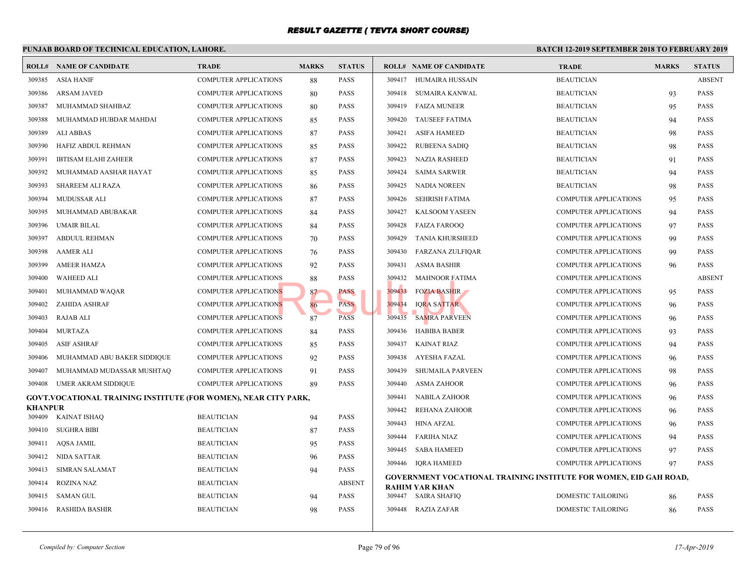|                | PUNJAB BOARD OF TECHNICAL EDUCATION, LAHORE.                           |                              | <b>BATCH 12-1</b> |               |        |                                                 |             |
|----------------|------------------------------------------------------------------------|------------------------------|-------------------|---------------|--------|-------------------------------------------------|-------------|
|                | <b>ROLL# NAME OF CANDIDATE</b>                                         | <b>TRADE</b>                 | <b>MARKS</b>      | <b>STATUS</b> |        | <b>ROLL# NAME OF CANDIDATE</b>                  | <b>TRAL</b> |
| 309385         | <b>ASIA HANIF</b>                                                      | <b>COMPUTER APPLICATIONS</b> | 88                | PASS          |        | 309417 HUMAIRA HUSSAIN                          | <b>BEAU</b> |
| 309386         | <b>ARSAM JAVED</b>                                                     | <b>COMPUTER APPLICATIONS</b> | 80                | PASS          | 309418 | SUMAIRA KANWAL                                  | <b>BEAU</b> |
| 309387         | MUHAMMAD SHAHBAZ                                                       | <b>COMPUTER APPLICATIONS</b> | 80                | PASS          | 309419 | <b>FAIZA MUNEER</b>                             | <b>BEAU</b> |
| 309388         | MUHAMMAD HUBDAR MAHDAI                                                 | <b>COMPUTER APPLICATIONS</b> | 85                | PASS          | 309420 | <b>TAUSEEF FATIMA</b>                           | <b>BEAU</b> |
| 309389         | ALI ABBAS                                                              | <b>COMPUTER APPLICATIONS</b> | 87                | PASS          | 309421 | <b>ASIFA HAMEED</b>                             | <b>BEAU</b> |
| 309390         | HAFIZ ABDUL REHMAN                                                     | <b>COMPUTER APPLICATIONS</b> | 85                | PASS          | 309422 | <b>RUBEENA SADIQ</b>                            | <b>BEAU</b> |
| 309391         | <b>IBTISAM ELAHI ZAHEER</b>                                            | <b>COMPUTER APPLICATIONS</b> | 87                | PASS          | 309423 | <b>NAZIA RASHEED</b>                            | <b>BEAU</b> |
| 309392         | MUHAMMAD AASHAR HAYAT                                                  | <b>COMPUTER APPLICATIONS</b> | 85                | PASS          | 309424 | <b>SAIMA SARWER</b>                             | <b>BEAU</b> |
| 309393         | SHAREEM ALI RAZA                                                       | <b>COMPUTER APPLICATIONS</b> | 86                | PASS          | 309425 | <b>NADIA NOREEN</b>                             | <b>BEAU</b> |
| 309394         | MUDUSSAR ALI                                                           | <b>COMPUTER APPLICATIONS</b> | 87                | PASS          | 309426 | <b>SEHRISH FATIMA</b>                           | <b>COMP</b> |
| 309395         | MUHAMMAD ABUBAKAR                                                      | <b>COMPUTER APPLICATIONS</b> | 84                | PASS          | 309427 | <b>KALSOOM YASEEN</b>                           | <b>COMP</b> |
| 309396         | <b>UMAIR BILAL</b>                                                     | <b>COMPUTER APPLICATIONS</b> | 84                | PASS          | 309428 | <b>FAIZA FAROOQ</b>                             | <b>COMP</b> |
| 309397         | ABDUUL REHMAN                                                          | <b>COMPUTER APPLICATIONS</b> | 70                | PASS          | 309429 | <b>TANIA KHURSHEED</b>                          | <b>COMP</b> |
| 309398         | <b>AAMER ALI</b>                                                       | <b>COMPUTER APPLICATIONS</b> | 76                | PASS          | 309430 | <b>FARZANA ZULFIQAR</b>                         | <b>COMP</b> |
| 309399         | <b>AMEER HAMZA</b>                                                     | <b>COMPUTER APPLICATIONS</b> | 92                | PASS          | 309431 | ASMA BASHIR                                     | <b>COMP</b> |
| 309400         | <b>WAHEED ALI</b>                                                      | <b>COMPUTER APPLICATIONS</b> | 88                | PASS          | 309432 | <b>MAHNOOR FATIMA</b>                           | <b>COMP</b> |
| 309401         | MUHAMMAD WAQAR                                                         | <b>COMPUTER APPLICATIONS</b> | 87                | PASS          | 309433 | <b>FOZIA BASHIR</b>                             | <b>COMP</b> |
| 309402         | ZAHIDA ASHRAF                                                          | <b>COMPUTER APPLICATIONS</b> | 86                | <b>PASS</b>   | 309434 | <b>IORA SATTAR</b>                              | <b>COMP</b> |
| 309403         | RAJAB ALI                                                              | <b>COMPUTER APPLICATIONS</b> | 87                | <b>PASS</b>   | 309435 | <b>SAMRA PARVEEN</b>                            | <b>COMP</b> |
| 309404         | <b>MURTAZA</b>                                                         | <b>COMPUTER APPLICATIONS</b> | 84                | PASS          | 309436 | <b>HABIBA BABER</b>                             | <b>COMP</b> |
| 309405         | <b>ASIF ASHRAF</b>                                                     | COMPUTER APPLICATIONS        | 85                | PASS          | 309437 | <b>KAINAT RIAZ</b>                              | <b>COMP</b> |
| 309406         | MUHAMMAD ABU BAKER SIDDIQUE                                            | <b>COMPUTER APPLICATIONS</b> | 92                | PASS          | 309438 | AYESHA FAZAL                                    | <b>COMP</b> |
| 309407         | MUHAMMAD MUDASSAR MUSHTAQ                                              | <b>COMPUTER APPLICATIONS</b> | 91                | PASS          | 309439 | <b>SHUMAILA PARVEEN</b>                         | <b>COMP</b> |
| 309408         | UMER AKRAM SIDDIQUE                                                    | <b>COMPUTER APPLICATIONS</b> | 89                | PASS          | 309440 | <b>ASMA ZAHOOR</b>                              | <b>COMP</b> |
|                | <b>GOVT.VOCATIONAL TRAINING INSTITUTE (FOR WOMEN), NEAR CITY PARK,</b> |                              |                   |               | 309441 | <b>NABILA ZAHOOR</b>                            | <b>COMP</b> |
| <b>KHANPUR</b> |                                                                        |                              |                   |               | 309442 | <b>REHANA ZAHOOR</b>                            | <b>COMP</b> |
|                | 309409 KAINAT ISHAQ                                                    | <b>BEAUTICIAN</b>            | 94                | PASS          | 309443 | <b>HINA AFZAL</b>                               | <b>COMP</b> |
| 309410         | <b>SUGHRA BIBI</b>                                                     | <b>BEAUTICIAN</b>            | 87                | PASS          | 309444 | <b>FARIHA NIAZ</b>                              | <b>COMP</b> |
| 309411         | AQSA JAMIL                                                             | <b>BEAUTICIAN</b>            | 95                | PASS          | 309445 | SABA HAMEED                                     | <b>COMP</b> |
|                | 309412 NIDA SATTAR                                                     | <b>BEAUTICIAN</b>            | 96                | PASS          |        | 309446 IQRA HAMEED                              | <b>COMP</b> |
| 309413         | <b>SIMRAN SALAMAT</b>                                                  | <b>BEAUTICIAN</b>            | 94                | PASS          |        | <b>GOVERNMENT VOCATIONAL TRAINING INSTITUTE</b> |             |
| 309414         | <b>ROZINA NAZ</b>                                                      | <b>BEAUTICIAN</b>            |                   | <b>ABSENT</b> |        | RAHIM YAR KHAN                                  |             |
| 309415         | SAMAN GUL                                                              | <b>BEAUTICIAN</b>            | 94                | PASS          |        | 309447 SAIRA SHAFIQ                             | <b>DOME</b> |
| 309416         | <b>RASHIDA BASHIR</b>                                                  | <b>BEAUTICIAN</b>            | 98                | PASS          |        | 309448 RAZIA ZAFAR                              | <b>DOME</b> |
|                |                                                                        |                              |                   |               |        |                                                 |             |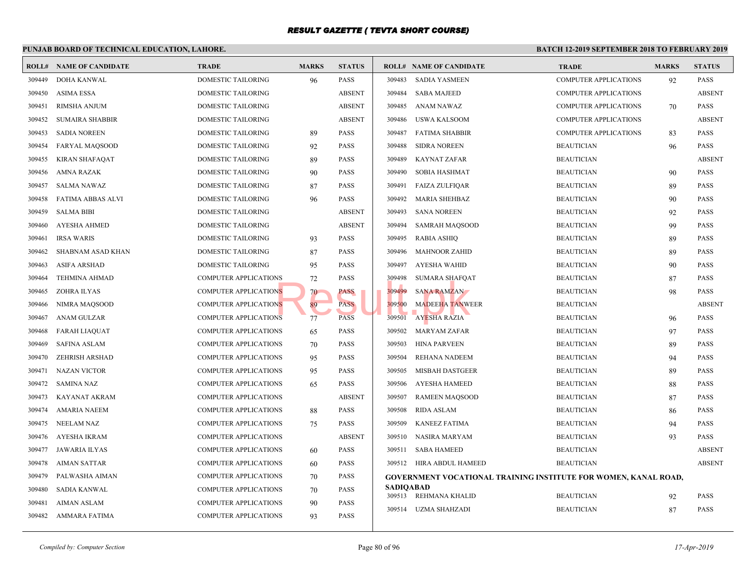|        | PUNJAB BOARD OF TECHNICAL EDUCATION, LAHORE. |                              |              |               |                  |                                                 | <b>BATCH 12-</b> |
|--------|----------------------------------------------|------------------------------|--------------|---------------|------------------|-------------------------------------------------|------------------|
|        | <b>ROLL# NAME OF CANDIDATE</b>               | <b>TRADE</b>                 | <b>MARKS</b> | <b>STATUS</b> |                  | <b>ROLL# NAME OF CANDIDATE</b>                  | <b>TRAL</b>      |
| 309449 | <b>DOHA KANWAL</b>                           | <b>DOMESTIC TAILORING</b>    | 96           | <b>PASS</b>   | 309483           | <b>SADIA YASMEEN</b>                            | COMP             |
| 309450 | <b>ASIMA ESSA</b>                            | DOMESTIC TAILORING           |              | <b>ABSENT</b> | 309484           | <b>SABA MAJEED</b>                              | COMP             |
| 309451 | RIMSHA ANJUM                                 | DOMESTIC TAILORING           |              | <b>ABSENT</b> | 309485           | <b>ANAM NAWAZ</b>                               | <b>COMP</b>      |
| 309452 | <b>SUMAIRA SHABBIR</b>                       | DOMESTIC TAILORING           |              | <b>ABSENT</b> | 309486           | USWA KALSOOM                                    | <b>COMP</b>      |
| 309453 | <b>SADIA NOREEN</b>                          | DOMESTIC TAILORING           | 89           | <b>PASS</b>   | 309487           | FATIMA SHABBIR                                  | <b>COMP</b>      |
| 309454 | <b>FARYAL MAQSOOD</b>                        | DOMESTIC TAILORING           | 92           | <b>PASS</b>   | 309488           | <b>SIDRA NOREEN</b>                             | <b>BEAU</b>      |
| 309455 | <b>KIRAN SHAFAQAT</b>                        | DOMESTIC TAILORING           | 89           | <b>PASS</b>   | 309489           | <b>KAYNAT ZAFAR</b>                             | <b>BEAU</b>      |
| 309456 | AMNA RAZAK                                   | DOMESTIC TAILORING           | 90           | <b>PASS</b>   | 309490           | <b>SOBIA HASHMAT</b>                            | <b>BEAU</b>      |
| 309457 | <b>SALMA NAWAZ</b>                           | DOMESTIC TAILORING           | 87           | <b>PASS</b>   | 309491           | <b>FAIZA ZULFIQAR</b>                           | <b>BEAU</b>      |
| 309458 | <b>FATIMA ABBAS ALVI</b>                     | DOMESTIC TAILORING           | 96           | <b>PASS</b>   | 309492           | <b>MARIA SHEHBAZ</b>                            | <b>BEAU</b>      |
| 309459 | SALMA BIBI                                   | DOMESTIC TAILORING           |              | <b>ABSENT</b> | 309493           | <b>SANA NOREEN</b>                              | <b>BEAU</b>      |
| 309460 | <b>AYESHA AHMED</b>                          | DOMESTIC TAILORING           |              | <b>ABSENT</b> | 309494           | <b>SAMRAH MAQSOOD</b>                           | <b>BEAU</b>      |
| 309461 | <b>IRSA WARIS</b>                            | DOMESTIC TAILORING           | 93           | <b>PASS</b>   | 309495           | <b>RABIA ASHIQ</b>                              | <b>BEAU</b>      |
| 309462 | SHABNAM ASAD KHAN                            | DOMESTIC TAILORING           | 87           | <b>PASS</b>   | 309496           | <b>MAHNOOR ZAHID</b>                            | <b>BEAU</b>      |
| 309463 | <b>ASIFA ARSHAD</b>                          | DOMESTIC TAILORING           | 95           | <b>PASS</b>   | 309497           | AYESHA WAHID                                    | <b>BEAU</b>      |
| 309464 | <b>TEHMINA AHMAD</b>                         | COMPUTER APPLICATIONS        | 72           | <b>PASS</b>   | 309498           | <b>SUMARA SHAFQAT</b>                           | <b>BEAU</b>      |
| 309465 | ZOHRA ILYAS                                  | <b>COMPUTER APPLICATIONS</b> | 70           | PASS          | 309499           | <b>SANA RAMZAN</b>                              | <b>BEAU</b>      |
| 309466 | NIMRA MAQSOOD                                | <b>COMPUTER APPLICATIONS</b> | 89           | <b>PASS</b>   | 309500           | <b>MADEEHA TANWEER</b>                          | <b>BEAU</b>      |
| 309467 | <b>ANAM GULZAR</b>                           | <b>COMPUTER APPLICATIONS</b> | 77           | <b>PASS</b>   | 309501           | <b>AYESHA RAZIA</b>                             | <b>BEAU</b>      |
| 309468 | <b>FARAH LIAQUAT</b>                         | <b>COMPUTER APPLICATIONS</b> | 65           | <b>PASS</b>   | 309502           | MARYAM ZAFAR                                    | <b>BEAU</b>      |
| 309469 | <b>SAFINA ASLAM</b>                          | <b>COMPUTER APPLICATIONS</b> | 70           | <b>PASS</b>   | 309503           | <b>HINA PARVEEN</b>                             | <b>BEAU</b>      |
| 309470 | <b>ZEHRISH ARSHAD</b>                        | <b>COMPUTER APPLICATIONS</b> | 95           | <b>PASS</b>   | 309504           | REHANA NADEEM                                   | <b>BEAU</b>      |
| 309471 | <b>NAZAN VICTOR</b>                          | <b>COMPUTER APPLICATIONS</b> | 95           | <b>PASS</b>   | 309505           | MISBAH DASTGEER                                 | <b>BEAU</b>      |
| 309472 | <b>SAMINA NAZ</b>                            | <b>COMPUTER APPLICATIONS</b> | 65           | <b>PASS</b>   | 309506           | AYESHA HAMEED                                   | <b>BEAU</b>      |
| 309473 | KAYANAT AKRAM                                | <b>COMPUTER APPLICATIONS</b> |              | <b>ABSENT</b> | 309507           | <b>RAMEEN MAOSOOD</b>                           | <b>BEAU</b>      |
| 309474 | <b>AMARIA NAEEM</b>                          | <b>COMPUTER APPLICATIONS</b> | 88           | <b>PASS</b>   | 309508           | <b>RIDA ASLAM</b>                               | <b>BEAU</b>      |
| 309475 | <b>NEELAM NAZ</b>                            | <b>COMPUTER APPLICATIONS</b> | 75           | <b>PASS</b>   | 309509           | <b>KANEEZ FATIMA</b>                            | <b>BEAU</b>      |
| 309476 | AYESHA IKRAM                                 | <b>COMPUTER APPLICATIONS</b> |              | <b>ABSENT</b> | 309510           | NASIRA MARYAM                                   | <b>BEAU</b>      |
| 309477 | <b>JAWARIA ILYAS</b>                         | <b>COMPUTER APPLICATIONS</b> | 60           | <b>PASS</b>   | 309511           | <b>SABA HAMEED</b>                              | <b>BEAU</b>      |
| 309478 | AIMAN SATTAR                                 | <b>COMPUTER APPLICATIONS</b> | 60           | <b>PASS</b>   |                  | 309512 HIRA ABDUL HAMEED                        | <b>BEAU</b>      |
| 309479 | PALWASHA AIMAN                               | <b>COMPUTER APPLICATIONS</b> | 70           | <b>PASS</b>   |                  | <b>GOVERNMENT VOCATIONAL TRAINING INSTITUTE</b> |                  |
| 309480 | SADIA KANWAL                                 | <b>COMPUTER APPLICATIONS</b> | 70           | <b>PASS</b>   | <b>SADIOABAD</b> | 309513 REHMANA KHALID                           | <b>BEAU</b>      |
| 309481 | <b>AIMAN ASLAM</b>                           | <b>COMPUTER APPLICATIONS</b> | 90           | <b>PASS</b>   |                  | 309514 UZMA SHAHZADI                            | <b>BEAU</b>      |
| 309482 | AMMARA FATIMA                                | COMPUTER APPLICATIONS        | 93           | <b>PASS</b>   |                  |                                                 |                  |
|        |                                              |                              |              |               |                  |                                                 |                  |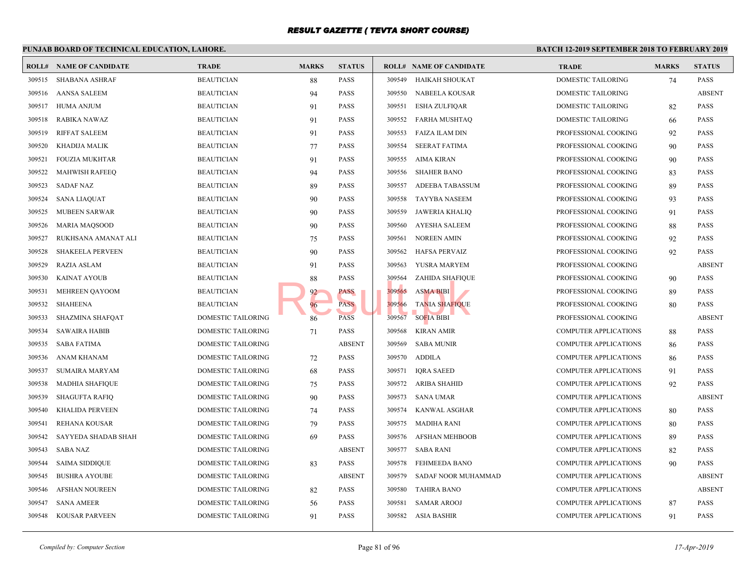#### **PUNJAB BOARD OF TECHNICAL EDUCATION, LAHORE. BATCH 12-ROLL# NAME OF CANDIDATE TRADE MARKS STATUS ROLL# NAME OF CANDIDATE TRADE MARKS STATUS** 309515 SHABANA ASHRAF BEAUTICIAN 88 PASS 309516 AANSA SALEEM BEAUTICIAN 94 PASS 309517 HUMA ANJUM BEAUTICIAN 91 PASS 309518 RABIKA NAWAZ BEAUTICIAN 91 PASS 309519 RIFFAT SALEEM BEAUTICIAN 91 PASS 309520 KHADIJA MALIK BEAUTICIAN 77 PASS 309521 FOUZIA MUKHTAR BEAUTICIAN 91 PASS 309522 MAHWISH RAFEEQ BEAUTICIAN 94 PASS 309523 SADAF NAZ BEAUTICIAN 89 PASS 309524 SANA LIAQUAT BEAUTICIAN 90 PASS 309525 MUBEEN SARWAR BEAUTICIAN 90 PASS 309526 MARIA MAQSOOD BEAUTICIAN 90 PASS 309527 RUKHSANA AMANAT ALI BEAUTICIAN 75 PASS 309528 SHAKEELA PERVEEN BEAUTICIAN 90 PASS 309529 RAZIA ASLAM BEAUTICIAN 91 PASS 309530 KAINAT AYOUB BEAUTICIAN BEAUTICIAN 88 PASS 309531 MEHREEN QAYOOM BEAUTICIAN BEAUTICIAN 92 PASS 309532 SHAHEENA BEAUTICIAN 96 PASS 309533 SHAZMINA SHAFQAT DOMESTIC TAILORING 86 PASS 309534 SAWAIRA HABIB DOMESTIC TAILORING 71 PASS 309535 SABA FATIMA DOMESTIC TAILORING ABSENT 309536 ANAM KHANAM DOMESTIC TAILORING 72 PASS 309537 SUMAIRA MARYAM DOMESTIC TAILORING 68 PASS 309538 MADHIA SHAFIQUE DOMESTIC TAILORING 75 PASS 309539 SHAGUFTA RAFIQ DOMESTIC TAILORING 90 PASS 309540 KHALIDA PERVEEN DOMESTIC TAILORING 74 PASS 309541 REHANA KOUSAR DOMESTIC TAILORING 79 PASS 309542 SAYYEDA SHADAB SHAH DOMESTIC TAILORING 69 PASS 309543 SABA NAZ DOMESTIC TAILORING ABSENT 309544 SAIMA SIDDIQUE DOMESTIC TAILORING 83 PASS 309545 BUSHRA AYOUBE DOMESTIC TAILORING ABSENT 309546 AFSHAN NOUREEN DOMESTIC TAILORING 82 PASS 309547 SANA AMEER DOMESTIC TAILORING 56 PASS 309548 KOUSAR PARVEEN DOMESTIC TAILORING 91 PASS 309549 HAIKAH SHOUKAT DOME 309550 NABEELA KOUSAR DOME 309551 ESHA ZULFIQAR DOME 309552 FARHA MUSHTAQ DOME 309553 FAIZA ILAM DIN PROFE 309554 SEERAT FATIMA PROFE 309555 AIMA KIRAN PROFE 309556 SHAHER BANO PROFI 309557 ADEEBA TABASSUM PROFE 309558 TAYYBA NASEEM PROFI 309559 JAWERIA KHALIQ PROFI 309560 AYESHA SALEEM PROFI 309561 NOREEN AMIN PROFE 309562 HAFSA PERVAIZ PROFI 309563 YUSRA MARYEM PROFESSION 309564 ZAHIDA SHAFIQUE PROFESSIONAL PROFE 309565 ASMA BIBI PROFE 309566 TA<mark>N</mark>IA SHAFIQUE ROPESSIONAL COOKING 80 PROFE 309567 SOFIA BIBI PROFESSIONAL COOKING ABSENT 309568 KIRAN AMIR COMP 309569 SABA MUNIR COMP 309570 ADDILA COMP 309571 IQRA SAEED COMP 309572 ARIBA SHAHID COMP 309573 SANA UMAR COMP 309574 KANWAL ASGHAR COMP 309575 MADIHA RANI COMP 309576 AFSHAN MEHBOOB COMP 309577 SABA RANI COMP 309578 FEHMEEDA BANO COMP 309579 SADAF NOOR MUHAMMAD COMP 309580 TAHIRA BANO COMP 309581 SAMAR AROOJ COMP 309582 ASIA BASHIR COMP PASS<br>
PASS<br>
PASS<br>
RASS<br>
RASS<br>
PASS<br>
209566 TANIA SHAFIQUE<br>
309566 TANIA SHAFIQUE<br>
309566 TANIA SHAFIQUE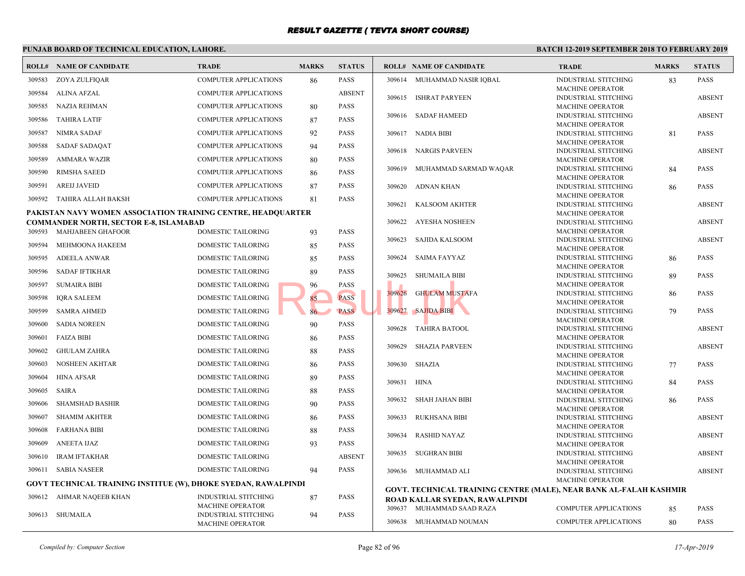#### **PUNJAB BOARD OF TECHNICAL EDUCATION, LAHORE. BATCH 12-ROLL# NAME OF CANDIDATE TRADE MARKS STATUS ROLL# NAME OF CANDIDATE TRADE MARKS STATUS** 309583 ZOYA ZULFIQAR COMPUTER APPLICATIONS 86 PASS 309584 ALINA AFZAL COMPUTER APPLICATIONS ABSENT 309585 NAZIA REHMAN COMPUTER APPLICATIONS 80 PASS 309586 TAHIRA LATIF COMPUTER APPLICATIONS 87 PASS 309587 NIMRA SADAF COMPUTER APPLICATIONS 92 PASS 309588 SADAF SADAQAT COMPUTER APPLICATIONS 94 PASS 309589 AMMARA WAZIR COMPUTER APPLICATIONS 80 PASS 309590 RIMSHA SAEED COMPUTER APPLICATIONS 86 PASS 309591 AREIJ JAVEID COMPUTER APPLICATIONS 87 PASS 309592 TAHIRA ALLAH BAKSH COMPUTER APPLICATIONS 81 PASS **PAKISTAN NAVY WOMEN ASSOCIATION TRAINING CENTRE, HEADQUARTER COMMANDER NORTH, SECTOR E-8, ISLAMABAD** 309593 MAHJABEEN GHAFOOR DOMESTIC TAILORING 93 PASS 309594 MEHMOONA HAKEEM DOMESTIC TAILORING 85 PASS 309595 ADEELA ANWAR DOMESTIC TAILORING 85 PASS 309596 SADAF IFTIKHAR DOMESTIC TAILORING 89 PASS 309597 SUMAIRA BIBI DOMESTIC TAILORING 96 PASS 309598 IQRA SALEEM DOMESTIC TAILORING 85 PASS 309599 SAMRA AHMED DOMESTIC TAILORING 86 PASS 309600 SADIA NOREEN DOMESTIC TAILORING 90 PASS 309601 FAIZA BIBI DOMESTIC TAILORING 86 PASS 309602 GHULAM ZAHRA DOMESTIC TAILORING 88 PASS 309603 NOSHEEN AKHTAR DOMESTIC TAILORING 86 PASS 309604 HINA AFSAR DOMESTIC TAILORING 89 PASS 309605 SAIRA DOMESTIC TAILORING 88 PASS 309606 SHAMSHAD BASHIR DOMESTIC TAILORING 90 PASS 309607 SHAMIM AKHTER DOMESTIC TAILORING 86 PASS 309608 FARHANA BIBI DOMESTIC TAILORING 88 PASS 309609 ANEETA IJAZ DOMESTIC TAILORING 93 PASS 309610 IRAM IFTAKHAR DOMESTIC TAILORING ABSENT 309611 SABIA NASEER DOMESTIC TAILORING 94 PASS **GOVT TECHNICAL TRAINING INSTITUE (W), DHOKE SYEDAN, RAWALPINDI** INDUSTRIAL STITCHING 87 PASS MACHINE OPERATOR 309612 AHMAR NAQEEB KHAN INDUSTRIAL STITCHING 94 PASS MACHINE OPERATOR 309613 SHUMAILA INDUS MACH 309614 MUHAMMAD NASIR IQBAL INDUS **MACH**  [309615 ISHRAT PARYEEN](http://www.result.pk/) INDUS MACH 309616 SADAF HAMEED INDUS **MACH**  309617 NADIA BIBI **INDUS MACH**  309618 NARGIS PARVEEN INDUS MACH 309619 MUHAMMAD SARMAD WAQAR INDUS **MACH**  309620 ADNAN KHAN INDUS **MACH**  309621 KALSOOM AKHTER INDUS **MACH**  309622 AYESHA NOSHEEN **INDUS** MACH 309623 SAJIDA KALSOOM INDUS MACH 309624 SAIMA FAYYAZ INDUS MACH 309625 SHUMAILA BIBI INDUS MACH 309626 GHULAM MUSTAFA INDUS **MACH**  309627 SAJIDA BIBI INDUS **MACH**  309628 TAHIRA BATOOL **INDUS** MACH 309629 SHAZIA PARVEEN INDUS **MACH**  309630 SHAZIA INDUS **MACH**  309631 HINA INDUS MACH 309632 SHAH JAHAN BIBI INDUS **MACH**  309633 RUKHSANA BIBI INDUS **MACH**  309634 RASHID NAYAZ **INDUS** MACH 309635 SUGHRAN BIBI INDUS **MACH**  309636 MUHAMMAD ALI **GOVT. TECHNICAL TRAINING CENTRE (MALE), NEAR ROAD KALLAR SYEDAN, RAWALPINDI** 309637 MUHAMMAD SAAD RAZA COMP 309638 MUHAMMAD NOUMAN COMP and the PASS PASS PASS 309627 SAJIDA BIBI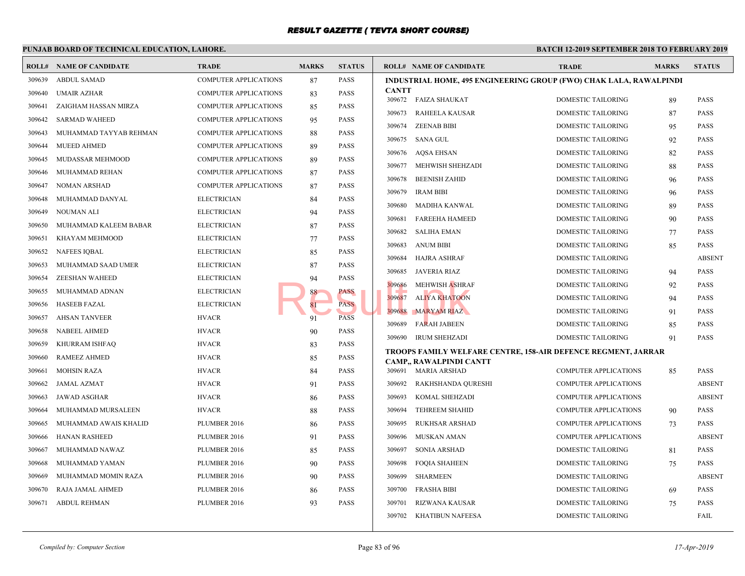|        | PUNJAB BOARD OF TECHNICAL EDUCATION, LAHORE. |                              |              | <b>BATCH 12-1</b> |                  |                                                                        |                            |
|--------|----------------------------------------------|------------------------------|--------------|-------------------|------------------|------------------------------------------------------------------------|----------------------------|
|        | <b>ROLL# NAME OF CANDIDATE</b>               | <b>TRADE</b>                 | <b>MARKS</b> | <b>STATUS</b>     |                  | <b>ROLL# NAME OF CANDIDATE</b>                                         | <b>TRAL</b>                |
| 309639 | <b>ABDUL SAMAD</b>                           | <b>COMPUTER APPLICATIONS</b> | 87           | <b>PASS</b>       |                  | <b>INDUSTRIAL HOME, 495 ENGINEERING GROUP (FWO</b>                     |                            |
| 309640 | <b>UMAIR AZHAR</b>                           | <b>COMPUTER APPLICATIONS</b> | 83           | <b>PASS</b>       | <b>CANTT</b>     | 309672 FAIZA SHAUKAT                                                   | <b>DOME</b>                |
| 309641 | ZAIGHAM HASSAN MIRZA                         | <b>COMPUTER APPLICATIONS</b> | 85           | PASS              |                  |                                                                        |                            |
| 309642 | <b>SARMAD WAHEED</b>                         | <b>COMPUTER APPLICATIONS</b> | 95           | <b>PASS</b>       |                  | 309673 RAHEELA KAUSAR                                                  | <b>DOME</b><br><b>DOME</b> |
| 309643 | MUHAMMAD TAYYAB REHMAN                       | <b>COMPUTER APPLICATIONS</b> | 88           | <b>PASS</b>       | 309674           | <b>ZEENAB BIBI</b>                                                     |                            |
| 309644 | <b>MUEED AHMED</b>                           | <b>COMPUTER APPLICATIONS</b> | 89           | <b>PASS</b>       | 309675           | SANA GUL                                                               | <b>DOME</b>                |
| 309645 | MUDASSAR MEHMOOD                             | <b>COMPUTER APPLICATIONS</b> | 89           | <b>PASS</b>       | 309676           | AQSA EHSAN                                                             | <b>DOME</b>                |
| 309646 | MUHAMMAD REHAN                               | <b>COMPUTER APPLICATIONS</b> | 87           | <b>PASS</b>       | 309677<br>309678 | MEHWISH SHEHZADI                                                       | <b>DOME</b><br><b>DOME</b> |
| 309647 | <b>NOMAN ARSHAD</b>                          | COMPUTER APPLICATIONS        | 87           | <b>PASS</b>       |                  | BEENISH ZAHID                                                          |                            |
| 309648 | MUHAMMAD DANYAL                              | <b>ELECTRICIAN</b>           | 84           | <b>PASS</b>       | 309679<br>309680 | <b>IRAM BIBI</b><br><b>MADIHA KANWAL</b>                               | <b>DOME</b><br><b>DOME</b> |
| 309649 | NOUMAN ALI                                   | <b>ELECTRICIAN</b>           | 94           | PASS              | 309681           |                                                                        |                            |
| 309650 | MUHAMMAD KALEEM BABAR                        | <b>ELECTRICIAN</b>           | 87           | <b>PASS</b>       | 309682           | <b>FAREEHA HAMEED</b>                                                  | <b>DOME</b><br><b>DOME</b> |
| 309651 | KHAYAM MEHMOOD                               | <b>ELECTRICIAN</b>           | 77           | <b>PASS</b>       |                  | <b>SALIHA EMAN</b><br><b>ANUM BIBI</b>                                 | <b>DOME</b>                |
| 309652 | NAFEES IQBAL                                 | <b>ELECTRICIAN</b>           | 85           | <b>PASS</b>       | 309683<br>309684 |                                                                        | <b>DOME</b>                |
| 309653 | MUHAMMAD SAAD UMER                           | <b>ELECTRICIAN</b>           | 87           | <b>PASS</b>       |                  | HAJRA ASHRAF                                                           |                            |
| 309654 | ZEESHAN WAHEED                               | <b>ELECTRICIAN</b>           | 94           | <b>PASS</b>       | 309685           | JAVERIA RIAZ<br><b>MEHWISH ASHRAF</b>                                  | <b>DOME</b><br><b>DOME</b> |
| 309655 | MUHAMMAD ADNAN                               | <b>ELECTRICIAN</b>           | 88           | PASS              | 309686<br>309687 |                                                                        | <b>DOME</b>                |
| 309656 | <b>HASEEB FAZAL</b>                          | <b>ELECTRICIAN</b>           |              | <b>PASS</b>       |                  | <b>ALIYA KHATOON</b>                                                   |                            |
| 309657 | <b>AHSAN TANVEER</b>                         | <b>HVACR</b>                 | 91           | <b>PASS</b>       | 309688           | <b>MARYAM RIAZ</b>                                                     | <b>DOME</b>                |
| 309658 | <b>NABEEL AHMED</b>                          | <b>HVACR</b>                 | 90           | <b>PASS</b>       | 309689           | <b>FARAH JABEEN</b>                                                    | <b>DOME</b>                |
| 309659 | KHURRAM ISHFAQ                               | <b>HVACR</b>                 | 83           | <b>PASS</b>       | 309690           | <b>IRUM SHEHZADI</b>                                                   | <b>DOME</b>                |
| 309660 | <b>RAMEEZ AHMED</b>                          | <b>HVACR</b>                 | 85           | <b>PASS</b>       |                  | TROOPS FAMILY WELFARE CENTRE, 158-AIR DEFEI<br>CAMP., RAWALPINDI CANTT |                            |
| 309661 | <b>MOHSIN RAZA</b>                           | <b>HVACR</b>                 | 84           | <b>PASS</b>       |                  | 309691 MARIA ARSHAD                                                    | <b>COMP</b>                |
| 309662 | JAMAL AZMAT                                  | <b>HVACR</b>                 | 91           | <b>PASS</b>       | 309692           | RAKHSHANDA QURESHI                                                     | <b>COMP</b>                |
| 309663 | <b>JAWAD ASGHAR</b>                          | <b>HVACR</b>                 | 86           | PASS              | 309693           | KOMAL SHEHZADI                                                         | <b>COMP</b>                |
| 309664 | MUHAMMAD MURSALEEN                           | <b>HVACR</b>                 | 88           | <b>PASS</b>       | 309694           | <b>TEHREEM SHAHID</b>                                                  | <b>COMP</b>                |
| 309665 | MUHAMMAD AWAIS KHALID                        | PLUMBER 2016                 | 86           | <b>PASS</b>       | 309695           | <b>RUKHSAR ARSHAD</b>                                                  | <b>COMP</b>                |
| 309666 | <b>HANAN RASHEED</b>                         | PLUMBER 2016                 | 91           | <b>PASS</b>       | 309696           | MUSKAN AMAN                                                            | <b>COMP</b>                |
| 309667 | MUHAMMAD NAWAZ                               | PLUMBER 2016                 | 85           | <b>PASS</b>       | 309697           | <b>SONIA ARSHAD</b>                                                    | <b>DOME</b>                |
| 309668 | MUHAMMAD YAMAN                               | PLUMBER 2016                 | 90           | <b>PASS</b>       | 309698           | <b>FOQIA SHAHEEN</b>                                                   | <b>DOME</b>                |
| 309669 | MUHAMMAD MOMIN RAZA                          | PLUMBER 2016                 | 90           | <b>PASS</b>       | 309699           | <b>SHARMEEN</b>                                                        | <b>DOME</b>                |
| 309670 | RAJA JAMAL AHMED                             | PLUMBER 2016                 | 86           | <b>PASS</b>       | 309700           | <b>FRASHA BIBI</b>                                                     | <b>DOME</b>                |
| 309671 | <b>ABDUL REHMAN</b>                          | PLUMBER 2016                 | 93           | <b>PASS</b>       | 309701           | <b>RIZWANA KAUSAR</b>                                                  | <b>DOME</b>                |
|        |                                              |                              |              |                   | 309702           | <b>KHATIBUN NAFEESA</b>                                                | <b>DOME</b>                |
|        |                                              |                              |              |                   |                  |                                                                        |                            |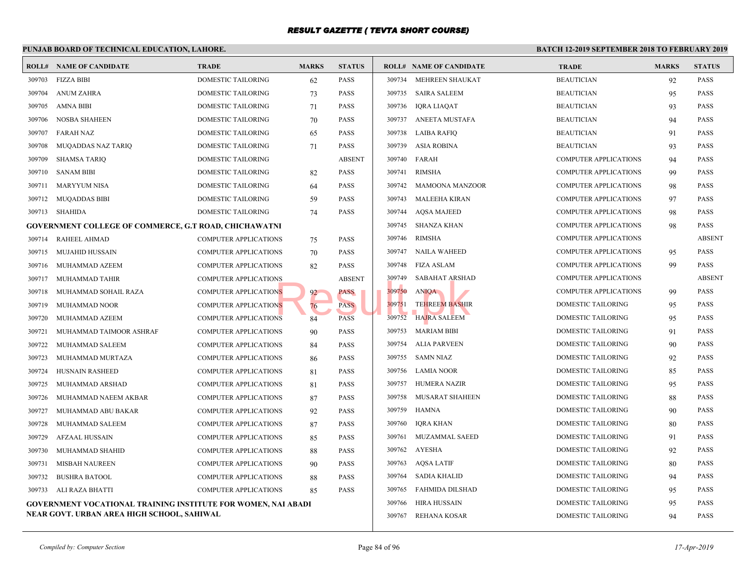#### **PUNJAB BOARD OF TECHNICAL EDUCATION, LAHORE. BATCH 12-ROLL# NAME OF CANDIDATE TRADE MARKS STATUS ROLL# NAME OF CANDIDATE TRADE MARKS STATUS** 309703 FIZZA BIBI DOMESTIC TAILORING 62 PASS 309704 ANUM ZAHRA DOMESTIC TAILORING 73 PASS 309705 AMNA BIBI DOMESTIC TAILORING 71 PASS 309706 NOSBA SHAHEEN DOMESTIC TAILORING 70 PASS 309707 FARAH NAZ DOMESTIC TAILORING 65 PASS 309708 MUQADDAS NAZ TARIQ DOMESTIC TAILORING 71 PASS 309709 SHAMSA TARIQ DOMESTIC TAILORING ABSENT 309710 SANAM BIBI DOMESTIC TAILORING 82 PASS 309711 MARYYUM NISA DOMESTIC TAILORING 64 PASS 309712 MUQADDAS BIBI DOMESTIC TAILORING 59 PASS 309713 SHAHIDA DOMESTIC TAILORING 74 PASS **GOVERNMENT COLLEGE OF COMMERCE, G.T ROAD, CHICHAWATNI** 309714 RAHEEL AHMAD COMPUTER APPLICATIONS 75 PASS 309715 MUJAHID HUSSAIN COMPUTER APPLICATIONS 70 PASS 309716 MUHAMMAD AZEEM COMPUTER APPLICATIONS 82 PASS 309717 MUHAMMAD TAHIR COMPUTER APPLICATIONS ABSENT 309718 MUHAMMAD SOHAIL RAZA COMPUTER APPLICATIONS 92 PASS 309719 MUHAMMAD NOOR COMPUTER APPLICATIONS 76 PASS 309720 MUHAMMAD AZEEM COMPUTER APPLICATIONS 84 PASS 309721 MUHAMMAD TAIMOOR ASHRAF COMPUTER APPLICATIONS 90 PASS 309722 MUHAMMAD SALEEM COMPUTER APPLICATIONS 84 PASS 309723 MUHAMMAD MURTAZA COMPUTER APPLICATIONS 86 PASS 309724 HUSNAIN RASHEED COMPUTER APPLICATIONS 81 PASS 309725 MUHAMMAD ARSHAD COMPUTER APPLICATIONS 81 PASS 309726 MUHAMMAD NAEEM AKBAR COMPUTER APPLICATIONS 87 PASS 309727 MUHAMMAD ABU BAKAR COMPUTER APPLICATIONS 92 PASS 309728 MUHAMMAD SALEEM COMPUTER APPLICATIONS 87 PASS 309729 AFZAAL HUSSAIN COMPUTER APPLICATIONS 85 PASS 309730 MUHAMMAD SHAHID COMPUTER APPLICATIONS 88 PASS 309731 MISBAH NAUREEN COMPUTER APPLICATIONS 90 PASS 309732 BUSHRA BATOOL COMPUTER APPLICATIONS 88 PASS 309733 ALI RAZA BHATTI COMPUTER APPLICATIONS 85 PASS **GOVERNMENT VOCATIONAL TRAINING INSTITUTE FOR WOMEN, NAI ABADI NEAR GOVT. URBAN AREA HIGH SCHOOL, SAHIWAL** 309734 MEHREEN SHAUKAT BEAUT 309735 SAIRA SALEEM BEAUT 309736 IQRA LIAQAT BEAUTICIAN 93 309737 ANEETA MUSTAFA BEAUT 309738 LAIBA RAFIQ BEAU 309739 ASIA ROBINA BEAUT 309740 FARAH COMP 309741 RIMSHA COMP 309742 MAMOONA MANZOOR COMP 309743 MALEEHA KIRAN COMP 309744 AQSA MAJEED COMP 309745 SHANZA KHAN COMP 309746 RIMSHA COMP 309747 NAILA WAHEED COMP 309748 FIZA ASLAM COMP 309749 SABAHAT ARSHAD COMP 309750 ANIQA COMP 309751 TEHREEM BASHIR **EXECUTE TAILOR** DOME 309752 HAJRA SALEEM DOME 309753 MARIAM BIBI DOME 309754 ALIA PARVEEN DOME 309755 SAMN NIAZ DOME 309756 LAMIA NOOR DOME 309757 HUMERA NAZIR DOME 309758 MUSARAT SHAHEEN DOME 309759 HAMNA DOME 309760 IQRA KHAN DOME 309761 MUZAMMAL SAEED DOME 309762 AYESHA DOME 309763 AQSA LATIF DOME 309764 SADIA KHALID DOME 309765 FAHMIDA DILSHAD DOME 309766 HIRA HUSSAIN DOME 309767 REHANA KOSAR DOME NS NS PASS PASS 199750 ANIQA<br>NS NS 24 PASS 209751 TEHREEM BASHIF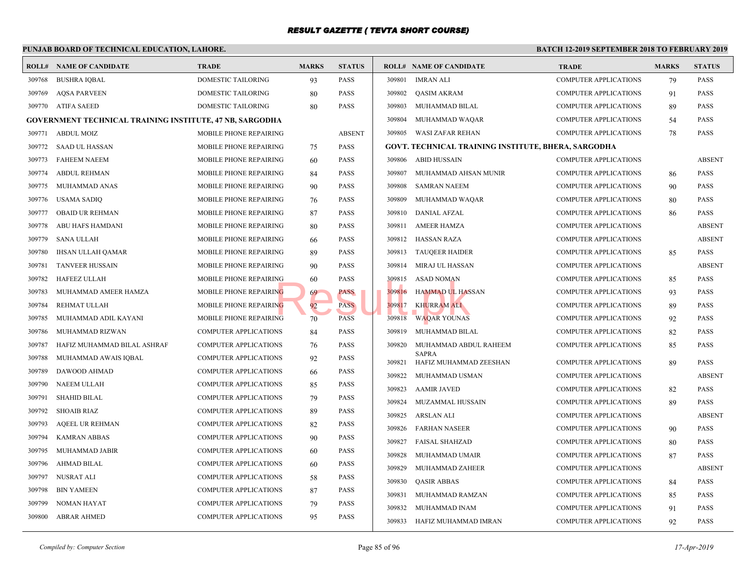|        | PUNJAB BOARD OF TECHNICAL EDUCATION, LAHORE.                    |                               |              |               |        |                                                     | <b>BATCH 12-1</b> |
|--------|-----------------------------------------------------------------|-------------------------------|--------------|---------------|--------|-----------------------------------------------------|-------------------|
|        | <b>ROLL# NAME OF CANDIDATE</b>                                  | <b>TRADE</b>                  | <b>MARKS</b> | <b>STATUS</b> |        | <b>ROLL# NAME OF CANDIDATE</b>                      | <b>TRAL</b>       |
| 309768 | <b>BUSHRA IQBAL</b>                                             | DOMESTIC TAILORING            | 93           | <b>PASS</b>   | 309801 | <b>IMRAN ALI</b>                                    | <b>COMP</b>       |
| 309769 | <b>AQSA PARVEEN</b>                                             | DOMESTIC TAILORING            | 80           | <b>PASS</b>   | 309802 | <b>QASIM AKRAM</b>                                  | <b>COMP</b>       |
| 309770 | ATIFA SAEED                                                     | DOMESTIC TAILORING            | 80           | <b>PASS</b>   | 309803 | MUHAMMAD BILAL                                      | <b>COMP</b>       |
|        | <b>GOVERNMENT TECHNICAL TRAINING INSTITUTE, 47 NB, SARGODHA</b> |                               |              |               | 309804 | MUHAMMAD WAQAR                                      | <b>COMP</b>       |
| 309771 | <b>ABDUL MOIZ</b>                                               | MOBILE PHONE REPAIRING        |              | <b>ABSENT</b> | 309805 | WASI ZAFAR REHAN                                    | <b>COMP</b>       |
| 309772 | SAAD UL HASSAN                                                  | <b>MOBILE PHONE REPAIRING</b> | 75           | <b>PASS</b>   |        | <b>GOVT. TECHNICAL TRAINING INSTITUTE, BHERA, S</b> |                   |
| 309773 | <b>FAHEEM NAEEM</b>                                             | MOBILE PHONE REPAIRING        | 60           | <b>PASS</b>   | 309806 | ABID HUSSAIN                                        | <b>COMP</b>       |
| 309774 | <b>ABDUL REHMAN</b>                                             | MOBILE PHONE REPAIRING        | 84           | <b>PASS</b>   | 309807 | MUHAMMAD AHSAN MUNIR                                | <b>COMP</b>       |
| 309775 | MUHAMMAD ANAS                                                   | MOBILE PHONE REPAIRING        | 90           | <b>PASS</b>   | 309808 | <b>SAMRAN NAEEM</b>                                 | <b>COMP</b>       |
| 309776 | <b>USAMA SADIQ</b>                                              | MOBILE PHONE REPAIRING        | 76           | <b>PASS</b>   | 309809 | MUHAMMAD WAQAR                                      | <b>COMP</b>       |
| 309777 | <b>OBAID UR REHMAN</b>                                          | MOBILE PHONE REPAIRING        | 87           | <b>PASS</b>   | 309810 | <b>DANIAL AFZAL</b>                                 | <b>COMP</b>       |
| 309778 | ABU HAFS HAMDANI                                                | <b>MOBILE PHONE REPAIRING</b> | 80           | <b>PASS</b>   | 309811 | <b>AMEER HAMZA</b>                                  | <b>COMP</b>       |
| 309779 | <b>SANA ULLAH</b>                                               | MOBILE PHONE REPAIRING        | 66           | <b>PASS</b>   | 309812 | <b>HASSAN RAZA</b>                                  | <b>COMP</b>       |
| 309780 | <b>IHSAN ULLAH QAMAR</b>                                        | MOBILE PHONE REPAIRING        | 89           | <b>PASS</b>   | 309813 | <b>TAUQEER HAIDER</b>                               | <b>COMP</b>       |
| 309781 | <b>TANVEER HUSSAIN</b>                                          | MOBILE PHONE REPAIRING        | 90           | <b>PASS</b>   | 309814 | MIRAJ UL HASSAN                                     | COMP              |
| 309782 | <b>HAFEEZ ULLAH</b>                                             | MOBILE PHONE REPAIRING        | 60           | <b>PASS</b>   | 309815 | <b>ASAD NOMAN</b>                                   | <b>COMP</b>       |
| 309783 | MUHAMMAD AMEER HAMZA                                            | MOBILE PHONE REPAIRING        | 69           | <b>PASS</b>   | 309816 | <b>HAMMAD UL HASSAN</b>                             | <b>COMP</b>       |
| 309784 | REHMAT ULLAH                                                    | MOBILE PHONE REPAIRING        | 92           | PASS          | 309817 | <b>KHURRAM ALI</b>                                  | <b>COMP</b>       |
| 309785 | MUHAMMAD ADIL KAYANI                                            | MOBILE PHONE REPAIRING        | 70           | <b>PASS</b>   | 309818 | <b>WAQAR YOUNAS</b>                                 | <b>COMP</b>       |
| 309786 | MUHAMMAD RIZWAN                                                 | <b>COMPUTER APPLICATIONS</b>  | 84           | <b>PASS</b>   | 309819 | MUHAMMAD BILAL                                      | <b>COMP</b>       |
| 309787 | HAFIZ MUHAMMAD BILAL ASHRAF                                     | <b>COMPUTER APPLICATIONS</b>  | 76           | <b>PASS</b>   | 309820 | MUHAMMAD ABDUL RAHEEM                               | <b>COMP</b>       |
| 309788 | MUHAMMAD AWAIS IOBAL                                            | <b>COMPUTER APPLICATIONS</b>  | 92           | <b>PASS</b>   | 309821 | <b>SAPRA</b><br>HAFIZ MUHAMMAD ZEESHAN              | <b>COMP</b>       |
| 309789 | DAWOOD AHMAD                                                    | <b>COMPUTER APPLICATIONS</b>  | 66           | <b>PASS</b>   | 309822 | MUHAMMAD USMAN                                      | <b>COMP</b>       |
| 309790 | NAEEM ULLAH                                                     | <b>COMPUTER APPLICATIONS</b>  | 85           | <b>PASS</b>   | 309823 | <b>AAMIR JAVED</b>                                  | <b>COMP</b>       |
| 309791 | <b>SHAHID BILAL</b>                                             | <b>COMPUTER APPLICATIONS</b>  | 79           | <b>PASS</b>   | 309824 | MUZAMMAL HUSSAIN                                    | <b>COMP</b>       |
| 309792 | <b>SHOAIB RIAZ</b>                                              | <b>COMPUTER APPLICATIONS</b>  | 89           | <b>PASS</b>   | 309825 | ARSLAN ALI                                          | <b>COMP</b>       |
| 309793 | AQEEL UR REHMAN                                                 | <b>COMPUTER APPLICATIONS</b>  | 82           | <b>PASS</b>   | 309826 | <b>FARHAN NASEER</b>                                | <b>COMP</b>       |
| 309794 | <b>KAMRAN ABBAS</b>                                             | <b>COMPUTER APPLICATIONS</b>  | 90           | <b>PASS</b>   | 309827 | <b>FAISAL SHAHZAD</b>                               | <b>COMP</b>       |
| 309795 | MUHAMMAD JABIR                                                  | COMPUTER APPLICATIONS         | 60           | <b>PASS</b>   | 309828 | MUHAMMAD UMAIR                                      | <b>COMP</b>       |
| 309796 | AHMAD BILAL                                                     | COMPUTER APPLICATIONS         | 60           | <b>PASS</b>   | 309829 | MUHAMMAD ZAHEER                                     | <b>COMP</b>       |
| 309797 | NUSRAT ALI                                                      | COMPUTER APPLICATIONS         | 58           | <b>PASS</b>   | 309830 | <b>QASIR ABBAS</b>                                  | <b>COMP</b>       |
| 309798 | <b>BIN YAMEEN</b>                                               | <b>COMPUTER APPLICATIONS</b>  | 87           | <b>PASS</b>   | 309831 | MUHAMMAD RAMZAN                                     | <b>COMP</b>       |
| 309799 | <b>NOMAN HAYAT</b>                                              | <b>COMPUTER APPLICATIONS</b>  | 79           | <b>PASS</b>   | 309832 | MUHAMMAD INAM                                       | <b>COMP</b>       |
| 309800 | <b>ABRAR AHMED</b>                                              | <b>COMPUTER APPLICATIONS</b>  | 95           | <b>PASS</b>   |        | 309833 HAFIZ MUHAMMAD IMRAN                         | <b>COMP</b>       |
|        |                                                                 |                               |              |               |        |                                                     |                   |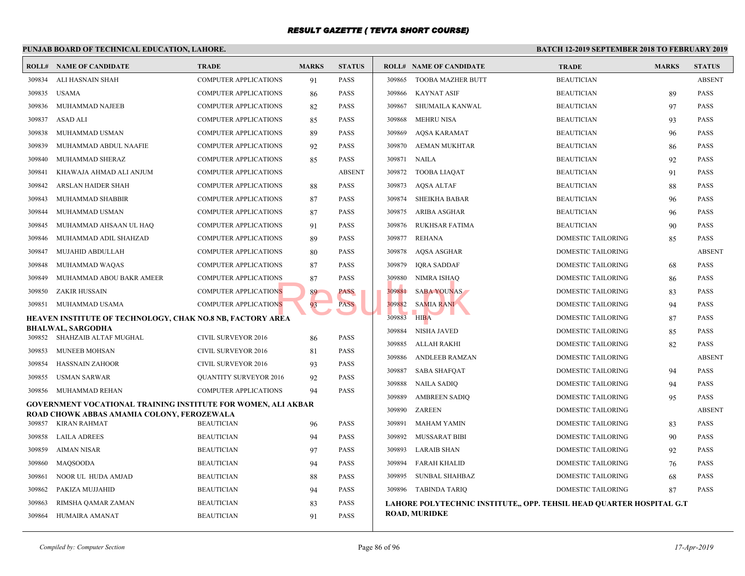|                  | PUNJAB BOARD OF TECHNICAL EDUCATION, LAHORE.                                                                |                                                      |              | <b>BATCH 12-1</b>   |        |                                              |             |
|------------------|-------------------------------------------------------------------------------------------------------------|------------------------------------------------------|--------------|---------------------|--------|----------------------------------------------|-------------|
|                  | <b>ROLL# NAME OF CANDIDATE</b>                                                                              | <b>TRADE</b>                                         | <b>MARKS</b> | <b>STATUS</b>       |        | <b>ROLL# NAME OF CANDIDATE</b>               | <b>TRAL</b> |
| 309834           | ALI HASNAIN SHAH                                                                                            | <b>COMPUTER APPLICATIONS</b>                         | 91           | PASS                | 309865 | <b>TOOBA MAZHER BUTT</b>                     | <b>BEAU</b> |
| 309835           | <b>USAMA</b>                                                                                                | <b>COMPUTER APPLICATIONS</b>                         | 86           | PASS                | 309866 | <b>KAYNAT ASIF</b>                           | <b>BEAU</b> |
| 309836           | MUHAMMAD NAJEEB                                                                                             | <b>COMPUTER APPLICATIONS</b>                         | 82           | PASS                | 309867 | SHUMAILA KANWAL                              | <b>BEAU</b> |
| 309837           | ASAD ALI                                                                                                    | <b>COMPUTER APPLICATIONS</b>                         | 85           | PASS                | 309868 | <b>MEHRU NISA</b>                            | <b>BEAU</b> |
| 309838           | MUHAMMAD USMAN                                                                                              | <b>COMPUTER APPLICATIONS</b>                         | 89           | PASS                | 309869 | AQSA KARAMAT                                 | <b>BEAU</b> |
| 309839           | MUHAMMAD ABDUL NAAFIE                                                                                       | <b>COMPUTER APPLICATIONS</b>                         | 92           | PASS                | 309870 | AEMAN MUKHTAR                                | <b>BEAU</b> |
| 309840           | MUHAMMAD SHERAZ                                                                                             | <b>COMPUTER APPLICATIONS</b>                         | 85           | PASS                | 309871 | NAILA                                        | <b>BEAU</b> |
| 309841           | KHAWAJA AHMAD ALI ANJUM                                                                                     | <b>COMPUTER APPLICATIONS</b>                         |              | <b>ABSENT</b>       | 309872 | <b>TOOBA LIAQAT</b>                          | <b>BEAU</b> |
| 309842           | ARSLAN HAIDER SHAH                                                                                          | <b>COMPUTER APPLICATIONS</b>                         | 88           | PASS                | 309873 | AQSA ALTAF                                   | <b>BEAU</b> |
| 309843           | MUHAMMAD SHABBIR                                                                                            | <b>COMPUTER APPLICATIONS</b>                         | 87           | PASS                | 309874 | <b>SHEIKHA BABAR</b>                         | <b>BEAU</b> |
| 309844           | MUHAMMAD USMAN                                                                                              | <b>COMPUTER APPLICATIONS</b>                         | 87           | <b>PASS</b>         | 309875 | ARIBA ASGHAR                                 | <b>BEAU</b> |
| 309845           | MUHAMMAD AHSAAN UL HAQ                                                                                      | <b>COMPUTER APPLICATIONS</b>                         | 91           | PASS                | 309876 | <b>RUKHSAR FATIMA</b>                        | <b>BEAU</b> |
| 309846           | MUHAMMAD ADIL SHAHZAD                                                                                       | <b>COMPUTER APPLICATIONS</b>                         | 89           | PASS                | 309877 | <b>REHANA</b>                                | <b>DOME</b> |
| 309847           | MUJAHID ABDULLAH                                                                                            | <b>COMPUTER APPLICATIONS</b>                         | 80           | PASS                | 309878 | AQSA ASGHAR                                  | <b>DOME</b> |
| 309848           | MUHAMMAD WAQAS                                                                                              | <b>COMPUTER APPLICATIONS</b>                         | 87           | <b>PASS</b>         | 309879 | <b>IORA SADDAF</b>                           | <b>DOME</b> |
| 309849           | MUHAMMAD ABOU BAKR AMEER                                                                                    | <b>COMPUTER APPLICATIONS</b>                         | 87           | PASS                | 309880 | NIMRA ISHAQ                                  | <b>DOME</b> |
| 309850           | ZAKIR HUSSAIN                                                                                               | <b>COMPUTER APPLICATIONS</b>                         | 89           | PASS                | 309881 | <b>SABA YOUNAS</b>                           | <b>DOME</b> |
| 309851           | MUHAMMAD USAMA                                                                                              | <b>COMPUTER APPLICATIONS</b>                         | 93           | <b>PASS</b>         | 309882 | <b>SAMIA RANI</b>                            | <b>DOME</b> |
|                  | HEAVEN INSTITUTE OF TECHNOLOGY, CHAK NO.8 NB, FACTORY AREA                                                  |                                                      |              |                     | 309883 | <b>HIBA</b>                                  | <b>DOME</b> |
|                  | <b>BHALWAL, SARGODHA</b><br>309852 SHAHZAIB ALTAF MUGHAL                                                    | CIVIL SURVEYOR 2016                                  | 86           | PASS                | 309884 | <b>NISHA JAVED</b>                           | <b>DOME</b> |
| 309853           | MUNEEB MOHSAN                                                                                               | <b>CIVIL SURVEYOR 2016</b>                           |              | PASS                | 309885 | ALLAH RAKHI                                  | <b>DOME</b> |
|                  |                                                                                                             |                                                      | 81           |                     | 309886 | ANDLEEB RAMZAN                               | <b>DOME</b> |
| 309854<br>309855 | <b>HASSNAIN ZAHOOR</b><br><b>USMAN SARWAR</b>                                                               | CIVIL SURVEYOR 2016<br><b>QUANTITY SURVEYOR 2016</b> | 93           | PASS<br><b>PASS</b> | 309887 | <b>SABA SHAFQAT</b>                          | <b>DOME</b> |
| 309856           | MUHAMMAD REHAN                                                                                              | <b>COMPUTER APPLICATIONS</b>                         | 92           | PASS                | 309888 | <b>NAILA SADIQ</b>                           | <b>DOME</b> |
|                  |                                                                                                             |                                                      | 94           |                     | 309889 | <b>AMBREEN SADIQ</b>                         | <b>DOME</b> |
|                  | GOVERNMENT VOCATIONAL TRAINING INSTITUTE FOR WOMEN, ALI AKBAR<br>ROAD CHOWK ABBAS AMAMIA COLONY, FEROZEWALA |                                                      |              |                     | 309890 | ZAREEN                                       | <b>DOME</b> |
| 309857           | KIRAN RAHMAT                                                                                                | <b>BEAUTICIAN</b>                                    | 96           | PASS                | 309891 | <b>MAHAM YAMIN</b>                           | <b>DOME</b> |
| 309858           | LAILA ADREES                                                                                                | <b>BEAUTICIAN</b>                                    | 94           | PASS                | 309892 | MUSSARAT BIBI                                | <b>DOME</b> |
| 309859           | <b>AIMAN NISAR</b>                                                                                          | <b>BEAUTICIAN</b>                                    | 97           | PASS                | 309893 | <b>LARAIB SHAN</b>                           | <b>DOME</b> |
| 309860           | <b>MAOSOODA</b>                                                                                             | <b>BEAUTICIAN</b>                                    | 94           | PASS                | 309894 | <b>FARAH KHALID</b>                          | <b>DOME</b> |
| 309861           | NOOR UL HUDA AMJAD                                                                                          | <b>BEAUTICIAN</b>                                    | 88           | PASS                | 309895 | <b>SUNBAL SHAHBAZ</b>                        | <b>DOME</b> |
| 309862           | PAKIZA MUJJAHID                                                                                             | <b>BEAUTICIAN</b>                                    | 94           | PASS                |        | 309896 TABINDA TARIQ                         | <b>DOME</b> |
| 309863           | RIMSHA QAMAR ZAMAN                                                                                          | <b>BEAUTICIAN</b>                                    | 83           | PASS                |        | LAHORE POLYTECHNIC INSTITUTE,, OPP. TEHSIL H |             |
| 309864           | HUMAIRA AMANAT                                                                                              | <b>BEAUTICIAN</b>                                    | 91           | PASS                |        | <b>ROAD, MURIDKE</b>                         |             |
|                  |                                                                                                             |                                                      |              |                     |        |                                              |             |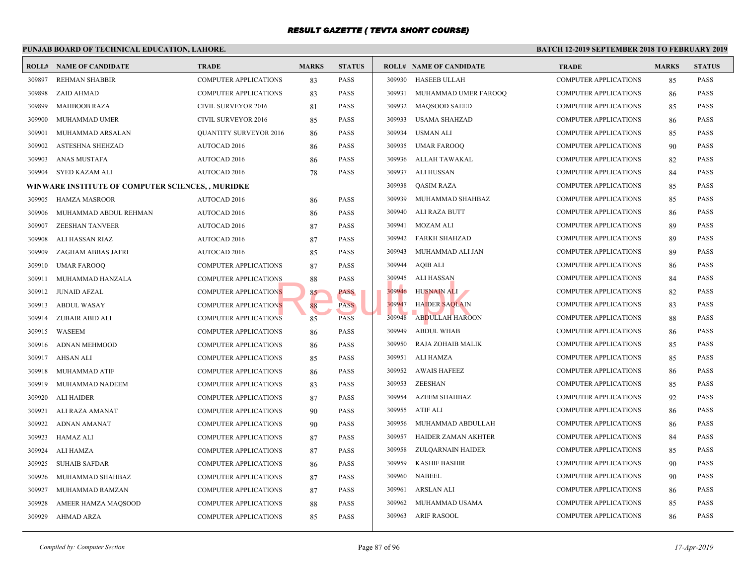|        | PUNJAB BOARD OF TECHNICAL EDUCATION, LAHORE.      |                               |              |               |        |                                | <b>BATCH 12-1</b> |
|--------|---------------------------------------------------|-------------------------------|--------------|---------------|--------|--------------------------------|-------------------|
|        | <b>ROLL# NAME OF CANDIDATE</b>                    | <b>TRADE</b>                  | <b>MARKS</b> | <b>STATUS</b> |        | <b>ROLL# NAME OF CANDIDATE</b> | <b>TRAL</b>       |
| 309897 | <b>REHMAN SHABBIR</b>                             | <b>COMPUTER APPLICATIONS</b>  | 83           | <b>PASS</b>   | 309930 | <b>HASEEB ULLAH</b>            | <b>COMP</b>       |
| 309898 | ZAID AHMAD                                        | <b>COMPUTER APPLICATIONS</b>  | 83           | <b>PASS</b>   | 309931 | MUHAMMAD UMER FAROOQ           | <b>COMP</b>       |
| 309899 | <b>MAHBOOB RAZA</b>                               | <b>CIVIL SURVEYOR 2016</b>    | 81           | <b>PASS</b>   |        | 309932 MAQSOOD SAEED           | <b>COMP</b>       |
| 309900 | MUHAMMAD UMER                                     | CIVIL SURVEYOR 2016           | 85           | <b>PASS</b>   | 309933 | USAMA SHAHZAD                  | <b>COMP</b>       |
| 309901 | MUHAMMAD ARSALAN                                  | <b>QUANTITY SURVEYOR 2016</b> | 86           | <b>PASS</b>   | 309934 | USMAN ALI                      | <b>COMP</b>       |
| 309902 | <b>ASTESHNA SHEHZAD</b>                           | AUTOCAD 2016                  | 86           | <b>PASS</b>   | 309935 | UMAR FAROOQ                    | <b>COMP</b>       |
| 309903 | ANAS MUSTAFA                                      | AUTOCAD 2016                  | 86           | <b>PASS</b>   | 309936 | ALLAH TAWAKAL                  | <b>COMP</b>       |
| 309904 | <b>SYED KAZAM ALI</b>                             | AUTOCAD 2016                  | 78           | <b>PASS</b>   | 309937 | ALI HUSSAN                     | <b>COMP</b>       |
|        | WINWARE INSTITUTE OF COMPUTER SCIENCES, , MURIDKE |                               |              |               | 309938 | <b>QASIM RAZA</b>              | <b>COMP</b>       |
| 309905 | HAMZA MASROOR                                     | AUTOCAD 2016                  | 86           | <b>PASS</b>   | 309939 | MUHAMMAD SHAHBAZ               | <b>COMP</b>       |
| 309906 | MUHAMMAD ABDUL REHMAN                             | <b>AUTOCAD 2016</b>           | 86           | <b>PASS</b>   | 309940 | ALI RAZA BUTT                  | <b>COMP</b>       |
| 309907 | <b>ZEESHAN TANVEER</b>                            | <b>AUTOCAD 2016</b>           | 87           | <b>PASS</b>   | 309941 | <b>MOZAM ALI</b>               | <b>COMP</b>       |
| 309908 | ALI HASSAN RIAZ                                   | AUTOCAD 2016                  | 87           | <b>PASS</b>   | 309942 | <b>FARKH SHAHZAD</b>           | <b>COMP</b>       |
| 309909 | ZAGHAM ABBAS JAFRI                                | AUTOCAD 2016                  | 85           | <b>PASS</b>   | 309943 | MUHAMMAD ALI JAN               | <b>COMP</b>       |
| 309910 | <b>UMAR FAROOQ</b>                                | <b>COMPUTER APPLICATIONS</b>  | 87           | <b>PASS</b>   | 309944 | AQIB ALI                       | <b>COMP</b>       |
| 309911 | MUHAMMAD HANZALA                                  | <b>COMPUTER APPLICATIONS</b>  | 88           | <b>PASS</b>   | 309945 | ALI HASSAN                     | <b>COMP</b>       |
| 309912 | <b>JUNAID AFZAL</b>                               | <b>COMPUTER APPLICATIONS</b>  | 85           | <b>PASS</b>   | 309946 | <b>HUSNAIN ALI</b>             | <b>COMP</b>       |
| 309913 | <b>ABDUL WASAY</b>                                | <b>COMPUTER APPLICATIONS</b>  | 88           | <b>PASS</b>   | 309947 | <b>HAIDER SAQLAIN</b>          | <b>COMP</b>       |
| 309914 | ZUBAIR ABID ALI                                   | <b>COMPUTER APPLICATIONS</b>  | 85           | <b>PASS</b>   | 309948 | <b>ABDULLAH HAROON</b>         | <b>COMP</b>       |
| 309915 | WASEEM                                            | <b>COMPUTER APPLICATIONS</b>  | 86           | <b>PASS</b>   | 309949 | <b>ABDUL WHAB</b>              | <b>COMP</b>       |
| 309916 | <b>ADNAN MEHMOOD</b>                              | <b>COMPUTER APPLICATIONS</b>  | 86           | <b>PASS</b>   | 309950 | <b>RAJA ZOHAIB MALIK</b>       | <b>COMP</b>       |
| 309917 | <b>AHSAN ALI</b>                                  | <b>COMPUTER APPLICATIONS</b>  | 85           | <b>PASS</b>   | 309951 | ALI HAMZA                      | <b>COMP</b>       |
| 309918 | MUHAMMAD ATIF                                     | <b>COMPUTER APPLICATIONS</b>  | 86           | <b>PASS</b>   | 309952 | AWAIS HAFEEZ                   | <b>COMP</b>       |
| 309919 | MUHAMMAD NADEEM                                   | COMPUTER APPLICATIONS         | 83           | <b>PASS</b>   | 309953 | ZEESHAN                        | <b>COMP</b>       |
| 309920 | <b>ALI HAIDER</b>                                 | COMPUTER APPLICATIONS         | 87           | <b>PASS</b>   | 309954 | AZEEM SHAHBAZ                  | <b>COMP</b>       |
| 309921 | ALI RAZA AMANAT                                   | <b>COMPUTER APPLICATIONS</b>  | 90           | <b>PASS</b>   | 309955 | ATIF ALI                       | <b>COMP</b>       |
| 309922 | ADNAN AMANAT                                      | <b>COMPUTER APPLICATIONS</b>  | 90           | <b>PASS</b>   | 309956 | MUHAMMAD ABDULLAH              | <b>COMP</b>       |
| 309923 | <b>HAMAZ ALI</b>                                  | <b>COMPUTER APPLICATIONS</b>  | 87           | <b>PASS</b>   | 309957 | HAIDER ZAMAN AKHTER            | <b>COMP</b>       |
| 309924 | ALI HAMZA                                         | <b>COMPUTER APPLICATIONS</b>  | 87           | <b>PASS</b>   | 309958 | ZULQARNAIN HAIDER              | <b>COMP</b>       |
| 309925 | <b>SUHAIB SAFDAR</b>                              | <b>COMPUTER APPLICATIONS</b>  | 86           | <b>PASS</b>   | 309959 | <b>KASHIF BASHIR</b>           | <b>COMP</b>       |
| 309926 | MUHAMMAD SHAHBAZ                                  | COMPUTER APPLICATIONS         | 87           | <b>PASS</b>   | 309960 | <b>NABEEL</b>                  | <b>COMP</b>       |
| 309927 | MUHAMMAD RAMZAN                                   | <b>COMPUTER APPLICATIONS</b>  | 87           | <b>PASS</b>   | 309961 | ARSLAN ALI                     | <b>COMP</b>       |
| 309928 | AMEER HAMZA MAQSOOD                               | <b>COMPUTER APPLICATIONS</b>  | 88           | <b>PASS</b>   | 309962 | MUHAMMAD USAMA                 | <b>COMP</b>       |
| 309929 | <b>AHMAD ARZA</b>                                 | <b>COMPUTER APPLICATIONS</b>  | 85           | <b>PASS</b>   |        | 309963 ARIF RASOOL             | <b>COMP</b>       |
|        |                                                   |                               |              |               |        |                                |                   |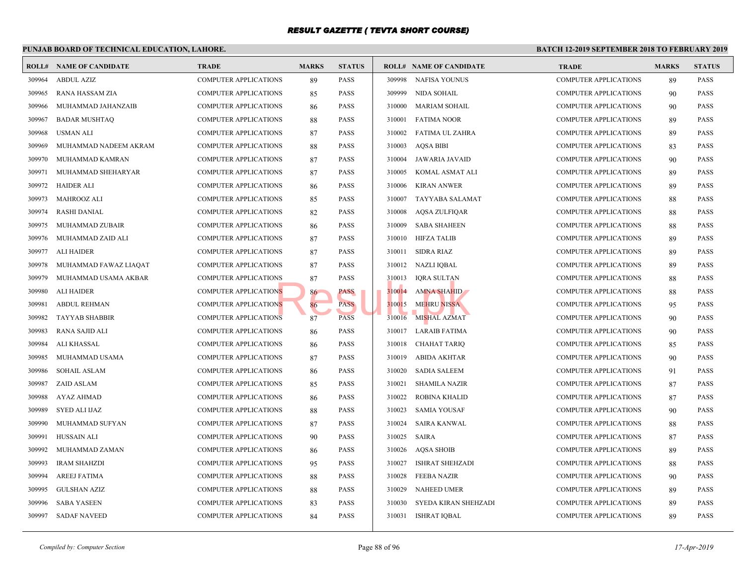|        | PUNJAB BOARD OF TECHNICAL EDUCATION, LAHORE. |                              |              |               |        |                                | <b>BATCH 12-1</b> |
|--------|----------------------------------------------|------------------------------|--------------|---------------|--------|--------------------------------|-------------------|
|        | <b>ROLL# NAME OF CANDIDATE</b>               | <b>TRADE</b>                 | <b>MARKS</b> | <b>STATUS</b> |        | <b>ROLL# NAME OF CANDIDATE</b> | <b>TRAL</b>       |
| 309964 | <b>ABDUL AZIZ</b>                            | <b>COMPUTER APPLICATIONS</b> | 89           | <b>PASS</b>   | 309998 | <b>NAFISA YOUNUS</b>           | <b>COMP</b>       |
| 309965 | <b>RANA HASSAM ZIA</b>                       | <b>COMPUTER APPLICATIONS</b> | 85           | <b>PASS</b>   | 309999 | NIDA SOHAIL                    | <b>COMP</b>       |
| 309966 | MUHAMMAD JAHANZAIB                           | <b>COMPUTER APPLICATIONS</b> | 86           | <b>PASS</b>   | 310000 | <b>MARIAM SOHAIL</b>           | <b>COMP</b>       |
| 309967 | <b>BADAR MUSHTAQ</b>                         | <b>COMPUTER APPLICATIONS</b> | 88           | <b>PASS</b>   | 310001 | <b>FATIMA NOOR</b>             | <b>COMP</b>       |
| 309968 | <b>USMAN ALI</b>                             | <b>COMPUTER APPLICATIONS</b> | 87           | <b>PASS</b>   | 310002 | FATIMA UL ZAHRA                | <b>COMP</b>       |
| 309969 | MUHAMMAD NADEEM AKRAM                        | <b>COMPUTER APPLICATIONS</b> | 88           | <b>PASS</b>   | 310003 | <b>AQSA BIBI</b>               | <b>COMP</b>       |
| 309970 | MUHAMMAD KAMRAN                              | <b>COMPUTER APPLICATIONS</b> | 87           | <b>PASS</b>   | 310004 | JAWARIA JAVAID                 | <b>COMP</b>       |
| 309971 | MUHAMMAD SHEHARYAR                           | <b>COMPUTER APPLICATIONS</b> | 87           | <b>PASS</b>   | 310005 | KOMAL ASMAT ALI                | <b>COMP</b>       |
| 309972 | <b>HAIDER ALI</b>                            | <b>COMPUTER APPLICATIONS</b> | 86           | <b>PASS</b>   | 310006 | <b>KIRAN ANWER</b>             | <b>COMP</b>       |
| 309973 | MAHROOZ ALI                                  | <b>COMPUTER APPLICATIONS</b> | 85           | <b>PASS</b>   | 310007 | TAYYABA SALAMAT                | <b>COMP</b>       |
| 309974 | <b>RASHI DANIAL</b>                          | COMPUTER APPLICATIONS        | 82           | <b>PASS</b>   | 310008 | <b>AQSA ZULFIQAR</b>           | <b>COMP</b>       |
| 309975 | MUHAMMAD ZUBAIR                              | <b>COMPUTER APPLICATIONS</b> | 86           | <b>PASS</b>   | 310009 | <b>SABA SHAHEEN</b>            | <b>COMP</b>       |
| 309976 | MUHAMMAD ZAID ALI                            | <b>COMPUTER APPLICATIONS</b> | 87           | <b>PASS</b>   | 310010 | HIFZA TALIB                    | <b>COMP</b>       |
| 309977 | <b>ALI HAIDER</b>                            | <b>COMPUTER APPLICATIONS</b> | 87           | <b>PASS</b>   | 310011 | SIDRA RIAZ                     | <b>COMP</b>       |
| 309978 | MUHAMMAD FAWAZ LIAQAT                        | <b>COMPUTER APPLICATIONS</b> | 87           | <b>PASS</b>   |        | 310012 NAZLI IQBAL             | <b>COMP</b>       |
| 309979 | MUHAMMAD USAMA AKBAR                         | <b>COMPUTER APPLICATIONS</b> | 87           | <b>PASS</b>   | 310013 | IQRA SULTAN                    | <b>COMP</b>       |
| 309980 | <b>ALI HAIDER</b>                            | <b>COMPUTER APPLICATIONS</b> | 86           | <b>PASS</b>   | 310014 | <b>AMNA SHAHID</b>             | <b>COMP</b>       |
| 309981 | <b>ABDUL REHMAN</b>                          | <b>COMPUTER APPLICATIONS</b> | 86           | <b>PASS</b>   | 310015 | <b>MEHRU NISSA</b>             | <b>COMP</b>       |
| 309982 | <b>TAYYAB SHABBIR</b>                        | <b>COMPUTER APPLICATIONS</b> | 87           | <b>PASS</b>   | 310016 | MISHAL AZMAT                   | <b>COMP</b>       |
| 309983 | RANA SAJID ALI                               | <b>COMPUTER APPLICATIONS</b> | 86           | <b>PASS</b>   | 310017 | LARAIB FATIMA                  | <b>COMP</b>       |
| 309984 | ALI KHASSAL                                  | <b>COMPUTER APPLICATIONS</b> | 86           | <b>PASS</b>   | 310018 | <b>CHAHAT TARIQ</b>            | <b>COMP</b>       |
| 309985 | MUHAMMAD USAMA                               | <b>COMPUTER APPLICATIONS</b> | 87           | <b>PASS</b>   | 310019 | ABIDA AKHTAR                   | <b>COMP</b>       |
| 309986 | <b>SOHAIL ASLAM</b>                          | <b>COMPUTER APPLICATIONS</b> | 86           | <b>PASS</b>   | 310020 | <b>SADIA SALEEM</b>            | <b>COMP</b>       |
| 309987 | ZAID ASLAM                                   | <b>COMPUTER APPLICATIONS</b> | 85           | <b>PASS</b>   | 310021 | <b>SHAMILA NAZIR</b>           | <b>COMP</b>       |
| 309988 | AYAZ AHMAD                                   | <b>COMPUTER APPLICATIONS</b> | 86           | <b>PASS</b>   | 310022 | ROBINA KHALID                  | <b>COMP</b>       |
| 309989 | <b>SYED ALI IJAZ</b>                         | <b>COMPUTER APPLICATIONS</b> | 88           | <b>PASS</b>   | 310023 | SAMIA YOUSAF                   | <b>COMP</b>       |
| 309990 | MUHAMMAD SUFYAN                              | <b>COMPUTER APPLICATIONS</b> | 87           | <b>PASS</b>   | 310024 | <b>SAIRA KANWAL</b>            | <b>COMP</b>       |
| 309991 | HUSSAIN ALI                                  | <b>COMPUTER APPLICATIONS</b> | 90           | <b>PASS</b>   | 310025 | SAIRA                          | <b>COMP</b>       |
| 309992 | MUHAMMAD ZAMAN                               | <b>COMPUTER APPLICATIONS</b> | 86           | <b>PASS</b>   | 310026 | AQSA SHOIB                     | <b>COMP</b>       |
| 309993 | <b>IRAM SHAHZDI</b>                          | <b>COMPUTER APPLICATIONS</b> | 95           | <b>PASS</b>   | 310027 | ISHRAT SHEHZADI                | <b>COMP</b>       |
| 309994 | <b>AREEJ FATIMA</b>                          | <b>COMPUTER APPLICATIONS</b> | 88           | <b>PASS</b>   | 310028 | <b>FEEBA NAZIR</b>             | <b>COMP</b>       |
| 309995 | <b>GULSHAN AZIZ</b>                          | <b>COMPUTER APPLICATIONS</b> | 88           | <b>PASS</b>   | 310029 | <b>NAHEED UMER</b>             | <b>COMP</b>       |
| 309996 | <b>SABA YASEEN</b>                           | <b>COMPUTER APPLICATIONS</b> | 83           | <b>PASS</b>   | 310030 | SYEDA KIRAN SHEHZADI           | <b>COMP</b>       |
| 309997 | <b>SADAF NAVEED</b>                          | <b>COMPUTER APPLICATIONS</b> | 84           | <b>PASS</b>   | 310031 | ISHRAT IQBAL                   | <b>COMP</b>       |
|        |                                              |                              |              |               |        |                                |                   |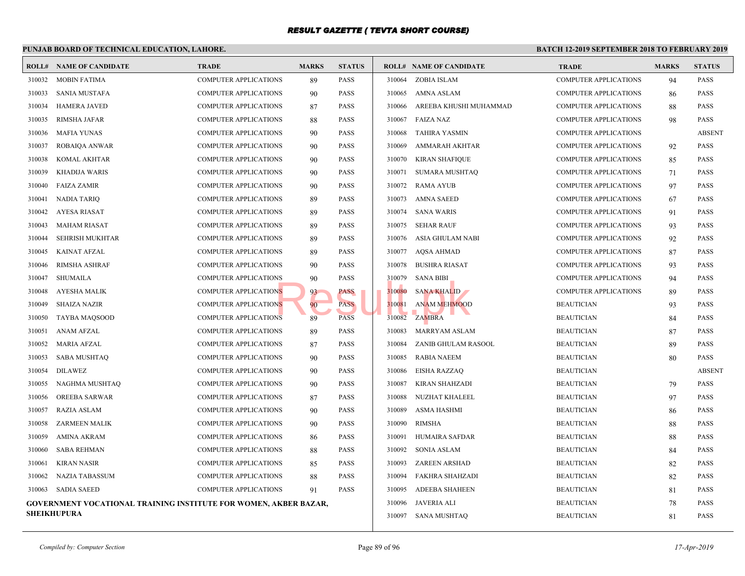|        | PUNJAB BOARD OF TECHNICAL EDUCATION, LAHORE.                            |                              |              |               | <b>BATCH 12-</b> |                                |             |
|--------|-------------------------------------------------------------------------|------------------------------|--------------|---------------|------------------|--------------------------------|-------------|
|        | <b>ROLL# NAME OF CANDIDATE</b>                                          | <b>TRADE</b>                 | <b>MARKS</b> | <b>STATUS</b> |                  | <b>ROLL# NAME OF CANDIDATE</b> | <b>TRAL</b> |
| 310032 | MOBIN FATIMA                                                            | <b>COMPUTER APPLICATIONS</b> | 89           | <b>PASS</b>   | 310064           | ZOBIA ISLAM                    | COMP        |
| 310033 | <b>SANIA MUSTAFA</b>                                                    | <b>COMPUTER APPLICATIONS</b> | 90           | <b>PASS</b>   | 310065           | AMNA ASLAM                     | <b>COMP</b> |
| 310034 | <b>HAMERA JAVED</b>                                                     | <b>COMPUTER APPLICATIONS</b> | 87           | <b>PASS</b>   | 310066           | AREEBA KHUSHI MUHAMMAD         | <b>COMP</b> |
| 310035 | <b>RIMSHA JAFAR</b>                                                     | <b>COMPUTER APPLICATIONS</b> | 88           | <b>PASS</b>   | 310067           | <b>FAIZA NAZ</b>               | <b>COMP</b> |
| 310036 | <b>MAFIA YUNAS</b>                                                      | COMPUTER APPLICATIONS        | 90           | <b>PASS</b>   | 310068           | TAHIRA YASMIN                  | <b>COMP</b> |
| 310037 | ROBAIQA ANWAR                                                           | COMPUTER APPLICATIONS        | 90           | <b>PASS</b>   | 310069           | AMMARAH AKHTAR                 | COMP        |
| 310038 | KOMAL AKHTAR                                                            | <b>COMPUTER APPLICATIONS</b> | 90           | <b>PASS</b>   | 310070           | KIRAN SHAFIQUE                 | COMP        |
| 310039 | <b>KHADIJA WARIS</b>                                                    | <b>COMPUTER APPLICATIONS</b> | 90           | PASS          | 310071           | SUMARA MUSHTAQ                 | <b>COMP</b> |
| 310040 | <b>FAIZA ZAMIR</b>                                                      | COMPUTER APPLICATIONS        | 90           | <b>PASS</b>   | 310072           | RAMA AYUB                      | <b>COMP</b> |
| 310041 | <b>NADIA TARIQ</b>                                                      | COMPUTER APPLICATIONS        | 89           | <b>PASS</b>   | 310073           | <b>AMNA SAEED</b>              | <b>COMP</b> |
| 310042 | <b>AYESA RIASAT</b>                                                     | <b>COMPUTER APPLICATIONS</b> | 89           | <b>PASS</b>   | 310074           | <b>SANA WARIS</b>              | <b>COMP</b> |
| 310043 | <b>MAHAM RIASAT</b>                                                     | COMPUTER APPLICATIONS        | 89           | <b>PASS</b>   | 310075           | SEHAR RAUF                     | <b>COMP</b> |
| 310044 | <b>SEHRISH MUKHTAR</b>                                                  | COMPUTER APPLICATIONS        | 89           | <b>PASS</b>   | 310076           | ASIA GHULAM NABI               | <b>COMP</b> |
| 310045 | <b>KAINAT AFZAL</b>                                                     | <b>COMPUTER APPLICATIONS</b> | 89           | <b>PASS</b>   | 310077           | AQSA AHMAD                     | <b>COMP</b> |
| 310046 | <b>RIMSHA ASHRAF</b>                                                    | <b>COMPUTER APPLICATIONS</b> | 90           | <b>PASS</b>   | 310078           | <b>BUSHRA RIASAT</b>           | <b>COMP</b> |
| 310047 | <b>SHUMAILA</b>                                                         | <b>COMPUTER APPLICATIONS</b> | 90           | <b>PASS</b>   | 310079           | <b>SANA BIBI</b>               | <b>COMP</b> |
| 310048 | <b>AYESHA MALIK</b>                                                     | <b>COMPUTER APPLICATIONS</b> | 93           | PASS          | 310080           | <b>SANA KHALID</b>             | <b>COMP</b> |
| 310049 | <b>SHAIZA NAZIR</b>                                                     | <b>COMPUTER APPLICATIONS</b> | 90           | <b>PASS</b>   | 310081           | <b>ANAM MEHMOOD</b>            | <b>BEAU</b> |
| 310050 | <b>TAYBA MAQSOOD</b>                                                    | <b>COMPUTER APPLICATIONS</b> | 89           | <b>PASS</b>   | 310082           | ZAMBRA                         | <b>BEAU</b> |
| 310051 | <b>ANAM AFZAL</b>                                                       | <b>COMPUTER APPLICATIONS</b> | 89           | <b>PASS</b>   | 310083           | MARRYAM ASLAM                  | <b>BEAU</b> |
| 310052 | <b>MARIA AFZAL</b>                                                      | <b>COMPUTER APPLICATIONS</b> | 87           | <b>PASS</b>   | 310084           | ZANIB GHULAM RASOOL            | <b>BEAU</b> |
| 310053 | <b>SABA MUSHTAQ</b>                                                     | <b>COMPUTER APPLICATIONS</b> | 90           | <b>PASS</b>   | 310085           | <b>RABIA NAEEM</b>             | <b>BEAU</b> |
| 310054 | <b>DILAWEZ</b>                                                          | <b>COMPUTER APPLICATIONS</b> | 90           | <b>PASS</b>   | 310086           | EISHA RAZZAQ                   | <b>BEAU</b> |
| 310055 | NAGHMA MUSHTAQ                                                          | COMPUTER APPLICATIONS        | 90           | <b>PASS</b>   | 310087           | KIRAN SHAHZADI                 | <b>BEAU</b> |
| 310056 | <b>OREEBA SARWAR</b>                                                    | <b>COMPUTER APPLICATIONS</b> | 87           | <b>PASS</b>   | 310088           | NUZHAT KHALEEL                 | <b>BEAU</b> |
| 310057 | <b>RAZIA ASLAM</b>                                                      | <b>COMPUTER APPLICATIONS</b> | 90           | <b>PASS</b>   | 310089           | ASMA HASHMI                    | <b>BEAU</b> |
| 310058 | <b>ZARMEEN MALIK</b>                                                    | <b>COMPUTER APPLICATIONS</b> | 90           | <b>PASS</b>   | 310090           | RIMSHA                         | <b>BEAU</b> |
| 310059 | <b>AMINA AKRAM</b>                                                      | <b>COMPUTER APPLICATIONS</b> | 86           | <b>PASS</b>   | 310091           | HUMAIRA SAFDAR                 | <b>BEAU</b> |
| 310060 | <b>SABA REHMAN</b>                                                      | <b>COMPUTER APPLICATIONS</b> | 88           | <b>PASS</b>   | 310092           | <b>SONIA ASLAM</b>             | <b>BEAU</b> |
| 310061 | <b>KIRAN NASIR</b>                                                      | COMPUTER APPLICATIONS        | 85           | PASS          | 310093           | <b>ZAREEN ARSHAD</b>           | <b>BEAU</b> |
| 310062 | <b>NAZIA TABASSUM</b>                                                   | COMPUTER APPLICATIONS        | 88           | <b>PASS</b>   | 310094           | <b>FAKHRA SHAHZADI</b>         | <b>BEAU</b> |
| 310063 | SADIA SAEED                                                             | <b>COMPUTER APPLICATIONS</b> | 91           | <b>PASS</b>   | 310095           | <b>ADEEBA SHAHEEN</b>          | <b>BEAU</b> |
|        | <b>GOVERNMENT VOCATIONAL TRAINING INSTITUTE FOR WOMEN, AKBER BAZAR,</b> |                              |              |               | 310096           | JAVERIA ALI                    | <b>BEAU</b> |
|        | <b>SHEIKHUPURA</b>                                                      |                              |              |               |                  | 310097 SANA MUSHTAQ            | <b>BEAU</b> |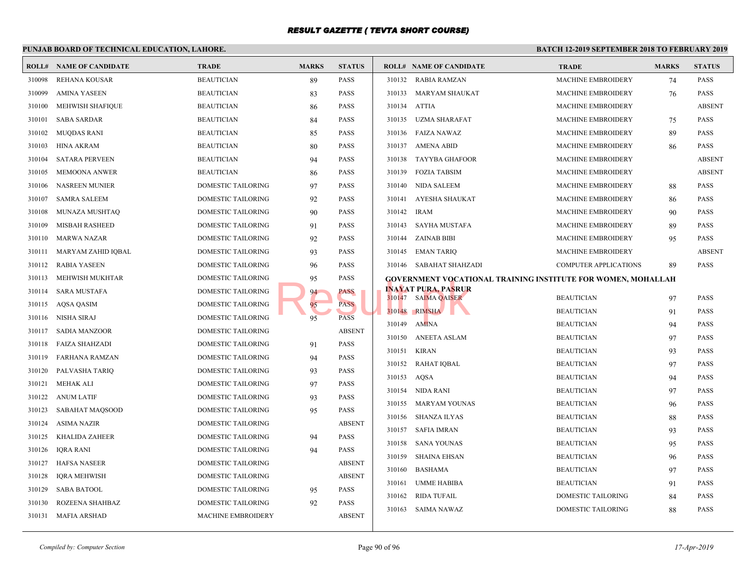#### **PUNJAB BOARD OF TECHNICAL EDUCATION, LAHORE. BATCH 12-ROLL# NAME OF CANDIDATE TRADE MARKS STATUS ROLL# NAME OF CANDIDATE TRADE MARKS STATUS** 310098 REHANA KOUSAR BEAUTICIAN 89 PASS 310099 AMINA YASEEN BEAUTICIAN 83 PASS 310100 MEHWISH SHAFIQUE BEAUTICIAN 86 PASS 310101 SABA SARDAR BEAUTICIAN 84 PASS 310102 MUQDAS RANI BEAUTICIAN 85 PASS 310103 HINA AKRAM BEAUTICIAN 80 PASS 310104 SATARA PERVEEN BEAUTICIAN 94 PASS 310105 MEMOONA ANWER BEAUTICIAN 86 PASS 310106 NASREEN MUNIER DOMESTIC TAILORING 97 PASS 310107 SAMRA SALEEM DOMESTIC TAILORING 92 PASS 310108 MUNAZA MUSHTAQ DOMESTIC TAILORING 90 PASS 310109 MISBAH RASHEED DOMESTIC TAILORING 91 PASS 310110 MARWA NAZAR DOMESTIC TAILORING 92 PASS 310111 MARYAM ZAHID IQBAL DOMESTIC TAILORING 93 PASS 310112 RABIA YASEEN DOMESTIC TAILORING 96 PASS 310113 MEHWISH MUKHTAR DOMESTIC TAILORING 95 PASS 310114 SARA MUSTAFA DOMESTIC TAILORING 94 PASS 310115 AQSA QASIM DOMESTIC TAILORING 95 PASS 310116 NISHA SIRAJ DOMESTIC TAILORING 95 PASS 310117 SADIA MANZOOR DOMESTIC TAILORING ABSENT 310118 FAIZA SHAHZADI DOMESTIC TAILORING 91 PASS 310119 FARHANA RAMZAN DOMESTIC TAILORING 94 PASS 310120 PALVASHA TARIQ DOMESTIC TAILORING 93 PASS 310121 MEHAK ALI DOMESTIC TAILORING 97 PASS 310122 ANUM LATIF DOMESTIC TAILORING 93 PASS 310123 SABAHAT MAQSOOD DOMESTIC TAILORING 95 PASS 310124 ASIMA NAZIR DOMESTIC TAILORING ABSENT 310125 KHALIDA ZAHEER DOMESTIC TAILORING 94 PASS 310126 IQRA RANI DOMESTIC TAILORING 94 PASS 310127 HAFSA NASEER DOMESTIC TAILORING ABSENT 310128 IQRA MEHWISH DOMESTIC TAILORING ABSENT 310129 SABA BATOOL DOMESTIC TAILORING 95 PASS 310130 ROZEENA SHAHBAZ DOMESTIC TAILORING 92 PASS 310131 MAFIA ARSHAD MACHINE EMBROIDERY ABSENT 310132 RABIA RAMZAN MACH 310133 MARYAM SHAUKAT MACH 310134 ATTIA MACH 310135 UZMA SHARAFAT MACH 310136 FAIZA NAWAZ MACH 310137 AMENA ABID MACH 310138 TAYYBA GHAFOOR MACH 310139 FOZIA TABSIM MACH 310140 NIDA SALEEM MACH 310141 AYESHA SHAUKAT MACH 310142 IRAM MACH 310143 SAYHA MUSTAFA MACH 310144 ZAINAB BIBI MACH 310145 EMAN TARIQ MACH 310146 SABAHAT SHAHZADI COMP **GOVERNMENT VOCATIONAL TRAINING INSTITUTE INAYAT PURA, PASRUR** 310147 SAIMA QAISER BEAUTICIAN 97 BEAUTICIAN 97 PASSAGE 310148 RIMSHA BEAUTICIAN BEAUTICIAN 91 PASSES 310149 AMINA BEAUT 310150 ANEETA ASLAM BEAUTICIAN 97 BEAUTICIAN 97 PASSES AND BEAUTICIAN BEAUTICIAN 97 PASSES AND ASSESSMENT OF A 310151 KIRAN BEAUT 310152 RAHAT IQBAL BEAUT 310153 AQSA BEAUTICIAN 94 PASSA 310154 NIDA RANI BEAUT 310155 MARYAM YOUNAS BEAUT 310156 SHANZA ILYAS BEAUT 310157 SAFIA IMRAN BEAUT 310158 SANA YOUNAS BEAUTICIAN 95 310159 SHAINA EHSAN BEAUTICIAN BEAUTICIAN BEAUTICIAN BEAUTICIAN BEAUTICIAN BEAUTICIAN BEAUTICIAN BEAU 310160 BASHAMA BEAUT 310161 UMME HABIBA BEAUTICIAN BEAUTICIAN BEAUTICIAN BEAUTICIAN BEAUTICIAN BEAUTICIAN BEAUTICIAN BEAU 310162 RIDA TUFAIL DOME 310163 SAIMA NAWAZ DOME 95 PASS<br>
PASS<br>
95 PASS<br>
95 PASS<br>
PASS<br>
20148 RIMSHA<br>
20148 RIMSHA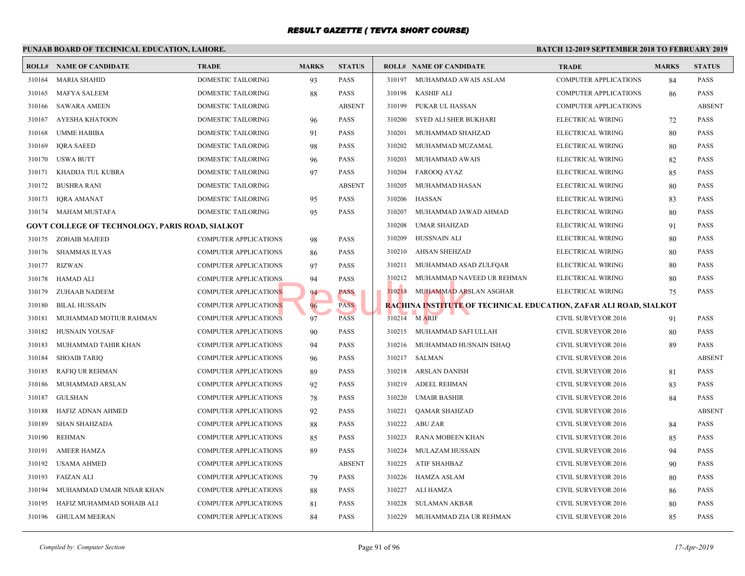#### **PUNJAB BOARD OF TECHNICAL EDUCATION, LAHORE. BATCH 12-ROLL# NAME OF CANDIDATE TRADE MARKS STATUS ROLL# NAME OF CANDIDATE TRADE MARKS STATUS** 310164 MARIA SHAHID DOMESTIC TAILORING 93 PASS 310165 MAFYA SALEEM DOMESTIC TAILORING 88 PASS 310166 SAWARA AMEEN DOMESTIC TAILORING ABSENT 310167 AYESHA KHATOON DOMESTIC TAILORING 96 PASS 310168 UMME HABIBA DOMESTIC TAILORING 91 PASS 310169 IQRA SAEED DOMESTIC TAILORING 98 PASS 310170 USWA BUTT DOMESTIC TAILORING 96 PASS 310171 KHADIJA TUL KUBRA DOMESTIC TAILORING 97 PASS 310172 BUSHRA RANI DOMESTIC TAILORING ABSENT 310173 IQRA AMANAT DOMESTIC TAILORING 95 PASS 310174 MAHAM MUSTAFA DOMESTIC TAILORING 95 PASS **GOVT COLLEGE OF TECHNOLOGY, PARIS ROAD, SIALKOT** 310175 ZOHAIB MAJEED COMPUTER APPLICATIONS 98 PASS 310176 SHAMMAS ILYAS COMPUTER APPLICATIONS 86 PASS 310177 RIZWAN COMPUTER APPLICATIONS 97 PASS 310178 HAMAD ALI COMPUTER APPLICATIONS 94 PASS 310179 ZUHAAB NADEEM COMPUTER APPLICATIONS 94 PASS 310180 BILAL HUSSAIN COMPUTER APPLICATIONS 96 PASS 310181 MUHAMMAD MOTIUR RAHMAN COMPUTER APPLICATIONS 97 PASS 310182 HUSNAIN YOUSAF COMPUTER APPLICATIONS 90 PASS 310183 MUHAMMAD TAHIR KHAN COMPUTER APPLICATIONS 94 PASS 310184 SHOAIB TARIQ COMPUTER APPLICATIONS 96 PASS 310185 RAFIQ UR REHMAN COMPUTER APPLICATIONS 89 PASS 310186 MUHAMMAD ARSLAN COMPUTER APPLICATIONS 92 PASS 310187 GULSHAN COMPUTER APPLICATIONS 78 PASS 310188 HAFIZ ADNAN AHMED COMPUTER APPLICATIONS 92 PASS 310189 SHAN SHAHZADA COMPUTER APPLICATIONS 88 PASS 310190 REHMAN COMPUTER APPLICATIONS 85 PASS 310191 AMEER HAMZA COMPUTER APPLICATIONS 89 PASS 310192 USAMA AHMED COMPUTER APPLICATIONS ABSENT 310193 FAIZAN ALI COMPUTER APPLICATIONS 79 PASS 310194 MUHAMMAD UMAIR NISAR KHAN COMPUTER APPLICATIONS 88 PASS 310195 HAFIZ MUHAMMAD SOHAIB ALI COMPUTER APPLICATIONS 81 PASS 310196 GHULAM MEERAN COMPUTER APPLICATIONS 84 PASS 310197 MUHAMMAD AWAIS ASLAM COMP 310198 KASHIF ALI COMP 310199 PUKAR UL HASSAN COMP 310200 SYED ALI SHER BUKHARI ELECT 310201 MUHAMMAD SHAHZAD ELECT 310202 MUHAMMAD MUZAMAL ELECT 310203 MUHAMMAD AWAIS ELECT 310204 FAROOQ AYAZ ELECT 310205 MUHAMMAD HASAN ELECT 310206 HASSAN ELECT 310207 MUHAMMAD JAWAD AHMAD ELECT 310208 UMAR SHAHZAD ELECT 310209 HUSSNAIN ALI ELECT 310210 AHSAN SHEHZAD ELECT 310211 MUHAMMAD ASAD ZULFQAR ELECT 310212 MUHAMMAD NAVEED UR REHMAN ELECT 310213 MUHAMMAD ARSLAN ASGHAR ELECT **RACHINA INSTITUTE OF TECHNICAL EDUCATION,**  $310214$  M ARIF CIVIL 310215 MUHAMMAD SAFI ULLAH CIVIL 310216 MUHAMMAD HUSNAIN ISHAQ CIVIL 310217 SALMAN CIVIL 310218 ARSLAN DANISH CIVIL 310219 ADEEL REHMAN CIVIL 310220 UMAIR BASHIR CIVIL 310221 QAMAR SHAHZAD CIVIL 310222 ABU ZAR CIVIL 310223 RANA MOBEEN KHAN CIVIL 310224 MULAZAM HUSSAIN CIVIL 310225 ATIF SHAHBAZ CIVIL 310226 HAMZA ASLAM CIVIL 310227 ALI HAMZA CIVIL 310228 SULAMAN AKBAR CIVIL 310229 MUHAMMAD ZIA UR REHMAN CIVIL NS
310212 MUHAMMAD NANS
NS
304
PASS
PASS
PASS
PASS
RACHINA INSTITUTE O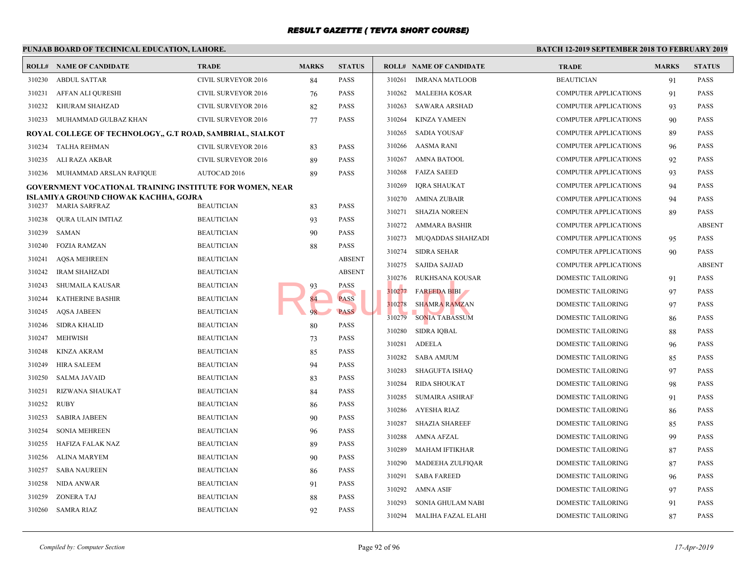|        | PUNJAB BOARD OF TECHNICAL EDUCATION, LAHORE.              |                                        |              |               | <b>BATCH 12-</b> |                                |             |
|--------|-----------------------------------------------------------|----------------------------------------|--------------|---------------|------------------|--------------------------------|-------------|
|        | <b>ROLL# NAME OF CANDIDATE</b>                            | <b>TRADE</b>                           | <b>MARKS</b> | <b>STATUS</b> |                  | <b>ROLL# NAME OF CANDIDATE</b> | <b>TRAL</b> |
| 310230 | <b>ABDUL SATTAR</b>                                       | CIVIL SURVEYOR 2016                    | 84           | PASS          | 310261           | <b>IMRANA MATLOOB</b>          | <b>BEAU</b> |
| 310231 | AFFAN ALI QURESHI                                         | <b>CIVIL SURVEYOR 2016</b>             | 76           | PASS          | 310262           | <b>MALEEHA KOSAR</b>           | <b>COMP</b> |
| 310232 | KHURAM SHAHZAD                                            | CIVIL SURVEYOR 2016                    | 82           | PASS          | 310263           | <b>SAWARA ARSHAD</b>           | <b>COMP</b> |
|        | 310233 MUHAMMAD GULBAZ KHAN                               | CIVIL SURVEYOR 2016                    | 77           | PASS          | 310264           | <b>KINZA YAMEEN</b>            | <b>COMP</b> |
|        | ROYAL COLLEGE OF TECHNOLOGY., G.T ROAD, SAMBRIAL, SIALKOT |                                        |              |               | 310265           | <b>SADIA YOUSAF</b>            | <b>COMP</b> |
| 310234 | TALHA REHMAN                                              | CIVIL SURVEYOR 2016                    | 83           | PASS          | 310266           | AASMA RANI                     | <b>COMP</b> |
| 310235 | ALI RAZA AKBAR                                            | CIVIL SURVEYOR 2016                    | 89           | PASS          | 310267           | AMNA BATOOL                    | <b>COMP</b> |
|        | 310236 MUHAMMAD ARSLAN RAFIQUE                            | AUTOCAD 2016                           | 89           | PASS          | 310268           | <b>FAIZA SAEED</b>             | <b>COMP</b> |
|        | GOVERNMENT VOCATIONAL TRAINING INSTITUTE FOR WOMEN, NEAR  |                                        |              |               | 310269           | <b>IQRA SHAUKAT</b>            | <b>COMP</b> |
|        | ISLAMIYA GROUND CHOWAK KACHHA, GOJRA                      | <b>BEAUTICIAN</b>                      |              | PASS          | 310270           | AMINA ZUBAIR                   | <b>COMP</b> |
| 310238 | 310237 MARIA SARFRAZ                                      |                                        | 83           | PASS          | 310271           | <b>SHAZIA NOREEN</b>           | <b>COMP</b> |
| 310239 | QURA ULAIN IMTIAZ<br>SAMAN                                | <b>BEAUTICIAN</b><br><b>BEAUTICIAN</b> | 93           | PASS          | 310272           | AMMARA BASHIR                  | <b>COMP</b> |
| 310240 | <b>FOZIA RAMZAN</b>                                       | <b>BEAUTICIAN</b>                      | 90           | PASS          | 310273           | MUQADDAS SHAHZADI              | <b>COMP</b> |
| 310241 | <b>AQSA MEHREEN</b>                                       | <b>BEAUTICIAN</b>                      | 88           | <b>ABSENT</b> | 310274           | <b>SIDRA SEHAR</b>             | <b>COMP</b> |
| 310242 |                                                           | <b>BEAUTICIAN</b>                      |              | <b>ABSENT</b> | 310275           | <b>SAJIDA SAJJAD</b>           | <b>COMP</b> |
| 310243 | <b>IRAM SHAHZADI</b>                                      | <b>BEAUTICIAN</b>                      |              | PASS          | 310276           | RUKHSANA KOUSAR                | <b>DOME</b> |
| 310244 | <b>SHUMAILA KAUSAR</b><br><b>KATHERINE BASHIR</b>         | <b>BEAUTICIAN</b>                      | 93           | <b>PASS</b>   | 310277           | <b>FAREEDA BIBI</b>            | <b>DOME</b> |
| 310245 | <b>AQSA JABEEN</b>                                        | <b>BEAUTICIAN</b>                      | 84<br>98     | <b>PASS</b>   | 310278           | <b>SHAMRA RAMZAN</b>           | <b>DOME</b> |
| 310246 | <b>SIDRA KHALID</b>                                       | <b>BEAUTICIAN</b>                      | 80           | PASS          | 310279           | <b>SONIA TABASSUM</b>          | <b>DOME</b> |
| 310247 | <b>MEHWISH</b>                                            | <b>BEAUTICIAN</b>                      |              | PASS          | 310280           | <b>SIDRA IQBAL</b>             | <b>DOME</b> |
| 310248 | KINZA AKRAM                                               | <b>BEAUTICIAN</b>                      | 73           | <b>PASS</b>   | 310281           | <b>ADEELA</b>                  | <b>DOME</b> |
| 310249 | <b>HIRA SALEEM</b>                                        | <b>BEAUTICIAN</b>                      | 85<br>94     | PASS          | 310282           | <b>SABA AMJUM</b>              | <b>DOME</b> |
| 310250 | <b>SALMA JAVAID</b>                                       | <b>BEAUTICIAN</b>                      |              | PASS          | 310283           | <b>SHAGUFTA ISHAQ</b>          | <b>DOME</b> |
| 310251 | <b>RIZWANA SHAUKAT</b>                                    | <b>BEAUTICIAN</b>                      | 83           | PASS          | 310284           | <b>RIDA SHOUKAT</b>            | <b>DOME</b> |
| 310252 | <b>RUBY</b>                                               | <b>BEAUTICIAN</b>                      | 84           | PASS          | 310285           | <b>SUMAIRA ASHRAF</b>          | <b>DOME</b> |
| 310253 | <b>SABIRA JABEEN</b>                                      | <b>BEAUTICIAN</b>                      | 86           | PASS          | 310286           | AYESHA RIAZ                    | <b>DOME</b> |
| 310254 | <b>SONIA MEHREEN</b>                                      | <b>BEAUTICIAN</b>                      | 90           | PASS          | 310287           | <b>SHAZIA SHAREEF</b>          | <b>DOME</b> |
| 310255 | HAFIZA FALAK NAZ                                          | <b>BEAUTICIAN</b>                      | 96           | PASS          | 310288           | AMNA AFZAL                     | <b>DOME</b> |
| 310256 | ALINA MARYEM                                              | <b>BEAUTICIAN</b>                      | 89<br>90     | PASS          | 310289           | MAHAM IFTIKHAR                 | <b>DOME</b> |
| 310257 | SABA NAUREEN                                              | <b>BEAUTICIAN</b>                      |              | PASS          | 310290           | MADEEHA ZULFIQAR               | <b>DOME</b> |
| 310258 | NIDA ANWAR                                                | <b>BEAUTICIAN</b>                      | 86           | PASS          | 310291           | <b>SABA FAREED</b>             | <b>DOME</b> |
| 310259 | ZONERA TAJ                                                | <b>BEAUTICIAN</b>                      | 91           | PASS          | 310292           | AMNA ASIF                      | <b>DOME</b> |
| 310260 | <b>SAMRA RIAZ</b>                                         | <b>BEAUTICIAN</b>                      | 88<br>92     | PASS          | 310293           | SONIA GHULAM NABI              | <b>DOME</b> |
|        |                                                           |                                        |              |               | 310294           | MALIHA FAZAL ELAHI             | <b>DOME</b> |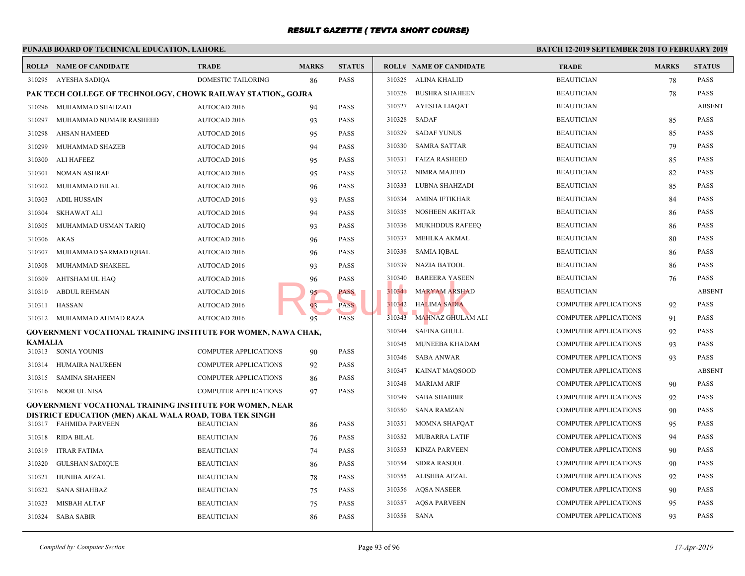|                | PUNJAB BOARD OF TECHNICAL EDUCATION, LAHORE.                                                                                      |                              |              |               | <b>BATCH 12-1</b> |                                |             |
|----------------|-----------------------------------------------------------------------------------------------------------------------------------|------------------------------|--------------|---------------|-------------------|--------------------------------|-------------|
|                | <b>ROLL# NAME OF CANDIDATE</b>                                                                                                    | <b>TRADE</b>                 | <b>MARKS</b> | <b>STATUS</b> |                   | <b>ROLL# NAME OF CANDIDATE</b> | <b>TRAL</b> |
|                | 310295 AYESHA SADIQA                                                                                                              | DOMESTIC TAILORING           | 86           | PASS          |                   | 310325 ALINA KHALID            | <b>BEAU</b> |
|                | PAK TECH COLLEGE OF TECHNOLOGY, CHOWK RAILWAY STATION,, GOJRA                                                                     |                              |              |               | 310326            | <b>BUSHRA SHAHEEN</b>          | <b>BEAU</b> |
| 310296         | MUHAMMAD SHAHZAD                                                                                                                  | AUTOCAD 2016                 | 94           | <b>PASS</b>   | 310327            | AYESHA LIAQAT                  | <b>BEAU</b> |
| 310297         | MUHAMMAD NUMAIR RASHEED                                                                                                           | <b>AUTOCAD 2016</b>          | 93           | <b>PASS</b>   | 310328            | SADAF                          | <b>BEAU</b> |
| 310298         | AHSAN HAMEED                                                                                                                      | AUTOCAD 2016                 | 95           | PASS          | 310329            | <b>SADAF YUNUS</b>             | <b>BEAU</b> |
| 310299         | MUHAMMAD SHAZEB                                                                                                                   | <b>AUTOCAD 2016</b>          | 94           | PASS          | 310330            | <b>SAMRA SATTAR</b>            | <b>BEAU</b> |
| 310300         | ALI HAFEEZ                                                                                                                        | AUTOCAD 2016                 | 95           | <b>PASS</b>   | 310331            | <b>FAIZA RASHEED</b>           | <b>BEAU</b> |
| 310301         | <b>NOMAN ASHRAF</b>                                                                                                               | <b>AUTOCAD 2016</b>          | 95           | <b>PASS</b>   | 310332            | NIMRA MAJEED                   | <b>BEAU</b> |
| 310302         | MUHAMMAD BILAL                                                                                                                    | <b>AUTOCAD 2016</b>          | 96           | <b>PASS</b>   | 310333            | LUBNA SHAHZADI                 | <b>BEAU</b> |
| 310303         | <b>ADIL HUSSAIN</b>                                                                                                               | AUTOCAD 2016                 | 93           | PASS          | 310334            | AMINA IFTIKHAR                 | <b>BEAU</b> |
| 310304         | <b>SKHAWAT ALI</b>                                                                                                                | AUTOCAD 2016                 | 94           | <b>PASS</b>   | 310335            | NOSHEEN AKHTAR                 | <b>BEAU</b> |
| 310305         | MUHAMMAD USMAN TARIO                                                                                                              | <b>AUTOCAD 2016</b>          | 93           | PASS          | 310336            | <b>MUKHDDUS RAFEEQ</b>         | <b>BEAU</b> |
| 310306         | AKAS                                                                                                                              | AUTOCAD 2016                 | 96           | PASS          | 310337            | MEHLKA AKMAL                   | <b>BEAU</b> |
| 310307         | MUHAMMAD SARMAD IQBAL                                                                                                             | AUTOCAD 2016                 | 96           | PASS          | 310338            | <b>SAMIA IQBAL</b>             | <b>BEAU</b> |
| 310308         | MUHAMMAD SHAKEEL                                                                                                                  | AUTOCAD 2016                 | 93           | <b>PASS</b>   | 310339            | <b>NAZIA BATOOL</b>            | <b>BEAU</b> |
| 310309         | AHTSHAM UL HAQ                                                                                                                    | AUTOCAD 2016                 | 96           | PASS          | 310340            | <b>BAREERA YASEEN</b>          | <b>BEAU</b> |
| 310310         | <b>ABDUL REHMAN</b>                                                                                                               | <b>AUTOCAD 2016</b>          | 95           | PASS          | 310341            | <b>MARYAM ARSHAD</b>           | <b>BEAU</b> |
| 310311         | HASSAN                                                                                                                            | AUTOCAD 2016                 | 93           | <b>PASS</b>   |                   | 310342 HALIMA SADIA            | <b>COMP</b> |
|                | 310312 MUHAMMAD AHMAD RAZA                                                                                                        | AUTOCAD 2016                 | 95           | <b>PASS</b>   | 310343            | MAHNAZ GHULAM ALI              | <b>COMP</b> |
|                | GOVERNMENT VOCATIONAL TRAINING INSTITUTE FOR WOMEN, NAWA CHAK,                                                                    |                              |              |               | 310344            | SAFINA GHULL                   | <b>COMP</b> |
| <b>KAMALIA</b> | 310313 SONIA YOUNIS                                                                                                               |                              |              | PASS          | 310345            | MUNEEBA KHADAM                 | <b>COMP</b> |
|                |                                                                                                                                   | <b>COMPUTER APPLICATIONS</b> | 90           |               | 310346            | <b>SABA ANWAR</b>              | <b>COMP</b> |
| 310314         | HUMAIRA NAUREEN                                                                                                                   | <b>COMPUTER APPLICATIONS</b> | 92           | <b>PASS</b>   | 310347            | <b>KAINAT MAQSOOD</b>          | <b>COMP</b> |
|                | 310315 SAMINA SHAHEEN                                                                                                             | <b>COMPUTER APPLICATIONS</b> | 86           | <b>PASS</b>   | 310348            | <b>MARIAM ARIF</b>             | <b>COMP</b> |
|                | 310316 NOOR UL NISA                                                                                                               | <b>COMPUTER APPLICATIONS</b> | 97           | PASS          | 310349            | <b>SABA SHABBIR</b>            | <b>COMP</b> |
|                | <b>GOVERNMENT VOCATIONAL TRAINING INSTITUTE FOR WOMEN, NEAR</b><br><b>DISTRICT EDUCATION (MEN) AKAL WALA ROAD, TOBA TEK SINGH</b> |                              |              |               | 310350            | <b>SANA RAMZAN</b>             | <b>COMP</b> |
|                | 310317 FAHMIDA PARVEEN                                                                                                            | <b>BEAUTICIAN</b>            | 86           | PASS          | 310351            | <b>MOMNA SHAFQAT</b>           | <b>COMP</b> |
| 310318         | RIDA BILAL                                                                                                                        | <b>BEAUTICIAN</b>            | 76           | PASS          | 310352            | MUBARRA LATIF                  | <b>COMP</b> |
| 310319         | <b>ITRAR FATIMA</b>                                                                                                               | <b>BEAUTICIAN</b>            | 74           | PASS          | 310353            | <b>KINZA PARVEEN</b>           | <b>COMP</b> |
| 310320         | <b>GULSHAN SADIOUE</b>                                                                                                            | <b>BEAUTICIAN</b>            | 86           | PASS          | 310354            | <b>SIDRA RASOOL</b>            | <b>COMP</b> |
| 310321         | <b>HUNIBA AFZAL</b>                                                                                                               | <b>BEAUTICIAN</b>            | 78           | PASS          | 310355            | ALISHBA AFZAL                  | <b>COMP</b> |
| 310322         | SANA SHAHBAZ                                                                                                                      | <b>BEAUTICIAN</b>            | 75           | PASS          | 310356            | <b>AQSA NASEER</b>             | <b>COMP</b> |
| 310323         | MISBAH ALTAF                                                                                                                      | <b>BEAUTICIAN</b>            | 75           | PASS          | 310357            | <b>AQSA PARVEEN</b>            | <b>COMP</b> |
|                | 310324 SABA SABIR                                                                                                                 | <b>BEAUTICIAN</b>            | 86           | PASS          | 310358 SANA       |                                | <b>COMP</b> |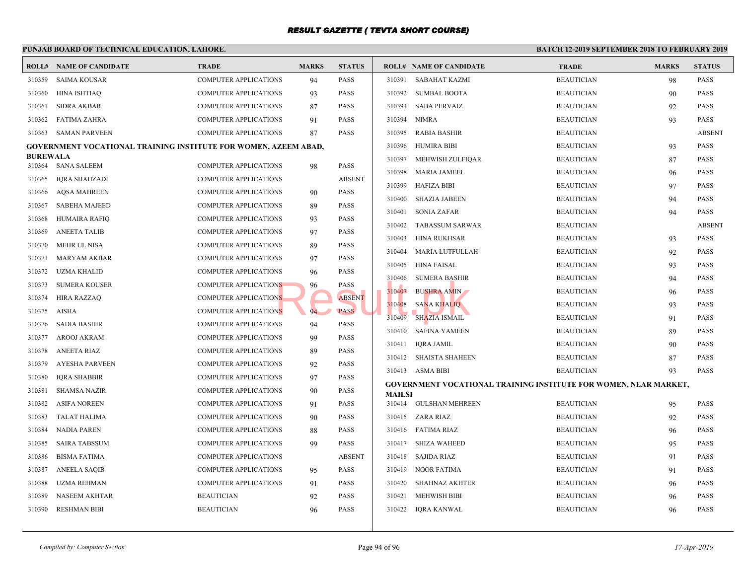|                           | PUNJAB BOARD OF TECHNICAL EDUCATION, LAHORE.                    |                              | <b>BATCH 12-</b> |               |               |                                                 |             |
|---------------------------|-----------------------------------------------------------------|------------------------------|------------------|---------------|---------------|-------------------------------------------------|-------------|
|                           | <b>ROLL# NAME OF CANDIDATE</b>                                  | <b>TRADE</b>                 | <b>MARKS</b>     | <b>STATUS</b> |               | <b>ROLL# NAME OF CANDIDATE</b>                  | <b>TRAL</b> |
| 310359                    | <b>SAIMA KOUSAR</b>                                             | <b>COMPUTER APPLICATIONS</b> | 94               | <b>PASS</b>   | 310391        | SABAHAT KAZMI                                   | <b>BEAU</b> |
| 310360                    | <b>HINA ISHTIAQ</b>                                             | <b>COMPUTER APPLICATIONS</b> | 93               | <b>PASS</b>   | 310392        | <b>SUMBAL BOOTA</b>                             | <b>BEAU</b> |
| 310361                    | <b>SIDRA AKBAR</b>                                              | <b>COMPUTER APPLICATIONS</b> | 87               | <b>PASS</b>   | 310393        | SABA PERVAIZ                                    | <b>BEAU</b> |
| 310362                    | <b>FATIMA ZAHRA</b>                                             | <b>COMPUTER APPLICATIONS</b> | 91               | <b>PASS</b>   | 310394        | NIMRA                                           | <b>BEAU</b> |
| 310363                    | <b>SAMAN PARVEEN</b>                                            | COMPUTER APPLICATIONS        | 87               | <b>PASS</b>   | 310395        | <b>RABIA BASHIR</b>                             | <b>BEAU</b> |
|                           | GOVERNMENT VOCATIONAL TRAINING INSTITUTE FOR WOMEN, AZEEM ABAD, | 310396                       | HUMIRA BIBI      | <b>BEAU</b>   |               |                                                 |             |
| <b>BUREWALA</b><br>310364 | <b>SANA SALEEM</b>                                              | <b>COMPUTER APPLICATIONS</b> | 98               | <b>PASS</b>   | 310397        | MEHWISH ZULFIQAR                                | <b>BEAU</b> |
| 310365                    | IQRA SHAHZADI                                                   | <b>COMPUTER APPLICATIONS</b> |                  | <b>ABSENT</b> | 310398        | <b>MARIA JAMEEL</b>                             | <b>BEAU</b> |
| 310366                    | <b>AQSA MAHREEN</b>                                             | <b>COMPUTER APPLICATIONS</b> | 90               | <b>PASS</b>   | 310399        | <b>HAFIZA BIBI</b>                              | <b>BEAU</b> |
| 310367                    | <b>SABEHA MAJEED</b>                                            | <b>COMPUTER APPLICATIONS</b> | 89               | <b>PASS</b>   | 310400        | <b>SHAZIA JABEEN</b>                            | <b>BEAU</b> |
| 310368                    | HUMAIRA RAFIQ                                                   | COMPUTER APPLICATIONS        | 93               | <b>PASS</b>   | 310401        | <b>SONIA ZAFAR</b>                              | <b>BEAU</b> |
| 310369                    | ANEETA TALIB                                                    | <b>COMPUTER APPLICATIONS</b> | 97               | <b>PASS</b>   | 310402        | <b>TABASSUM SARWAR</b>                          | <b>BEAU</b> |
| 310370                    | MEHR UL NISA                                                    | <b>COMPUTER APPLICATIONS</b> | 89               | <b>PASS</b>   | 310403        | HINA RUKHSAR                                    | <b>BEAU</b> |
| 310371                    | MARYAM AKBAR                                                    | <b>COMPUTER APPLICATIONS</b> | 97               | <b>PASS</b>   | 310404        | MARIA LUTFULLAH                                 | <b>BEAU</b> |
| 310372                    | <b>UZMA KHALID</b>                                              | <b>COMPUTER APPLICATIONS</b> | 96               | <b>PASS</b>   | 310405        | HINA FAISAL                                     | <b>BEAU</b> |
| 310373                    | SUMERA KOUSER                                                   | <b>COMPUTER APPLICATIONS</b> | 96               | <b>PASS</b>   | 310406        | <b>SUMERA BASHIR</b>                            | <b>BEAU</b> |
| 310374                    | HIRA RAZZAQ                                                     | <b>COMPUTER APPLICATIONS</b> |                  | <b>ABSENT</b> | 310407        | <b>BUSHRA AMIN</b>                              | <b>BEAU</b> |
| 310375                    | AISHA                                                           | <b>COMPUTER APPLICATIONS</b> | $94 -$           | <b>PASS</b>   | 310408        | <b>SANA KHALIQ</b>                              | <b>BEAU</b> |
| 310376                    | SADIA BASHIR                                                    | <b>COMPUTER APPLICATIONS</b> | 94               | <b>PASS</b>   | 310409        | <b>SHAZIA ISMAIL</b>                            | <b>BEAU</b> |
| 310377                    | AROOJ AKRAM                                                     | <b>COMPUTER APPLICATIONS</b> | 99               | <b>PASS</b>   | 310410        | <b>SAFINA YAMEEN</b>                            | <b>BEAU</b> |
| 310378                    | <b>ANEETA RIAZ</b>                                              | <b>COMPUTER APPLICATIONS</b> | 89               | <b>PASS</b>   | 310411        | <b>IORA JAMIL</b>                               | <b>BEAU</b> |
| 310379                    | AYESHA PARVEEN                                                  | <b>COMPUTER APPLICATIONS</b> | 92               | <b>PASS</b>   |               | 310412 SHAISTA SHAHEEN                          | <b>BEAU</b> |
| 310380                    | <b>IQRA SHABBIR</b>                                             | <b>COMPUTER APPLICATIONS</b> | 97               | <b>PASS</b>   |               | 310413 ASMA BIBI                                | <b>BEAU</b> |
| 310381                    | <b>SHAMSA NAZIR</b>                                             | <b>COMPUTER APPLICATIONS</b> | 90               | <b>PASS</b>   |               | <b>GOVERNMENT VOCATIONAL TRAINING INSTITUTE</b> |             |
| 310382                    | <b>ASIFA NOREEN</b>                                             | <b>COMPUTER APPLICATIONS</b> | 91               | PASS          | <b>MAILSI</b> | 310414 GULSHAN MEHREEN                          | <b>BEAU</b> |
| 310383                    | TALAT HALIMA                                                    | <b>COMPUTER APPLICATIONS</b> | 90               | <b>PASS</b>   |               | 310415 ZARA RIAZ                                | <b>BEAU</b> |
| 310384                    | NADIA PAREN                                                     | <b>COMPUTER APPLICATIONS</b> | 88               | <b>PASS</b>   |               | 310416 FATIMA RIAZ                              | <b>BEAU</b> |
| 310385                    | SAIRA TABSSUM                                                   | <b>COMPUTER APPLICATIONS</b> | 99               | <b>PASS</b>   |               | 310417 SHIZA WAHEED                             | <b>BEAU</b> |
| 310386                    | <b>BISMA FATIMA</b>                                             | <b>COMPUTER APPLICATIONS</b> |                  | <b>ABSENT</b> |               | 310418 SAJIDA RIAZ                              | <b>BEAU</b> |
| 310387                    | ANEELA SAQIB                                                    | <b>COMPUTER APPLICATIONS</b> | 95               | <b>PASS</b>   | 310419        | NOOR FATIMA                                     | <b>BEAU</b> |
| 310388                    | UZMA REHMAN                                                     | <b>COMPUTER APPLICATIONS</b> | 91               | PASS          | 310420        | <b>SHAHNAZ AKHTER</b>                           | <b>BEAU</b> |
| 310389                    | <b>NASEEM AKHTAR</b>                                            | <b>BEAUTICIAN</b>            | 92               | <b>PASS</b>   | 310421        | <b>MEHWISH BIBI</b>                             | <b>BEAU</b> |
| 310390                    | <b>RESHMAN BIBI</b>                                             | <b>BEAUTICIAN</b>            | 96               | <b>PASS</b>   | 310422        | IQRA KANWAL                                     | <b>BEAU</b> |
|                           |                                                                 |                              |                  |               |               |                                                 |             |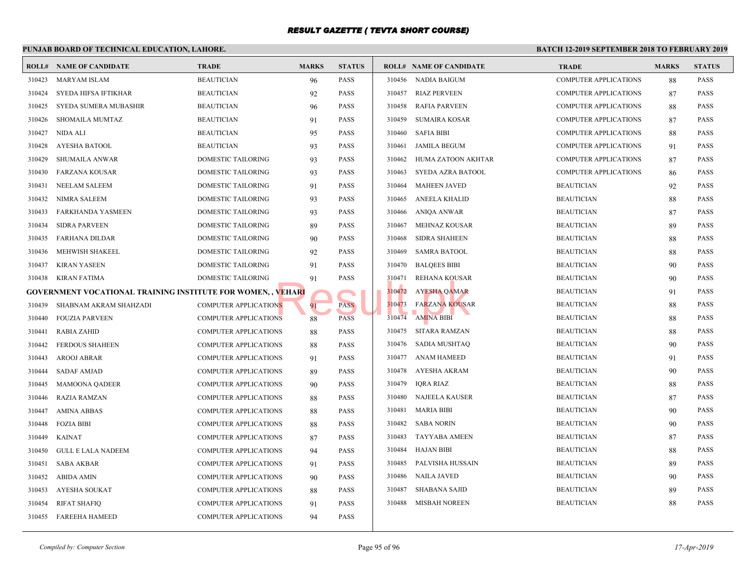#### **PUNJAB BOARD OF TECHNICAL EDUCATION, LAHORE. BATCH 12-ROLL# NAME OF CANDIDATE TRADE MARKS STATUS ROLL# NAME OF CANDIDATE TRADE MARKS STATUS** 310423 MARYAM ISLAM BEAUTICIAN 96 PASS 310424 SYEDA HIFSA IFTIKHAR BEAUTICIAN 92 PASS 310425 SYEDA SUMERA MUBASHIR BEAUTICIAN 96 PASS 310426 SHOMAILA MUMTAZ BEAUTICIAN 91 PASS 310427 NIDA ALI BEAUTICIAN 95 PASS 310428 AYESHA BATOOL BEAUTICIAN 93 PASS 310429 SHUMAILA ANWAR DOMESTIC TAILORING 93 PASS 310430 FARZANA KOUSAR DOMESTIC TAILORING 93 PASS 310431 NEELAM SALEEM DOMESTIC TAILORING 91 PASS 310432 NIMRA SALEEM DOMESTIC TAILORING 93 PASS 310433 FARKHANDA YASMEEN DOMESTIC TAILORING 93 PASS 310434 SIDRA PARVEEN DOMESTIC TAILORING 89 PASS 310435 FARHANA DILDAR DOMESTIC TAILORING 90 PASS 310436 MEHWISH SHAKEEL DOMESTIC TAILORING 92 PASS 310437 KIRAN YASEEN DOMESTIC TAILORING 91 PASS 310438 KIRAN FATIMA DOMESTIC TAILORING 91 PASS **GOVERNMENT VOCATIONAL TRAINING INSTITUTE FOR WOMEN, , VEHARI** 310439 SHABNAM AKRAM SHAHZADI COMPUTER APPLICATIONS 91 PASS 310440 FOUZIA PARVEEN COMPUTER APPLICATIONS 88 PASS 310441 RABIA ZAHID COMPUTER APPLICATIONS 88 PASS 310442 FERDOUS SHAHEEN COMPUTER APPLICATIONS 88 PASS 310443 AROOJ ABRAR COMPUTER APPLICATIONS 91 PASS 310444 SADAF AMJAD COMPUTER APPLICATIONS 89 PASS 310445 MAMOONA QADEER COMPUTER APPLICATIONS 90 PASS 310446 RAZIA RAMZAN COMPUTER APPLICATIONS 88 PASS 310447 AMINA ABBAS COMPUTER APPLICATIONS 88 PASS 310448 FOZIA BIBI COMPUTER APPLICATIONS 88 PASS 310449 KAINAT COMPUTER APPLICATIONS 87 PASS 310450 GULL E LALA NADEEM COMPUTER APPLICATIONS 94 PASS 310451 SABA AKBAR COMPUTER APPLICATIONS 91 PASS 310452 ABIDA AMIN COMPUTER APPLICATIONS 90 PASS 310453 AYESHA SOUKAT COMPUTER APPLICATIONS 88 PASS 310454 RIFAT SHAFIQ COMPUTER APPLICATIONS 91 PASS 310455 FAREEHA HAMEED COMPUTER APPLICATIONS 94 PASS 310456 NADIA BAIGUM COMP 310457 RIAZ PERVEEN COMP 310458 RAFIA PARVEEN COMP 310459 SUMAIRA KOSAR COMP 310460 SAFIA BIBI COMP 310461 JAMILA BEGUM COMP 310462 HUMA ZATOON AKHTAR COMP 310463 SYEDA AZRA BATOOL COMP 310464 MAHEEN JAVED BEAUT 310465 ANEELA KHALID BEAUT 310466 ANIQA ANWAR BEAUT 310467 MEHNAZ KOUSAR BEAUT 310468 SIDRA SHAHEEN BEAUT 310469 SAMRA BATOOL BEAU 310470 BALQEES BIBI BEAUT 310471 REHANA KOUSAR BEAUT 310472 AYESHA QAMAR BEAUTICIAN 910472 310473 FA<mark>RZANA KOUSAR</mark> BEAUTICIAN BEAUTICIAN BEAUTICIAN BEAUTICIAN BEAUTICIAN BEAUTICIAN BEAUTICIAN BEAUTICIAN BEAU 310474 AMINA BIBI BEAUTICIAN BEAUTICIAN BEAUTICIAN BEAUTICIAN BEAUTICIAN BEAUTICIAN BEAUTICIAN BEAUTICIAN BEAU 310475 SITARA RAMZAN BEAUT 310476 SADIA MUSHTAQ BEAUT 310477 ANAM HAMEED BEAUT 310478 AYESHA AKRAM BEAUTICIAN BEAUTICIAN BEAUTICIAN BEAUTICIAN BEAUTICIAN BEAU 310479 IQRA RIAZ BEAUT 310480 NAJEELA KAUSER BEAUT 310481 MARIA BIBI BEAUTICIAN 90 BEAUT 310482 SABA NORIN BEAU 310483 TAYYABA AMEEN BEAUT 310484 HAJAN BIBI BEAUTICIAN 88 BEAUTICIAN 88 PASSES BEAUTICIAN BIBI 310485 PALVISHA HUSSAIN BEAUT 310486 NAILA JAVED BEAUTICIAN 90 BEAU 310487 SHABANA SAJID BEAUT 310488 MISBAH NOREEN BEAUT **EHARI**<br>NS 88 PASS 310473 FARZANA KOUSAR<br>NS 88 PASS 310473 FARZANA KOUSA